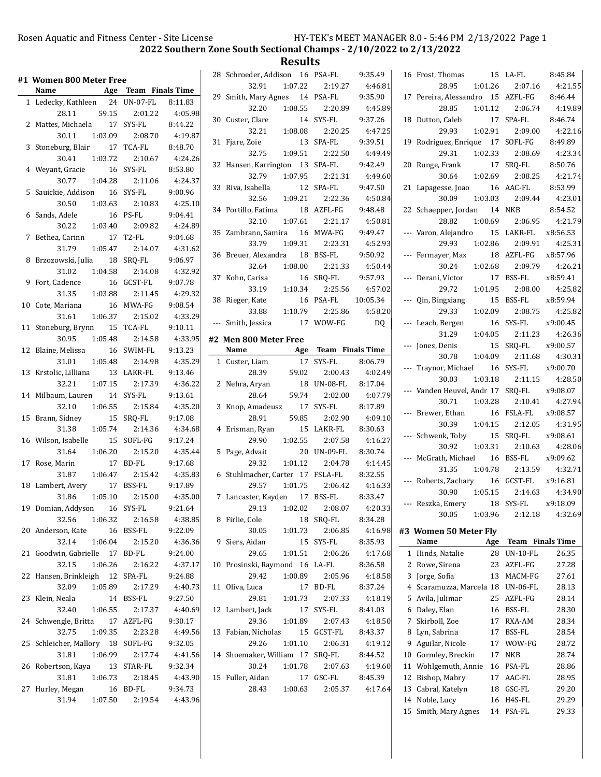| #1 Women 800 Meter Free           |                      |         | 28 Schroeder, Addison 16 PSA-FL  |         |                      | 9:35.49            |    | 16 Frost, Thomas                  |     | 15 LA-FL                | 8:45.84  |
|-----------------------------------|----------------------|---------|----------------------------------|---------|----------------------|--------------------|----|-----------------------------------|-----|-------------------------|----------|
| Name                              | Age Team Finals Time |         | 32.91                            | 1:07.22 | 2:19.27              | 4:46.81            |    | 28.95<br>1:01.26                  |     | 2:07.16                 | 4:21.55  |
| 1 Ledecky, Kathleen 24 UN-07-FL   |                      | 8:11.83 | 29 Smith, Mary Agnes             |         | 14 PSA-FL            | 9:35.90            |    | 17 Pereira, Alessandro 15 AZFL-FG |     |                         | 8:46.44  |
| 59.15<br>28.11                    | 2:01.22              | 4:05.98 | 32.20                            | 1:08.55 | 2:20.89              | 4:45.89            |    | 28.85<br>1:01.12                  |     | 2:06.74                 | 4:19.89  |
| 2 Mattes, Michaela                | 17 SYS-FL            | 8:44.22 | 30 Custer, Clare                 |         | 14 SYS-FL            | 9:37.26            |    | 18 Dutton, Caleb                  |     | 17 SPA-FL               | 8:46.74  |
| 30.11<br>1:03.09                  | 2:08.70              | 4:19.87 | 32.21                            | 1:08.08 | 2:20.25              | 4:47.25            |    | 1:02.91<br>29.93                  |     | 2:09.00                 | 4:22.16  |
|                                   |                      |         | 31 Fjare, Zoie                   |         | 13 SPA-FL            | 9:39.51            |    | 19 Rodriguez, Enrique 17 SOFL-FG  |     |                         | 8:49.89  |
| 3 Stoneburg, Blair                | 17 TCA-FL            | 8:48.70 | 32.75                            | 1:09.51 | 2:22.50              | 4:49.49            |    | 29.31<br>1:02.33                  |     | 2:08.69                 | 4:23.34  |
| 1:03.72<br>30.41                  | 2:10.67              | 4:24.26 | 32 Hansen, Karrington 13 SPA-FL  |         |                      | 9:42.49            |    | 20 Runge, Frank                   |     | 17 SRQ-FL               | 8:50.76  |
| 4 Weyant, Gracie                  | 16 SYS-FL            | 8:53.80 | 32.79                            | 1:07.95 | 2:21.31              | 4:49.60            |    | 1:02.69<br>30.64                  |     | 2:08.25                 | 4:21.74  |
| 30.77<br>1:04.28                  | 2:11.06              | 4:24.37 | 33 Riva, Isabella                |         | 12 SPA-FL            | 9:47.50            |    | 21 Lapagesse, Joao                |     | 16 AAC-FL               | 8:53.99  |
| 5 Sauickie, Addison               | 16 SYS-FL            | 9:00.96 | 32.56                            | 1:09.21 | 2:22.36              | 4:50.84            |    | 1:03.03<br>30.09                  |     | 2:09.44                 | 4:23.01  |
| 30.50<br>1:03.63                  | 2:10.83              | 4:25.10 | 34 Portillo, Fatima              |         | 18 AZFL-FG           | 9:48.48            |    | 22 Schaepper, Jordan              |     | 14 NKB                  | 8:54.52  |
| 6 Sands, Adele                    | 16 PS-FL             | 9:04.41 | 32.10                            | 1:07.61 | 2:21.17              | 4:50.81            |    | 28.82<br>1:00.69                  |     | 2:06.95                 | 4:21.79  |
| 30.22<br>1:03.40                  | 2:09.82              | 4:24.89 | 35 Zambrano, Samira              |         | 16 MWA-FG            | 9:49.47            |    | --- Varon, Alejandro              |     | 15 LAKR-FL              | x8:56.53 |
| 7 Bethea, Carinn                  | 17 T2-FL             | 9:04.68 | 33.79                            | 1:09.31 | 2:23.31              | 4:52.93            |    | 1:02.86<br>29.93                  |     | 2:09.91                 | 4:25.31  |
| 1:05.47<br>31.79                  | 2:14.07              | 4:31.62 | 36 Breuer, Alexandra             |         | 18 BSS-FL            | 9:50.92            |    | --- Fermayer, Max                 |     | 18 AZFL-FG              | x8:57.96 |
| 8 Brzozowski, Julia               | 18 SRQ-FL            | 9:06.97 | 32.64                            | 1:08.00 | 2:21.33              | 4:50.44            |    | 1:02.68<br>30.24                  |     | 2:09.79                 | 4:26.21  |
| 31.02<br>1:04.58                  | 2:14.08              | 4:32.92 | 37 Kohn, Carisa                  |         | 16 SRQ-FL            | 9:57.93            |    | --- Derani, Victor                |     | 17 BSS-FL               | x8:59.41 |
| 9 Fort, Cadence                   | 16 GCST-FL           | 9:07.78 | 33.19                            | 1:10.34 | 2:25.56              | 4:57.02            |    | 29.72<br>1:01.95                  |     | 2:08.00                 | 4:25.82  |
| 1:03.88<br>31.35                  | 2:11.45              | 4:29.32 |                                  |         |                      |                    |    |                                   |     |                         |          |
| 10 Cote, Mariana                  | 16 MWA-FG            | 9:08.54 | 38 Rieger, Kate                  |         | 16 PSA-FL            | 10:05.34           |    | --- Qin, Bingxiang                |     | 15 BSS-FL               | x8:59.94 |
| 1:06.37<br>31.61                  | 2:15.02              | 4:33.29 | 33.88                            | 1:10.79 | 2:25.86              | 4:58.20            |    | 29.33<br>1:02.09                  |     | 2:08.75                 | 4:25.82  |
| 11 Stoneburg, Brynn               | 15 TCA-FL            | 9:10.11 | --- Smith, Jessica               |         | 17 WOW-FG            | DQ                 |    | --- Leach, Bergen                 |     | 16 SYS-FL               | x9:00.45 |
| 30.95<br>1:05.48                  | 2:14.58              | 4:33.95 | #2 Men 800 Meter Free            |         |                      |                    |    | 31.29<br>1:04.05                  |     | 2:11.23                 | 4:26.36  |
| 12 Blaine, Melissa                | 16 SWIM-FL           | 9:13.23 | Name                             |         | Age Team Finals Time |                    |    | --- Jones, Denis                  |     | 15 SRQ-FL               | x9:00.57 |
| 31.01<br>1:05.48                  | 2:14.98              | 4:35.29 | 1 Custer, Liam                   |         | 17 SYS-FL            | 8:06.79            |    | 1:04.09<br>30.78                  |     | 2:11.68                 | 4:30.31  |
| 13 Krstolic, Lilliana             | 13 LAKR-FL           | 9:13.46 | 28.39                            | 59.02   | 2:00.43              | 4:02.49            |    | --- Traynor, Michael              |     | 16 SYS-FL               | x9:00.70 |
| 32.21<br>1:07.15                  | 2:17.39              | 4:36.22 | 2 Nehra, Aryan                   |         | 18 UN-08-FL          | 8:17.04            |    | 1:03.18<br>30.03                  |     | 2:11.15                 | 4:28.50  |
| 14 Milbaum, Lauren                | 14 SYS-FL            | 9:13.61 | 28.64                            | 59.74   | 2:02.00              | 4:07.79            |    | --- Vanden Heuvel, Andr 17 SRQ-FL |     |                         | x9:08.07 |
| 32.10<br>1:06.55                  | 2:15.84              | 4:35.20 | 3 Knop, Amadeusz                 |         | 17 SYS-FL            | 8:17.89            |    | 30.71<br>1:03.28                  |     | 2:10.41                 | 4:27.94  |
| 15 Brann, Sidney                  | 15 SRQ-FL            | 9:17.08 | 28.91                            | 59.85   | 2:02.90              | 4:09.10            |    | --- Brewer, Ethan                 |     | 16 FSLA-FL              | x9:08.57 |
| 31.38<br>1:05.74                  | 2:14.36              | 4:34.68 | 4 Erisman, Ryan                  |         | 15 LAKR-FL           | 8:30.63            |    | 30.39<br>1:04.15                  |     | 2:12.05                 | 4:31.95  |
| 16 Wilson, Isabelle               | 15 SOFL-FG           | 9:17.24 | 29.90                            | 1:02.55 | 2:07.58              | 4:16.27            |    | --- Schwenk, Toby                 |     | 15 SRQ-FL               | x9:08.61 |
| 1:06.20<br>31.64                  | 2:15.20              | 4:35.44 | 5 Page, Advait                   |         | 20 UN-09-FL          | 8:30.74            |    | 30.92<br>1:03.31                  |     | 2:10.63                 | 4:28.06  |
| 17 Rose, Marin                    | 17 BD-FL             | 9:17.68 | 29.32                            | 1:01.12 | 2:04.78              | 4:14.45            |    | --- McGrath, Michael              |     | 16 BSS-FL               | x9:09.62 |
| 1:06.47                           | 2:15.42              | 4:35.83 | 6 Stuhlmacher, Carter 17 FSLA-FL |         |                      | 8:32.55            |    | 1:04.78<br>31.35                  |     | 2:13.59                 | 4:32.71  |
| 31.87                             | 17 BSS-FL            |         |                                  |         |                      |                    |    | --- Roberts, Zachary              |     | 16 GCST-FL              | x9:16.81 |
| 18 Lambert, Avery                 | 2:15.00              | 9:17.89 | 29.57                            | 1:01.75 | 2:06.42<br>17 BSS-FL | 4:16.33<br>8:33.47 |    | 30.90<br>1:05.15                  |     | 2:14.63                 | 4:34.90  |
| 1:05.10<br>31.86                  |                      | 4:35.00 | 7 Lancaster, Kayden              |         |                      |                    |    | --- Reszka, Emery                 |     | 18 SYS-FL               | x9:18.09 |
| 19 Domian, Addyson 16 SYS-FL      |                      | 9:21.64 | 29.13 1:02.02                    |         | 2:08.07              | 4:20.33            |    | 30.05<br>1:03.96                  |     | 2:12.18                 | 4:32.69  |
| 32.56<br>1:06.32                  | 2:16.58              | 4:38.85 | 8 Firlie, Cole                   |         | 18 SRQ-FL            | 8:34.28            |    |                                   |     |                         |          |
| 20 Anderson, Kate                 | 16 BSS-FL            | 9:22.09 | 30.05                            | 1:01.73 | 2:06.85              | 4:16.98            |    | #3 Women 50 Meter Fly             |     |                         |          |
| 32.14<br>1:06.04                  | 2:15.20              | 4:36.36 | 9 Siers, Aidan                   |         | 15 SYS-FL            | 8:35.93            |    | Name                              | Age | <b>Team</b> Finals Time |          |
| 21 Goodwin, Gabrielle 17 BD-FL    |                      | 9:24.00 | 29.65                            | 1:01.51 | 2:06.26              | 4:17.68            |    | 1 Hinds, Natalie                  |     | 28 UN-10-FL             | 26.35    |
| 32.15<br>1:06.26                  | 2:16.22              | 4:37.17 | 10 Prosinski, Raymond 16 LA-FL   |         |                      | 8:36.58            |    | 2 Rowe, Sirena                    |     | 23 AZFL-FG              | 27.28    |
| 22 Hansen, Brinkleigh 12 SPA-FL   |                      | 9:24.88 | 29.42                            | 1:00.89 | 2:05.96              | 4:18.58            |    | 3 Jorge, Sofia                    |     | 13 MACM-FG              | 27.61    |
| 32.09<br>1:05.89                  | 2:17.29              | 4:40.73 | 11 Oliva, Luca                   |         | 17 BD-FL             | 8:37.24            |    | 4 Scaramuzza, Marcela 18 UN-06-FL |     |                         | 28.13    |
| 23 Klein, Neala                   | 14 BSS-FL            | 9:27.50 | 29.81                            | 1:01.73 | 2:07.33              | 4:18.19            |    | 5 Avila, Julimar                  |     | 25 AZFL-FG              | 28.14    |
| 1:06.55<br>32.40                  | 2:17.37              | 4:40.69 | 12 Lambert, Jack                 |         | 17 SYS-FL            | 8:41.03            | 6  | Daley, Elan                       |     | 16 BSS-FL               | 28.30    |
| 24 Schwengle, Britta              | 17 AZFL-FG           | 9:30.17 | 29.36                            | 1:01.89 | 2:07.43              | 4:18.50            |    | 7 Skirboll, Zoe                   |     | 17 RXA-AM               | 28.34    |
| 32.75<br>1:09.35                  | 2:23.28              | 4:49.56 | 13 Fabian, Nicholas              |         | 15 GCST-FL           | 8:43.37            |    | 8 Lyn, Sabrina                    |     | 17 BSS-FL               | 28.54    |
| 25 Schleicher, Mallory 18 SOFL-FG |                      | 9:32.05 | 29.26                            | 1:01.10 | 2:06.31              | 4:19.12            |    | 9 Aguilar, Nicole                 | 17  | WOW-FG                  | 28.72    |
| 31.81<br>1:06.99                  | 2:17.74              | 4:41.56 | 14 Shoemaker, William 17 SRQ-FL  |         |                      | 8:44.52            | 10 | Gormley, Breckin                  | 17  | NKB                     | 28.74    |
| 26 Robertson, Kaya                | 13 STAR-FL           | 9:32.34 | 30.24                            | 1:01.78 | 2:07.63              | 4:19.60            | 11 | Wohlgemuth, Annie                 |     | 16 PSA-FL               | 28.86    |
| 31.81<br>1:06.73                  | 2:18.45              | 4:43.90 | 15 Fuller, Aidan                 |         | 17 GSC-FL            | 8:45.39            |    | 12 Bishop, Mabry                  |     | 17 AAC-FL               | 28.95    |
| 27 Hurley, Megan                  | 16 BD-FL             | 9:34.73 | 28.43                            | 1:00.63 | 2:05.37              | 4:17.64            |    | 13 Cabral, Katelyn                |     | 18 GSC-FL               | 29.20    |
| 31.94<br>1:07.50                  | 2:19.54              | 4:43.96 |                                  |         |                      |                    |    | 14 Noble, Lucy                    |     | 16 H4S-FL               | 29.29    |
|                                   |                      |         |                                  |         |                      |                    |    | 15 Smith, Mary Agnes              |     | 14 PSA-FL               | 29.33    |
|                                   |                      |         |                                  |         |                      |                    |    |                                   |     |                         |          |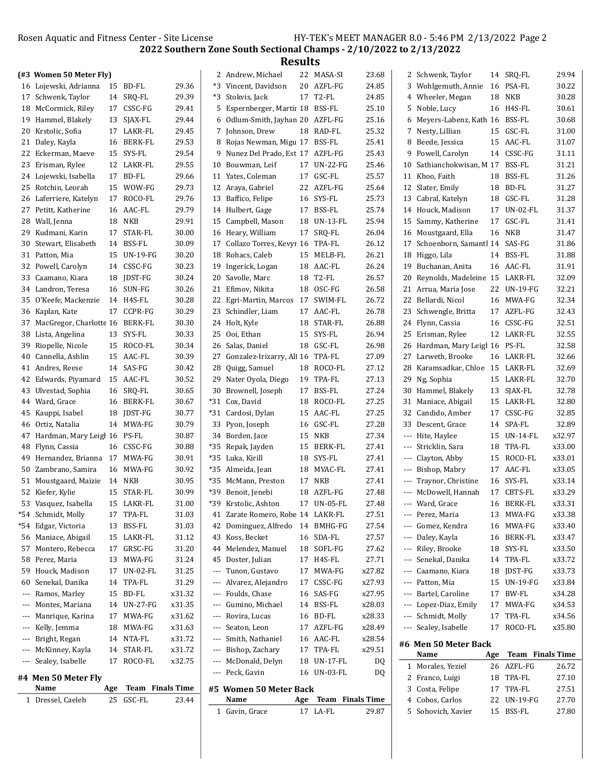|     | (#3 Women 50 Meter Fly)                    |     |                          |                |                          | 2 Andrew, Michael                                                     |     | 22 MASA-SI              | 23.68          |     | 2 Schwenk, Taylor                 |          | 14 SRQ-FL                | 29.94            |
|-----|--------------------------------------------|-----|--------------------------|----------------|--------------------------|-----------------------------------------------------------------------|-----|-------------------------|----------------|-----|-----------------------------------|----------|--------------------------|------------------|
|     | 16 Lojewski, Adrianna                      |     | 15 BD-FL                 | 29.36          |                          | *3 Vincent, Davidson                                                  |     | 20 AZFL-FG              | 24.85          |     | 3 Wohlgemuth, Annie               | 16       | PSA-FL                   | 30.22            |
|     | 17 Schwenk, Taylor                         |     | 14 SRQ-FL                | 29.39          |                          | *3 Stokvis, Jack                                                      |     | 17 T2-FL                | 24.85          |     | 4 Wheeler, Megan                  |          | <b>18 NKB</b>            | 30.28            |
|     | 18 McCormick, Riley                        |     | 17 CSSC-FG               | 29.41          |                          | 5 Espernberger, Martir 18 BSS-FL                                      |     |                         | 25.10          |     | 5 Noble, Lucy                     |          | 16 H4S-FL                | 30.61            |
|     | 19 Hammel, Blakely                         |     | 13 SJAX-FL               | 29.44          |                          | 6 Odlum-Smith, Jayhan 20 AZFL-FG                                      |     |                         | 25.16          |     | 6 Meyers-Labenz, Kath 16          |          | BSS-FL                   | 30.68            |
|     | 20 Krstolic, Sofia                         |     | 17 LAKR-FL               | 29.45          |                          | 7 Johnson, Drew                                                       |     | 18 RAD-FL               | 25.32          |     | 7 Nesty, Lillian                  | 15       | GSC-FL                   | 31.00            |
|     | 21 Daley, Kayla                            |     | 16 BERK-FL               | 29.53          | 8                        | Rojas Newman, Migu 17 BSS-FL                                          |     |                         | 25.41          |     | 8 Beede, Jessica                  | 15       | AAC-FL                   | 31.07            |
|     | 22 Eckerman, Maeve                         |     | 15 SYS-FL                | 29.54          | 9                        | Nunez Del Prado, Est 17                                               |     | AZFL-FG                 | 25.43          |     | 9 Powell, Carolyn                 | 14       | CSSC-FG                  | 31.11            |
|     | 23 Erisman, Rylee                          |     | 12 LAKR-FL               | 29.55          | 10                       | Bouwman, Leif                                                         |     | 17 UN-22-FG             | 25.46          | 10  | Sathianchokwisan, M 17            |          | <b>BSS-FL</b>            | 31.21            |
|     | 24 Lojewski, Isabella                      |     | 17 BD-FL                 | 29.66          |                          | 11 Yates, Coleman                                                     |     | 17 GSC-FL               | 25.57          |     | 11 Khoo, Faith                    | 18       | BSS-FL                   | 31.26            |
|     | 25 Rotchin, Leorah                         |     | 15 WOW-FG                | 29.73          |                          | 12 Araya, Gabriel                                                     |     | 22 AZFL-FG              | 25.64          |     | 12 Slater, Emily                  | 18       | BD-FL                    | 31.27            |
|     | 26 Laferriere, Katelyn                     |     | 17 ROCO-FL               | 29.76          |                          | 13 Baffico, Felipe                                                    |     | 16 SYS-FL               | 25.73          |     | 13 Cabral, Katelyn                |          | 18 GSC-FL                | 31.28            |
|     | 27 Petitt, Katherine                       |     | 16 AAC-FL                | 29.79          |                          | 14 Hulbert, Gage                                                      | 17  | BSS-FL                  | 25.74          |     | 14 Houck, Madison                 |          | 17 UN-02-FL              | 31.37            |
|     | 28 Wall, Jenna                             |     | 18 NKB                   | 29.91          |                          | 15 Campbell, Mason                                                    | 18  | UN-13-FL                | 25.94          |     | 15 Sammy, Katherine               |          | 17 GSC-FL                | 31.41            |
|     | 29 Kudmani, Karin                          |     | 17 STAR-FL               | 30.00          |                          | 16 Heary, William                                                     |     | 17 SRQ-FL               | 26.04          |     | 16 Moustgaard, Ella               | 16       | NKB                      | 31.47            |
|     | 30 Stewart, Elisabeth                      |     | 14 BSS-FL                | 30.09          |                          | 17 Collazo Torres, Kevyr 16                                           |     | TPA-FL                  | 26.12          | 17  | Schoenborn, Samantl 14            |          | SAS-FG                   | 31.86            |
|     | 31 Patton, Mia                             |     | 15 UN-19-FG              | 30.20          |                          | 18 Rohacs, Caleb                                                      |     | 15 MELB-FL              | 26.21          |     | 18 Higgo, Lila                    | 14       | BSS-FL                   | 31.88            |
|     | 32 Powell, Carolyn                         |     | 14 CSSC-FG               | 30.23          |                          | 19 Ingerick, Logan                                                    |     | 18 AAC-FL               | 26.24          |     | 19 Buchanan, Anita                |          | 16 AAC-FL                | 31.91            |
|     | 33 Caamano, Kiara                          |     | 18 JDST-FG               | 30.24          |                          | 20 Savolle, Marc                                                      |     | 18 T2-FL                | 26.57          |     | 20 Reynolds, Madeleine 15         |          | LAKR-FL                  | 32.09            |
|     | 34 Landron, Teresa                         |     | 16 SUN-FG                | 30.26          |                          | 21 Efimov, Nikita                                                     |     | 18 OSC-FG               | 26.58          |     | 21 Arrua, Maria Jose              |          | 22 UN-19-FG              | 32.21            |
|     | 35 O'Keefe, Mackenzie                      |     | 14 H4S-FL                | 30.28          |                          | 22 Egri-Martin, Marcos 17                                             |     | SWIM-FL                 | 26.72          |     | 22 Bellardi, Nicol                |          | 16 MWA-FG                | 32.34            |
|     | 36 Kaplan, Kate                            |     | 17 CCPR-FG               | 30.29          |                          | 23 Schindler, Liam                                                    |     | 17 AAC-FL               | 26.78          |     | 23 Schwengle, Britta              |          | 17 AZFL-FG               | 32.43            |
|     | 37 MacGregor, Charlotte 16 BERK-FL         |     |                          | 30.30          |                          | 24 Holt, Kyle                                                         |     | 18 STAR-FL              | 26.88          |     | 24 Flynn, Cassia                  | 16       | CSSC-FG                  | 32.51            |
|     | 38 Lista, Angelina                         |     | 13 SYS-FL                | 30.33          |                          | 25 Ooi, Ethan                                                         |     | 15 SYS-FL               | 26.94          |     | 25 Erisman, Rylee                 |          | 12 LAKR-FL               | 32.55            |
|     | 39 Riopelle, Nicole                        |     | 15 ROCO-FL               | 30.34          |                          | 26 Salas, Daniel                                                      |     | 18 GSC-FL               | 26.98          |     | 26 Hardman, Mary Leigl 16         |          | PS-FL                    | 32.58            |
|     | 40 Cannella, Ashlin                        |     | 15 AAC-FL                | 30.39          |                          | 27 Gonzalez-Irizarry, Ali 16 TPA-FL                                   |     |                         | 27.09          |     | 27 Larweth, Brooke                |          | 16 LAKR-FL               | 32.66            |
|     | 41 Andres, Reese                           |     | 14 SAS-FG                | 30.42          | 28                       | Quigg, Samuel                                                         |     | 18 ROCO-FL              | 27.12          |     | 28 Karamsadkar, Chloe 15          |          | LAKR-FL                  | 32.69            |
|     | 42 Edwards, Piyamard                       |     | 15 AAC-FL                | 30.52          |                          | 29 Nater Oyola, Diego                                                 |     | 19 TPA-FL               | 27.13          |     | 29 Ng, Sophia                     |          | 15 LAKR-FL               | 32.70            |
|     | 43 Ulvestad, Sophia                        |     | 16 SRQ-FL                | 30.65          |                          | 30 Brownell, Joseph                                                   |     | 17 BSS-FL               | 27.24          |     | 30 Hammel, Blakely                | 13       | SJAX-FL                  | 32.78            |
|     | 44 Ward, Grace                             |     | 16 BERK-FL               | 30.67          |                          | *31 Cox, David                                                        |     | 18 ROCO-FL              | 27.25          |     | 31 Maniace, Abigail               | 15       | LAKR-FL                  | 32.80            |
|     | 45 Kauppi, Isabel                          |     | 18 JDST-FG               | 30.77          |                          | *31 Cardosi, Dylan                                                    | 15  | AAC-FL                  | 27.25          | 32  | Candido, Amber                    | 17       | CSSC-FG                  | 32.85            |
|     | 46 Ortiz, Natalia                          |     | 14 MWA-FG                | 30.79          |                          | 33 Pyon, Joseph                                                       | 16  | GSC-FL                  | 27.28          |     | 33 Descent, Grace                 | 14       | SPA-FL                   | 32.89            |
|     | 47 Hardman, Mary Leigh 16                  |     | PS-FL                    | 30.87          |                          | 34 Borden, Jace                                                       | 15  | <b>NKB</b>              | 27.34          |     | --- Hite, Haylee                  | 15       | UN-14-FL                 | x32.97           |
|     | 48 Flynn, Cassia                           |     | 16 CSSC-FG               | 30.88          |                          | *35 Repak, Jayden                                                     | 15  | <b>BERK-FL</b>          | 27.41          | --- | Stricklin, Sara                   | 18       | TPA-FL                   | x33.00           |
|     | 49 Hernandez, Brianna                      |     | 17 MWA-FG                | 30.91          |                          | *35 Luka, Kirill                                                      |     | 18 SYS-FL               | 27.41          | --- | Clayton, Abby                     | 15       | ROCO-FL                  | x33.01           |
|     | 50 Zambrano, Samira                        |     | 16 MWA-FG                | 30.92          |                          | *35 Almeida, Jean                                                     |     | 18 MVAC-FL              | 27.41          | --- | Bishop, Mabry                     |          | 17 AAC-FL                | x33.05           |
|     | 51 Moustgaard, Maizie                      |     | 14 NKB                   | 30.95          |                          | *35 McMann, Preston                                                   |     | 17 NKB                  | 27.41          | --- | Traynor, Christine                |          | 16 SYS-FL                | x33.14           |
|     | 52 Kiefer, Kylie                           |     | 15 STAR-FL               | 30.99<br>31.00 |                          | *39 Benoit, Jenebi                                                    | 18  | AZFL-FG                 | 27.48          |     | --- McDowell, Hannah              | 17       | CBTS-FL                  | x33.29           |
|     | 53 Vasquez, Isabella                       |     | 15 LAKR-FL               |                |                          | *39 Krstolic, Ashton                                                  | 17  | <b>UN-05-FL</b>         | 27.48          |     | --- Ward, Grace                   | 16       | <b>BERK-FL</b>           | x33.31<br>x33.38 |
|     | *54 Schmidt, Molly<br>*54 Edgar, Victoria  |     | 17 TPA-FL                | 31.03          |                          | 41 Zarate Romero, Robe 14 LAKR-FL<br>42 Dominguez, Alfredo 14 BMHG-FG |     |                         | 27.51          |     | --- Perez, Maria<br>Gomez, Kendra |          | 13 MWA-FG                |                  |
|     |                                            | 13  | BSS-FL                   | 31.03          |                          | 43 Koss, Becket                                                       |     |                         | 27.54          | --- |                                   | 16       | MWA-FG                   | x33.40           |
|     | 56 Maniace, Abigail<br>57 Montero, Rebecca |     | 15 LAKR-FL<br>17 GRSC-FG | 31.12<br>31.20 |                          | 44 Melendez, Manuel                                                   |     | 16 SDA-FL<br>18 SOFL-FG | 27.57<br>27.62 | --- | --- Daley, Kayla<br>Riley, Brooke | 16<br>18 | <b>BERK-FL</b><br>SYS-FL | x33.47<br>x33.50 |
|     | 58 Perez, Maria                            |     | 13 MWA-FG                | 31.24          |                          | 45 Doster, Julian                                                     |     | 17 H4S-FL               | 27.71          |     | Senekal, Danika                   | 14       | TPA-FL                   | x33.72           |
|     | 59 Houck, Madison                          | 17  | UN-02-FL                 | 31.25          |                          | --- Tunon, Gustavo                                                    |     | 17 MWA-FG               | x27.82         | --- | Caamano, Kiara                    | 18       | JDST-FG                  | x33.73           |
|     | 60 Senekal, Danika                         |     | 14 TPA-FL                | 31.29          | ---                      | Alvarez, Alejandro                                                    |     | 17 CSSC-FG              | x27.93         | --- | Patton, Mia                       |          | 15 UN-19-FG              | x33.84           |
|     | Ramos, Marley                              |     | 15 BD-FL                 | x31.32         | $\hspace{0.05cm} \ldots$ | Foulds, Chase                                                         |     | 16 SAS-FG               | x27.95         | --- | Bartel, Caroline                  |          | 17 BW-FL                 | x34.28           |
|     | --- Montes, Mariana                        |     | 14 UN-27-FG              | x31.35         |                          | --- Gumino, Michael                                                   |     | 14 BSS-FL               | x28.03         | --- | Lopez-Diaz, Emily                 |          | 17 MWA-FG                | x34.53           |
| --- | Manrique, Karina                           |     | 17 MWA-FG                | x31.62         |                          | --- Rovira, Lucas                                                     |     | 16 BD-FL                | x28.33         | --- | Schmidt, Molly                    |          | 17 TPA-FL                | x34.56           |
|     | Kelly, Jemma                               |     | 18 MWA-FG                | x31.63         | ---                      | Seaton, Leon                                                          |     | 17 AZFL-FG              | x28.49         | --- | Sealey, Isabelle                  |          | 17 ROCO-FL               | x35.80           |
| --- | Bright, Regan                              |     | 14 NTA-FL                | x31.72         |                          | --- Smith, Nathaniel                                                  |     | 16 AAC-FL               | x28.54         |     |                                   |          |                          |                  |
|     | --- McKinney, Kayla                        |     | 14 STAR-FL               | x31.72         |                          | --- Bishop, Zachary                                                   |     | 17 TPA-FL               | x29.51         |     | #6 Men 50 Meter Back              |          |                          |                  |
|     | --- Sealey, Isabelle                       |     | 17 ROCO-FL               | x32.75         |                          | --- McDonald, Delyn                                                   |     | 18 UN-17-FL             | DQ             |     | Name                              | Age      | Team Finals Time         |                  |
|     |                                            |     |                          |                |                          | --- Peck, Gavin                                                       |     | 16 UN-03-FL             | DQ             |     | 1 Morales, Yeziel                 |          | 26 AZFL-FG               | 26.72            |
|     | #4 Men 50 Meter Fly                        |     |                          |                |                          |                                                                       |     |                         |                |     | 2 Franco, Luigi                   | 18       | TPA-FL                   | 27.10            |
|     | Name                                       | Age | Team Finals Time         |                |                          | #5 Women 50 Meter Back                                                |     |                         |                |     | 3 Costa, Felipe                   | 17       | TPA-FL                   | 27.51            |
|     | 1 Dressel, Caeleb                          |     | 25 GSC-FL                | 23.44          |                          | Name                                                                  | Age | Team Finals Time        |                |     | 4 Cobos, Carlos                   | 22       | UN-19-FG                 | 27.70            |
|     |                                            |     |                          |                |                          | 1 Gavin, Grace                                                        |     | 17 LA-FL                | 29.87          |     | 5 Sohovich, Xavier                |          | 15 BSS-FL                | 27.80            |
|     |                                            |     |                          |                |                          |                                                                       |     |                         |                |     |                                   |          |                          |                  |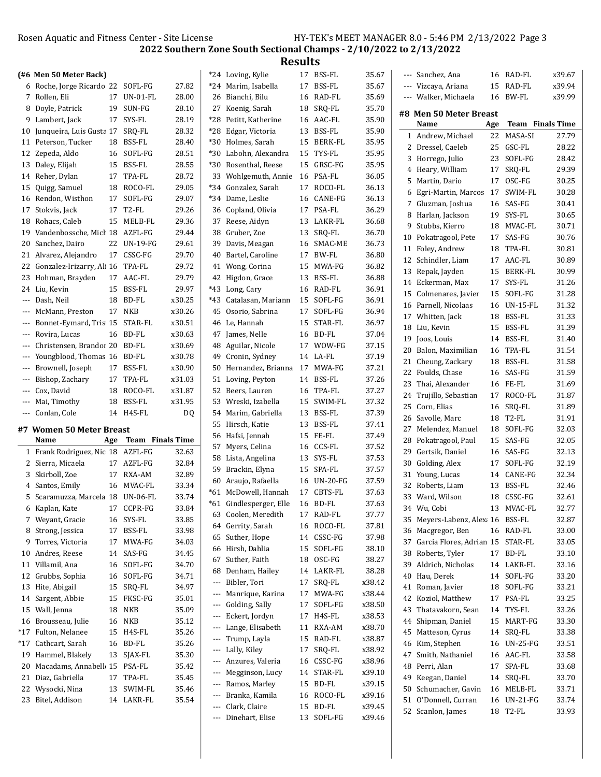Results

|                     | (#6 Men 50 Meter Back)              |     |                         |           |     | *24 Loving, Kylie                          |    | 17 BSS-FL                | 35.67            |    | --- Sanchez, Ana                    |     | 16 RAD-FL               | x39.67 |
|---------------------|-------------------------------------|-----|-------------------------|-----------|-----|--------------------------------------------|----|--------------------------|------------------|----|-------------------------------------|-----|-------------------------|--------|
|                     | 6 Roche, Jorge Ricardo 22 SOFL-FG   |     |                         | 27.82     |     | *24 Marim, Isabella                        | 17 | BSS-FL                   | 35.67            |    | --- Vizcaya, Ariana                 |     | 15 RAD-FL               | x39.94 |
|                     | 7 Rollen, Eli                       |     | 17 UN-01-FL             | 28.00     |     | 26 Bianchi, Bilu                           | 16 | RAD-FL                   | 35.69            |    | --- Walker, Michaela                |     | 16 BW-FL                | x39.99 |
|                     | 8 Doyle, Patrick                    | 19  | SUN-FG                  | 28.10     |     | 27 Koenig, Sarah                           | 18 | SRQ-FL                   | 35.70            |    |                                     |     |                         |        |
|                     | 9 Lambert, Jack                     |     | 17 SYS-FL               | 28.19     |     | *28 Petitt, Katherine                      | 16 | AAC-FL                   | 35.90            |    | #8 Men 50 Meter Breast              |     |                         |        |
| 10                  | Junqueira, Luis Gusta 17            |     | SRQ-FL                  | 28.32     | *28 | Edgar, Victoria                            | 13 | <b>BSS-FL</b>            | 35.90            |    | Name                                | Age | <b>Team</b> Finals Time |        |
|                     | 11 Peterson, Tucker                 |     | 18 BSS-FL               | 28.40     |     | *30 Holmes, Sarah                          | 15 | BERK-FL                  | 35.95            |    | 1 Andrew, Michael                   |     | 22 MASA-SI              | 27.79  |
|                     | 12 Zepeda, Aldo                     |     | 16 SOFL-FG              | 28.51     |     | *30 Labohn, Alexandra                      |    | 15 TYS-FL                | 35.95            |    | 2 Dressel, Caeleb                   |     | 25 GSC-FL               | 28.22  |
|                     | 13 Daley, Elijah                    |     | 15 BSS-FL               | 28.55     |     | *30 Rosenthal, Reese                       |    | 15 GRSC-FG               | 35.95            |    | 3 Horrego, Julio                    |     | 23 SOFL-FG              | 28.42  |
|                     | 14 Reher, Dylan                     |     | 17 TPA-FL               | 28.72     |     | 33 Wohlgemuth, Annie                       |    | 16 PSA-FL                | 36.05            |    | 4 Heary, William                    | 17  | SRQ-FL                  | 29.39  |
|                     | 15 Quigg, Samuel                    | 18  | ROCO-FL                 | 29.05     |     | *34 Gonzalez, Sarah                        |    | 17 ROCO-FL               | 36.13            |    | 5 Martin, Dario                     |     | 17 OSC-FG               | 30.25  |
|                     | 16 Rendon, Wisthon                  |     | 17 SOFL-FG              | 29.07     |     |                                            |    | 16 CANE-FG               | 36.13            | 6  | Egri-Martin, Marcos                 | 17  | SWIM-FL                 | 30.28  |
|                     |                                     |     | 17 T2-FL                | 29.26     |     | *34 Dame, Leslie<br>36 Copland, Olivia     |    | 17 PSA-FL                | 36.29            |    | 7 Gluzman, Joshua                   |     | 16 SAS-FG               | 30.41  |
|                     | 17 Stokvis, Jack                    |     |                         |           |     |                                            |    |                          |                  |    | 8 Harlan, Jackson                   |     | 19 SYS-FL               | 30.65  |
|                     | 18 Rohacs, Caleb                    |     | 15 MELB-FL              | 29.36     |     | 37 Reese, Aidyn                            |    | 13 LAKR-FL               | 36.68            |    | 9 Stubbs, Kierro                    |     | 18 MVAC-FL              | 30.71  |
| 19                  | Vandenbossche, Mich 18 AZFL-FG      |     |                         | 29.44     |     | 38 Gruber, Zoe                             | 13 | SRQ-FL                   | 36.70            | 10 | Pokatragool, Pete                   | 17  | SAS-FG                  | 30.76  |
| 20                  | Sanchez, Dairo                      |     | 22 UN-19-FG             | 29.61     |     | 39 Davis, Meagan                           | 16 | SMAC-ME                  | 36.73            | 11 | Foley, Andrew                       | 18  | TPA-FL                  | 30.81  |
|                     | 21 Alvarez, Alejandro               |     | 17 CSSC-FG              | 29.70     | 40  | Bartel, Caroline                           | 17 | BW-FL                    | 36.80            |    | 12 Schindler, Liam                  |     | 17 AAC-FL               | 30.89  |
|                     | 22 Gonzalez-Irizarry, Ali 16 TPA-FL |     |                         | 29.72     |     | 41 Wong, Corina                            | 15 | MWA-FG                   | 36.82            |    | 13 Repak, Jayden                    |     | 15 BERK-FL              | 30.99  |
|                     | 23 Hohman, Brayden                  |     | 17 AAC-FL               | 29.79     |     | 42 Higdon, Grace                           | 13 | BSS-FL                   | 36.88            |    | 14 Eckerman, Max                    |     | 17 SYS-FL               | 31.26  |
|                     | 24 Liu, Kevin                       |     | 15 BSS-FL               | 29.97     |     | *43 Long, Cary                             |    | 16 RAD-FL                | 36.91            |    | 15 Colmenares, Javier               |     | 15 SOFL-FG              | 31.28  |
|                     | --- Dash, Neil                      |     | 18 BD-FL                | x30.25    |     | *43 Catalasan, Mariann                     |    | 15 SOFL-FG               | 36.91            |    | 16 Parnell, Nicolaas                |     | 16 UN-15-FL             | 31.32  |
|                     | McMann, Preston                     |     | 17 NKB                  | x30.26    |     | 45 Osorio, Sabrina                         |    | 17 SOFL-FG               | 36.94            |    | 17 Whitten, Jack                    |     | 18 BSS-FL               | 31.33  |
|                     | Bonnet-Eymard, Tris 15 STAR-FL      |     |                         | x30.51    |     | 46 Le, Hannah                              | 15 | STAR-FL                  | 36.97            |    | 18 Liu, Kevin                       |     | 15 BSS-FL               | 31.39  |
|                     | --- Rovira, Lucas                   |     | 16 BD-FL                | x30.63    |     | 47 James, Nelle                            | 16 | BD-FL                    | 37.04            | 19 | Joos, Louis                         |     | 14 BSS-FL               | 31.40  |
|                     | Christensen, Brandor 20 BD-FL       |     |                         | x30.69    |     | 48 Aguilar, Nicole                         |    | 17 WOW-FG                | 37.15            | 20 | Balon, Maximilian                   |     | 16 TPA-FL               | 31.54  |
|                     | Youngblood, Thomas 16 BD-FL         |     |                         | x30.78    |     | 49 Cronin, Sydney                          |    | 14 LA-FL                 | 37.19            |    | 21 Cheung, Zackary                  |     | 18 BSS-FL               | 31.58  |
| $---$               | Brownell, Joseph                    |     | 17 BSS-FL               | x30.90    |     | 50 Hernandez, Brianna 17 MWA-FG            |    |                          | 37.21            | 22 | Foulds, Chase                       |     | 16 SAS-FG               | 31.59  |
| $\qquad \qquad - -$ | Bishop, Zachary                     |     | 17 TPA-FL               | x31.03    |     | 51 Loving, Peyton                          | 14 | BSS-FL                   | 37.26            | 23 | Thai, Alexander                     |     | 16 FE-FL                | 31.69  |
| ---                 | Cox, David                          | 18  | ROCO-FL                 | x31.87    |     | 52 Beers, Lauren                           | 16 | TPA-FL                   | 37.27            | 24 | Trujillo, Sebastian                 |     | 17 ROCO-FL              | 31.87  |
| ---                 | Mai, Timothy                        | 18  | <b>BSS-FL</b>           | x31.95    | 53  | Wreski, Izabella                           | 15 | SWIM-FL                  | 37.32            |    | 25 Corn, Elias                      |     | 16 SRQ-FL               | 31.89  |
|                     | --- Conlan, Cole                    |     | 14 H4S-FL               | <b>DQ</b> |     | 54 Marim, Gabriella                        |    | 13 BSS-FL                | 37.39            |    | 26 Savolle, Marc                    |     | 18 T2-FL                | 31.91  |
|                     | #7 Women 50 Meter Breast            |     |                         |           |     | 55 Hirsch, Katie                           |    | 13 BSS-FL                | 37.41            |    | Melendez, Manuel                    |     | 18 SOFL-FG              | 32.03  |
|                     |                                     |     |                         |           |     |                                            |    | 15 FE-FL                 |                  |    |                                     |     |                         |        |
|                     |                                     |     |                         |           |     | 56 Hafsi, Jennah                           |    |                          | 37.49            |    |                                     |     |                         |        |
|                     | Name                                | Age | <b>Team</b> Finals Time |           |     | 57 Myers, Celina                           | 16 | CCS-FL                   | 37.52            | 28 | Pokatragool, Paul                   |     | 15 SAS-FG               | 32.05  |
|                     | 1 Frank Rodriguez, Nic 18 AZFL-FG   |     |                         | 32.63     |     | 58 Lista, Angelina                         |    | 13 SYS-FL                | 37.53            | 29 | Gertsik, Daniel                     |     | 16 SAS-FG               | 32.13  |
|                     | 2 Sierra, Micaela                   |     | 17 AZFL-FG              | 32.84     |     | 59 Brackin, Elyna                          | 15 | SPA-FL                   | 37.57            | 30 | Golding, Alex                       | 17  | SOFL-FG                 | 32.19  |
|                     | 3 Skirboll, Zoe                     |     | 17 RXA-AM               | 32.89     |     | 60 Araujo, Rafaella                        |    | 16 UN-20-FG              | 37.59            |    | 31 Young, Lucas                     |     | 14 CANE-FG              | 32.34  |
|                     | 4 Santos, Emily                     |     | 16 MVAC-FL              | 33.34     |     | *61 McDowell, Hannah                       | 17 | CBTS-FL                  | 37.63            |    | 32 Roberts, Liam                    |     | 13 BSS-FL               | 32.46  |
|                     | 5 Scaramuzza, Marcela 18 UN-06-FL   |     |                         | 33.74     |     | *61 Gindlesperger, Elle                    | 16 | BD-FL                    | 37.63            |    | 33 Ward, Wilson                     |     | 18 CSSC-FG              | 32.61  |
|                     | 6 Kaplan, Kate                      |     | 17 CCPR-FG              | 33.84     |     | 63 Coolen, Meredith                        | 17 | RAD-FL                   | 37.77            |    | 34 Wu, Cobi                         |     | 13 MVAC-FL              | 32.77  |
|                     | 7 Weyant, Gracie                    |     | 16 SYS-FL               | 33.85     |     | 64 Gerrity, Sarah                          | 16 | ROCO-FL                  | 37.81            |    | 35 Meyers-Labenz, Alexa 16 BSS-FL   |     |                         | 32.87  |
|                     | 8 Strong, Jessica                   |     | 17 BSS-FL               | 33.98     |     | 65 Suther, Hope                            |    | 14 CSSC-FG               | 37.98            |    | 36 Macgregor, Ben                   |     | 16 RAD-FL               | 33.00  |
|                     | 9 Torres, Victoria                  |     | 17 MWA-FG               | 34.03     |     | 66 Hirsh, Dahlia                           | 15 | SOFL-FG                  | 38.10            |    | 37 Garcia Flores, Adrian 15 STAR-FL |     |                         | 33.05  |
|                     | 10 Andres, Reese                    |     | 14 SAS-FG               | 34.45     |     | 67 Suther, Faith                           |    | 18 OSC-FG                | 38.27            |    | 38 Roberts, Tyler                   |     | 17 BD-FL                | 33.10  |
|                     | 11 Villamil, Ana                    |     | 16 SOFL-FG              | 34.70     |     | 68 Denham, Hailey                          |    | 14 LAKR-FL               | 38.28            | 39 | Aldrich, Nicholas                   |     | 14 LAKR-FL              | 33.16  |
|                     | 12 Grubbs, Sophia                   |     | 16 SOFL-FG              | 34.71     |     | --- Bibler, Tori                           |    | 17 SRQ-FL                | x38.42           | 40 | Hau, Derek                          |     | 14 SOFL-FG              | 33.20  |
|                     | 13 Hite, Abigail                    |     | 15 SRQ-FL               | 34.97     | --- | Manrique, Karina                           |    | 17 MWA-FG                | x38.44           | 41 | Roman, Javier                       |     | 18 SOFL-FG              | 33.21  |
|                     | 14 Sargent, Abbie                   |     | 15 FKSC-FG              | 35.01     |     | --- Golding, Sally                         |    | 17 SOFL-FG               |                  | 42 | Koziol, Matthew                     |     | 17 PSA-FL               | 33.25  |
|                     | 15 Wall, Jenna                      | 18  | NKB                     | 35.09     |     |                                            |    | 17 H4S-FL                | x38.50           | 43 | Thatavakorn, Sean                   |     | 14 TYS-FL               | 33.26  |
|                     | 16 Brousseau, Julie                 |     | 16 NKB                  | 35.12     |     | --- Eckert, Jordyn<br>--- Lange, Elisabeth |    | 11 RXA-AM                | x38.53<br>x38.70 | 44 | Shipman, Daniel                     |     | 15 MART-FG              | 33.30  |
|                     | *17 Fulton, Nelanee                 |     | 15 H4S-FL               | 35.26     |     |                                            |    | 15 RAD-FL                |                  | 45 | Matteson, Cyrus                     |     | 14 SRQ-FL               | 33.38  |
|                     | *17 Cathcart, Sarah                 |     | 16 BD-FL                | 35.26     |     | --- Trump, Layla<br>--- Lally, Kiley       |    | 17 SRQ-FL                | x38.87           | 46 | Kim, Stephen                        |     | 16 UN-25-FG             | 33.51  |
|                     | 19 Hammel, Blakely                  |     | 13 SJAX-FL              | 35.30     |     | --- Anzures, Valeria                       |    |                          | x38.92           | 47 | Smith, Nathaniel                    |     | 16 AAC-FL               | 33.58  |
|                     | 20 Macadams, Annabell 15 PSA-FL     |     |                         | 35.42     |     |                                            |    | 16 CSSC-FG<br>14 STAR-FL | x38.96           | 48 | Perri, Alan                         | 17  | SPA-FL                  | 33.68  |
|                     | 21 Diaz, Gabriella                  |     | 17 TPA-FL               | 35.45     |     | --- Megginson, Lucy                        |    |                          | x39.10           | 49 | Keegan, Daniel                      |     | 14 SRQ-FL               | 33.70  |
|                     | 22 Wysocki, Nina                    |     | 13 SWIM-FL              | 35.46     | --- | --- Ramos, Marley                          |    | 15 BD-FL                 | x39.15           | 50 | Schumacher, Gavin                   |     | 16 MELB-FL              | 33.71  |
|                     | 23 Bitel, Addison                   |     | 14 LAKR-FL              | 35.54     |     | Branka, Kamila<br>--- Clark, Claire        |    | 16 ROCO-FL               | x39.16           |    | 51 O'Donnell, Curran                |     | 16 UN-21-FG             | 33.74  |
|                     |                                     |     |                         |           |     | --- Dinehart, Elise                        |    | 15 BD-FL<br>13 SOFL-FG   | x39.45<br>x39.46 |    | 52 Scanlon, James                   |     | 18 T2-FL                | 33.93  |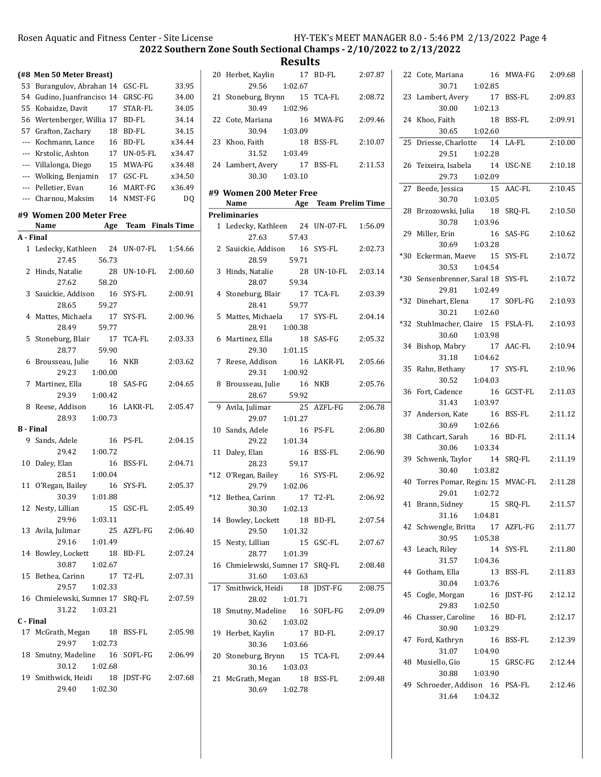2022 Southern Zone South Sectional Champs - 2/10/2022 to 2/13/2022

|                  | (#8 Men 50 Meter Breast)             |                      |                |
|------------------|--------------------------------------|----------------------|----------------|
| 53               | Burangulov, Abrahan 14               | GSC-FL               | 33.95          |
|                  | 54 Gudino, Juanfrancisco 14          | GRSC-FG              | 34.00          |
| 55               | Kobaidze, Davit<br>17                | STAR-FL              | 34.05          |
|                  | 56 Wertenberger, Willia 17           | BD-FL                | 34.14          |
|                  | 57 Grafton, Zachary<br>18            | BD-FL                | 34.15          |
| ---              | Kochmann, Lance<br>16                | BD-FL                | x34.44         |
|                  | --- Krstolic, Ashton<br>17           | <b>UN-05-FL</b>      | x34.47         |
|                  | --- Villalonga, Diego<br>15          | MWA-FG               | x34.48         |
|                  | --- Wolking, Benjamin                | 17 GSC-FL            | x34.50         |
|                  | --- Pelletier, Evan<br>16            | MART-FG              | x36.49         |
|                  | --- Charnou, Maksim<br>14            | NMST-FG              | D <sub>O</sub> |
|                  |                                      |                      |                |
|                  | #9 Women 200 Meter Free<br>Name      | Age Team Finals Time |                |
| A - Final        |                                      |                      |                |
| 1                | Ledecky, Kathleen 24                 | UN-07-FL             | 1:54.66        |
|                  | 27.45<br>56.73                       |                      |                |
| 2                | Hinds. Natalie<br>28                 | UN-10-FL             | 2:00.60        |
|                  | 27.62<br>58.20                       |                      |                |
| 3                |                                      | SYS-FL               | 2:00.91        |
|                  | Sauickie, Addison<br>16<br>28.65     |                      |                |
|                  | 59.27<br>Mattes, Michaela            |                      |                |
| 4                | 17<br>28.49                          | SYS-FL               | 2:00.96        |
|                  | 59.77<br>17                          | TCA-FL               |                |
| 5                | Stoneburg, Blair<br>28.77            |                      | 2:03.33        |
| 6                | 59.90<br>16                          | NKB                  | 2:03.62        |
|                  | Brousseau, Julie<br>1:00.00<br>29.23 |                      |                |
| 7                | Martinez, Ella<br>18                 | SAS-FG               | 2:04.65        |
|                  | 1:00.42<br>29.39                     |                      |                |
| 8                | Reese, Addison<br>16                 | LAKR-FL              | 2:05.47        |
|                  | 28.93<br>1:00.73                     |                      |                |
| <b>B</b> - Final |                                      |                      |                |
| 9                | Sands, Adele<br>16                   | PS-FL                | 2:04.15        |
|                  | 29.42<br>1:00.72                     |                      |                |
| 10               | Daley, Elan<br>16                    | BSS-FL               | 2:04.71        |
|                  | 28.51<br>1:00.04                     |                      |                |
| 11               | O'Regan, Bailey<br>16                | SYS-FL               | 2:05.37        |
|                  | 30.39<br>1:01.88                     |                      |                |
|                  | 12 Nesty, Lillian                    | 15 GSC-FL            | 2:05.49        |
|                  | 29.96<br>1:03.11                     |                      |                |
|                  | 13 Avila, Julimar                    | 25 AZFL-FG           | 2:06.40        |
|                  | 29.16<br>1:01.49                     |                      |                |
|                  | 14 Bowley, Lockett                   | 18 BD-FL             | 2:07.24        |
|                  | 30.87<br>1:02.67                     |                      |                |
|                  | 15 Bethea, Carinn                    | 17 T2-FL             | 2:07.31        |
|                  | 29.57<br>1:02.33                     |                      |                |
|                  | 16 Chmielewski, Sumne: 17 SRQ-FL     |                      | 2:07.59        |
|                  | 31.22<br>1:03.21                     |                      |                |
| C - Final        |                                      |                      |                |
|                  | 17 McGrath, Megan 18 BSS-FL          |                      | 2:05.98        |
|                  | 29.97<br>1:02.73                     |                      |                |
|                  | 18 Smutny, Madeline 16 SOFL-FG       |                      | 2:06.99        |
|                  | 30.12<br>1:02.68                     |                      |                |
|                  | 19 Smithwick, Heidi 18 JDST-FG       |                      | 2:07.68        |
|                  | 29.40 1:02.30                        |                      |                |

|    | 20 Herbet, Kaylin<br>1:02.67<br>29.56                   | 17 BD-FL<br>2:07.87   |
|----|---------------------------------------------------------|-----------------------|
|    | 21 Stoneburg, Brynn 15 TCA-FL<br>30.49 1:02.96          | 2:08.72               |
|    | 22 Cote, Mariana<br>30.94 1:03.09                       | 16 MWA-FG 2:09.46     |
|    | 23 Khoo, Faith<br>- 18<br>31.52   1:03.49               | 2:10.07<br>BSS-FL     |
|    | 24 Lambert, Avery<br>1:03.10<br>30.30                   | 17 BSS-FL<br>2:11.53  |
|    | #9 Women 200 Meter Free<br>Name Age Team Prelim Time    |                       |
|    | <b>Preliminaries</b>                                    |                       |
|    | 1 Ledecky, Kathleen 24 UN-07-FL<br>27.63<br>57.43       | 1:56.09               |
|    | 2 Sauickie, Addison 16 SYS-FL 2:02.73<br>28.59<br>59.71 |                       |
|    | 3 Hinds, Natalie<br>28.07<br>59.34                      | 28 UN-10-FL 2:03.14   |
|    | 4 Stoneburg, Blair<br>59.77<br>28.41                    | 17 TCA-FL<br>2:03.39  |
|    | 5 Mattes, Michaela 17 SYS-FL<br>28.91<br>1:00.38        | 2:04.14               |
|    | 6 Martinez, Ella<br>29.30<br>1:01.15                    | 18 SAS-FG<br>2:05.32  |
|    | 7 Reese, Addison 16 LAKR-FL 2:05.66<br>29.31<br>1:00.92 |                       |
| 8  | Brousseau, Julie 16<br>59.92<br>28.67                   | NKB<br>2:05.76        |
|    | 9 Avila, Julimar<br>29.07<br>1:01.27                    | 25 AZFL-FG<br>2:06.78 |
|    | 10 Sands, Adele<br>16<br>1:01.34<br>29.22               | PS-FL<br>2:06.80      |
|    | 11 Daley, Elan<br>59.17<br>28.23                        | 16 BSS-FL<br>2:06.90  |
|    | *12 O'Regan, Bailey<br>29.79 1:02.06                    | 16 SYS-FL<br>2:06.92  |
|    | *12 Bethea, Carinn<br>17 T2-FL<br>30.30<br>1:02.13      | 2:06.92               |
|    | 14 Bowley, Lockett<br>18<br>29.50<br>1:01.32            | 2:07.54<br>BD-FL      |
|    | 15 Nesty, Lillian<br>15<br>28.77<br>1:01.39             | GSC-FL<br>2:07.67     |
|    | 16 Chmielewski, Sumne: 17 SRQ-FL<br>31.60<br>1:03.63    | 2:08.48               |
| 17 | Smithwick, Heidi 18<br>28.02<br>1:01.71                 | JDST-FG<br>2:08.75    |
| 18 | Smutny, Madeline 16<br>30.62<br>1:03.02                 | SOFL-FG<br>2:09.09    |
| 19 | Herbet, Kaylin<br>17<br>1:03.66<br>30.36                | BD-FL<br>2:09.17      |
|    | 20 Stoneburg, Brynn<br>30.16<br>1:03.03                 | 15 TCA-FL<br>2:09.44  |
|    | 21 McGrath, Megan<br>30.69 1:02.78                      | 18 BSS-FL<br>2:09.48  |

|       | 16<br>22 Cote, Mariana<br>30.71<br>1:02.85                         | MWA-FG               | 2:09.68 |
|-------|--------------------------------------------------------------------|----------------------|---------|
|       | 23 Lambert, Avery<br>17<br>30.00<br>1:02.13                        | BSS-FL               | 2:09.83 |
|       | 24 Khoo, Faith<br>18<br>1:02.60<br>30.65                           | BSS-FL               | 2:09.91 |
| 25    | Driesse, Charlotte 14                                              | LA-FL                | 2:10.00 |
| 26    | 29.51<br>1:02.28<br>Teixeira, Isabela<br>14<br>29.73<br>1:02.09    | USC-NE               | 2:10.18 |
| 27    | Beede, Jessica<br>15<br>30.70<br>1:03.05                           | AAC-FL               | 2:10.45 |
| 28    | Brzozowski, Julia 18                                               | SRO-FL               | 2:10.50 |
|       | 30.78 1:03.96<br>29 Miller, Erin<br><sup>16</sup><br>30.69 1:03.28 | SAS-FG               | 2:10.62 |
| *30   | Eckerman, Maeve 15<br>30.53<br>1:04.54                             | SYS-FL               | 2:10.72 |
| $*30$ | Sensenbrenner, Saral 18<br>29.81 1:02.49                           | SYS-FL               | 2:10.72 |
| *32   | Dinehart, Elena<br>17<br>30.21 1:02.60                             | SOFL-FG              | 2:10.93 |
| *32   | Stuhlmacher, Claire 15<br>30.60<br>1:03.98                         | FSLA-FL              | 2:10.93 |
| 34    | Bishop, Mabry<br>17<br>1:04.62<br>31.18                            | AAC-FL               | 2:10.94 |
| 35    | 17<br>Rahn, Bethany<br>1:04.03<br>30.52                            | SYS-FL               | 2:10.96 |
| 36    | Fort, Cadence<br>16<br>31.43<br>1:03.97                            | GCST-FL              | 2:11.03 |
| 37    | 16<br>Anderson, Kate<br>1:02.66<br>30.69                           | BSS-FL               | 2:11.12 |
|       | 38 Cathcart, Sarah<br>16<br>30.06<br>1:03.34                       | BD-FL                | 2:11.14 |
|       | 39 Schwenk, Taylor 14<br>30.40<br>1:03.82                          | SRQ-FL               | 2:11.19 |
|       | 40 Torres Pomar, Regina 15 MVAC-FL<br>1:02.72<br>29.01             |                      | 2:11.28 |
| 41    | Brann, Sidney 15 SRQ-FL 2:11.57<br>31.16 1:04.81                   |                      |         |
|       | 42 Schwengle, Britta<br>30.95<br>1:05.38                           | 17 AZFL-FG   2:11.77 |         |
| 43    | Leach, Riley<br>31.57<br>1:04.36                                   | 14 SYS-FL            | 2:11.80 |
|       | 44 Gotham, Ella<br>30.04<br>1:03.76                                | 13 BSS-FL            | 2:11.83 |
| 45    | Cogle, Morgan<br>29.83<br>1:02.50                                  | 16 JDST-FG           | 2:12.12 |
| 46    | Chasser, Caroline 16<br>1:03.29<br>30.90                           | BD-FL                | 2:12.17 |
|       | 47 Ford, Kathryn<br>16<br>31.07<br>1:04.90                         | BSS-FL               | 2:12.39 |
|       | 48 Musiello, Gio<br>30.88<br>1:03.90                               | 15 GRSC-FG           | 2:12.44 |
|       | 49 Schroeder, Addison 16 PSA-FL<br>31.64 1:04.32                   |                      | 2:12.46 |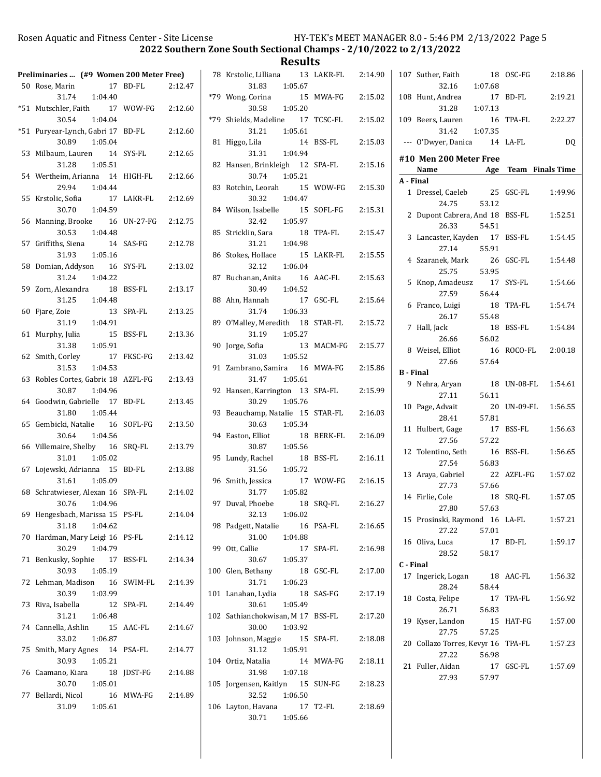2022 Southern Zone South Sectional Champs - 2/10/2022 to 2/13/2022

|       | Preliminaries  (#9 Women 200 Meter Free)          |                            |
|-------|---------------------------------------------------|----------------------------|
|       | 50 Rose, Marin                                    | 17 BD-FL<br>2:12.47        |
|       | 31.74 1:04.40                                     |                            |
|       | *51 Mutschler, Faith<br>17                        | WOW-FG<br>2:12.60          |
|       | 30.54<br>1:04.04                                  |                            |
| $*51$ | Puryear-Lynch, Gabri 17<br>30.89<br>1:05.04       | 2:12.60<br>BD-FL           |
| 53    | Milbaum, Lauren 14                                | SYS-FL<br>2:12.65          |
|       | 31.28<br>1:05.51                                  |                            |
|       | 54 Wertheim, Arianna 14                           | HIGH-FL<br>2:12.66         |
|       | 29.94<br>1:04.44                                  |                            |
| 55    | Krstolic, Sofia<br>17                             | 2:12.69<br>LAKR-FL         |
|       | 1:04.59<br>30.70                                  |                            |
| 56    | Manning, Brooke 16<br>1:04.48<br>30.53            | <b>UN-27-FG</b><br>2:12.75 |
|       | 57 Griffiths, Siena 14                            | SAS-FG<br>2:12.78          |
|       | 1:05.16<br>31.93                                  |                            |
| 58    | Domian, Addyson 16                                | SYS-FL<br>2:13.02          |
|       | 31.24 1:04.22                                     |                            |
|       | 59 Zorn, Alexandra 18                             | <b>BSS-FL</b><br>2:13.17   |
|       | 31.25 1:04.48                                     |                            |
| 60    | Fjare, Zoie<br>13<br>31.19 1:04.91                | SPA-FL<br>2:13.25          |
| 61    | Murphy, Julia<br>15                               | BSS-FL<br>2:13.36          |
|       | 1:05.91<br>31.38                                  |                            |
|       | 62 Smith, Corley<br>17                            | FKSC-FG<br>2:13.42         |
|       | 31.53<br>1:04.53                                  |                            |
| 63    | Robles Cortes, Gabric 18                          | AZFL-FG<br>2:13.43         |
|       | 30.87<br>1:04.96<br>64 Goodwin, Gabrielle 17      | <b>BD-FL</b><br>2:13.45    |
|       | 31.80<br>1:05.44                                  |                            |
| 65    | Gembicki, Natalie 16                              | SOFL-FG<br>2:13.50         |
|       | 30.64<br>1:04.56                                  |                            |
| 66    | Villemaire, Shelby 16                             | SRQ-FL<br>2:13.79          |
|       | 1:05.02<br>31.01<br>67 Lojewski, Adrianna 15      |                            |
|       | 31.61<br>1:05.09                                  | BD-FL<br>2:13.88           |
|       | 68 Schratwieser, Alexan 16                        | SPA-FL<br>2:14.02          |
|       | 30.76 1:04.96                                     |                            |
|       | 69 Hengesbach, Marissa 15 PS-FL                   | 2:14.04                    |
|       | 31.18<br>1:04.62                                  |                            |
| 70    | Hardman, Mary Leigl 16<br>30.29<br>1:04.79        | PS-FL<br>2:14.12           |
| 71    | Benkusky, Sophie 17                               | 2:14.34<br>BSS-FL          |
|       | 30.93<br>1:05.19                                  |                            |
| 72    | Lehman, Madison 16                                | SWIM-FL<br>2:14.39         |
|       | 30.39<br>1:03.99                                  |                            |
| 73    | Riva, Isabella<br>12                              | 2:14.49<br>SPA-FL          |
|       | 1:06.48<br>31.21                                  |                            |
|       | 74 Cannella, Ashlin 15 AAC-FL<br>1:06.87<br>33.02 | 2:14.67                    |
| 75    | Smith, Mary Agnes 14 PSA-FL                       | 2:14.77                    |
|       | 30.93<br>1:05.21                                  |                            |
|       | 76 Caamano, Kiara<br>18                           | JDST-FG<br>2:14.88         |
|       | 30.70<br>1:05.01                                  |                            |
|       | 77 Bellardi, Nicol<br>16                          | MWA-FG<br>2:14.89          |
|       | 31.09<br>1:05.61                                  |                            |

|     | <b>Results</b>                                                    |                       |  |  |  |  |  |  |  |  |  |  |  |
|-----|-------------------------------------------------------------------|-----------------------|--|--|--|--|--|--|--|--|--|--|--|
|     | 78 Krstolic, Lilliana<br>13<br>1:05.67                            | LAKR-FL 2:14.90       |  |  |  |  |  |  |  |  |  |  |  |
|     | 31.83<br>*79 Wong, Corina<br>15<br>30.58<br>1:05.20               | MWA-FG<br>2:15.02     |  |  |  |  |  |  |  |  |  |  |  |
|     | *79 Shields, Madeline 17                                          | TCSC-FL<br>2:15.02    |  |  |  |  |  |  |  |  |  |  |  |
| 81  | 31.21  1:05.61<br>Higgo, Lila                                     | 14 BSS-FL<br>2:15.03  |  |  |  |  |  |  |  |  |  |  |  |
| 82  | 31.31<br>1:04.94<br>Hansen, Brinkleigh 12 SPA-FL<br>30.74 1:05.21 | 2:15.16               |  |  |  |  |  |  |  |  |  |  |  |
| 83  | Rotchin, Leorah 15 WOW-FG                                         | 2:15.30               |  |  |  |  |  |  |  |  |  |  |  |
|     | 1:04.47<br>30.32<br>84 Wilson, Isabelle 15<br>32.42<br>1:05.97    | SOFL-FG<br>2:15.31    |  |  |  |  |  |  |  |  |  |  |  |
|     | 85 Stricklin, Sara<br>18<br>31.21<br>1:04.98                      | TPA-FL<br>2:15.47     |  |  |  |  |  |  |  |  |  |  |  |
|     | 86 Stokes, Hollace<br>1:06.04<br>32.12                            | 15 LAKR-FL<br>2:15.55 |  |  |  |  |  |  |  |  |  |  |  |
|     | 87 Buchanan, Anita 16 AAC-FL<br>30.49 1:04.52                     | 2:15.63               |  |  |  |  |  |  |  |  |  |  |  |
|     | 88 Ahn, Hannah<br>31.74 1:06.33                                   | 17 GSC-FL<br>2:15.64  |  |  |  |  |  |  |  |  |  |  |  |
|     | 89 O'Malley, Meredith 18 STAR-FL<br>31.19 1:05.27                 | 2:15.72               |  |  |  |  |  |  |  |  |  |  |  |
|     | 90 Jorge, Sofia<br>13<br>31.03<br>1:05.52                         | MACM-FG 2:15.77       |  |  |  |  |  |  |  |  |  |  |  |
|     | 91 Zambrano, Samira 16<br>31.47<br>1:05.61                        | MWA-FG<br>2:15.86     |  |  |  |  |  |  |  |  |  |  |  |
| 92  | Hansen, Karrington 13<br>30.29<br>1:05.76                         | SPA-FL<br>2:15.99     |  |  |  |  |  |  |  |  |  |  |  |
| 93  | Beauchamp, Natalie 15 STAR-FL<br>1:05.34<br>30.63                 | 2:16.03               |  |  |  |  |  |  |  |  |  |  |  |
|     | 94 Easton, Elliot<br>18<br>30.87<br>1:05.56                       | 2:16.09<br>BERK-FL    |  |  |  |  |  |  |  |  |  |  |  |
|     | 95 Lundy, Rachel<br>18 BSS-FL<br>31.56<br>1:05.72                 | 2:16.11               |  |  |  |  |  |  |  |  |  |  |  |
|     | 96 Smith, Jessica<br>31.77<br>1:05.82                             | 17 WOW-FG 2:16.15     |  |  |  |  |  |  |  |  |  |  |  |
|     | 97 Duval, Phoebe<br>18<br>32.13<br>1:06.02                        | SRQ-FL<br>2:16.27     |  |  |  |  |  |  |  |  |  |  |  |
| 98  | Padgett, Natalie<br>16<br>31.00<br>1:04.88                        | PSA-FL<br>2:16.65     |  |  |  |  |  |  |  |  |  |  |  |
| 99  | Ott, Callie<br>17<br>30.67<br>1:05.37                             | SPA-FL<br>2:16.98     |  |  |  |  |  |  |  |  |  |  |  |
|     | 100 Glen, Bethany<br>18<br>31.71<br>1:06.23                       | GSC-FL<br>2:17.00     |  |  |  |  |  |  |  |  |  |  |  |
|     | 101 Lanahan, Lydia<br>18<br>30.61<br>1:05.49                      | SAS-FG<br>2:17.19     |  |  |  |  |  |  |  |  |  |  |  |
|     | 102 Sathianchokwisan, M 17 BSS-FL<br>30.00<br>1:03.92             | 2:17.20               |  |  |  |  |  |  |  |  |  |  |  |
| 103 | Johnson, Maggie<br>15<br>31.12<br>1:05.91                         | SPA-FL<br>2:18.08     |  |  |  |  |  |  |  |  |  |  |  |
|     | 104 Ortiz, Natalia<br>14                                          | MWA-FG<br>2:18.11     |  |  |  |  |  |  |  |  |  |  |  |
|     | 31.98<br>1:07.18<br>105 Jorgensen, Kaitlyn 15 SUN-FG<br>1:06.50   | 2:18.23               |  |  |  |  |  |  |  |  |  |  |  |
|     | 32.52<br>106 Layton, Havana<br>30.71<br>1:05.66                   | 17 T2-FL<br>2:18.69   |  |  |  |  |  |  |  |  |  |  |  |

|                  | 107 Suther, Faith                  | 18          | OSC-FG                  | 2:18.86        |
|------------------|------------------------------------|-------------|-------------------------|----------------|
|                  | 32.16                              | 1:07.68     |                         |                |
|                  | 108 Hunt, Andrea                   | 17          | BD-FL                   | 2:19.21        |
|                  | 31.28                              | 1:07.13     |                         |                |
|                  | 109 Beers, Lauren                  | 16          | TPA-FL                  | 2:22.27        |
|                  | 31.42                              | 1:07.35     |                         |                |
|                  | --- O'Dwyer, Danica 14 LA-FL       |             |                         | D <sub>O</sub> |
|                  |                                    |             |                         |                |
|                  | #10 Men 200 Meter Free             |             |                         |                |
|                  | Name Age                           |             | <b>Team</b> Finals Time |                |
| A - Final        |                                    |             |                         |                |
|                  | 1 Dressel, Caeleb                  |             | 25 GSC-FL               | 1:49.96        |
|                  | 24.75                              | 53.12       |                         |                |
| $\overline{2}$   | Dupont Cabrera, And 18             | 54.51       | BSS-FL                  | 1:52.51        |
|                  | 26.33                              |             |                         |                |
|                  | 3 Lancaster, Kayden 17             |             | BSS-FL                  | 1:54.45        |
|                  | 27.14                              | 55.91       | GSC-FL                  |                |
|                  | 4 Szaranek, Mark<br>25.75          | 26          |                         | 1:54.48        |
|                  |                                    | 53.95       |                         |                |
| 5                | Knop, Amadeusz<br>27.59            | 17<br>56.44 | SYS-FL                  | 1:54.66        |
| 6                |                                    | 18          | TPA-FL                  | 1:54.74        |
|                  | Franco, Luigi<br>26.17             | 55.48       |                         |                |
| 7                | Hall, Jack                         | 18          | <b>BSS-FL</b>           | 1:54.84        |
|                  | 26.66                              | 56.02       |                         |                |
|                  | 8 Weisel, Elliot                   | 16          | ROCO-FL                 | 2:00.18        |
|                  | 27.66                              | 57.64       |                         |                |
| <b>B</b> - Final |                                    |             |                         |                |
|                  | 9 Nehra, Aryan                     | 18          | UN-08-FL                | 1:54.61        |
|                  | 27.11                              | 56.11       |                         |                |
| 10               | Page, Advait                       | 20          | UN-09-FL                | 1:56.55        |
|                  | 28.41                              | 57.81       |                         |                |
|                  | 11 Hulbert, Gage                   | 17          | BSS-FL                  | 1:56.63        |
|                  | 27.56                              | 57.22       |                         |                |
| 12               | Tolentino, Seth                    | 16          | BSS-FL                  | 1:56.65        |
|                  | 27.54                              | 56.83       |                         |                |
|                  | 13 Araya, Gabriel                  | 22          | AZFL-FG                 | 1:57.02        |
|                  | 27.73                              | 57.66       |                         |                |
|                  | 14 Firlie, Cole                    | 18          | SRQ-FL                  | 1:57.05        |
|                  | 27.80                              | 57.63       |                         |                |
|                  | 15 Prosinski, Raymond 16 LA-FL     |             |                         | 1:57.21        |
|                  | 27.22                              | 57.01       |                         |                |
| 16               | Oliva, Luca                        |             | 17 BD-FL                | 1:59.17        |
|                  | 28.52 58.17                        |             |                         |                |
| C - Final        |                                    |             |                         |                |
|                  | 17 Ingerick, Logan                 |             | 18 AAC-FL               | 1:56.32        |
|                  | 28.24                              | 58.44       |                         |                |
| 18               | Costa, Felipe                      | 17          | TPA-FL                  | 1:56.92        |
|                  | 26.71                              | 56.83       |                         |                |
| 19               | Kyser, Landon                      | 15          | HAT-FG                  | 1:57.00        |
|                  | 27.75                              | 57.25       |                         |                |
|                  | 20 Collazo Torres, Kevyr 16 TPA-FL |             |                         | 1:57.23        |
|                  | 27.22                              | 56.98       |                         |                |
|                  | 21 Fuller, Aidan                   |             | 17 GSC-FL               | 1:57.69        |
|                  | 27.93                              | 57.97       |                         |                |
|                  |                                    |             |                         |                |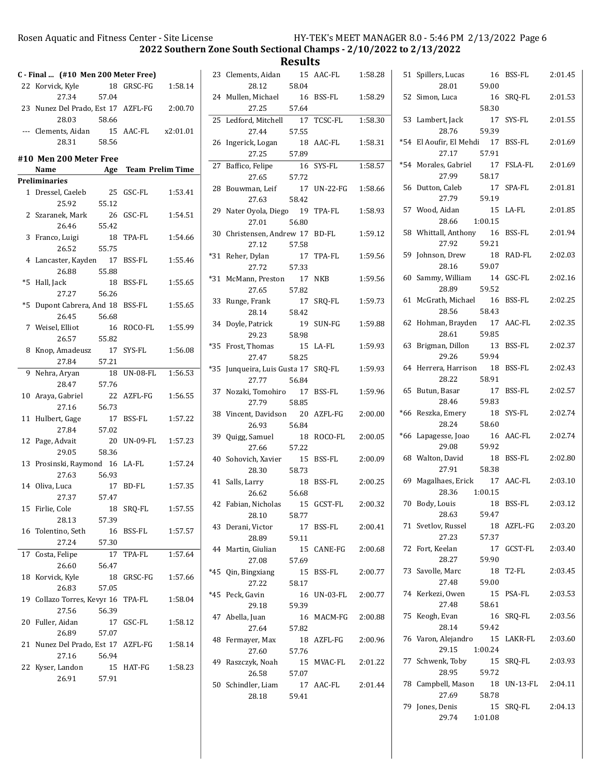2022 Southern Zone South Sectional Champs - 2/10/2022 to 2/13/2022

| C - Final  (#10 Men 200 Meter Free) |       |                      |          | 23 Clements, Aidan                  |       | 15 AAC-FL   | 1:58.28 |
|-------------------------------------|-------|----------------------|----------|-------------------------------------|-------|-------------|---------|
| 22 Korvick, Kyle                    |       | 18 GRSC-FG           | 1:58.14  | 28.12                               | 58.04 |             |         |
| 27.34                               | 57.04 |                      |          | 24 Mullen, Michael                  |       | 16 BSS-FL   | 1:58.29 |
| 23 Nunez Del Prado, Est 17 AZFL-FG  |       |                      | 2:00.70  | 27.25                               | 57.64 |             |         |
| 28.03                               | 58.66 |                      |          | 25 Ledford, Mitchell                |       | 17 TCSC-FL  | 1:58.30 |
| --- Clements, Aidan                 |       | 15 AAC-FL            | x2:01.01 | 27.44                               | 57.55 |             |         |
| 28.31                               | 58.56 |                      |          | 26 Ingerick, Logan                  |       | 18 AAC-FL   | 1:58.31 |
| #10 Men 200 Meter Free              |       |                      |          | 27.25                               | 57.89 |             |         |
| Name                                |       | Age Team Prelim Time |          | 27 Baffico, Felipe                  |       | 16 SYS-FL   | 1:58.57 |
| <b>Preliminaries</b>                |       |                      |          | 27.65                               | 57.72 |             |         |
| 1 Dressel, Caeleb                   |       | 25 GSC-FL            | 1:53.41  | 28 Bouwman, Leif                    |       | 17 UN-22-FG | 1:58.66 |
| 25.92                               | 55.12 |                      |          | 27.63                               | 58.42 |             |         |
| 2 Szaranek, Mark                    |       | 26 GSC-FL            | 1:54.51  | 29 Nater Oyola, Diego 19 TPA-FL     |       |             | 1:58.93 |
| 26.46                               | 55.42 |                      |          | 27.01                               | 56.80 |             |         |
| 3 Franco, Luigi                     |       | 18 TPA-FL            | 1:54.66  | 30 Christensen, Andrew 17 BD-FL     |       |             | 1:59.12 |
| 26.52                               | 55.75 |                      |          | 27.12                               | 57.58 |             |         |
| 4 Lancaster, Kayden                 |       | 17 BSS-FL            | 1:55.46  | *31 Reher, Dylan                    |       | 17 TPA-FL   | 1:59.56 |
| 26.88                               | 55.88 |                      |          | 27.72                               | 57.33 |             |         |
| *5 Hall, Jack                       |       | 18 BSS-FL            | 1:55.65  | *31 McMann, Preston                 |       | 17 NKB      | 1:59.56 |
| 27.27                               | 56.26 |                      |          | 27.65                               | 57.82 |             |         |
| *5 Dupont Cabrera, And 18 BSS-FL    |       |                      | 1:55.65  | 33 Runge, Frank                     |       | 17 SRQ-FL   | 1:59.73 |
| 26.45                               | 56.68 |                      |          | 28.14                               | 58.42 |             |         |
| 7 Weisel, Elliot                    |       | 16 ROCO-FL           | 1:55.99  | 34 Doyle, Patrick                   |       | 19 SUN-FG   | 1:59.88 |
| 26.57                               | 55.82 |                      |          | 29.23                               | 58.98 |             |         |
| 8 Knop, Amadeusz                    |       | 17 SYS-FL            | 1:56.08  | *35 Frost, Thomas                   |       | 15 LA-FL    | 1:59.93 |
| 27.84                               | 57.21 |                      |          | 27.47                               | 58.25 |             |         |
| 9 Nehra, Aryan                      |       | 18 UN-08-FL          | 1:56.53  | *35 Junqueira, Luis Gusta 17 SRQ-FL |       |             | 1:59.93 |
| 28.47                               | 57.76 |                      |          | 27.77                               | 56.84 |             |         |
| 10 Araya, Gabriel                   |       | 22 AZFL-FG           | 1:56.55  | 37 Nozaki, Tomohiro                 |       | 17 BSS-FL   | 1:59.96 |
| 27.16                               | 56.73 |                      |          | 27.79                               | 58.85 |             |         |
| 11 Hulbert, Gage                    |       | 17 BSS-FL            | 1:57.22  | 38 Vincent, Davidson                |       | 20 AZFL-FG  | 2:00.00 |
| 27.84                               | 57.02 |                      |          | 26.93                               | 56.84 |             |         |
| 12 Page, Advait                     |       | 20 UN-09-FL          | 1:57.23  | 39 Quigg, Samuel                    |       | 18 ROCO-FL  | 2:00.05 |
| 29.05                               | 58.36 |                      |          | 27.66                               | 57.22 |             |         |
| 13 Prosinski, Raymond 16 LA-FL      |       |                      | 1:57.24  | 40 Sohovich, Xavier                 |       | 15 BSS-FL   | 2:00.09 |
| 27.63                               | 56.93 |                      |          | 28.30                               | 58.73 |             |         |
| 14 Oliva, Luca                      |       | 17 BD-FL             | 1:57.35  | 41 Salls, Larry                     |       | 18 BSS-FL   | 2:00.25 |
| 27.37                               | 57.47 |                      |          | 26.62                               | 56.68 |             |         |
| 15 Firlie, Cole                     |       | 18 SRQ-FL            | 1:57.55  | 42 Fabian, Nicholas 15 GCST-FL      |       |             | 2:00.32 |
| 28.13                               | 57.39 |                      |          | 28.10                               | 58.77 |             |         |
| 16 Tolentino, Seth                  |       | 16 BSS-FL            | 1:57.57  | 43 Derani, Victor                   |       | 17 BSS-FL   | 2:00.41 |
| 27.24                               | 57.30 |                      |          | 28.89                               | 59.11 |             |         |
| 17 Costa, Felipe                    |       | 17 TPA-FL            | 1:57.64  | 44 Martin, Giulian                  |       | 15 CANE-FG  | 2:00.68 |
| 26.60                               | 56.47 |                      |          | 27.08                               | 57.69 |             |         |
| 18 Korvick, Kyle                    |       | 18 GRSC-FG           | 1:57.66  | *45 Qin, Bingxiang                  |       | 15 BSS-FL   | 2:00.77 |
| 26.83                               | 57.05 |                      |          | 27.22                               | 58.17 |             |         |
| 19 Collazo Torres, Kevyr 16 TPA-FL  |       |                      | 1:58.04  | *45 Peck, Gavin                     |       | 16 UN-03-FL | 2:00.77 |
| 27.56                               | 56.39 |                      |          | 29.18                               | 59.39 |             |         |
| 20 Fuller, Aidan                    |       | 17 GSC-FL            | 1:58.12  | 47 Abella, Juan                     |       | 16 MACM-FG  | 2:00.88 |
| 26.89                               | 57.07 |                      |          | 27.64                               | 57.82 |             |         |
| 21 Nunez Del Prado, Est 17 AZFL-FG  |       |                      | 1:58.14  | 48 Fermayer, Max                    |       | 18 AZFL-FG  | 2:00.96 |
| 27.16                               | 56.94 |                      |          | 27.60                               | 57.76 |             |         |
| 22 Kyser, Landon                    |       | 15 HAT-FG            | 1:58.23  | 49 Raszczyk, Noah                   |       | 15 MVAC-FL  | 2:01.22 |
| 26.91                               | 57.91 |                      |          | 26.58                               | 57.07 |             |         |
|                                     |       |                      |          | 50 Schindler, Liam                  |       | 17 AAC-FL   | 2:01.44 |
|                                     |       |                      |          | 28.18                               | 59.41 |             |         |

| 51    | Spillers, Lucas<br>28.01            | 16<br>59.00   | <b>BSS-FL</b> | 2:01.45 |
|-------|-------------------------------------|---------------|---------------|---------|
| 52    | Simon, Luca                         | 16<br>58.30   | SRQ-FL        | 2:01.53 |
|       | 53 Lambert, Jack<br>28.76           | 17<br>59.39   | SYS-FL        | 2:01.55 |
| $*54$ | El Aoufir, El Mehdi 17<br>27.17     | 57.91         | <b>BSS-FL</b> | 2:01.69 |
|       | *54 Morales, Gabriel<br>27.99       | 17<br>58.17   | FSLA-FL       | 2:01.69 |
| 56    | Dutton, Caleb<br>27.79              | 17<br>59.19   | SPA-FL        | 2:01.81 |
| 57    | Wood, Aidan<br>28.66                | 15<br>1:00.15 | LA-FL         | 2:01.85 |
|       | 58 Whittall, Anthony<br>27.92       | - 16<br>59.21 | BSS-FL        | 2:01.94 |
| 59    | Johnson, Drew<br>28.16              | 18<br>59.07   | RAD-FL        | 2:02.03 |
| 60    | Sammy, William<br>28.89             | 14<br>59.52   | GSC-FL        | 2:02.16 |
| 61    | McGrath, Michael<br>28.56           | 16<br>58.43   | BSS-FL        | 2:02.25 |
| 62    | Hohman, Brayden 17<br>28.61         | 59.85         | AAC-FL        | 2:02.35 |
| 63    | Brigman, Dillon<br>29.26            | 13<br>59.94   | <b>BSS-FL</b> | 2:02.37 |
| 64    | Herrera, Harrison<br>28.22          | 18<br>58.91   | <b>BSS-FL</b> | 2:02.43 |
| 65    | Butun, Basar<br>28.46               | 17<br>59.83   | <b>BSS-FL</b> | 2:02.57 |
| *66   | Reszka, Emery<br>28.24              | 18<br>58.60   | SYS-FL        | 2:02.74 |
| $*66$ | Lapagesse, Joao<br>29.08            | 59.92         | 16 AAC-FL     | 2:02.74 |
| 68    | Walton, David<br>27.91              | 18<br>58.38   | BSS-FL        | 2:02.80 |
| 69    | Magalhaes, Erick 17 AAC-FL<br>28.36 | 1:00.15       |               | 2:03.10 |
| 70    | Body, Louis<br>28.63                | 18<br>59.47   | BSS-FL        | 2:03.12 |
|       | 71 Svetlov, Russel<br>27.23         | 57.37         | 18 AZFL-FG    | 2:03.20 |
|       | 72 Fort, Keelan<br>28.27            | 17<br>59.90   | GCST-FL       | 2:03.40 |
|       | 73 Savolle, Marc<br>27.48           | 59.00         | 18 T2-FL      | 2:03.45 |
|       | 74 Kerkezi, Owen<br>27.48           | 15<br>58.61   | PSA-FL        | 2:03.53 |
| 75    | Keogh, Evan<br>28.14                | 16<br>59.42   | SRO-FL        | 2:03.56 |
|       | 76 Varon, Alejandro<br>29.15        | 1:00.24       | 15 LAKR-FL    | 2:03.60 |
| 77    | Schwenk, Toby<br>28.95              | 59.72         | 15 SRQ-FL     | 2:03.93 |
| 78    | Campbell, Mason<br>27.69            | 18<br>58.78   | UN-13-FL      | 2:04.11 |
| 79    | Jones, Denis<br>29.74               | 1:01.08       | 15 SRQ-FL     | 2:04.13 |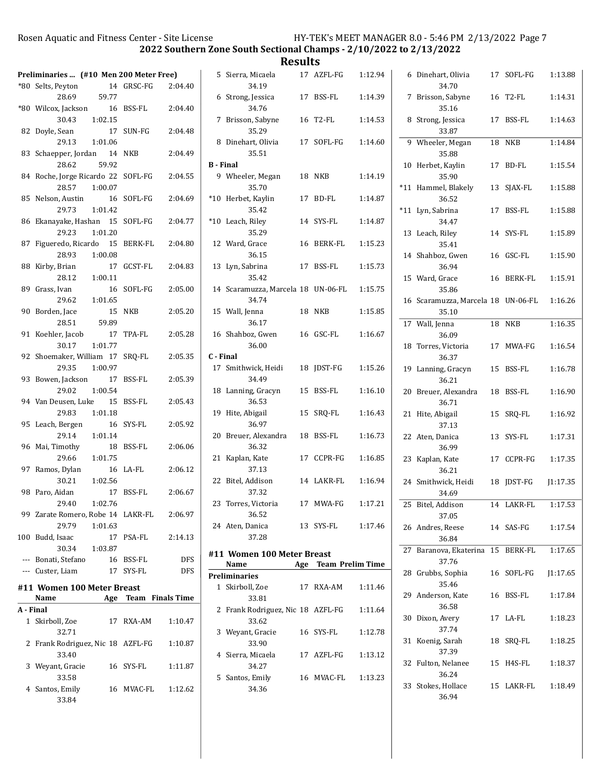|           | Preliminaries  (#10 Men 200 Meter Free)<br>*80 Selts, Peyton |         | 14 GRSC-FG           | 2:04.40    |                  | 5 Sierra, Micaela<br>34.19         | 17 AZFL-FG           | 1:12.94 | 6 Dinehart, Olivia<br>34.70                | 17 SOFL-FG    | 1:13.88 |
|-----------|--------------------------------------------------------------|---------|----------------------|------------|------------------|------------------------------------|----------------------|---------|--------------------------------------------|---------------|---------|
|           | 28.69<br>*80 Wilcox, Jackson                                 | 59.77   | 16 BSS-FL            | 2:04.40    |                  | 6 Strong, Jessica<br>34.76         | 17 BSS-FL            | 1:14.39 | 7 Brisson, Sabyne<br>35.16                 | 16 T2-FL      | 1:14.31 |
|           | 30.43                                                        | 1:02.15 |                      |            |                  | 7 Brisson, Sabyne                  | 16 T2-FL             | 1:14.53 | 8 Strong, Jessica                          | 17 BSS-FL     | 1:14.63 |
|           | 82 Doyle, Sean                                               |         | 17 SUN-FG            | 2:04.48    |                  | 35.29                              |                      |         | 33.87                                      |               |         |
|           | 29.13                                                        | 1:01.06 |                      |            |                  | 8 Dinehart, Olivia                 | 17 SOFL-FG           | 1:14.60 | 9 Wheeler, Megan                           | <b>18 NKB</b> | 1:14.84 |
|           | 83 Schaepper, Jordan                                         |         | 14 NKB               | 2:04.49    |                  | 35.51                              |                      |         | 35.88                                      |               |         |
|           | 28.62                                                        | 59.92   |                      |            | <b>B</b> - Final |                                    |                      |         | 10 Herbet, Kaylin                          | 17 BD-FL      | 1:15.54 |
|           | 84 Roche, Jorge Ricardo 22 SOFL-FG<br>28.57                  | 1:00.07 |                      | 2:04.55    |                  | 9 Wheeler, Megan<br>35.70          | 18 NKB               | 1:14.19 | 35.90<br>*11 Hammel, Blakely               | 13 SJAX-FL    | 1:15.88 |
|           | 85 Nelson, Austin                                            |         | 16 SOFL-FG           | 2:04.69    |                  | *10 Herbet, Kaylin                 | 17 BD-FL             | 1:14.87 | 36.52                                      |               |         |
|           | 29.73                                                        | 1:01.42 |                      |            |                  | 35.42                              |                      |         | *11 Lyn, Sabrina                           | 17 BSS-FL     | 1:15.88 |
|           | 86 Ekanayake, Hashan 15 SOFL-FG                              |         |                      | 2:04.77    |                  | *10 Leach, Riley                   | 14 SYS-FL            | 1:14.87 | 34.47                                      |               |         |
|           | 29.23                                                        | 1:01.20 |                      |            |                  | 35.29                              |                      |         | 13 Leach, Riley                            | 14 SYS-FL     | 1:15.89 |
|           | 87 Figueredo, Ricardo 15 BERK-FL<br>28.93                    | 1:00.08 |                      | 2:04.80    |                  | 12 Ward, Grace<br>36.15            | 16 BERK-FL           | 1:15.23 | 35.41<br>14 Shahboz, Gwen                  |               | 1:15.90 |
|           | 88 Kirby, Brian                                              |         | 17 GCST-FL           | 2:04.83    |                  | 13 Lyn, Sabrina                    | 17 BSS-FL            | 1:15.73 | 36.94                                      | 16 GSC-FL     |         |
|           | 28.12                                                        | 1:00.11 |                      |            |                  | 35.42                              |                      |         | 15 Ward, Grace                             | 16 BERK-FL    | 1:15.91 |
|           | 89 Grass, Ivan                                               |         | 16 SOFL-FG           | 2:05.00    |                  | 14 Scaramuzza, Marcela 18 UN-06-FL |                      | 1:15.75 | 35.86                                      |               |         |
|           | 29.62                                                        | 1:01.65 |                      |            |                  | 34.74                              |                      |         | 16 Scaramuzza, Marcela 18 UN-06-FL         |               | 1:16.26 |
|           | 90 Borden, Jace                                              |         | 15 NKB               | 2:05.20    |                  | 15 Wall, Jenna                     | 18 NKB               | 1:15.85 | 35.10                                      |               |         |
|           | 28.51<br>91 Koehler, Jacob                                   | 59.89   | 17 TPA-FL            | 2:05.28    |                  | 36.17<br>16 Shahboz, Gwen          | 16 GSC-FL            | 1:16.67 | 17 Wall, Jenna<br>36.09                    | <b>18 NKB</b> | 1:16.35 |
|           | 30.17                                                        | 1:01.77 |                      |            |                  | 36.00                              |                      |         | 18 Torres, Victoria                        | 17 MWA-FG     | 1:16.54 |
|           | 92 Shoemaker, William 17 SRQ-FL                              |         |                      | 2:05.35    | C - Final        |                                    |                      |         | 36.37                                      |               |         |
|           | 29.35                                                        | 1:00.97 |                      |            |                  | 17 Smithwick, Heidi                | 18 JDST-FG           | 1:15.26 | 19 Lanning, Gracyn                         | 15 BSS-FL     | 1:16.78 |
|           | 93 Bowen, Jackson                                            |         | 17 BSS-FL            | 2:05.39    |                  | 34.49                              |                      |         | 36.21                                      |               |         |
|           | 29.02<br>94 Van Deusen, Luke                                 | 1:00.54 | 15 BSS-FL            | 2:05.43    |                  | 18 Lanning, Gracyn<br>36.53        | 15 BSS-FL            | 1:16.10 | 20 Breuer, Alexandra<br>36.71              | 18 BSS-FL     | 1:16.90 |
|           | 29.83                                                        | 1:01.18 |                      |            |                  | 19 Hite, Abigail                   | 15 SRQ-FL            | 1:16.43 | 21 Hite, Abigail                           | 15 SRQ-FL     | 1:16.92 |
|           | 95 Leach, Bergen                                             |         | 16 SYS-FL            | 2:05.92    |                  | 36.97                              |                      |         | 37.13                                      |               |         |
|           | 29.14                                                        | 1:01.14 |                      |            |                  | 20 Breuer, Alexandra               | 18 BSS-FL            | 1:16.73 | 22 Aten, Danica                            | 13 SYS-FL     | 1:17.31 |
|           | 96 Mai, Timothy                                              |         | 18 BSS-FL            | 2:06.06    |                  | 36.32                              |                      |         | 36.99                                      |               |         |
|           | 29.66<br>97 Ramos, Dylan                                     | 1:01.75 | 16 LA-FL             | 2:06.12    |                  | 21 Kaplan, Kate<br>37.13           | 17 CCPR-FG           | 1:16.85 | 23 Kaplan, Kate<br>36.21                   | 17 CCPR-FG    | 1:17.35 |
|           | 30.21                                                        | 1:02.56 |                      |            |                  | 22 Bitel, Addison                  | 14 LAKR-FL           | 1:16.94 | 24 Smithwick, Heidi                        | 18 JDST-FG    | 1:17.35 |
|           | 98 Paro, Aidan                                               |         | 17 BSS-FL            | 2:06.67    |                  | 37.32                              |                      |         | 34.69                                      |               |         |
|           | 29.40                                                        | 1:02.76 |                      |            |                  | 23 Torres, Victoria                | 17 MWA-FG            | 1:17.21 | 25 Bitel, Addison                          | 14 LAKR-FL    | 1:17.53 |
|           | 99 Zarate Romero, Robe 14 LAKR-FL                            |         |                      | 2:06.97    |                  | 36.52                              |                      |         | 37.05                                      |               |         |
|           | 29.79<br>100 Budd, Isaac                                     | 1:01.63 | 17 PSA-FL            | 2:14.13    |                  | 24 Aten, Danica<br>37.28           | 13 SYS-FL            | 1:17.46 | 26 Andres, Reese                           | 14 SAS-FG     | 1:17.54 |
|           | 30.34                                                        | 1:03.87 |                      |            |                  |                                    |                      |         | 36.84<br>27 Baranova, Ekaterina 15 BERK-FL |               | 1:17.65 |
|           | --- Bonati, Stefano                                          |         | 16 BSS-FL            | <b>DFS</b> |                  | #11 Women 100 Meter Breast<br>Name | Age Team Prelim Time |         | 37.76                                      |               |         |
|           | --- Custer, Liam                                             |         | 17 SYS-FL            | <b>DFS</b> |                  | Preliminaries                      |                      |         | 28 Grubbs, Sophia                          | 16 SOFL-FG    | 1:17.65 |
|           | #11 Women 100 Meter Breast                                   |         |                      |            |                  | 1 Skirboll, Zoe                    | 17 RXA-AM            | 1:11.46 | 35.46                                      |               |         |
|           | Name                                                         |         | Age Team Finals Time |            |                  | 33.81                              |                      |         | 29 Anderson, Kate                          | 16 BSS-FL     | 1:17.84 |
| A - Final |                                                              |         |                      |            |                  | 2 Frank Rodriguez, Nic 18 AZFL-FG  |                      | 1:11.64 | 36.58<br>30 Dixon, Avery                   | 17 LA-FL      | 1:18.23 |
|           | 1 Skirboll, Zoe<br>32.71                                     |         | 17 RXA-AM            | 1:10.47    |                  | 33.62<br>3 Weyant, Gracie          | 16 SYS-FL            | 1:12.78 | 37.74                                      |               |         |
|           | 2 Frank Rodriguez, Nic 18 AZFL-FG                            |         |                      | 1:10.87    |                  | 33.90                              |                      |         | 31 Koenig, Sarah                           | 18 SRQ-FL     | 1:18.25 |
|           | 33.40                                                        |         |                      |            |                  | 4 Sierra, Micaela                  | 17 AZFL-FG           | 1:13.12 | 37.39                                      |               |         |
|           | 3 Weyant, Gracie                                             |         | 16 SYS-FL            | 1:11.87    |                  | 34.27                              |                      |         | 32 Fulton, Nelanee                         | 15 H4S-FL     | 1:18.37 |
|           | 33.58                                                        |         |                      |            |                  | 5 Santos, Emily                    | 16 MVAC-FL           | 1:13.23 | 36.24<br>33 Stokes, Hollace                | 15 LAKR-FL    | 1:18.49 |
|           | 4 Santos, Emily<br>33.84                                     |         | 16 MVAC-FL           | 1:12.62    |                  | 34.36                              |                      |         | 36.94                                      |               |         |
|           |                                                              |         |                      |            |                  |                                    |                      |         |                                            |               |         |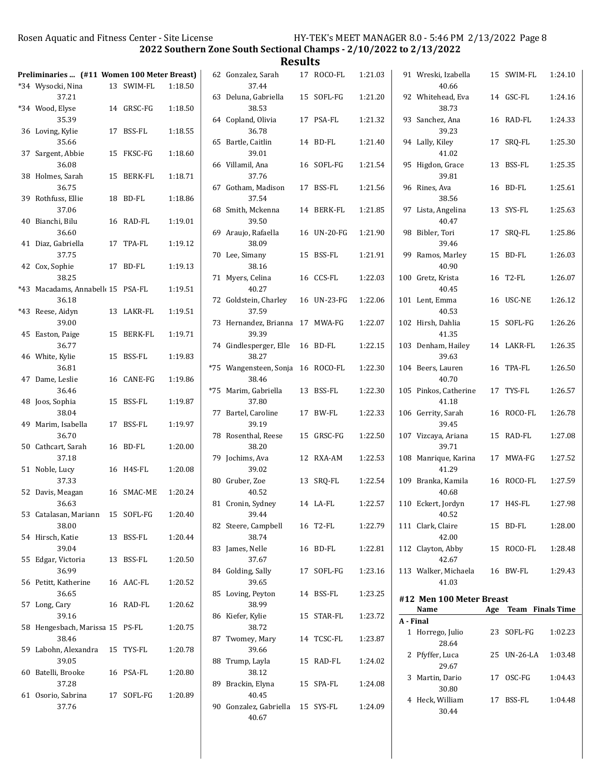| Preliminaries  (#11 Women 100 Meter Breast) |    |                |         |       | 62 Gonzalez,                          |
|---------------------------------------------|----|----------------|---------|-------|---------------------------------------|
| *34 Wysocki, Nina<br>37.21                  |    | 13 SWIM-FL     | 1:18.50 |       | 37.4<br>63 Deluna, Ga                 |
| *34 Wood, Elyse<br>35.39                    |    | 14 GRSC-FG     | 1:18.50 |       | 38.                                   |
| 36 Loving, Kylie                            | 17 | BSS-FL         | 1:18.55 |       | 64 Copland, O<br>36.7                 |
| 35.66<br>37 Sargent, Abbie                  | 15 | FKSC-FG        | 1:18.60 |       | 65 Bartle, Cai<br>39.0                |
| 36.08<br>38 Holmes, Sarah                   | 15 | <b>BERK-FL</b> | 1:18.71 |       | 66 Villamil, A<br>37.7                |
| 36.75<br>39 Rothfuss, Ellie                 | 18 | BD-FL          | 1:18.86 |       | 67 Gotham, M<br>37.                   |
| 37.06<br>40 Bianchi, Bilu<br>36.60          | 16 | RAD-FL         | 1:19.01 |       | 68 Smith, Mcl<br>39.<br>69 Araujo, Ra |
| 41 Diaz, Gabriella<br>37.75                 |    | 17 TPA-FL      | 1:19.12 |       | 38.0<br>70 Lee, Simar                 |
| 42 Cox, Sophie<br>38.25                     | 17 | BD-FL          | 1:19.13 |       | 38.1<br>71 Myers, Cel                 |
| *43 Macadams, Annabell 15 PSA-FL<br>36.18   |    |                | 1:19.51 |       | 40.2<br>72 Goldstein,                 |
| *43 Reese, Aidyn<br>39.00                   | 13 | LAKR-FL        | 1:19.51 |       | 37.<br>73 Hernande:                   |
| 45 Easton, Paige<br>36.77                   | 15 | BERK-FL        | 1:19.71 |       | 39.3<br>74 Gindlesper                 |
| 46 White, Kylie<br>36.81                    | 15 | <b>BSS-FL</b>  | 1:19.83 |       | 38.2<br>*75 Wangenst                  |
| 47 Dame, Leslie<br>36.46                    | 16 | CANE-FG        | 1:19.86 | $*75$ | 38.4<br>Marim, Ga                     |
| 48 Joos, Sophia<br>38.04                    | 15 | <b>BSS-FL</b>  | 1:19.87 | 77    | 37.8<br>Bartel, Caı                   |
| 49 Marim, Isabella<br>36.70                 | 17 | BSS-FL         | 1:19.97 |       | 39.<br>78 Rosenthal                   |
| 50 Cathcart, Sarah<br>37.18                 | 16 | BD-FL          | 1:20.00 |       | 38.2<br>79 Jochims, A                 |
| 51 Noble, Lucy<br>37.33                     | 16 | H4S-FL         | 1:20.08 |       | 39.0<br>80 Gruber, Zo                 |
| 52 Davis, Meagan<br>36.63                   |    | 16 SMAC-ME     | 1:20.24 |       | 40.<br>81 Cronin, Sy                  |
| 53 Catalasan, Mariann 15 SOFL-FG<br>38.00   |    |                | 1:20.40 |       | 39.4<br>82 Steere, Car                |
| 54 Hirsch, Katie<br>39.04                   |    | 13 BSS-FL      | 1:20.44 |       | 38.<br>83 James, Nel                  |
| 55 Edgar, Victoria<br>36.99                 |    | 13 BSS-FL      | 1:20.50 |       | 37.6<br>84 Golding, Sa                |
| 56 Petitt, Katherine<br>36.65               |    | 16 AAC-FL      | 1:20.52 |       | 39.6<br>85 Loving, Pe                 |
| 57 Long, Cary<br>39.16                      |    | 16 RAD-FL      | 1:20.62 |       | 38.9<br>86 Kiefer, Kyl                |
| 58 Hengesbach, Marissa 15 PS-FL<br>38.46    |    |                | 1:20.75 |       | 38.7<br>87 Twomey, l                  |
| 59 Labohn, Alexandra<br>39.05               |    | 15 TYS-FL      | 1:20.78 |       | 39.6<br>88 Trump, La                  |
| 60 Batelli, Brooke<br>37.28                 |    | 16 PSA-FL      | 1:20.80 |       | 38.<br>89 Brackin, E                  |
| 61 Osorio, Sabrina<br>37.76                 |    | 17 SOFL-FG     | 1:20.89 |       | 40.4<br>90 Gonzalez,                  |

| <b>Results</b>               |    |             |         |                                  |             |                      |
|------------------------------|----|-------------|---------|----------------------------------|-------------|----------------------|
| Gonzalez, Sarah<br>37.44     |    | 17 ROCO-FL  | 1:21.03 | 91 Wreski, Izabella<br>40.66     | 15 SWIM-FL  | 1:24.10              |
| Deluna, Gabriella<br>38.53   |    | 15 SOFL-FG  | 1:21.20 | 92 Whitehead, Eva<br>38.73       | 14 GSC-FL   | 1:24.16              |
| Copland, Olivia<br>36.78     |    | 17 PSA-FL   | 1:21.32 | 93 Sanchez, Ana<br>39.23         | 16 RAD-FL   | 1:24.33              |
| Bartle, Caitlin<br>39.01     |    | 14 BD-FL    | 1:21.40 | 94 Lally, Kiley<br>41.02         | 17 SRQ-FL   | 1:25.30              |
| Villamil, Ana<br>37.76       |    | 16 SOFL-FG  | 1:21.54 | 95 Higdon, Grace<br>39.81        | 13 BSS-FL   | 1:25.35              |
| Gotham, Madison<br>37.54     | 17 | BSS-FL      | 1:21.56 | 96 Rines. Ava<br>38.56           | 16 BD-FL    | 1:25.61              |
| Smith, Mckenna<br>39.50      |    | 14 BERK-FL  | 1:21.85 | 97 Lista, Angelina<br>40.47      | 13 SYS-FL   | 1:25.63              |
| Araujo, Rafaella<br>38.09    |    | 16 UN-20-FG | 1:21.90 | 98 Bibler, Tori<br>39.46         | 17 SRQ-FL   | 1:25.86              |
| Lee, Simany<br>38.16         |    | 15 BSS-FL   | 1:21.91 | 99 Ramos, Marley<br>40.90        | 15 BD-FL    | 1:26.03              |
| Myers, Celina<br>40.27       |    | 16 CCS-FL   | 1:22.03 | 100 Gretz, Krista<br>40.45       | 16 T2-FL    | 1:26.07              |
| Goldstein, Charley<br>37.59  |    | 16 UN-23-FG | 1:22.06 | 101 Lent, Emma<br>40.53          | 16 USC-NE   | 1:26.12              |
| Hernandez, Brianna<br>39.39  | 17 | MWA-FG      | 1:22.07 | 102 Hirsh, Dahlia<br>41.35       | 15 SOFL-FG  | 1:26.26              |
| Gindlesperger, Elle<br>38.27 |    | 16 BD-FL    | 1:22.15 | 103 Denham, Hailey<br>39.63      | 14 LAKR-FL  | 1:26.35              |
| Wangensteen, Sonja<br>38.46  |    | 16 ROCO-FL  | 1:22.30 | 104 Beers, Lauren<br>40.70       | 16 TPA-FL   | 1:26.50              |
| Marim, Gabriella<br>37.80    |    | 13 BSS-FL   | 1:22.30 | 105 Pinkos, Catherine<br>41.18   | 17 TYS-FL   | 1:26.57              |
| Bartel, Caroline<br>39.19    |    | 17 BW-FL    | 1:22.33 | 106 Gerrity, Sarah<br>39.45      | 16 ROCO-FL  | 1:26.78              |
| Rosenthal, Reese<br>38.20    |    | 15 GRSC-FG  | 1:22.50 | 107 Vizcaya, Ariana<br>39.71     | 15 RAD-FL   | 1:27.08              |
| Jochims, Ava<br>39.02        |    | 12 RXA-AM   | 1:22.53 | 108 Manrique, Karina<br>41.29    | 17 MWA-FG   | 1:27.52              |
| Gruber, Zoe<br>40.52         |    | 13 SRQ-FL   | 1:22.54 | 109 Branka, Kamila<br>40.68      | 16 ROCO-FL  | 1:27.59              |
| Cronin, Sydney<br>39.44      |    | 14 LA-FL    | 1:22.57 | 110 Eckert, Jordyn<br>40.52      | 17 H4S-FL   | 1:27.98              |
| Steere, Campbell<br>38.74    |    | 16 T2-FL    | 1:22.79 | 111 Clark, Claire<br>42.00       | 15 BD-FL    | 1:28.00              |
| James, Nelle<br>37.67        |    | 16 BD-FL    | 1:22.81 | 112 Clayton, Abby<br>42.67       | 15 ROCO-FL  | 1:28.48              |
| Golding, Sally<br>39.65      |    | 17 SOFL-FG  | 1:23.16 | 113 Walker, Michaela<br>41.03    | 16 BW-FL    | 1:29.43              |
| Loving, Peyton<br>38.99      |    | 14 BSS-FL   | 1:23.25 | #12 Men 100 Meter Breast<br>Name |             | Age Team Finals Time |
| Kiefer, Kylie<br>38.72       |    | 15 STAR-FL  | 1:23.72 | A - Final                        |             |                      |
| Twomey, Mary<br>39.66        |    | 14 TCSC-FL  | 1:23.87 | 1 Horrego, Julio<br>28.64        | 23 SOFL-FG  | 1:02.23              |
| Trump, Layla<br>38.12        |    | 15 RAD-FL   | 1:24.02 | 2 Pfyffer, Luca<br>29.67         | 25 UN-26-LA | 1:03.48              |
| Brackin, Elyna<br>40.45      |    | 15 SPA-FL   | 1:24.08 | 3 Martin, Dario<br>30.80         | 17 OSC-FG   | 1:04.43              |
| Gonzalez, Gabriella<br>40.67 |    | 15 SYS-FL   | 1:24.09 | 4 Heck, William<br>30.44         | 17 BSS-FL   | 1:04.48              |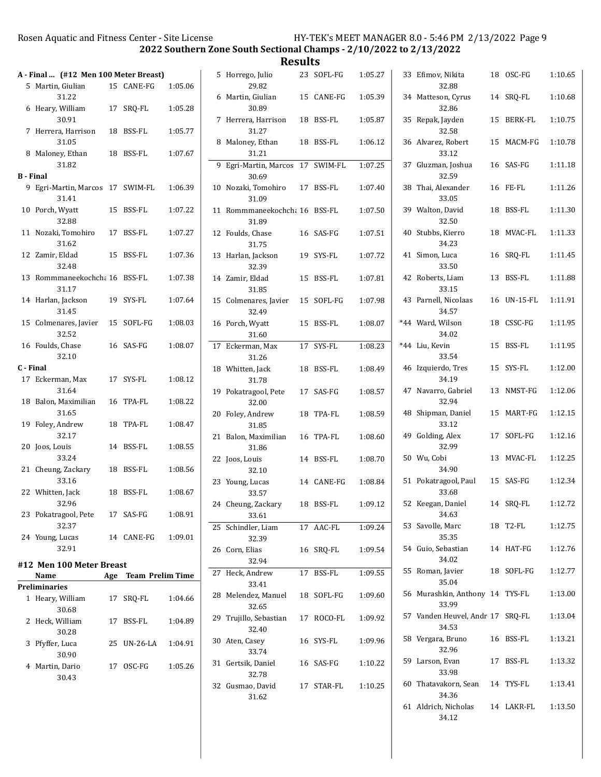34.12

2022 Southern Zone South Sectional Champs - 2/10/2022 to 2/13/2022

|                  |                                           |                      |         | Results                                   |            |         |                                           |             |         |
|------------------|-------------------------------------------|----------------------|---------|-------------------------------------------|------------|---------|-------------------------------------------|-------------|---------|
|                  | A - Final  (#12 Men 100 Meter Breast)     |                      |         | 5 Horrego, Julio                          | 23 SOFL-FG | 1:05.27 | 33 Efimov, Nikita                         | 18 OSC-FG   | 1:10.65 |
|                  | 5 Martin, Giulian<br>31.22                | 15 CANE-FG           | 1:05.06 | 29.82<br>6 Martin, Giulian                |            | 1:05.39 | 32.88                                     |             | 1:10.68 |
|                  | 6 Heary, William                          | 17 SRQ-FL            | 1:05.28 | 30.89                                     | 15 CANE-FG |         | 34 Matteson, Cyrus<br>32.86               | 14 SRQ-FL   |         |
|                  | 30.91<br>7 Herrera, Harrison              |                      | 1:05.77 | 7 Herrera, Harrison<br>31.27              | 18 BSS-FL  | 1:05.87 | 35 Repak, Jayden<br>32.58                 | 15 BERK-FL  | 1:10.75 |
|                  | 31.05                                     | 18 BSS-FL            |         | 8 Maloney, Ethan                          | 18 BSS-FL  | 1:06.12 | 36 Alvarez, Robert                        | 15 MACM-FG  | 1:10.78 |
|                  | 8 Maloney, Ethan<br>31.82                 | 18 BSS-FL            | 1:07.67 | 31.21                                     |            |         | 33.12                                     | 16 SAS-FG   | 1:11.18 |
| <b>B</b> - Final |                                           |                      |         | 9 Egri-Martin, Marcos 17 SWIM-FL<br>30.69 |            | 1:07.25 | 37 Gluzman, Joshua<br>32.59               |             |         |
|                  | 9 Egri-Martin, Marcos 17 SWIM-FL<br>31.41 |                      | 1:06.39 | 10 Nozaki, Tomohiro<br>31.09              | 17 BSS-FL  | 1:07.40 | 38 Thai, Alexander<br>33.05               | 16 FE-FL    | 1:11.26 |
|                  | 10 Porch, Wyatt<br>32.88                  | 15 BSS-FL            | 1:07.22 | 11 Rommmaneekochcha 16 BSS-FL<br>31.89    |            | 1:07.50 | 39 Walton, David<br>32.50                 | 18 BSS-FL   | 1:11.30 |
|                  | 11 Nozaki, Tomohiro<br>31.62              | 17 BSS-FL            | 1:07.27 | 12 Foulds, Chase<br>31.75                 | 16 SAS-FG  | 1:07.51 | 40 Stubbs, Kierro<br>34.23                | 18 MVAC-FL  | 1:11.33 |
|                  | 12 Zamir, Eldad<br>32.48                  | 15 BSS-FL            | 1:07.36 | 13 Harlan, Jackson<br>32.39               | 19 SYS-FL  | 1:07.72 | 41 Simon, Luca<br>33.50                   | 16 SRQ-FL   | 1:11.45 |
|                  | 13 Rommmaneekochcha 16 BSS-FL<br>31.17    |                      | 1:07.38 | 14 Zamir, Eldad<br>31.85                  | 15 BSS-FL  | 1:07.81 | 42 Roberts, Liam<br>33.15                 | 13 BSS-FL   | 1:11.88 |
|                  | 14 Harlan, Jackson<br>31.45               | 19 SYS-FL            | 1:07.64 | 15 Colmenares, Javier<br>32.49            | 15 SOFL-FG | 1:07.98 | 43 Parnell, Nicolaas<br>34.57             | 16 UN-15-FL | 1:11.91 |
|                  | 15 Colmenares, Javier<br>32.52            | 15 SOFL-FG           | 1:08.03 | 16 Porch, Wyatt<br>31.60                  | 15 BSS-FL  | 1:08.07 | *44 Ward, Wilson<br>34.02                 | 18 CSSC-FG  | 1:11.95 |
|                  | 16 Foulds, Chase<br>32.10                 | 16 SAS-FG            | 1:08.07 | 17 Eckerman, Max<br>31.26                 | 17 SYS-FL  | 1:08.23 | *44 Liu, Kevin<br>33.54                   | 15 BSS-FL   | 1:11.95 |
| C - Final        |                                           |                      |         | 18 Whitten, Jack                          | 18 BSS-FL  | 1:08.49 | 46 Izquierdo, Tres                        | 15 SYS-FL   | 1:12.00 |
|                  | 17 Eckerman, Max                          | 17 SYS-FL            | 1:08.12 | 31.78                                     |            |         | 34.19                                     |             |         |
|                  | 31.64<br>18 Balon, Maximilian             | 16 TPA-FL            | 1:08.22 | 19 Pokatragool, Pete<br>32.00             | 17 SAS-FG  | 1:08.57 | 47 Navarro, Gabriel<br>32.94              | 13 NMST-FG  | 1:12.06 |
|                  | 31.65<br>19 Foley, Andrew                 | 18 TPA-FL            | 1:08.47 | 20 Foley, Andrew<br>31.85                 | 18 TPA-FL  | 1:08.59 | 48 Shipman, Daniel<br>33.12               | 15 MART-FG  | 1:12.15 |
|                  | 32.17                                     |                      |         | 21 Balon, Maximilian                      | 16 TPA-FL  | 1:08.60 | 49 Golding, Alex                          | 17 SOFL-FG  | 1:12.16 |
|                  | 20 Joos, Louis<br>33.24                   | 14 BSS-FL            | 1:08.55 | 31.86<br>22 Joos, Louis                   | 14 BSS-FL  | 1:08.70 | 32.99<br>50 Wu, Cobi                      | 13 MVAC-FL  | 1:12.25 |
|                  | 21 Cheung, Zackary<br>33.16               | 18 BSS-FL            | 1:08.56 | 32.10<br>23 Young, Lucas                  | 14 CANE-FG | 1:08.84 | 34.90<br>51 Pokatragool, Paul             | 15 SAS-FG   | 1:12.34 |
|                  | 22 Whitten, Jack                          | 18 BSS-FL            | 1:08.67 | 33.57                                     |            |         | 33.68<br>52 Keegan, Daniel                |             |         |
|                  | 32.96<br>23 Pokatragool, Pete             | 17 SAS-FG            | 1:08.91 | 24 Cheung, Zackary<br>33.61               | 18 BSS-FL  | 1:09.12 | 34.63                                     | 14 SRQ-FL   | 1:12.72 |
|                  | 32.37                                     |                      | 1:09.01 | 25 Schindler, Liam                        | 17 AAC-FL  | 1:09.24 | 53 Savolle, Marc<br>35.35                 | 18 T2-FL    | 1:12.75 |
|                  | 24 Young, Lucas<br>32.91                  | 14 CANE-FG           |         | 32.39<br>26 Corn, Elias                   | 16 SRQ-FL  | 1:09.54 | 54 Guio, Sebastian                        | 14 HAT-FG   | 1:12.76 |
|                  | #12 Men 100 Meter Breast                  |                      |         | 32.94                                     |            |         | 34.02<br>55 Roman, Javier                 | 18 SOFL-FG  | 1:12.77 |
|                  | Name                                      | Age Team Prelim Time |         | 27 Heck, Andrew<br>33.41                  | 17 BSS-FL  | 1:09.55 | 35.04                                     |             |         |
|                  | <b>Preliminaries</b><br>1 Heary, William  | 17 SRQ-FL            | 1:04.66 | 28 Melendez, Manuel<br>32.65              | 18 SOFL-FG | 1:09.60 | 56 Murashkin, Anthony 14 TYS-FL<br>33.99  |             | 1:13.00 |
|                  | 30.68<br>2 Heck, William<br>30.28         | 17 BSS-FL            | 1:04.89 | 29 Trujillo, Sebastian<br>32.40           | 17 ROCO-FL | 1:09.92 | 57 Vanden Heuvel, Andr 17 SRQ-FL<br>34.53 |             | 1:13.04 |
|                  | 3 Pfyffer, Luca<br>30.90                  | 25 UN-26-LA          | 1:04.91 | 30 Aten, Casey<br>33.74                   | 16 SYS-FL  | 1:09.96 | 58 Vergara, Bruno<br>32.96                | 16 BSS-FL   | 1:13.21 |
|                  | 4 Martin, Dario<br>30.43                  | 17 OSC-FG            | 1:05.26 | 31 Gertsik, Daniel<br>32.78               | 16 SAS-FG  | 1:10.22 | 59 Larson, Evan<br>33.98                  | 17 BSS-FL   | 1:13.32 |
|                  |                                           |                      |         | 32 Gusmao, David<br>31.62                 | 17 STAR-FL | 1:10.25 | 60 Thatavakorn, Sean<br>34.36             | 14 TYS-FL   | 1:13.41 |
|                  |                                           |                      |         |                                           |            |         | 61 Aldrich, Nicholas                      | 14 LAKR-FL  | 1:13.50 |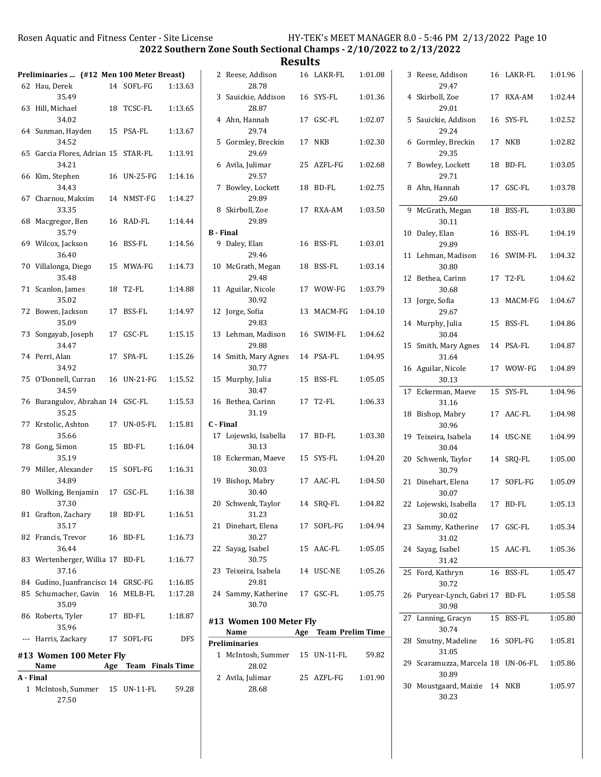2022 Southern Zone South Sectional Champs - 2/10/2022 to 2/13/2022

|           |                                              |             |                      |           |                                 | Results |                      |         |                                       |            |         |
|-----------|----------------------------------------------|-------------|----------------------|-----------|---------------------------------|---------|----------------------|---------|---------------------------------------|------------|---------|
|           | Preliminaries  (#12 Men 100 Meter Breast)    | 14 SOFL-FG  |                      |           | 2 Reese, Addison<br>28.78       |         | 16 LAKR-FL           | 1:01.08 | 3 Reese, Addison<br>29.47             | 16 LAKR-FL | 1:01.96 |
|           | 62 Hau, Derek<br>35.49                       |             | 1:13.63              |           | 3 Sauickie, Addison             |         | 16 SYS-FL            | 1:01.36 | 4 Skirboll, Zoe                       | 17 RXA-AM  | 1:02.44 |
|           | 63 Hill, Michael                             | 18 TCSC-FL  | 1:13.65              |           | 28.87                           |         |                      |         | 29.01                                 |            |         |
|           | 34.02<br>64 Sunman, Hayden                   | 15 PSA-FL   | 1:13.67              |           | 4 Ahn, Hannah<br>29.74          |         | 17 GSC-FL            | 1:02.07 | 5 Sauickie, Addison<br>29.24          | 16 SYS-FL  | 1:02.52 |
|           | 34.52<br>65 Garcia Flores, Adrian 15 STAR-FL |             | 1:13.91              |           | 5 Gormley, Breckin<br>29.69     |         | 17 NKB               | 1:02.30 | 6 Gormley, Breckin<br>29.35           | 17 NKB     | 1:02.82 |
|           | 34.21                                        |             |                      |           | 6 Avila, Julimar                |         | 25 AZFL-FG           | 1:02.68 | 7 Bowley, Lockett                     | 18 BD-FL   | 1:03.05 |
|           | 66 Kim, Stephen<br>34.43                     | 16 UN-25-FG | 1:14.16              |           | 29.57<br>7 Bowley, Lockett      |         | 18 BD-FL             | 1:02.75 | 29.71<br>8 Ahn, Hannah                | 17 GSC-FL  | 1:03.78 |
|           | 67 Charnou, Maksim<br>33.35                  | 14 NMST-FG  | 1:14.27              |           | 29.89<br>8 Skirboll, Zoe        |         | 17 RXA-AM            | 1:03.50 | 29.60<br>9 McGrath, Megan             | 18 BSS-FL  | 1:03.80 |
|           | 68 Macgregor, Ben                            | 16 RAD-FL   | 1:14.44              |           | 29.89                           |         |                      |         | 30.11                                 |            |         |
|           | 35.79                                        |             |                      |           | <b>B</b> - Final                |         |                      |         | 10 Daley, Elan                        | 16 BSS-FL  | 1:04.19 |
|           | 69 Wilcox, Jackson                           | 16 BSS-FL   | 1:14.56              |           | 9 Daley, Elan                   |         | 16 BSS-FL            | 1:03.01 | 29.89                                 |            |         |
|           | 36.40                                        |             |                      |           | 29.46                           |         |                      |         | 11 Lehman, Madison                    | 16 SWIM-FL | 1:04.32 |
|           | 70 Villalonga, Diego<br>35.48                | 15 MWA-FG   | 1:14.73              |           | 10 McGrath, Megan<br>29.48      |         | 18 BSS-FL            | 1:03.14 | 30.80<br>12 Bethea, Carinn            | 17 T2-FL   | 1:04.62 |
|           | 71 Scanlon, James                            | 18 T2-FL    | 1:14.88              |           | 11 Aguilar, Nicole              |         | 17 WOW-FG            | 1:03.79 | 30.68                                 |            |         |
|           | 35.02                                        |             |                      |           | 30.92                           |         |                      |         | 13 Jorge, Sofia                       | 13 MACM-FG | 1:04.67 |
|           | 72 Bowen, Jackson                            | 17 BSS-FL   | 1:14.97              |           | 12 Jorge, Sofia                 |         | 13 MACM-FG           | 1:04.10 | 29.67                                 |            |         |
|           | 35.09<br>73 Songayab, Joseph                 | 17 GSC-FL   | 1:15.15              |           | 29.83<br>13 Lehman, Madison     |         | 16 SWIM-FL           | 1:04.62 | 14 Murphy, Julia<br>30.04             | 15 BSS-FL  | 1:04.86 |
|           | 34.47                                        |             |                      |           | 29.88                           |         |                      |         | 15 Smith, Mary Agnes                  | 14 PSA-FL  | 1:04.87 |
|           | 74 Perri, Alan                               | 17 SPA-FL   | 1:15.26              |           | 14 Smith, Mary Agnes            |         | 14 PSA-FL            | 1:04.95 | 31.64                                 |            |         |
|           | 34.92                                        |             |                      |           | 30.77                           |         |                      |         | 16 Aguilar, Nicole                    | 17 WOW-FG  | 1:04.89 |
|           | 75 O'Donnell, Curran                         | 16 UN-21-FG | 1:15.52              |           | 15 Murphy, Julia                |         | 15 BSS-FL            | 1:05.05 | 30.13                                 |            |         |
|           | 34.59                                        |             |                      |           | 30.47                           |         |                      |         | 17 Eckerman, Maeve                    | 15 SYS-FL  | 1:04.96 |
|           | 76 Burangulov, Abrahan 14 GSC-FL<br>35.25    |             | 1:15.53              |           | 16 Bethea, Carinn<br>31.19      |         | 17 T2-FL             | 1:06.33 | 31.16<br>18 Bishop, Mabry             | 17 AAC-FL  | 1:04.98 |
|           | 77 Krstolic, Ashton                          | 17 UN-05-FL | 1:15.81              | C - Final |                                 |         |                      |         | 30.96                                 |            |         |
|           | 35.66                                        |             |                      |           | 17 Lojewski, Isabella           |         | 17 BD-FL             | 1:03.30 | 19 Teixeira, Isabela                  | 14 USC-NE  | 1:04.99 |
|           | 78 Gong, Simon<br>35.19                      | 15 BD-FL    | 1:16.04              |           | 30.13<br>18 Eckerman, Maeve     |         | 15 SYS-FL            | 1:04.20 | 30.04<br>20 Schwenk, Taylor           | 14 SRQ-FL  | 1:05.00 |
|           | 79 Miller, Alexander<br>34.89                | 15 SOFL-FG  | 1:16.31              |           | 30.03<br>19 Bishop, Mabry       |         | 17 AAC-FL            | 1:04.50 | 30.79<br>21 Dinehart, Elena           | 17 SOFL-FG | 1:05.09 |
|           | 80 Wolking, Benjamin 17 GSC-FL               |             | 1:16.38              |           | 30.40                           |         |                      |         | 30.07                                 |            |         |
|           | 37.30                                        |             |                      |           | 20 Schwenk, Taylor              |         | 14 SRQ-FL            | 1:04.82 | 22 Lojewski, Isabella                 | 17 BD-FL   | 1:05.13 |
|           | 81 Grafton, Zachary                          | 18 BD-FL    | 1:16.51              |           | 31.23                           |         |                      |         | 30.02                                 |            |         |
|           | 35.17<br>82 Francis, Trevor                  | 16 BD-FL    | 1:16.73              |           | 21 Dinehart, Elena<br>30.27     |         | 17 SOFL-FG           | 1:04.94 | 23 Sammy, Katherine                   | 17 GSC-FL  | 1:05.34 |
|           | 36.44                                        |             |                      |           | 22 Sayag, Isabel                |         | 15 AAC-FL            | 1:05.05 | 31.02<br>24 Sayag, Isabel             | 15 AAC-FL  | 1:05.36 |
|           | 83 Wertenberger, Willia 17 BD-FL             |             | 1:16.77              |           | 30.75                           |         |                      |         | 31.42                                 |            |         |
|           | 37.16                                        |             |                      |           | 23 Teixeira, Isabela            |         | 14 USC-NE            | 1:05.26 | 25 Ford, Kathryn                      | 16 BSS-FL  | 1:05.47 |
|           | 84 Gudino, Juanfrancisc 14 GRSC-FG           |             | 1:16.85              |           | 29.81                           |         |                      |         | 30.72                                 |            |         |
|           | 85 Schumacher, Gavin 16 MELB-FL              |             | 1:17.28              |           | 24 Sammy, Katherine             |         | 17 GSC-FL            | 1:05.75 | 26 Puryear-Lynch, Gabri 17 BD-FL      |            | 1:05.58 |
|           | 35.09                                        |             |                      |           | 30.70                           |         |                      |         | 30.98                                 |            |         |
|           | 86 Roberts, Tyler<br>35.96                   | 17 BD-FL    | 1:18.87              |           | #13 Women 100 Meter Fly<br>Name |         | Age Team Prelim Time |         | 27 Lanning, Gracyn<br>30.74           | 15 BSS-FL  | 1:05.80 |
|           | --- Harris, Zackary                          | 17 SOFL-FG  | <b>DFS</b>           |           | <b>Preliminaries</b>            |         |                      |         | 28 Smutny, Madeline                   | 16 SOFL-FG | 1:05.81 |
|           | #13 Women 100 Meter Fly                      |             |                      |           | 1 McIntosh, Summer              |         | 15 UN-11-FL          | 59.82   | 31.05                                 |            |         |
|           | Name                                         |             | Age Team Finals Time |           | 28.02                           |         |                      |         | 29 Scaramuzza, Marcela 18 UN-06-FL    |            | 1:05.86 |
| A - Final |                                              |             |                      |           | 2 Avila, Julimar                |         | 25 AZFL-FG           | 1:01.90 | 30.89                                 |            |         |
|           | 1 McIntosh, Summer<br>27.50                  | 15 UN-11-FL | 59.28                |           | 28.68                           |         |                      |         | 30 Moustgaard, Maizie 14 NKB<br>30.23 |            | 1:05.97 |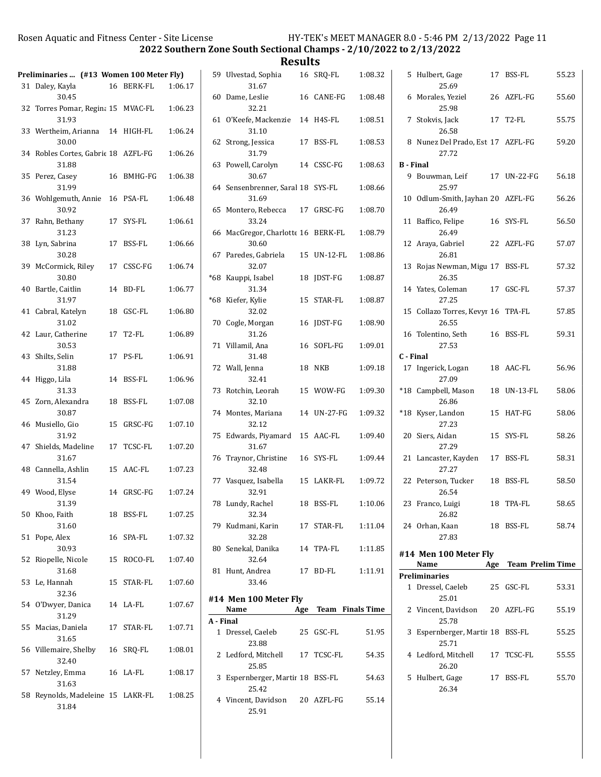2022 Southern Zone South Sectional Champs - 2/10/2022 to 2/13/2022

**Results**<br>a 16 SRO-FL

|    | Preliminaries  (#13 Women 100 Meter Fly)         |    |                    |         |
|----|--------------------------------------------------|----|--------------------|---------|
|    | 31 Daley, Kayla<br>30.45                         |    | 16 BERK-FL         | 1:06.17 |
|    | 32 Torres Pomar, Regina 15 MVAC-FL<br>31.93      |    |                    | 1:06.23 |
|    | 33 Wertheim, Arianna<br>30.00                    |    | 14 HIGH-FL         | 1:06.24 |
|    | 34 Robles Cortes, Gabrie 18 AZFL-FG<br>31.88     |    |                    | 1:06.26 |
| 35 | Perez, Casev<br>31.99                            | 16 | BMHG-FG            | 1:06.38 |
| 36 | Wohlgemuth, Annie 16 PSA-FL<br>30.92             |    |                    | 1:06.48 |
| 37 | Rahn, Bethany<br>31.23                           |    | 17 SYS-FL          | 1:06.61 |
| 38 | Lyn, Sabrina<br>30.28                            | 17 | BSS-FL             | 1:06.66 |
| 39 | McCormick, Riley<br>30.80                        |    | 17 CSSC-FG         | 1:06.74 |
| 40 | Bartle, Caitlin<br>31.97                         | 14 | BD-FL              | 1:06.77 |
| 41 | Cabral, Katelyn<br>31.02                         | 18 | GSC-FL             | 1:06.80 |
|    | 42 Laur, Catherine<br>30.53                      | 17 | T <sub>2</sub> -FL | 1:06.89 |
| 43 | Shilts, Selin<br>31.88                           | 17 | PS-FL              | 1:06.91 |
| 44 | Higgo, Lila<br>31.33                             | 14 | BSS-FL             | 1:06.96 |
|    | 45 Zorn, Alexandra<br>30.87                      | 18 | BSS-FL             | 1:07.08 |
|    | 46 Musiello, Gio<br>31.92                        | 15 | GRSC-FG            | 1:07.10 |
|    | 47 Shields, Madeline<br>31.67                    |    | 17 TCSC-FL         | 1:07.20 |
|    | 48 Cannella, Ashlin<br>31.54                     |    | 15 AAC-FL          | 1:07.23 |
|    | 49 Wood, Elyse<br>31.39                          |    | 14 GRSC-FG         | 1:07.24 |
|    | 50 Khoo, Faith<br>31.60                          | 18 | BSS-FL             | 1:07.25 |
| 51 | Pope, Alex<br>30.93                              | 16 | SPA-FL             | 1:07.32 |
| 52 | Riopelle, Nicole<br>31.68                        | 15 | ROCO-FL            | 1:07.40 |
| 53 | Le, Hannah<br>32.36                              | 15 | STAR-FL            | 1:07.60 |
| 54 | O'Dwyer, Danica<br>31.29                         |    | 14 LA-FL           | 1:07.67 |
| 55 | Macias, Daniela<br>31.65                         | 17 | STAR-FL            | 1:07.71 |
| 56 | Villemaire, Shelby                               |    | 16 SRQ-FL          | 1:08.01 |
|    | 32.40<br>57 Netzley, Emma                        |    | 16 LA-FL           | 1:08.17 |
| 58 | 31.63<br>Reynolds, Madeleine 15 LAKR-FL<br>31.84 |    |                    | 1:08.25 |

|           | 59 Ulvestad, Sophia<br>31.67                |     | 16 SRQ-FL               | 1:08.32 |
|-----------|---------------------------------------------|-----|-------------------------|---------|
| 60        | Dame, Leslie<br>32.21                       |     | 16 CANE-FG              | 1:08.48 |
|           | 61 O'Keefe, Mackenzie<br>31.10              |     | 14 H4S-FL               | 1:08.51 |
|           | 62 Strong, Jessica<br>31.79                 |     | 17 BSS-FL               | 1:08.53 |
|           | 63 Powell, Carolyn<br>30.67                 |     | 14 CSSC-FG              | 1:08.63 |
|           | 64 Sensenbrenner, Saral 18 SYS-FL<br>31.69  |     |                         | 1:08.66 |
|           | 65 Montero, Rebecca<br>33.24                |     | 17 GRSC-FG              | 1:08.70 |
|           | 66 MacGregor, Charlotte 16 BERK-FL<br>30.60 |     |                         | 1:08.79 |
|           | 67 Paredes, Gabriela<br>32.07               |     | 15 UN-12-FL             | 1:08.86 |
| $*68$     | Kauppi, Isabel<br>31.34                     | 18  | <b>IDST-FG</b>          | 1:08.87 |
|           | *68 Kiefer, Kylie<br>32.02                  | 15  | STAR-FL                 | 1:08.87 |
|           | 70 Cogle, Morgan<br>31.26                   | 16  | JDST-FG                 | 1:08.90 |
|           | 71 Villamil, Ana<br>31.48                   |     | 16 SOFL-FG              | 1:09.01 |
|           | 72 Wall, Jenna<br>32.41                     |     | 18 NKB                  | 1:09.18 |
| 73        | Rotchin, Leorah<br>32.10                    |     | 15 WOW-FG               | 1:09.30 |
|           | 74 Montes, Mariana<br>32.12                 |     | 14 UN-27-FG             | 1:09.32 |
| 75        | Edwards, Piyamard<br>31.67                  |     | 15 AAC-FL               | 1:09.40 |
| 76        | Traynor, Christine<br>32.48                 |     | 16 SYS-FL               | 1:09.44 |
|           | 77 Vasquez, Isabella<br>32.91               |     | 15 LAKR-FL              | 1:09.72 |
|           | 78 Lundy, Rachel<br>32.34                   | 18  | BSS-FL                  | 1:10.06 |
|           | 79 Kudmani, Karin<br>32.28                  |     | 17 STAR-FL              | 1:11.04 |
|           | 80 Senekal, Danika<br>32.64                 |     | 14 TPA-FL               | 1:11.85 |
|           | 81 Hunt, Andrea<br>33.46                    |     | 17 BD-FL                | 1:11.91 |
|           | #14 Men 100 Meter Fly<br>Name               | Age | <b>Team</b> Finals Time |         |
| A - Final |                                             |     |                         |         |
|           | 1 Dressel, Caeleb<br>23.88                  |     | 25 GSC-FL               | 51.95   |
| 2         | Ledford, Mitchell 17 TCSC-FL<br>25.85       |     |                         | 54.35   |
| 3         | Espernberger, Martir 18 BSS-FL<br>25.42     |     |                         | 54.63   |
|           | 4 Vincent, Davidson 20 AZFL-FG<br>25.91     |     |                         | 55.14   |

| 5.               | Hulbert, Gage<br>25.69                      |    | 17 BSS-FL            | 55.23 |
|------------------|---------------------------------------------|----|----------------------|-------|
|                  | 6 Morales, Yeziel<br>25.98                  |    | 26 AZFL-FG           | 55.60 |
|                  | 7 Stokvis, Jack<br>26.58                    |    | 17 T2-FL             | 55.75 |
|                  | 8 Nunez Del Prado, Est 17 AZFL-FG<br>27.72  |    |                      | 59.20 |
| <b>B</b> - Final |                                             |    |                      |       |
|                  | 9 Bouwman, Leif<br>25.97                    |    | 17 UN-22-FG          | 56.18 |
|                  | 10 Odlum-Smith, Jayhan 20 AZFL-FG<br>26.49  |    |                      | 56.26 |
|                  | 11 Baffico, Felipe<br>26.49                 |    | 16 SYS-FL            | 56.50 |
|                  | 12 Araya, Gabriel<br>26.81                  |    | 22 AZFL-FG           | 57.07 |
|                  | 13 Rojas Newman, Migu 17 BSS-FL<br>26.35    |    |                      | 57.32 |
|                  | 14 Yates, Coleman<br>27.25                  |    | 17 GSC-FL            | 57.37 |
|                  | 15 Collazo Torres, Kevyr 16 TPA-FL<br>26.55 |    |                      | 57.85 |
|                  | 16 Tolentino, Seth<br>27.53                 |    | 16 BSS-FL            | 59.31 |
| C - Final        |                                             |    |                      |       |
|                  | 17 Ingerick, Logan<br>27.09                 |    | 18 AAC-FL            | 56.96 |
|                  | *18 Campbell, Mason<br>26.86                |    | 18 UN-13-FL          | 58.06 |
|                  | *18 Kyser, Landon<br>27.23                  |    | 15 HAT-FG            | 58.06 |
|                  | 20 Siers, Aidan<br>27.29                    |    | 15 SYS-FL            | 58.26 |
|                  | 21 Lancaster, Kayden<br>27.27               |    | 17 BSS-FL            | 58.31 |
|                  | 22 Peterson, Tucker<br>26.54                |    | 18 BSS-FL            | 58.50 |
|                  | 23 Franco, Luigi<br>26.82                   | 18 | TPA-FL               | 58.65 |
|                  | 24 Orhan, Kaan<br>27.83                     |    | 18 BSS-FL            | 58.74 |
|                  | #14 Men 100 Meter Fly                       |    |                      |       |
|                  | Name                                        |    | Age Team Prelim Time |       |
|                  |                                             |    |                      |       |
|                  | <b>Preliminaries</b>                        |    |                      |       |
|                  | 1 Dressel, Caeleb 25 GSC-FL<br>25.01        |    |                      | 53.31 |
|                  | 2 Vincent, Davidson 20 AZFL-FG<br>25.78     |    |                      | 55.19 |
| 3                | Espernberger, Martir 18 BSS-FL<br>25.71     |    |                      | 55.25 |
|                  | 4 Ledford, Mitchell 17 TCSC-FL<br>26.20     |    |                      | 55.55 |
|                  | 5 Hulbert, Gage<br>26.34                    |    | 17 BSS-FL            | 55.70 |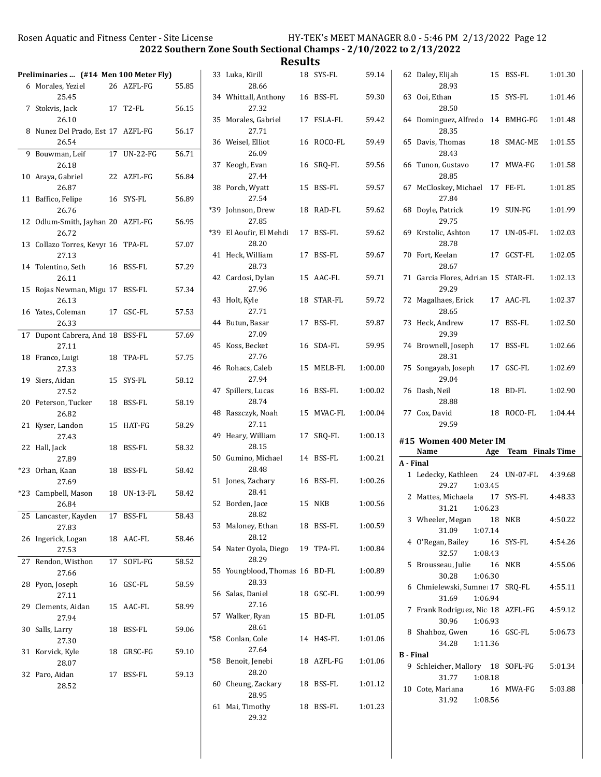2022 Southern Zone South Sectional Champs - 2/10/2022 to 2/13/2022

| Preliminaries  (#14 Men 100 Meter Fly)      |             |       | 33 Luka, Kirill                          | 18 SYS-FL  | 59.14   |                  | 62 Daley, Elijah                                         | 15 BSS-FL            | 1:01.30 |
|---------------------------------------------|-------------|-------|------------------------------------------|------------|---------|------------------|----------------------------------------------------------|----------------------|---------|
| 6 Morales, Yeziel<br>25.45                  | 26 AZFL-FG  | 55.85 | 28.66<br>34 Whittall, Anthony            | 16 BSS-FL  | 59.30   |                  | 28.93<br>63 Ooi, Ethan                                   | 15 SYS-FL            | 1:01.46 |
| 7 Stokvis, Jack<br>26.10                    | 17 T2-FL    | 56.15 | 27.32<br>35 Morales, Gabriel             | 17 FSLA-FL | 59.42   |                  | 28.50<br>64 Dominguez, Alfredo 14 BMHG-FG                |                      | 1:01.48 |
| 8 Nunez Del Prado, Est 17 AZFL-FG<br>26.54  |             | 56.17 | 27.71<br>36 Weisel, Elliot               | 16 ROCO-FL | 59.49   |                  | 28.35<br>65 Davis, Thomas                                | 18 SMAC-ME           | 1:01.55 |
| 9 Bouwman, Leif<br>26.18                    | 17 UN-22-FG | 56.71 | 26.09<br>37 Keogh, Evan                  | 16 SRQ-FL  | 59.56   |                  | 28.43<br>66 Tunon, Gustavo                               | 17 MWA-FG            | 1:01.58 |
| 10 Araya, Gabriel                           | 22 AZFL-FG  | 56.84 | 27.44                                    |            |         |                  | 28.85                                                    |                      |         |
| 26.87<br>11 Baffico, Felipe                 | 16 SYS-FL   | 56.89 | 38 Porch, Wyatt<br>27.54                 | 15 BSS-FL  | 59.57   |                  | 67 McCloskey, Michael 17 FE-FL<br>27.84                  |                      | 1:01.85 |
| 26.76<br>12 Odlum-Smith, Jayhan 20 AZFL-FG  |             | 56.95 | *39 Johnson, Drew<br>27.85               | 18 RAD-FL  | 59.62   |                  | 68 Doyle, Patrick<br>29.75                               | 19 SUN-FG            | 1:01.99 |
| 26.72<br>13 Collazo Torres, Kevyr 16 TPA-FL |             | 57.07 | *39 El Aoufir, El Mehdi<br>28.20         | 17 BSS-FL  | 59.62   |                  | 69 Krstolic, Ashton<br>28.78                             | 17 UN-05-FL          | 1:02.03 |
| 27.13<br>14 Tolentino, Seth                 | 16 BSS-FL   | 57.29 | 41 Heck, William<br>28.73                | 17 BSS-FL  | 59.67   |                  | 70 Fort, Keelan<br>28.67                                 | 17 GCST-FL           | 1:02.05 |
| 26.11<br>15 Rojas Newman, Migu 17 BSS-FL    |             | 57.34 | 42 Cardosi, Dylan<br>27.96               | 15 AAC-FL  | 59.71   |                  | 71 Garcia Flores, Adrian 15 STAR-FL<br>29.29             |                      | 1:02.13 |
| 26.13<br>16 Yates, Coleman                  | 17 GSC-FL   | 57.53 | 43 Holt, Kyle<br>27.71                   | 18 STAR-FL | 59.72   |                  | 72 Magalhaes, Erick<br>28.65                             | 17 AAC-FL            | 1:02.37 |
| 26.33<br>17 Dupont Cabrera, And 18 BSS-FL   |             | 57.69 | 44 Butun, Basar<br>27.09                 | 17 BSS-FL  | 59.87   |                  | 73 Heck, Andrew<br>29.39                                 | 17 BSS-FL            | 1:02.50 |
| 27.11<br>18 Franco, Luigi                   | 18 TPA-FL   | 57.75 | 45 Koss, Becket<br>27.76                 | 16 SDA-FL  | 59.95   |                  | 74 Brownell, Joseph<br>28.31                             | 17 BSS-FL            | 1:02.66 |
| 27.33<br>19 Siers, Aidan                    | 15 SYS-FL   | 58.12 | 46 Rohacs, Caleb<br>27.94                | 15 MELB-FL | 1:00.00 |                  | 75 Songayab, Joseph<br>29.04                             | 17 GSC-FL            | 1:02.69 |
| 27.52<br>20 Peterson, Tucker                | 18 BSS-FL   | 58.19 | 47 Spillers, Lucas<br>28.74              | 16 BSS-FL  | 1:00.02 |                  | 76 Dash, Neil<br>28.88                                   | 18 BD-FL             | 1:02.90 |
| 26.82                                       |             |       | 48 Raszczyk, Noah<br>27.11               | 15 MVAC-FL | 1:00.04 |                  | 77 Cox, David<br>29.59                                   | 18 ROCO-FL           | 1:04.44 |
| 21 Kyser, Landon<br>27.43                   | 15 HAT-FG   | 58.29 | 49 Heary, William                        | 17 SRQ-FL  | 1:00.13 |                  | #15 Women 400 Meter IM                                   |                      |         |
| 22 Hall, Jack<br>27.89                      | 18 BSS-FL   | 58.32 | 28.15<br>50 Gumino, Michael              | 14 BSS-FL  | 1:00.21 |                  | Name                                                     | Age Team Finals Time |         |
| *23 Orhan, Kaan<br>27.69                    | 18 BSS-FL   | 58.42 | 28.48<br>51 Jones, Zachary               | 16 BSS-FL  | 1:00.26 | A - Final        | 1 Ledecky, Kathleen                                      | 24 UN-07-FL          | 4:39.68 |
| *23 Campbell, Mason<br>26.84                | 18 UN-13-FL | 58.42 | 28.41<br>52 Borden, Jace                 | 15 NKB     | 1:00.56 |                  | 29.27<br>1:03.45<br>2 Mattes, Michaela                   | 17 SYS-FL            | 4:48.33 |
| 25 Lancaster, Kayden                        | 17 BSS-FL   | 58.43 | 28.82<br>53 Maloney, Ethan               |            |         |                  | 31.21  1:06.23<br>3 Wheeler, Megan                       | 18 NKB               | 4:50.22 |
| 27.83<br>26 Ingerick, Logan                 | 18 AAC-FL   | 58.46 | 28.12                                    | 18 BSS-FL  | 1:00.59 |                  | 31.09<br>1:07.14<br>4 O'Regan, Bailey                    | 16 SYS-FL            | 4:54.26 |
| 27.53<br>27 Rendon, Wisthon                 | 17 SOFL-FG  | 58.52 | 54 Nater Oyola, Diego 19 TPA-FL<br>28.29 |            | 1:00.84 |                  | 32.57<br>1:08.43<br>5 Brousseau, Julie                   | <b>16 NKB</b>        | 4:55.06 |
| 27.66<br>28 Pyon, Joseph                    | 16 GSC-FL   | 58.59 | 55 Youngblood, Thomas 16 BD-FL<br>28.33  |            | 1:00.89 |                  | 30.28<br>1:06.30<br>6 Chmielewski, Sumne: 17 SRQ-FL      |                      | 4:55.11 |
| 27.11<br>29 Clements, Aidan                 | 15 AAC-FL   | 58.99 | 56 Salas, Daniel<br>27.16                | 18 GSC-FL  | 1:00.99 |                  | 31.69<br>1:06.94<br>7 Frank Rodriguez, Nic 18 AZFL-FG    |                      | 4:59.12 |
| 27.94<br>30 Salls, Larry                    | 18 BSS-FL   | 59.06 | 57 Walker, Ryan<br>28.61                 | 15 BD-FL   | 1:01.05 |                  | 30.96<br>1:06.93<br>8 Shahboz, Gwen                      | 16 GSC-FL            | 5:06.73 |
|                                             |             |       | *58 Conlan, Cole                         | 14 H4S-FL  | 1:01.06 |                  |                                                          |                      |         |
| 27.30<br>31 Korvick, Kyle                   | 18 GRSC-FG  | 59.10 | 27.64                                    |            |         |                  | 34.28<br>1:11.36                                         |                      |         |
| 28.07                                       |             |       | *58 Benoit, Jenebi<br>28.20              | 18 AZFL-FG | 1:01.06 | <b>B</b> - Final | 9 Schleicher, Mallory 18 SOFL-FG                         |                      | 5:01.34 |
| 32 Paro, Aidan<br>28.52                     | 17 BSS-FL   | 59.13 | 60 Cheung, Zackary<br>28.95              | 18 BSS-FL  | 1:01.12 |                  | 31.77<br>1:08.18<br>10 Cote, Mariana<br>31.92<br>1:08.56 | 16 MWA-FG            | 5:03.88 |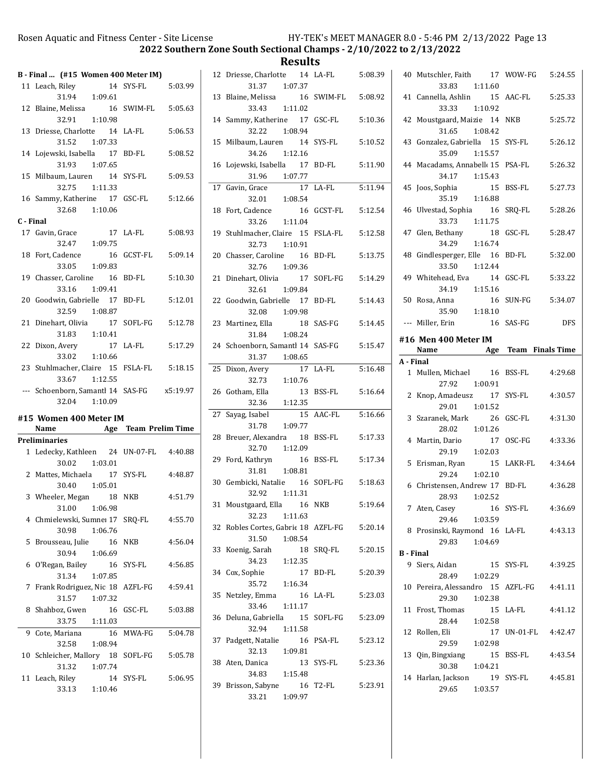2022 Southern Zone South Sectional Champs - 2/10/2022 to 2/13/2022

|           | B - Final  (#15 Women 400 Meter IM)                    |                   |         |
|-----------|--------------------------------------------------------|-------------------|---------|
|           | 11 Leach, Riley                                        | 14 SYS-FL 5:03.99 |         |
|           | 31.94 1:09.61                                          |                   |         |
|           |                                                        |                   |         |
|           | 12 Blaine, Melissa 16 SWIM-FL 5:05.63<br>32.91 1:10.98 |                   |         |
|           | 13 Driesse, Charlotte 14 LA-FL                         |                   | 5:06.53 |
|           | 31.52 1:07.33                                          |                   |         |
|           | 14 Lojewski, Isabella 17 BD-FL                         |                   | 5:08.52 |
|           | 31.93 1:07.65                                          |                   |         |
|           | 15 Milbaum, Lauren 14 SYS-FL                           |                   | 5:09.53 |
|           | 32.75 1:11.33                                          |                   |         |
|           |                                                        |                   |         |
|           | 16 Sammy, Katherine 17 GSC-FL 5:12.66                  |                   |         |
|           | 32.68 1:10.06                                          |                   |         |
| C - Final |                                                        |                   |         |
|           | 17 Gavin, Grace 17 LA-FL 5:08.93                       |                   |         |
|           | 32.47   1:09.75                                        |                   |         |
|           | 18 Fort, Cadence                                       | 16 GCST-FL        | 5:09.14 |
|           | 33.05 1:09.83                                          |                   |         |
|           | 19 Chasser, Caroline 16 BD-FL                          |                   | 5:10.30 |
|           | 33.16 1:09.41                                          |                   |         |
|           | 20 Goodwin, Gabrielle 17 BD-FL                         |                   | 5:12.01 |
|           | 32.59 1:08.87                                          |                   |         |
|           | 21 Dinehart, Olivia 17 SOFL-FG 5:12.78                 |                   |         |
|           | 31.83   1:10.41                                        |                   |         |
|           | 22 Dixon, Avery 17 LA-FL 5:17.29                       |                   |         |
|           | 33.02 1:10.66                                          |                   |         |
|           | 23 Stuhlmacher, Claire 15 FSLA-FL 5:18.15              |                   |         |
|           |                                                        |                   |         |
|           | 33.67 1:12.55                                          |                   |         |
|           | --- Schoenborn, Samantl 14 SAS-FG x5:19.97             |                   |         |
|           | 32.04 1:10.09                                          |                   |         |
|           |                                                        |                   |         |
|           | #15 Women 400 Meter IM                                 |                   |         |
|           | Name Age Team Prelim Time                              |                   |         |
|           | Preliminaries                                          |                   |         |
|           | 1 Ledecky, Kathleen 24 UN-07-FL 4:40.88                |                   |         |
|           | 30.02 1:03.01                                          |                   |         |
|           | 2 Mattes, Michaela 17 SYS-FL 4:48.87                   |                   |         |
|           | 30.40 1:05.01                                          |                   |         |
|           | 3 Wheeler, Megan 18                                    | NKB               | 4:51.79 |
|           | 31.00<br>1:06.98                                       |                   |         |
|           | 4 Chmielewski, Sumne: 17 SRQ-FL                        |                   | 4:55.70 |
|           | 30.98<br>1:06.76                                       |                   |         |
| 5         | Brousseau, Julie<br>16                                 | NKB               | 4:56.04 |
|           | 30.94<br>1:06.69                                       |                   |         |
| 6         | O'Regan, Bailey<br>16                                  | SYS-FL            | 4:56.85 |
|           | 31.34<br>1:07.85                                       |                   |         |
| 7         | Frank Rodriguez, Nic 18 AZFL-FG                        |                   | 4:59.41 |
|           | 31.57<br>1:07.32                                       |                   |         |
| 8         | Shahboz, Gwen<br>16                                    | GSC-FL            | 5:03.88 |
|           | 33.75<br>1:11.03                                       |                   |         |
| 9         | Cote, Mariana<br>16                                    | MWA-FG            | 5:04.78 |
|           | 32.58<br>1:08.94                                       |                   |         |
| 10        | Schleicher, Mallory 18                                 | SOFL-FG           | 5:05.78 |
|           | 31.32<br>1:07.74                                       |                   |         |
| 11        | Leach, Riley                                           | 14 SYS-FL         | 5:06.95 |

|    | 12 Driesse, Charlotte 14 LA-FL 5:08.39<br>31.37<br>1:07.37 |                    |         |
|----|------------------------------------------------------------|--------------------|---------|
|    | 13 Blaine, Melissa<br>1:11.02<br>33.43                     | 16 SWIM-FL 5:08.92 |         |
|    | 14 Sammy, Katherine 17 GSC-FL<br>32.22<br>1:08.94          |                    | 5:10.36 |
|    | 15 Milbaum, Lauren 14<br>34.26 1:12.16                     | SYS-FL             | 5:10.52 |
|    | 16 Lojewski, Isabella 17                                   | BD-FL              | 5:11.90 |
|    | 31.96 1:07.77<br>Grace 17<br>17 Gavin, Grace               | 17 LA-FL           | 5:11.94 |
|    | 32.01<br>1:08.54                                           |                    |         |
|    | 18 Fort, Cadence<br>16                                     | GCST-FL            | 5:12.54 |
|    | 33.26 1:11.04                                              |                    |         |
|    | 19 Stuhlmacher, Claire 15 FSLA-FL                          |                    | 5:12.58 |
|    | 32.73 1:10.91<br>20 Chasser, Caroline 16 BD-FL             |                    | 5:13.75 |
|    | 32.76 1:09.36                                              |                    |         |
|    | 21 Dinehart, Olivia 17                                     | SOFL-FG            | 5:14.29 |
|    | 32.61 1:09.84                                              |                    |         |
|    | 22 Goodwin, Gabrielle 17 BD-FL                             |                    | 5:14.43 |
|    | 32.08 1:09.98                                              |                    |         |
|    | 23 Martinez, Ella<br>18<br>$31.84$ 1:08.24                 | SAS-FG             | 5:14.45 |
|    |                                                            |                    |         |
|    | 24 Schoenborn, Samantl 14 SAS-FG                           |                    | 5:15.47 |
|    | 31.37   1:08.65<br>25 Dixon, Avery<br>$17^{-}$             | LA-FL              | 5:16.48 |
|    | 32.73 1:10.76                                              |                    |         |
|    | 26 Gotham, Ella<br>13                                      | BSS-FL             | 5:16.64 |
|    | $32.36$ $1:12.35$                                          |                    |         |
|    | 27 Sayag, Isabel<br>15                                     | AAC-FL             | 5:16.66 |
|    | 1:09.77<br>31.78                                           |                    |         |
|    | 28 Breuer, Alexandra<br>- 18                               | BSS-FL             | 5:17.33 |
|    | 32.70<br>1:12.09                                           |                    |         |
|    | 29 Ford, Kathryn<br>16<br>31.81                            | BSS-FL             | 5:17.34 |
|    | 1:08.81<br>30 Gembicki, Natalie 16 SOFL-FG 5:18.63         |                    |         |
|    | 32.92   1:11.31                                            |                    |         |
|    | 31 Moustgaard, Ella 16 NKB 5:19.64                         |                    |         |
|    | 32.23<br>1:11.63                                           |                    |         |
|    | 32 Robles Cortes, Gabric 18 AZFL-FG                        |                    | 5:20.14 |
|    | 31.50<br>1:08.54                                           |                    |         |
|    | 33 Koenig, Sarah<br>18<br>34.23                            | SRQ-FL             | 5:20.15 |
| 34 | 1:12.35<br>Cox, Sophie<br>17                               | BD-FL              | 5:20.39 |
|    | 35.72   1:16.34                                            |                    |         |
|    | 35 Netzley, Emma<br>16                                     | LA-FL              | 5:23.03 |
|    | 1:11.17<br>33.46                                           |                    |         |
| 36 | Deluna, Gabriella<br>15                                    | SOFL-FG            | 5:23.09 |
|    | 32.94<br>1:11.58                                           |                    |         |
|    | 37 Padgett, Natalie<br>16                                  | PSA-FL             | 5:23.12 |
|    | 32.13<br>1:09.81                                           |                    |         |
|    | 38 Aten, Danica<br>13                                      | SYS-FL             | 5:23.36 |
|    | 34.83 1:15.48<br>39 Brisson, Sabyne                        | 16 T2-FL           | 5:23.91 |
|    | 33.21<br>1:09.97                                           |                    |         |
|    |                                                            |                    |         |

|                  | 40 Mutschler, Faith 17 WOW-FG 5:24.55             |             |         |
|------------------|---------------------------------------------------|-------------|---------|
|                  | 33.83 1:11.60                                     |             |         |
|                  | 41 Cannella, Ashlin 15<br>33.33 1:10.92           | AAC-FL      | 5:25.33 |
|                  | 42 Moustgaard, Maizie 14 NKB                      |             | 5:25.72 |
|                  | 31.65 1:08.42                                     |             |         |
|                  | 43 Gonzalez, Gabriella 15 SYS-FL                  |             | 5:26.12 |
|                  | 35.09 1:15.57                                     |             |         |
|                  | 44 Macadams, Annabell 15 PSA-FL                   |             | 5:26.32 |
|                  | 34.17  1:15.43                                    |             |         |
| 45               | Joos, Sophia 15                                   | BSS-FL      | 5:27.73 |
|                  | 35.19 1:16.88                                     | SRO-FL      | 5:28.26 |
|                  | 46 Ulvestad, Sophia 16<br>33.73 1:11.75           |             |         |
|                  | 47 Glen, Bethany                                  | GSC-FL      | 5:28.47 |
|                  | 34.29 1:16.74                                     |             |         |
|                  | 48 Gindlesperger, Elle 16                         | BD-FL       | 5:32.00 |
|                  | 33.50 1:12.44                                     |             |         |
|                  | 49 Whitehead, Eva 14 GSC-FL                       |             | 5:33.22 |
|                  | 34.19 1:15.16                                     |             |         |
|                  | 50 Rosa, Anna<br>16                               | SUN-FG      | 5:34.07 |
|                  | 35.90 1:18.10<br>--- Miller, Erin                 | 16 SAS-FG   | DFS     |
|                  |                                                   |             |         |
|                  | #16 Men 400 Meter IM<br>Name Age Team Finals Time |             |         |
| A - Final        |                                                   |             |         |
|                  | 1 Mullen, Michael 16                              | BSS-FL      | 4:29.68 |
|                  |                                                   |             |         |
|                  | 27.92 1:00.91                                     |             |         |
|                  | 2 Knop, Amadeusz 17                               | SYS-FL      | 4:30.57 |
|                  | 29.01<br>1:01.52                                  |             |         |
|                  | 3 Szaranek, Mark<br>26                            | GSC-FL      | 4:31.30 |
|                  | 1:01.26<br>28.02                                  |             |         |
|                  | 4 Martin, Dario<br>17                             | OSC-FG      | 4:33.36 |
|                  | 1:02.03<br>29.19                                  | 15 LAKR-FL  | 4:34.64 |
|                  | 5 Erisman, Ryan<br>29.24 1:02.10                  |             |         |
|                  | 6 Christensen, Andrew 17 BD-FL                    |             | 4:36.28 |
|                  | 28.93 1:02.52                                     |             |         |
|                  | 7 Aten, Casey 16 SYS-FL 4:36.69                   |             |         |
|                  | 29.46 1:03.59                                     |             |         |
|                  | 8 Prosinski, Raymond 16 LA-FL                     |             | 4:43.13 |
|                  | 1:04.69<br>29.83                                  |             |         |
| <b>B</b> - Final | 9 Siers, Aidan                                    | 15 SYS-FL   | 4:39.25 |
|                  | 28.49 1:02.29                                     |             |         |
|                  | 10 Pereira, Alessandro 15 AZFL-FG 4:41.11         |             |         |
|                  | 29.30<br>1:02.38                                  |             |         |
|                  | 11 Frost, Thomas                                  | 15 LA-FL    | 4:41.12 |
|                  | 28.44<br>1:02.58                                  |             |         |
| 12               | Rollen, Eli                                       | 17 UN-01-FL | 4:42.47 |
|                  | 29.59 1:02.98                                     |             |         |
|                  | 13 Qin, Bingxiang<br>1:04.21<br>30.38             | 15 BSS-FL   | 4:43.54 |
|                  | 14 Harlan, Jackson                                | 19 SYS-FL   | 4:45.81 |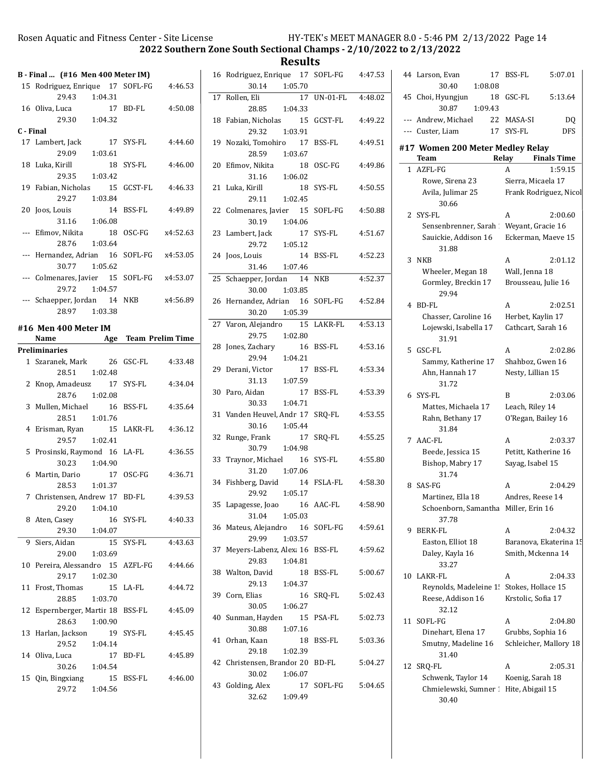2022 Southern Zone South Sectional Champs - 2/10/2022 to 2/13/2022

|           | B - Final  (#16 Men 400 Meter IM)          |                     |          |
|-----------|--------------------------------------------|---------------------|----------|
|           | 15 Rodriguez, Enrique 17 SOFL-FG 4:46.53   |                     |          |
|           | 29.43 1:04.31                              |                     |          |
|           | 16 Oliva, Luca<br>17 BD-FL                 |                     | 4:50.08  |
|           | 29.30 1:04.32                              |                     |          |
| C - Final |                                            |                     |          |
|           | 17 Lambert, Jack                           | 17 SYS-FL           | 4:44.60  |
|           | 29.09 1:03.61                              |                     |          |
|           | 18 Luka, Kirill<br>18                      | SYS-FL              | 4:46.00  |
|           | 29.35 1:03.42                              |                     |          |
|           | 19 Fabian, Nicholas 15 GCST-FL             |                     | 4:46.33  |
|           | 29.27 1:03.84                              |                     |          |
|           | 20 Joos, Louis                             | 14 BSS-FL           | 4:49.89  |
|           | 31.16 1:06.08                              |                     |          |
|           |                                            |                     |          |
|           | --- Efimov, Nikita                         | 18 OSC-FG x4:52.63  |          |
|           | 1:03.64<br>28.76                           |                     |          |
|           | --- Hernandez, Adrian 16 SOFL-FG x4:53.05  |                     |          |
|           | 30.77 1:05.62                              |                     |          |
|           | --- Colmenares, Javier 15 SOFL-FG x4:53.07 |                     |          |
|           | 29.72 1:04.57                              |                     |          |
|           | --- Schaepper, Jordan 14 NKB               |                     | x4:56.89 |
|           | 28.97 1:03.38                              |                     |          |
|           | #16 Men 400 Meter IM                       |                     |          |
|           | Name Age Team Prelim Time                  |                     |          |
|           | <b>Preliminaries</b>                       |                     |          |
|           | 1 Szaranek, Mark 26 GSC-FL                 |                     | 4:33.48  |
|           |                                            |                     |          |
|           | 28.51 1:02.48                              |                     |          |
|           | 2 Knop, Amadeusz 17 SYS-FL                 |                     | 4:34.04  |
|           | 28.76 1:02.08                              |                     |          |
|           | 3 Mullen, Michael<br>- 16                  | BSS-FL              | 4:35.64  |
|           | 28.51  1:01.76                             |                     |          |
|           | 4 Erisman, Ryan                            | 15 LAKR-FL  4:36.12 |          |
|           | 29.57 1:02.41                              |                     |          |
|           | 5 Prosinski, Raymond 16 LA-FL              |                     | 4:36.55  |
|           | 30.23<br>1:04.90                           |                     |          |
|           | 6 Martin, Dario                            | 17 OSC-FG           | 4:36.71  |
|           | 28.53 1:01.37                              |                     |          |
|           | 7 Christensen, Andrew 17 BD-FL 4:39.53     |                     |          |
|           | 29.20<br>1:04.10                           |                     |          |
|           | 8 Aten, Casey<br>16                        | SYS-FL              | 4:40.33  |
|           | 29.30<br>1:04.07                           |                     |          |
| 9         | Siers, Aidan<br>15                         | SYS-FL              | 4:43.63  |
|           | 29.00<br>1:03.69                           |                     |          |
|           |                                            |                     |          |
| 10        | Pereira, Alessandro 15                     | AZFL-FG             | 4:44.66  |
|           | 29.17<br>1:02.30                           |                     |          |
| 11        | 15<br>Frost, Thomas                        | LA-FL               | 4:44.72  |
|           | 28.85<br>1:03.70                           |                     |          |
| 12        | Espernberger, Martir 18                    | BSS-FL              | 4:45.09  |
|           | 28.63<br>1:00.90                           |                     |          |
| 13        | Harlan, Jackson<br>19                      | SYS-FL              | 4:45.45  |
|           | 29.52<br>1:04.14                           |                     |          |
|           | 14 Oliva, Luca<br>17                       | BD-FL               | 4:45.89  |
|           | 30.26<br>1:04.54                           |                     |          |
|           | 15 Qin, Bingxiang<br>15                    | BSS-FL              | 4:46.00  |
|           | 29.72<br>1:04.56                           |                     |          |
|           |                                            |                     |          |

|    | 16 Rodriguez, Enrique 17 SOFL-FG        |               | 4:47.53 |
|----|-----------------------------------------|---------------|---------|
|    | 30.14 1:05.70                           |               |         |
|    | 17 Rollen, Eli                          | 17 UN-01-FL   | 4:48.02 |
|    | 28.85 1:04.33                           |               |         |
| 18 | Fabian, Nicholas 15 GCST-FL             |               | 4:49.22 |
|    | 29.32<br>1:03.91                        |               |         |
|    | 19 Nozaki, Tomohiro 17                  | BSS-FL        | 4:49.51 |
|    | 28.59<br>1:03.67                        |               |         |
|    | 20 Efimov, Nikita 18                    |               |         |
|    |                                         | OSC-FG        | 4:49.86 |
|    | 31.16<br>1:06.02                        |               |         |
| 21 | Luka, Kirill<br>18                      | SYS-FL        | 4:50.55 |
|    | 29.11 1:02.45                           |               |         |
|    | 22 Colmenares, Javier 15 SOFL-FG        |               | 4:50.88 |
|    | 30.19 1:04.06                           |               |         |
|    | 23 Lambert, Jack                        | 17 SYS-FL     | 4:51.67 |
|    | $29.72$ 1:05.12                         |               |         |
|    | 24 Joos, Louis                          | 14 BSS-FL     | 4:52.23 |
|    | 31.46 1:07.46                           |               |         |
| 25 | Schaepper, Jordan 14                    | NKB           | 4:52.37 |
|    | 30.00<br>1:03.85                        |               |         |
|    | 26 Hernandez, Adrian 16 SOFL-FG 4:52.84 |               |         |
|    | 30.20<br>1:05.39                        |               |         |
|    | 27 Varon, Alejandro 15 LAKR-FL          |               | 4:53.13 |
|    |                                         |               |         |
|    | 29.75<br>1:02.80                        |               |         |
|    | 28 Jones, Zachary<br>16                 | <b>BSS-FL</b> | 4:53.16 |
|    | 29.94<br>1:04.21                        |               |         |
|    | 29 Derani, Victor<br>17                 | BSS-FL        | 4:53.34 |
|    | 31.13<br>1:07.59                        |               |         |
|    | 30 Paro, Aidan<br>17                    | BSS-FL        | 4:53.39 |
|    | 30.33<br>1:04.71                        |               |         |
|    | 31 Vanden Heuvel, Andr 17               | SRQ-FL        | 4:53.55 |
|    | 30.16<br>1:05.44                        |               |         |
| 32 | Runge, Frank<br>17                      | SRQ-FL        | 4:55.25 |
|    | 30.79 1:04.98                           |               |         |
| 33 | Traynor, Michael 16 SYS-FL              |               | 4:55.80 |
|    | 31.20 1:07.06                           |               |         |
|    | 34 Fishberg, David 14 FSLA-FL           |               | 4:58.30 |
|    | 29.92 1:05.17                           |               |         |
|    |                                         |               |         |
| 35 | Lapagesse, Joao<br>16                   | AAC-FL        | 4:58.90 |
|    | 31.04<br>1:05.03                        |               |         |
|    | 36 Mateus, Alejandro 16 SOFL-FG         |               | 4:59.61 |
|    | 29.99<br>1:03.57                        |               |         |
| 37 | Meyers-Labenz, Alex: 16 BSS-FL          |               | 4:59.62 |
|    | 29.83<br>1:04.81                        |               |         |
|    | 38 Walton, David<br>18                  | BSS-FL        | 5:00.67 |
|    | 29.13<br>1:04.37                        |               |         |
|    | 39 Corn, Elias<br>16                    | SRO-FL        | 5:02.43 |
|    | 30.05<br>1:06.27                        |               |         |
| 40 | Sunman, Hayden<br>15                    | PSA-FL        | 5:02.73 |
|    | 30.88<br>1:07.16                        |               |         |
| 41 | Orhan, Kaan<br>18                       | BSS-FL        | 5:03.36 |
|    | 29.18<br>1:02.39                        |               |         |
| 42 |                                         |               |         |
|    | Christensen, Brandor 20 BD-FL           |               | 5:04.27 |
|    | 30.02<br>1:06.07                        |               |         |
| 43 | Golding, Alex<br>17                     | SOFL-FG       | 5:04.65 |
|    | 32.62<br>1:09.49                        |               |         |

|              | 44 Larson, Evan<br>17<br>1:08.08<br>30.40       | BSS-FL                 | 5:07.01            |
|--------------|-------------------------------------------------|------------------------|--------------------|
| 45           | Choi, Hyungjun<br>18                            | GSC-FL                 | 5:13.64            |
|              | 30.87<br>1:09.43                                |                        |                    |
| ---          | Andrew, Michael                                 | 22 MASA-SI             | DQ                 |
|              | --- Custer, Liam<br>17                          | SYS-FL                 | DFS                |
|              | #17 Women 200 Meter Medley Relay<br>Team        | Relay                  | <b>Finals Time</b> |
| $\mathbf{1}$ | AZFL-FG                                         | A                      | 1:59.15            |
|              | Rowe, Sirena 23                                 | Sierra, Micaela 17     |                    |
|              | Avila, Julimar 25<br>30.66                      | Frank Rodriguez, Nicol |                    |
| 2            | SYS-FL                                          | A                      | 2:00.60            |
|              | Sensenbrenner, Sarah † Weyant, Gracie 16        |                        |                    |
|              | Sauickie, Addison 16<br>31.88                   | Eckerman, Maeve 15     |                    |
| 3            | NKB                                             | A                      | 2:01.12            |
|              | Wheeler, Megan 18                               | Wall, Jenna 18         |                    |
|              | Gormley, Breckin 17<br>29.94                    | Brousseau, Julie 16    |                    |
|              | 4 BD-FL                                         | A                      | 2:02.51            |
|              | Chasser, Caroline 16                            | Herbet, Kaylin 17      |                    |
|              | Lojewski, Isabella 17<br>31.91                  | Cathcart, Sarah 16     |                    |
| 5.           | GSC-FL                                          | A                      | 2:02.86            |
|              | Sammy, Katherine 17                             | Shahboz, Gwen 16       |                    |
|              | Ahn, Hannah 17<br>31.72                         | Nesty, Lillian 15      |                    |
| 6            | SYS-FL                                          | B                      | 2:03.06            |
|              | Mattes, Michaela 17                             | Leach, Riley 14        |                    |
|              | Rahn, Bethany 17<br>31.84                       | O'Regan, Bailey 16     |                    |
|              | 7 AAC-FL                                        | A                      | 2:03.37            |
|              | Beede, Jessica 15                               | Petitt, Katherine 16   |                    |
|              | Bishop, Mabry 17<br>31.74                       | Sayag, Isabel 15       |                    |
| 8            | SAS-FG                                          | A                      | 2:04.29            |
|              | Martinez, Ella 18                               | Andres, Reese 14       |                    |
|              | Schoenborn, Samantha Miller, Erin 16<br>37.78   |                        |                    |
| 9            | BERK-FL                                         | A                      | 2:04.32            |
|              | Easton, Elliot 18                               | Baranova, Ekaterina 15 |                    |
|              | Daley, Kayla 16<br>33.27                        | Smith, Mckenna 14      |                    |
| 10           | LAKR-FL                                         | A                      | 2:04.33            |
|              | Reynolds, Madeleine 1                           | Stokes, Hollace 15     |                    |
|              | Reese, Addison 16<br>32.12                      | Krstolic, Sofia 17     |                    |
| 11           | SOFL-FG                                         | A                      | 2:04.80            |
|              | Dinehart, Elena 17                              | Grubbs, Sophia 16      |                    |
|              | Smutny, Madeline 16<br>31.40                    | Schleicher, Mallory 18 |                    |
| 12           | SRQ-FL                                          | A                      | 2:05.31            |
|              | Schwenk, Taylor 14                              | Koenig, Sarah 18       |                    |
|              | Chmielewski, Sumner 1 Hite, Abigail 15<br>30.40 |                        |                    |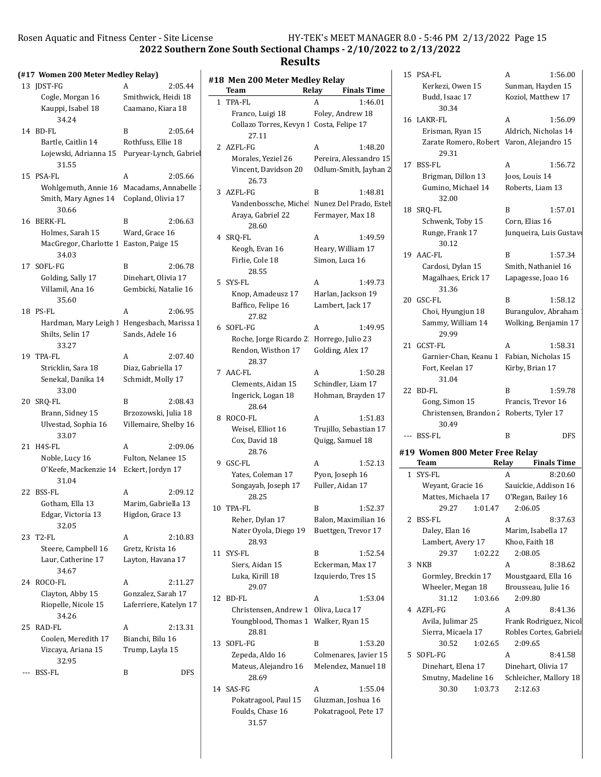$HY-TEK's MEET MANAGER 8.0 - 5:46 PM 2/13/2022 Page 15$ 

 $\text{err}$  Zone South Sectional Champs -  $2/10/2022$  to  $2/13/2022$ 

# Results

|     | Rosen Aquatic and Fitness Center - Site License                           | 2022 Southern Zo                         |                          |
|-----|---------------------------------------------------------------------------|------------------------------------------|--------------------------|
|     | (#17 Women 200 Meter Medley Relay)                                        |                                          |                          |
|     | 13 JDST-FG                                                                | 2:05.44<br>A                             | #1                       |
|     | Cogle, Morgan 16<br>Kauppi, Isabel 18<br>34.24                            | Smithwick, Heidi 18<br>Caamano, Kiara 18 | 1                        |
|     | 14 BD-FL                                                                  | B<br>2:05.64                             |                          |
|     | Bartle, Caitlin 14                                                        | Rothfuss, Ellie 18                       |                          |
|     | Lojewski, Adrianna 15 Puryear-Lynch, Gabrie<br>31.55                      |                                          | í                        |
|     | 15 PSA-FL                                                                 | 2:05.66<br>A                             |                          |
|     | Wohlgemuth, Annie 16 Macadams, Annabelle<br>Smith, Mary Agnes 14<br>30.66 | Copland, Olivia 17                       | Ξ                        |
|     | 16 BERK-FL                                                                | B<br>2:06.63                             |                          |
|     | Holmes, Sarah 15<br>MacGregor, Charlotte 1 Easton, Paige 15<br>34.03      | Ward, Grace 16                           | $\overline{\mathcal{L}}$ |
|     | 17 SOFL-FG                                                                | B<br>2:06.78                             |                          |
|     | Golding, Sally 17                                                         | Dinehart, Olivia 17                      | Ē                        |
|     | Villamil, Ana 16<br>35.60                                                 | Gembicki, Natalie 16                     |                          |
|     | 18 PS-FL                                                                  | A<br>2:06.95                             |                          |
|     | Hardman, Mary Leigh<br>Shilts, Selin 17<br>33.27                          | Hengesbach, Marissa 1<br>Sands, Adele 16 | $\epsilon$               |
|     | 19 TPA-FL                                                                 | 2:07.40<br>A                             |                          |
|     | Stricklin, Sara 18                                                        | Diaz, Gabriella 17                       | 7                        |
|     | Senekal, Danika 14<br>33.00                                               | Schmidt, Molly 17                        |                          |
|     | 20 SRQ-FL                                                                 | B<br>2:08.43                             |                          |
|     | Brann, Sidney 15                                                          | Brzozowski, Julia 18                     |                          |
|     | Ulvestad, Sophia 16<br>33.07                                              | Villemaire, Shelby 16                    | ٤                        |
|     | 21 H4S-FL                                                                 | 2:09.06<br>A                             |                          |
|     | Noble, Lucy 16                                                            | Fulton, Nelanee 15                       | ć                        |
|     | O'Keefe, Mackenzie 14<br>31.04                                            | Eckert, Jordyn 17                        |                          |
|     | 22 BSS-FL                                                                 | 2:09.12<br>A                             |                          |
|     | Gotham, Ella 13<br>Edgar, Victoria 13<br>32.05                            | Marim. Gabriella 13<br>Higdon, Grace 13  | 10                       |
| 23  | T <sub>2</sub> -FL                                                        | 2:10.83<br>A                             |                          |
|     | Steere, Campbell 16                                                       | Gretz, Krista 16                         |                          |
|     | Laur, Catherine 17<br>34.67                                               | Layton, Havana 17                        | 11                       |
|     | 24 ROCO-FL                                                                | A<br>2:11.27                             |                          |
|     | Clayton, Abby 15                                                          | Gonzalez, Sarah 17                       | 12                       |
|     | Riopelle, Nicole 15<br>34.26                                              | Laferriere, Katelyn 17                   |                          |
| 25  | RAD-FL                                                                    | A<br>2:13.31                             |                          |
|     | Coolen, Meredith 17<br>Vizcaya, Ariana 15<br>32.95                        | Bianchi, Bilu 16<br>Trump, Layla 15      | 13                       |
| --- | <b>BSS-FL</b>                                                             | B<br>DFS                                 |                          |
|     |                                                                           |                                          |                          |

|              | #18 Men 200 Meter Medley Relay<br>Team   | Relay<br><b>Finals Time</b>                 | 15  |
|--------------|------------------------------------------|---------------------------------------------|-----|
| $\mathbf{1}$ | TPA-FL                                   | 1:46.01<br>A                                |     |
|              | Franco, Luigi 18                         | Foley, Andrew 18                            |     |
|              | Collazo Torres, Kevyn 1 Costa, Felipe 17 |                                             | 16  |
|              | 27.11                                    |                                             |     |
| 2            | AZFL-FG                                  | A<br>1:48.20                                |     |
|              | Morales, Yeziel 26                       | Pereira, Alessandro 15                      |     |
|              | Vincent, Davidson 20                     | Odlum-Smith, Jayhan 2                       | 17  |
|              | 26.73                                    |                                             |     |
| 3            | AZFL-FG                                  | B<br>1:48.81                                |     |
|              |                                          | Vandenbossche, Miche Nunez Del Prado, Estel |     |
|              | Araya, Gabriel 22                        | Fermayer, Max 18                            | 18  |
|              | 28.60                                    |                                             |     |
|              | 4 SRQ-FL                                 | 1:49.59<br>A                                |     |
|              | Keogh, Evan 16                           | Heary, William 17                           |     |
|              | Firlie, Cole 18                          | Simon, Luca 16                              | 19  |
|              | 28.55                                    |                                             |     |
| 5.           | SYS-FL                                   | 1:49.73<br>A                                |     |
|              | Knop, Amadeusz 17                        | Harlan, Jackson 19                          |     |
|              | Baffico, Felipe 16                       | Lambert, Jack 17                            | 20  |
|              | 27.82                                    |                                             |     |
| 6            | SOFL-FG                                  | A<br>1:49.95                                |     |
|              | Roche, Jorge Ricardo 2                   | Horrego, Julio 23                           |     |
|              | Rendon, Wisthon 17                       | Golding, Alex 17                            | 21  |
|              | 28.37                                    |                                             |     |
|              | 7 AAC-FL                                 | 1:50.28<br>A                                |     |
|              | Clements, Aidan 15                       | Schindler, Liam 17                          | 22  |
|              | Ingerick, Logan 18<br>28.64              | Hohman, Brayden 17                          |     |
| 8            | ROCO-FL                                  | A<br>1:51.83                                |     |
|              | Weisel, Elliot 16                        | Trujillo, Sebastian 17                      |     |
|              | Cox, David 18                            | Quigg, Samuel 18                            |     |
|              | 28.76                                    |                                             | #19 |
| 9            | GSC-FL                                   | 1:52.13<br>A                                |     |
|              | Yates, Coleman 17                        | Pyon, Joseph 16                             | 1   |
|              | Songayab, Joseph 17                      | Fuller, Aidan 17                            |     |
|              | 28.25                                    |                                             |     |
|              | 10 TPA-FL                                | 1:52.37<br>B                                |     |
|              | Reher, Dylan 17                          | Balon, Maximilian 16                        | 2   |
|              | Nater Oyola, Diego 19<br>28.93           | Buettgen, Trevor 17                         |     |
| 11           | SYS-FL                                   | B<br>1:52.54                                |     |
|              | Siers, Aidan 15                          | Eckerman, Max 17                            | 3   |
|              | Luka, Kirill 18<br>29.07                 | Izquierdo, Tres 15                          |     |
| 12           | BD-FL                                    | A<br>1:53.04                                |     |
|              | Christensen, Andrew 1                    | Oliva, Luca 17                              | 4   |
|              | Youngblood, Thomas 1                     | Walker, Ryan 15                             |     |
|              | 28.81                                    |                                             |     |
| 13           | SOFL-FG                                  | B<br>1:53.20                                |     |
|              | Zepeda, Aldo 16                          | Colmenares, Javier 15                       | 5   |
|              | Mateus, Alejandro 16                     | Melendez, Manuel 18                         |     |
|              | 28.69<br>14 SAS-FG                       | 1:55.04<br>A                                |     |
|              | Pokatragool, Paul 15                     | Gluzman, Joshua 16                          |     |
|              | Foulds, Chase 16                         | Pokatragool, Pete 17                        |     |
|              | 31.57                                    |                                             |     |

|     | 15 PSA-FL                                 | A<br>1:56.00                      |
|-----|-------------------------------------------|-----------------------------------|
|     | Kerkezi, Owen 15                          | Sunman, Hayden 15                 |
|     | Budd, Isaac 17                            | Koziol, Matthew 17                |
|     | 30.34                                     |                                   |
|     | 16 LAKR-FL                                | A<br>1:56.09                      |
|     | Erisman, Ryan 15                          | Aldrich, Nicholas 14              |
|     | Zarate Romero, Robert Varon, Alejandro 15 |                                   |
|     | 29.31                                     |                                   |
|     | 17 BSS-FL                                 | 1:56.72<br>A                      |
|     | Brigman, Dillon 13                        | Joos, Louis 14                    |
|     | Gumino, Michael 14                        | Roberts, Liam 13                  |
|     | 32.00                                     |                                   |
| 18  | SRQ-FL                                    | B<br>1:57.01                      |
|     | Schwenk, Toby 15                          | Corn, Elias 16                    |
|     | Runge, Frank 17                           | Junqueira, Luis Gustavo           |
|     | 30.12                                     |                                   |
|     | 19 AAC-FL                                 | B<br>1:57.34                      |
|     | Cardosi, Dylan 15                         | Smith, Nathaniel 16               |
|     | Magalhaes, Erick 17                       | Lapagesse, Joao 16                |
|     | 31.36                                     |                                   |
| 20  | GSC-FL                                    | B<br>1:58.12                      |
|     | Choi, Hyungjun 18                         | Burangulov, Abraham               |
|     | Sammy, William 14                         | Wolking, Benjamin 17              |
|     | 29.99                                     |                                   |
| 21  | GCST-FL                                   | A<br>1:58.31                      |
|     | Garnier-Chan, Keanu 1                     | Fabian, Nicholas 15               |
|     | Fort, Keelan 17                           | Kirby, Brian 17                   |
|     | 31.04                                     |                                   |
| 22  | BD-FL                                     | B<br>1:59.78                      |
|     |                                           |                                   |
|     |                                           |                                   |
|     | Gong, Simon 15                            | Francis, Trevor 16                |
|     | Christensen, Brandon 2                    | Roberts, Tyler 17                 |
|     | 30.49                                     |                                   |
| --- | <b>BSS-FL</b>                             | <b>DFS</b><br>B                   |
|     | #19 Women 800 Meter Free Relay            |                                   |
|     | Team                                      | <b>Finals Time</b><br>Relay       |
| 1   | SYS-FL                                    | 8:20.60<br>A                      |
|     | Weyant, Gracie 16                         | Sauickie, Addison 16              |
|     | Mattes, Michaela 17                       | O'Regan, Bailey 16                |
|     | 29.27 1:01.47                             | 2:06.05                           |
| 2   | BSS-FL                                    | A<br>8:37.63                      |
|     | Daley, Elan 16                            | Marim, Isabella 17                |
|     | Lambert, Avery 17                         | Khoo, Faith 18                    |
|     | 29.37<br>1:02.22                          | 2:08.05                           |
| 3   | <b>NKB</b>                                | A<br>8:38.62                      |
|     |                                           | Moustgaard, Ella 16               |
|     | Gormley, Breckin 17<br>Wheeler, Megan 18  | Brousseau, Julie 16               |
|     | 31.12<br>1:03.66                          | 2:09.80                           |
| 4   | AZFL-FG                                   | 8:41.36<br>A                      |
|     |                                           |                                   |
|     | Avila, Julimar 25                         | Frank Rodriguez, Nicol            |
|     | Sierra, Micaela 17                        | Robles Cortes, Gabriela           |
|     | 30.52<br>1:02.65                          | 2:09.65                           |
| 5   | SOFL-FG                                   | A<br>8:41.58                      |
|     | Dinehart, Elena 17                        | Dinehart, Olivia 17               |
|     | Smutny, Madeline 16<br>30.30<br>1:03.73   | Schleicher, Mallory 18<br>2:12.63 |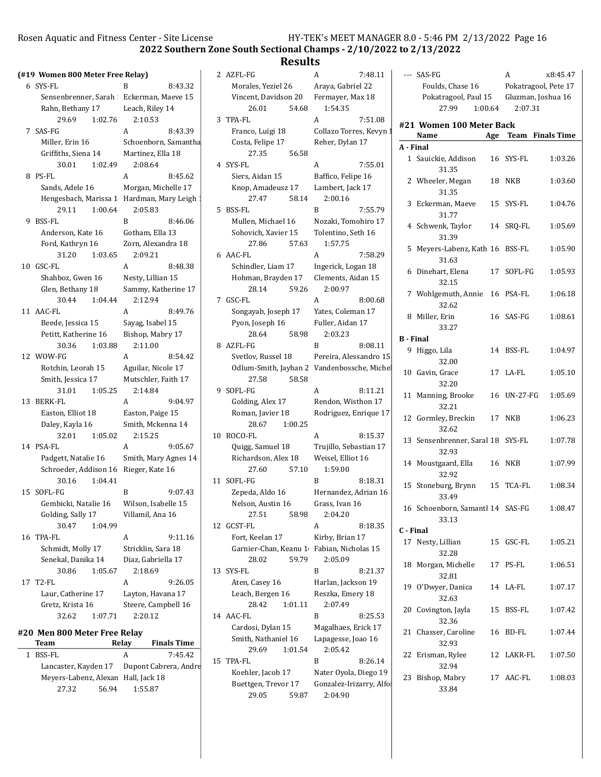22 Erisman, Rylee 12 LAKR-FL 1:07.50

23 Bishop, Mabry 17 AAC-FL 1:08.03

32.94

33.84

2022 Southern Zone South Sectional Champs - 2/10/2022 to 2/13/2022

### Results

29.69 1:01.54 2:05.42 15 TPA-FL B 8:26.14 Koehler, Jacob 17 Nater Oyola, Diego 19 Buettgen, Trevor 17 Gonzalez-Irizarry, Alfon 29.05 59.87 2:04.90

|                      |                                                    |                                                                                                                                                                                                                                                                                                                                                                                                                                          |                      | A                                                                                                                                                                                                                            | 7:48.11                                                                         |                                                                                                                                                                                                                                                                                                                                                                                                                                                                                                                                                                                                                                                                                                                                          |                  |                                                                                                                                                                                                                                                                                                                                                                                                                                                                                                                                                                                                                | A                               | x8:45.47                                                                                                                                                                                                                                                                                                                                                                                                                |
|----------------------|----------------------------------------------------|------------------------------------------------------------------------------------------------------------------------------------------------------------------------------------------------------------------------------------------------------------------------------------------------------------------------------------------------------------------------------------------------------------------------------------------|----------------------|------------------------------------------------------------------------------------------------------------------------------------------------------------------------------------------------------------------------------|---------------------------------------------------------------------------------|------------------------------------------------------------------------------------------------------------------------------------------------------------------------------------------------------------------------------------------------------------------------------------------------------------------------------------------------------------------------------------------------------------------------------------------------------------------------------------------------------------------------------------------------------------------------------------------------------------------------------------------------------------------------------------------------------------------------------------------|------------------|----------------------------------------------------------------------------------------------------------------------------------------------------------------------------------------------------------------------------------------------------------------------------------------------------------------------------------------------------------------------------------------------------------------------------------------------------------------------------------------------------------------------------------------------------------------------------------------------------------------|---------------------------------|-------------------------------------------------------------------------------------------------------------------------------------------------------------------------------------------------------------------------------------------------------------------------------------------------------------------------------------------------------------------------------------------------------------------------|
| 6 SYS-FL             | B<br>8:43.32                                       |                                                                                                                                                                                                                                                                                                                                                                                                                                          | Morales, Yeziel 26   |                                                                                                                                                                                                                              |                                                                                 |                                                                                                                                                                                                                                                                                                                                                                                                                                                                                                                                                                                                                                                                                                                                          | Foulds, Chase 16 |                                                                                                                                                                                                                                                                                                                                                                                                                                                                                                                                                                                                                |                                 | Pokatragool, Pete 17                                                                                                                                                                                                                                                                                                                                                                                                    |
|                      |                                                    |                                                                                                                                                                                                                                                                                                                                                                                                                                          | Vincent, Davidson 20 |                                                                                                                                                                                                                              |                                                                                 |                                                                                                                                                                                                                                                                                                                                                                                                                                                                                                                                                                                                                                                                                                                                          |                  |                                                                                                                                                                                                                                                                                                                                                                                                                                                                                                                                                                                                                |                                 | Gluzman, Joshua 16                                                                                                                                                                                                                                                                                                                                                                                                      |
| Rahn, Bethany 17     | Leach, Riley 14                                    |                                                                                                                                                                                                                                                                                                                                                                                                                                          | 26.01                |                                                                                                                                                                                                                              |                                                                                 |                                                                                                                                                                                                                                                                                                                                                                                                                                                                                                                                                                                                                                                                                                                                          | 27.99            |                                                                                                                                                                                                                                                                                                                                                                                                                                                                                                                                                                                                                | 2:07.31                         |                                                                                                                                                                                                                                                                                                                                                                                                                         |
| 29.69                | 2:10.53                                            |                                                                                                                                                                                                                                                                                                                                                                                                                                          |                      | A                                                                                                                                                                                                                            | 7:51.08                                                                         |                                                                                                                                                                                                                                                                                                                                                                                                                                                                                                                                                                                                                                                                                                                                          |                  |                                                                                                                                                                                                                                                                                                                                                                                                                                                                                                                                                                                                                |                                 |                                                                                                                                                                                                                                                                                                                                                                                                                         |
| 7 SAS-FG             | 8:43.39<br>A                                       |                                                                                                                                                                                                                                                                                                                                                                                                                                          | Franco, Luigi 18     |                                                                                                                                                                                                                              |                                                                                 |                                                                                                                                                                                                                                                                                                                                                                                                                                                                                                                                                                                                                                                                                                                                          |                  |                                                                                                                                                                                                                                                                                                                                                                                                                                                                                                                                                                                                                |                                 |                                                                                                                                                                                                                                                                                                                                                                                                                         |
| Miller, Erin 16      |                                                    |                                                                                                                                                                                                                                                                                                                                                                                                                                          | Costa, Felipe 17     |                                                                                                                                                                                                                              |                                                                                 |                                                                                                                                                                                                                                                                                                                                                                                                                                                                                                                                                                                                                                                                                                                                          |                  |                                                                                                                                                                                                                                                                                                                                                                                                                                                                                                                                                                                                                |                                 |                                                                                                                                                                                                                                                                                                                                                                                                                         |
| Griffiths, Siena 14  | Martinez, Ella 18                                  |                                                                                                                                                                                                                                                                                                                                                                                                                                          | 27.35                |                                                                                                                                                                                                                              |                                                                                 |                                                                                                                                                                                                                                                                                                                                                                                                                                                                                                                                                                                                                                                                                                                                          |                  |                                                                                                                                                                                                                                                                                                                                                                                                                                                                                                                                                                                                                |                                 | 1:03.26                                                                                                                                                                                                                                                                                                                                                                                                                 |
| 30.01                | 2:08.64                                            |                                                                                                                                                                                                                                                                                                                                                                                                                                          |                      | A                                                                                                                                                                                                                            | 7:55.01                                                                         |                                                                                                                                                                                                                                                                                                                                                                                                                                                                                                                                                                                                                                                                                                                                          |                  |                                                                                                                                                                                                                                                                                                                                                                                                                                                                                                                                                                                                                |                                 |                                                                                                                                                                                                                                                                                                                                                                                                                         |
| 8 PS-FL              | A<br>8:45.62                                       |                                                                                                                                                                                                                                                                                                                                                                                                                                          | Siers, Aidan 15      |                                                                                                                                                                                                                              |                                                                                 |                                                                                                                                                                                                                                                                                                                                                                                                                                                                                                                                                                                                                                                                                                                                          |                  |                                                                                                                                                                                                                                                                                                                                                                                                                                                                                                                                                                                                                |                                 | 1:03.60                                                                                                                                                                                                                                                                                                                                                                                                                 |
| Sands, Adele 16      | Morgan, Michelle 17                                |                                                                                                                                                                                                                                                                                                                                                                                                                                          | Knop, Amadeusz 17    |                                                                                                                                                                                                                              |                                                                                 |                                                                                                                                                                                                                                                                                                                                                                                                                                                                                                                                                                                                                                                                                                                                          |                  |                                                                                                                                                                                                                                                                                                                                                                                                                                                                                                                                                                                                                |                                 |                                                                                                                                                                                                                                                                                                                                                                                                                         |
|                      |                                                    |                                                                                                                                                                                                                                                                                                                                                                                                                                          | 27.47                |                                                                                                                                                                                                                              |                                                                                 |                                                                                                                                                                                                                                                                                                                                                                                                                                                                                                                                                                                                                                                                                                                                          |                  |                                                                                                                                                                                                                                                                                                                                                                                                                                                                                                                                                                                                                |                                 | 1:04.76                                                                                                                                                                                                                                                                                                                                                                                                                 |
| 29.11                | 2:05.83                                            |                                                                                                                                                                                                                                                                                                                                                                                                                                          |                      | B                                                                                                                                                                                                                            | 7:55.79                                                                         |                                                                                                                                                                                                                                                                                                                                                                                                                                                                                                                                                                                                                                                                                                                                          |                  |                                                                                                                                                                                                                                                                                                                                                                                                                                                                                                                                                                                                                |                                 |                                                                                                                                                                                                                                                                                                                                                                                                                         |
| 9 BSS-FL             | $\mathbf{B}$<br>8:46.06                            |                                                                                                                                                                                                                                                                                                                                                                                                                                          | Mullen, Michael 16   |                                                                                                                                                                                                                              |                                                                                 |                                                                                                                                                                                                                                                                                                                                                                                                                                                                                                                                                                                                                                                                                                                                          |                  |                                                                                                                                                                                                                                                                                                                                                                                                                                                                                                                                                                                                                |                                 | 1:05.69                                                                                                                                                                                                                                                                                                                                                                                                                 |
| Anderson, Kate 16    | Gotham, Ella 13                                    |                                                                                                                                                                                                                                                                                                                                                                                                                                          | Sohovich, Xavier 15  |                                                                                                                                                                                                                              |                                                                                 |                                                                                                                                                                                                                                                                                                                                                                                                                                                                                                                                                                                                                                                                                                                                          |                  |                                                                                                                                                                                                                                                                                                                                                                                                                                                                                                                                                                                                                |                                 |                                                                                                                                                                                                                                                                                                                                                                                                                         |
| Ford, Kathryn 16     | Zorn, Alexandra 18                                 |                                                                                                                                                                                                                                                                                                                                                                                                                                          | 27.86                |                                                                                                                                                                                                                              |                                                                                 |                                                                                                                                                                                                                                                                                                                                                                                                                                                                                                                                                                                                                                                                                                                                          |                  |                                                                                                                                                                                                                                                                                                                                                                                                                                                                                                                                                                                                                |                                 | 1:05.90                                                                                                                                                                                                                                                                                                                                                                                                                 |
| 31.20                | 2:09.21                                            |                                                                                                                                                                                                                                                                                                                                                                                                                                          |                      | A                                                                                                                                                                                                                            | 7:58.29                                                                         |                                                                                                                                                                                                                                                                                                                                                                                                                                                                                                                                                                                                                                                                                                                                          |                  |                                                                                                                                                                                                                                                                                                                                                                                                                                                                                                                                                                                                                |                                 |                                                                                                                                                                                                                                                                                                                                                                                                                         |
| 10 GSC-FL            | 8:48.38<br>A                                       |                                                                                                                                                                                                                                                                                                                                                                                                                                          | Schindler, Liam 17   |                                                                                                                                                                                                                              |                                                                                 |                                                                                                                                                                                                                                                                                                                                                                                                                                                                                                                                                                                                                                                                                                                                          |                  |                                                                                                                                                                                                                                                                                                                                                                                                                                                                                                                                                                                                                |                                 | 1:05.93                                                                                                                                                                                                                                                                                                                                                                                                                 |
| Shahboz, Gwen 16     | Nesty, Lillian 15                                  |                                                                                                                                                                                                                                                                                                                                                                                                                                          | Hohman, Brayden 17   |                                                                                                                                                                                                                              |                                                                                 |                                                                                                                                                                                                                                                                                                                                                                                                                                                                                                                                                                                                                                                                                                                                          |                  |                                                                                                                                                                                                                                                                                                                                                                                                                                                                                                                                                                                                                |                                 |                                                                                                                                                                                                                                                                                                                                                                                                                         |
| Glen, Bethany 18     | Sammy, Katherine 17                                |                                                                                                                                                                                                                                                                                                                                                                                                                                          | 28.14                |                                                                                                                                                                                                                              |                                                                                 |                                                                                                                                                                                                                                                                                                                                                                                                                                                                                                                                                                                                                                                                                                                                          |                  |                                                                                                                                                                                                                                                                                                                                                                                                                                                                                                                                                                                                                |                                 | 1:06.18                                                                                                                                                                                                                                                                                                                                                                                                                 |
| 30.44                | 2:12.94                                            |                                                                                                                                                                                                                                                                                                                                                                                                                                          |                      | A                                                                                                                                                                                                                            | 8:00.68                                                                         |                                                                                                                                                                                                                                                                                                                                                                                                                                                                                                                                                                                                                                                                                                                                          |                  |                                                                                                                                                                                                                                                                                                                                                                                                                                                                                                                                                                                                                |                                 |                                                                                                                                                                                                                                                                                                                                                                                                                         |
| 11 AAC-FL            | A<br>8:49.76                                       |                                                                                                                                                                                                                                                                                                                                                                                                                                          | Songayab, Joseph 17  |                                                                                                                                                                                                                              |                                                                                 |                                                                                                                                                                                                                                                                                                                                                                                                                                                                                                                                                                                                                                                                                                                                          |                  |                                                                                                                                                                                                                                                                                                                                                                                                                                                                                                                                                                                                                |                                 | 1:08.61                                                                                                                                                                                                                                                                                                                                                                                                                 |
| Beede, Jessica 15    | Savag, Isabel 15                                   |                                                                                                                                                                                                                                                                                                                                                                                                                                          | Pyon, Joseph 16      |                                                                                                                                                                                                                              |                                                                                 |                                                                                                                                                                                                                                                                                                                                                                                                                                                                                                                                                                                                                                                                                                                                          |                  |                                                                                                                                                                                                                                                                                                                                                                                                                                                                                                                                                                                                                |                                 |                                                                                                                                                                                                                                                                                                                                                                                                                         |
| Petitt, Katherine 16 | Bishop, Mabry 17                                   |                                                                                                                                                                                                                                                                                                                                                                                                                                          | 28.64                |                                                                                                                                                                                                                              |                                                                                 |                                                                                                                                                                                                                                                                                                                                                                                                                                                                                                                                                                                                                                                                                                                                          |                  |                                                                                                                                                                                                                                                                                                                                                                                                                                                                                                                                                                                                                |                                 |                                                                                                                                                                                                                                                                                                                                                                                                                         |
| 30.36                | 2:11.00                                            |                                                                                                                                                                                                                                                                                                                                                                                                                                          |                      | B                                                                                                                                                                                                                            | 8:08.11                                                                         |                                                                                                                                                                                                                                                                                                                                                                                                                                                                                                                                                                                                                                                                                                                                          |                  |                                                                                                                                                                                                                                                                                                                                                                                                                                                                                                                                                                                                                |                                 | 1:04.97                                                                                                                                                                                                                                                                                                                                                                                                                 |
| 12 WOW-FG            | $\mathbf{A}$<br>8:54.42                            |                                                                                                                                                                                                                                                                                                                                                                                                                                          | Svetlov, Russel 18   |                                                                                                                                                                                                                              |                                                                                 |                                                                                                                                                                                                                                                                                                                                                                                                                                                                                                                                                                                                                                                                                                                                          |                  |                                                                                                                                                                                                                                                                                                                                                                                                                                                                                                                                                                                                                |                                 |                                                                                                                                                                                                                                                                                                                                                                                                                         |
| Rotchin, Leorah 15   | Aguilar, Nicole 17                                 |                                                                                                                                                                                                                                                                                                                                                                                                                                          |                      |                                                                                                                                                                                                                              |                                                                                 |                                                                                                                                                                                                                                                                                                                                                                                                                                                                                                                                                                                                                                                                                                                                          |                  |                                                                                                                                                                                                                                                                                                                                                                                                                                                                                                                                                                                                                |                                 | 1:05.10                                                                                                                                                                                                                                                                                                                                                                                                                 |
| Smith, Jessica 17    | Mutschler, Faith 17                                |                                                                                                                                                                                                                                                                                                                                                                                                                                          | 27.58<br>58.58       |                                                                                                                                                                                                                              |                                                                                 |                                                                                                                                                                                                                                                                                                                                                                                                                                                                                                                                                                                                                                                                                                                                          |                  |                                                                                                                                                                                                                                                                                                                                                                                                                                                                                                                                                                                                                |                                 |                                                                                                                                                                                                                                                                                                                                                                                                                         |
| 31.01                | 2:14.84                                            |                                                                                                                                                                                                                                                                                                                                                                                                                                          |                      | A                                                                                                                                                                                                                            | 8:11.21                                                                         |                                                                                                                                                                                                                                                                                                                                                                                                                                                                                                                                                                                                                                                                                                                                          |                  |                                                                                                                                                                                                                                                                                                                                                                                                                                                                                                                                                                                                                |                                 | 1:05.69                                                                                                                                                                                                                                                                                                                                                                                                                 |
| 13 BERK-FL           | 9:04.97<br>A                                       |                                                                                                                                                                                                                                                                                                                                                                                                                                          | Golding, Alex 17     |                                                                                                                                                                                                                              |                                                                                 |                                                                                                                                                                                                                                                                                                                                                                                                                                                                                                                                                                                                                                                                                                                                          |                  |                                                                                                                                                                                                                                                                                                                                                                                                                                                                                                                                                                                                                |                                 |                                                                                                                                                                                                                                                                                                                                                                                                                         |
| Easton, Elliot 18    | Easton, Paige 15                                   |                                                                                                                                                                                                                                                                                                                                                                                                                                          | Roman, Javier 18     |                                                                                                                                                                                                                              |                                                                                 |                                                                                                                                                                                                                                                                                                                                                                                                                                                                                                                                                                                                                                                                                                                                          |                  |                                                                                                                                                                                                                                                                                                                                                                                                                                                                                                                                                                                                                |                                 | 1:06.23                                                                                                                                                                                                                                                                                                                                                                                                                 |
| Daley, Kayla 16      | Smith, Mckenna 14                                  |                                                                                                                                                                                                                                                                                                                                                                                                                                          | 28.67<br>1:00.25     |                                                                                                                                                                                                                              |                                                                                 |                                                                                                                                                                                                                                                                                                                                                                                                                                                                                                                                                                                                                                                                                                                                          |                  |                                                                                                                                                                                                                                                                                                                                                                                                                                                                                                                                                                                                                |                                 |                                                                                                                                                                                                                                                                                                                                                                                                                         |
| 32.01                | 2:15.25                                            |                                                                                                                                                                                                                                                                                                                                                                                                                                          |                      | A                                                                                                                                                                                                                            | 8:15.37                                                                         |                                                                                                                                                                                                                                                                                                                                                                                                                                                                                                                                                                                                                                                                                                                                          |                  |                                                                                                                                                                                                                                                                                                                                                                                                                                                                                                                                                                                                                |                                 | 1:07.78                                                                                                                                                                                                                                                                                                                                                                                                                 |
| 14 PSA-FL            | 9:05.67<br>A                                       |                                                                                                                                                                                                                                                                                                                                                                                                                                          | Quigg, Samuel 18     |                                                                                                                                                                                                                              |                                                                                 |                                                                                                                                                                                                                                                                                                                                                                                                                                                                                                                                                                                                                                                                                                                                          |                  |                                                                                                                                                                                                                                                                                                                                                                                                                                                                                                                                                                                                                |                                 |                                                                                                                                                                                                                                                                                                                                                                                                                         |
| Padgett, Natalie 16  | Smith, Mary Agnes 14                               |                                                                                                                                                                                                                                                                                                                                                                                                                                          | Richardson, Alex 18  |                                                                                                                                                                                                                              |                                                                                 |                                                                                                                                                                                                                                                                                                                                                                                                                                                                                                                                                                                                                                                                                                                                          |                  |                                                                                                                                                                                                                                                                                                                                                                                                                                                                                                                                                                                                                |                                 | 1:07.99                                                                                                                                                                                                                                                                                                                                                                                                                 |
|                      |                                                    |                                                                                                                                                                                                                                                                                                                                                                                                                                          | 27.60                |                                                                                                                                                                                                                              |                                                                                 |                                                                                                                                                                                                                                                                                                                                                                                                                                                                                                                                                                                                                                                                                                                                          |                  |                                                                                                                                                                                                                                                                                                                                                                                                                                                                                                                                                                                                                |                                 |                                                                                                                                                                                                                                                                                                                                                                                                                         |
| 30.16                |                                                    |                                                                                                                                                                                                                                                                                                                                                                                                                                          |                      | B                                                                                                                                                                                                                            | 8:18.31                                                                         |                                                                                                                                                                                                                                                                                                                                                                                                                                                                                                                                                                                                                                                                                                                                          |                  |                                                                                                                                                                                                                                                                                                                                                                                                                                                                                                                                                                                                                |                                 | 1:08.34                                                                                                                                                                                                                                                                                                                                                                                                                 |
| 15 SOFL-FG           | $\mathbf{B}$<br>9:07.43                            |                                                                                                                                                                                                                                                                                                                                                                                                                                          | Zepeda, Aldo 16      |                                                                                                                                                                                                                              |                                                                                 |                                                                                                                                                                                                                                                                                                                                                                                                                                                                                                                                                                                                                                                                                                                                          |                  |                                                                                                                                                                                                                                                                                                                                                                                                                                                                                                                                                                                                                |                                 |                                                                                                                                                                                                                                                                                                                                                                                                                         |
|                      |                                                    |                                                                                                                                                                                                                                                                                                                                                                                                                                          | Nelson, Austin 16    |                                                                                                                                                                                                                              |                                                                                 |                                                                                                                                                                                                                                                                                                                                                                                                                                                                                                                                                                                                                                                                                                                                          |                  |                                                                                                                                                                                                                                                                                                                                                                                                                                                                                                                                                                                                                |                                 | 1:08.47                                                                                                                                                                                                                                                                                                                                                                                                                 |
| Golding, Sally 17    | Villamil, Ana 16                                   |                                                                                                                                                                                                                                                                                                                                                                                                                                          | 27.51                |                                                                                                                                                                                                                              |                                                                                 |                                                                                                                                                                                                                                                                                                                                                                                                                                                                                                                                                                                                                                                                                                                                          |                  |                                                                                                                                                                                                                                                                                                                                                                                                                                                                                                                                                                                                                |                                 |                                                                                                                                                                                                                                                                                                                                                                                                                         |
| 30.47                |                                                    |                                                                                                                                                                                                                                                                                                                                                                                                                                          |                      | A                                                                                                                                                                                                                            | 8:18.35                                                                         |                                                                                                                                                                                                                                                                                                                                                                                                                                                                                                                                                                                                                                                                                                                                          |                  |                                                                                                                                                                                                                                                                                                                                                                                                                                                                                                                                                                                                                |                                 |                                                                                                                                                                                                                                                                                                                                                                                                                         |
| 16 TPA-FL            | 9:11.16<br>A                                       |                                                                                                                                                                                                                                                                                                                                                                                                                                          | Fort, Keelan 17      |                                                                                                                                                                                                                              |                                                                                 |                                                                                                                                                                                                                                                                                                                                                                                                                                                                                                                                                                                                                                                                                                                                          |                  |                                                                                                                                                                                                                                                                                                                                                                                                                                                                                                                                                                                                                |                                 | 1:05.21                                                                                                                                                                                                                                                                                                                                                                                                                 |
|                      |                                                    |                                                                                                                                                                                                                                                                                                                                                                                                                                          |                      |                                                                                                                                                                                                                              |                                                                                 |                                                                                                                                                                                                                                                                                                                                                                                                                                                                                                                                                                                                                                                                                                                                          |                  |                                                                                                                                                                                                                                                                                                                                                                                                                                                                                                                                                                                                                |                                 |                                                                                                                                                                                                                                                                                                                                                                                                                         |
|                      |                                                    |                                                                                                                                                                                                                                                                                                                                                                                                                                          |                      |                                                                                                                                                                                                                              |                                                                                 |                                                                                                                                                                                                                                                                                                                                                                                                                                                                                                                                                                                                                                                                                                                                          |                  |                                                                                                                                                                                                                                                                                                                                                                                                                                                                                                                                                                                                                |                                 | 1:06.51                                                                                                                                                                                                                                                                                                                                                                                                                 |
| 30.86                | 2:18.69                                            |                                                                                                                                                                                                                                                                                                                                                                                                                                          |                      | B                                                                                                                                                                                                                            | 8:21.37                                                                         |                                                                                                                                                                                                                                                                                                                                                                                                                                                                                                                                                                                                                                                                                                                                          |                  |                                                                                                                                                                                                                                                                                                                                                                                                                                                                                                                                                                                                                |                                 |                                                                                                                                                                                                                                                                                                                                                                                                                         |
| 17 T2-FL             | 9:26.05<br>A                                       |                                                                                                                                                                                                                                                                                                                                                                                                                                          |                      |                                                                                                                                                                                                                              |                                                                                 |                                                                                                                                                                                                                                                                                                                                                                                                                                                                                                                                                                                                                                                                                                                                          |                  |                                                                                                                                                                                                                                                                                                                                                                                                                                                                                                                                                                                                                |                                 | 1:07.17                                                                                                                                                                                                                                                                                                                                                                                                                 |
| Laur, Catherine 17   | Layton, Havana 17                                  |                                                                                                                                                                                                                                                                                                                                                                                                                                          | Leach, Bergen 16     |                                                                                                                                                                                                                              |                                                                                 |                                                                                                                                                                                                                                                                                                                                                                                                                                                                                                                                                                                                                                                                                                                                          | 32.63            |                                                                                                                                                                                                                                                                                                                                                                                                                                                                                                                                                                                                                |                                 |                                                                                                                                                                                                                                                                                                                                                                                                                         |
| Gretz, Krista 16     | Steere, Campbell 16                                |                                                                                                                                                                                                                                                                                                                                                                                                                                          | 28.42                |                                                                                                                                                                                                                              |                                                                                 |                                                                                                                                                                                                                                                                                                                                                                                                                                                                                                                                                                                                                                                                                                                                          |                  |                                                                                                                                                                                                                                                                                                                                                                                                                                                                                                                                                                                                                |                                 | 1:07.42                                                                                                                                                                                                                                                                                                                                                                                                                 |
| 32.62                |                                                    |                                                                                                                                                                                                                                                                                                                                                                                                                                          |                      | $\, {\bf B}$                                                                                                                                                                                                                 | 8:25.53                                                                         |                                                                                                                                                                                                                                                                                                                                                                                                                                                                                                                                                                                                                                                                                                                                          | 32.36            |                                                                                                                                                                                                                                                                                                                                                                                                                                                                                                                                                                                                                |                                 |                                                                                                                                                                                                                                                                                                                                                                                                                         |
|                      |                                                    |                                                                                                                                                                                                                                                                                                                                                                                                                                          |                      |                                                                                                                                                                                                                              |                                                                                 |                                                                                                                                                                                                                                                                                                                                                                                                                                                                                                                                                                                                                                                                                                                                          |                  |                                                                                                                                                                                                                                                                                                                                                                                                                                                                                                                                                                                                                |                                 | 1:07.44                                                                                                                                                                                                                                                                                                                                                                                                                 |
| Team                 | <b>Finals Time</b>                                 |                                                                                                                                                                                                                                                                                                                                                                                                                                          | Smith, Nathaniel 16  |                                                                                                                                                                                                                              |                                                                                 |                                                                                                                                                                                                                                                                                                                                                                                                                                                                                                                                                                                                                                                                                                                                          | 32.93            |                                                                                                                                                                                                                                                                                                                                                                                                                                                                                                                                                                                                                |                                 |                                                                                                                                                                                                                                                                                                                                                                                                                         |
|                      | 1:04.99<br>Schmidt, Molly 17<br>Senekal, Danika 14 | (#19 Women 800 Meter Free Relay)<br>Sensenbrenner, Sarah : Eckerman, Maeve 15<br>1:02.76<br>1:02.49<br>Hengesbach, Marissa 1 Hardman, Mary Leigh<br>1:00.64<br>1:03.65<br>1:04.44<br>1:03.88<br>1:05.25<br>1:05.02<br>Schroeder, Addison 16 Rieger, Kate 16<br>1:04.41<br>Gembicki, Natalie 16 Wilson, Isabelle 15<br>Stricklin, Sara 18<br>Diaz, Gabriella 17<br>1:05.67<br>1:07.71<br>2:20.12<br>#20 Men 800 Meter Free Relay<br>Relay | Schoenborn, Samantha | 2 AZFL-FG<br>3 TPA-FL<br>4 SYS-FL<br>5 BSS-FL<br>6 AAC-FL<br>7 GSC-FL<br>8 AZFL-FG<br>9 SOFL-FG<br>10 ROCO-FL<br>11 SOFL-FG<br>12 GCST-FL<br>28.02<br>59.79<br>13 SYS-FL<br>Aten, Casey 16<br>14 AAC-FL<br>Cardosi, Dylan 15 | 54.68<br>56.58<br>58.14<br>57.63<br>59.26<br>58.98<br>57.10<br>58.98<br>1:01.11 | Araya, Gabriel 22<br>Fermayer, Max 18<br>1:54.35<br>Collazo Torres, Kevyn<br>Reher, Dylan 17<br>Baffico, Felipe 16<br>Lambert, Jack 17<br>2:00.16<br>Nozaki, Tomohiro 17<br>Tolentino, Seth 16<br>1:57.75<br>Ingerick, Logan 18<br>Clements, Aidan 15<br>2:00.97<br>Yates, Coleman 17<br>Fuller, Aidan 17<br>2:03.23<br>Pereira, Alessandro 15<br>Odlum-Smith, Jayhan 2 Vandenbossche, Michel<br>Rendon, Wisthon 17<br>Rodriguez, Enrique 17<br>Trujillo, Sebastian 17<br>Weisel, Elliot 16<br>1:59.00<br>Hernandez, Adrian 16<br>Grass, Ivan 16<br>2:04.20<br>Kirby, Brian 17<br>Garnier-Chan, Keanu 1 Fabian, Nicholas 15<br>2:05.09<br>Harlan, Jackson 19<br>Reszka, Emery 18<br>2:07.49<br>Magalhaes, Erick 17<br>Lapagesse, Joao 16 |                  | --- SAS-FG<br>Name<br>A - Final<br>1 Sauickie, Addison<br>31.35<br>2 Wheeler, Megan<br>31.35<br>3 Eckerman, Maeve<br>31.77<br>4 Schwenk, Taylor<br>31.39<br>31.63<br>6 Dinehart, Elena<br>32.15<br>32.62<br>8 Miller, Erin<br>33.27<br><b>B</b> - Final<br>9 Higgo, Lila<br>32.00<br>10 Gavin, Grace<br>32.20<br>11 Manning, Brooke<br>32.21<br>12 Gormley, Breckin<br>32.62<br>32.93<br>14 Moustgaard, Ella<br>32.92<br>15 Stoneburg, Brynn<br>33.49<br>33.13<br>C - Final<br>17 Nesty, Lillian<br>32.28<br>18 Morgan, Michelle<br>32.81<br>19 O'Dwyer, Danica<br>20 Covington, Jayla<br>21 Chasser, Caroline | Pokatragool, Paul 15<br>1:00.64 | #21 Women 100 Meter Back<br>Age Team Finals Time<br>16 SYS-FL<br>18 NKB<br>15 SYS-FL<br>14 SRQ-FL<br>5 Meyers-Labenz, Kath 16 BSS-FL<br>17 SOFL-FG<br>7 Wohlgemuth, Annie 16 PSA-FL<br>16 SAS-FG<br>14 BSS-FL<br>17 LA-FL<br>16 UN-27-FG<br>17 NKB<br>13 Sensenbrenner, Saral 18 SYS-FL<br><b>16 NKB</b><br>15 TCA-FL<br>16 Schoenborn, Samantl 14 SAS-FG<br>15 GSC-FL<br>17 PS-FL<br>14 LA-FL<br>15 BSS-FL<br>16 BD-FL |

| гсаш                                |       | метам   | гшагэ гипс            |  |
|-------------------------------------|-------|---------|-----------------------|--|
| BSS-FL                              |       |         | 7:45.42               |  |
| Lancaster, Kayden 17                |       |         | Dupont Cabrera, Andre |  |
| Meyers-Labenz, Alexan Hall, Jack 18 |       |         |                       |  |
| 27.32                               | 56.94 | 1:55.87 |                       |  |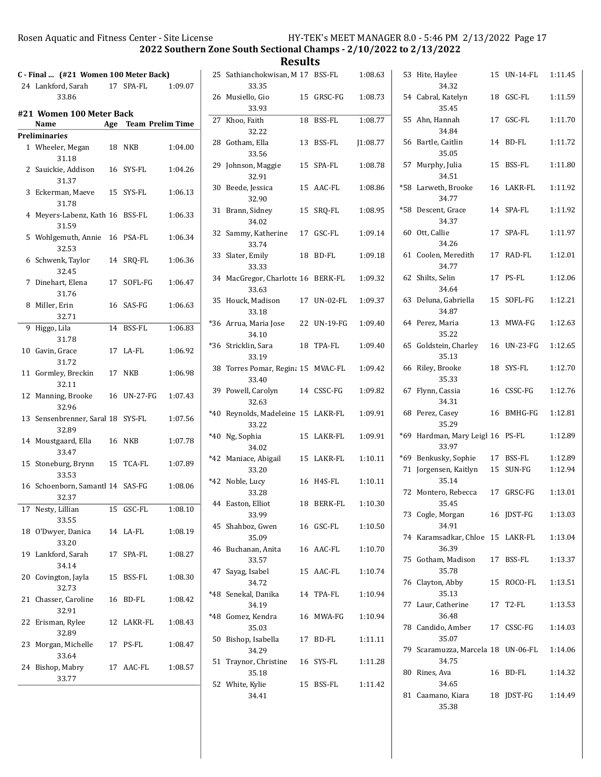2022 Southern Zone South Sectional Champs - 2/10/2022 to 2/13/2022

| C - Final  (#21 Women 100 Meter Back)      |                      |         | 25 Sathianchokwisan, M 17 BSS-FL            |             | 1:08.63 | 53 Hite, Haylee                               | 15 UN-14-FL            | 1:11.45            |
|--------------------------------------------|----------------------|---------|---------------------------------------------|-------------|---------|-----------------------------------------------|------------------------|--------------------|
| 24 Lankford, Sarah<br>33.86                | 17 SPA-FL            | 1:09.07 | 33.35<br>26 Musiello, Gio                   | 15 GRSC-FG  | 1:08.73 | 34.32<br>54 Cabral, Katelyn                   | 18 GSC-FL              | 1:11.59            |
| #21 Women 100 Meter Back                   |                      |         | 33.93                                       |             |         | 35.45                                         |                        |                    |
| Name                                       | Age Team Prelim Time |         | 27 Khoo, Faith                              | 18 BSS-FL   | 1:08.77 | 55 Ahn, Hannah                                | 17 GSC-FL              | 1:11.70            |
| <b>Preliminaries</b>                       |                      |         | 32.22                                       |             |         | 34.84                                         |                        |                    |
| 1 Wheeler, Megan<br>31.18                  | 18 NKB               | 1:04.00 | 28 Gotham, Ella<br>33.56                    | 13 BSS-FL   | 1:08.77 | 56 Bartle, Caitlin<br>35.05                   | 14 BD-FL               | 1:11.72            |
| 2 Sauickie, Addison<br>31.37               | 16 SYS-FL            | 1:04.26 | 29 Johnson, Maggie<br>32.91                 | 15 SPA-FL   | 1:08.78 | 57 Murphy, Julia<br>34.51                     | 15 BSS-FL              | 1:11.80            |
| 3 Eckerman, Maeve<br>31.78                 | 15 SYS-FL            | 1:06.13 | 30 Beede, Jessica<br>32.90                  | 15 AAC-FL   | 1:08.86 | *58 Larweth, Brooke<br>34.77                  | 16 LAKR-FL             | 1:11.92            |
| 4 Meyers-Labenz, Kath 16 BSS-FL<br>31.59   |                      | 1:06.33 | 31 Brann, Sidney<br>34.02                   | 15 SRQ-FL   | 1:08.95 | *58 Descent, Grace<br>34.37                   | 14 SPA-FL              | 1:11.92            |
| 5 Wohlgemuth, Annie 16 PSA-FL<br>32.53     |                      | 1:06.34 | 32 Sammy, Katherine<br>33.74                | 17 GSC-FL   | 1:09.14 | 60 Ott, Callie<br>34.26                       | 17 SPA-FL              | 1:11.97            |
| 6 Schwenk, Taylor<br>32.45                 | 14 SRQ-FL            | 1:06.36 | 33 Slater, Emily<br>33.33                   | 18 BD-FL    | 1:09.18 | 61 Coolen, Meredith<br>34.77                  | 17 RAD-FL              | 1:12.01            |
| 7 Dinehart, Elena<br>31.76                 | 17 SOFL-FG           | 1:06.47 | 34 MacGregor, Charlotte 16 BERK-FL<br>33.63 |             | 1:09.32 | 62 Shilts, Selin<br>34.64                     | 17 PS-FL               | 1:12.06            |
| 8 Miller, Erin<br>32.71                    | 16 SAS-FG            | 1:06.63 | 35 Houck, Madison<br>33.18                  | 17 UN-02-FL | 1:09.37 | 63 Deluna, Gabriella<br>34.87                 | 15 SOFL-FG             | 1:12.21            |
| 9 Higgo, Lila<br>31.78                     | 14 BSS-FL            | 1:06.83 | *36 Arrua, Maria Jose<br>34.10              | 22 UN-19-FG | 1:09.40 | 64 Perez, Maria<br>35.22                      | 13 MWA-FG              | 1:12.63            |
| 10 Gavin, Grace<br>31.72                   | 17 LA-FL             | 1:06.92 | *36 Stricklin, Sara<br>33.19                | 18 TPA-FL   | 1:09.40 | 65 Goldstein, Charley<br>35.13                | 16 UN-23-FG            | 1:12.65            |
| 11 Gormley, Breckin<br>32.11               | 17 NKB               | 1:06.98 | 38 Torres Pomar, Regina 15 MVAC-FL<br>33.40 |             | 1:09.42 | 66 Riley, Brooke<br>35.33                     | 18 SYS-FL              | 1:12.70            |
| 12 Manning, Brooke<br>32.96                | 16 UN-27-FG          | 1:07.43 | 39 Powell, Carolyn<br>32.63                 | 14 CSSC-FG  | 1:09.82 | 67 Flynn, Cassia<br>34.31                     | 16 CSSC-FG             | 1:12.76            |
| 13 Sensenbrenner, Saral 18 SYS-FL<br>32.89 |                      | 1:07.56 | *40 Reynolds, Madeleine 15 LAKR-FL<br>33.22 |             | 1:09.91 | 68 Perez, Casey<br>35.29                      | 16 BMHG-FG             | 1:12.81            |
| 14 Moustgaard, Ella<br>33.47               | <b>16 NKB</b>        | 1:07.78 | *40 Ng, Sophia<br>34.02                     | 15 LAKR-FL  | 1:09.91 | *69 Hardman, Mary Leigl 16 PS-FL<br>33.97     |                        | 1:12.89            |
| 15 Stoneburg, Brynn<br>33.53               | 15 TCA-FL            | 1:07.89 | *42 Maniace, Abigail<br>33.20               | 15 LAKR-FL  | 1:10.11 | *69 Benkusky, Sophie<br>71 Jorgensen, Kaitlyn | 17 BSS-FL<br>15 SUN-FG | 1:12.89<br>1:12.94 |
| 16 Schoenborn, Samantl 14 SAS-FG<br>32.37  |                      | 1:08.06 | *42 Noble, Lucy<br>33.28                    | 16 H4S-FL   | 1:10.11 | 35.14<br>72 Montero, Rebecca                  | 17 GRSC-FG             | 1:13.01            |
| 17 Nesty, Lillian<br>33.55                 | 15 GSC-FL            | 1:08.10 | 44 Easton, Elliot<br>33.99                  | 18 BERK-FL  | 1:10.30 | 35.45<br>73 Cogle, Morgan                     | 16 JDST-FG             | 1:13.03            |
| 18 O'Dwyer, Danica<br>33.20                | 14 LA-FL             | 1:08.19 | 45 Shahboz, Gwen<br>35.09                   | 16 GSC-FL   | 1:10.50 | 34.91<br>74 Karamsadkar, Chloe 15 LAKR-FL     |                        | 1:13.04            |
| 19 Lankford, Sarah<br>34.14                | 17 SPA-FL            | 1:08.27 | 46 Buchanan, Anita<br>33.57                 | 16 AAC-FL   | 1:10.70 | 36.39<br>75 Gotham, Madison                   | 17 BSS-FL              | 1:13.37            |
| 20 Covington, Jayla<br>32.73               | 15 BSS-FL            | 1:08.30 | 47 Sayag, Isabel<br>34.72                   | 15 AAC-FL   | 1:10.74 | 35.78<br>76 Clayton, Abby                     | 15 ROCO-FL             | 1:13.51            |
| 21 Chasser, Caroline<br>32.91              | 16 BD-FL             | 1:08.42 | *48 Senekal, Danika<br>34.19                | 14 TPA-FL   | 1:10.94 | 35.13<br>77 Laur, Catherine                   | 17 T2-FL               | 1:13.53            |
| 22 Erisman, Rylee<br>32.89                 | 12 LAKR-FL           | 1:08.43 | *48 Gomez, Kendra<br>35.03                  | 16 MWA-FG   | 1:10.94 | 36.48<br>78 Candido, Amber                    | 17 CSSC-FG             | 1:14.03            |
| 23 Morgan, Michelle<br>33.64               | 17 PS-FL             | 1:08.47 | 50 Bishop, Isabella<br>34.29                | 17 BD-FL    | 1:11.11 | 35.07<br>79 Scaramuzza, Marcela 18 UN-06-FL   |                        | 1:14.06            |
| 24 Bishop, Mabry<br>33.77                  | 17 AAC-FL            | 1:08.57 | 51 Traynor, Christine<br>35.18              | 16 SYS-FL   | 1:11.28 | 34.75<br>80 Rines, Ava                        | 16 BD-FL               | 1:14.32            |
|                                            |                      |         | 52 White, Kylie<br>34.41                    | 15 BSS-FL   | 1:11.42 | 34.65<br>81 Caamano, Kiara<br>35.38           | 18 JDST-FG             | 1:14.49            |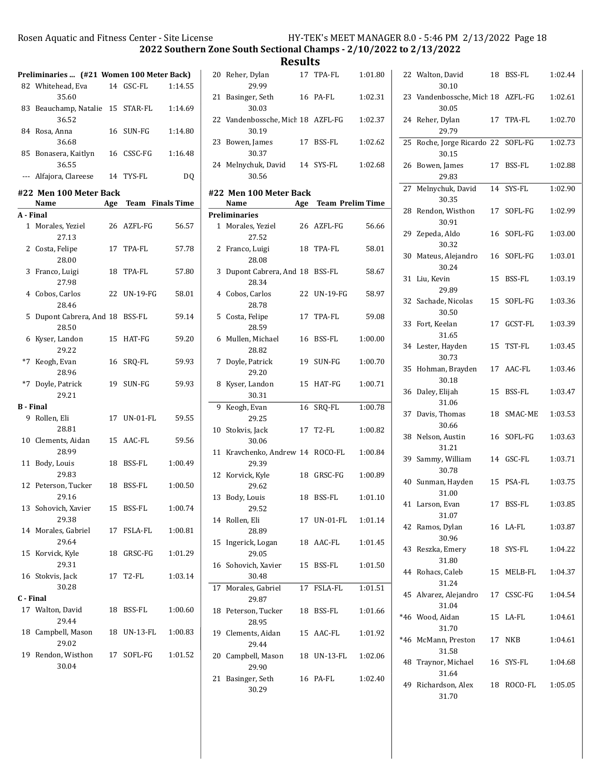2022 Southern Zone South Sectional Champs - 2/10/2022 to 2/13/2022

|                  | Preliminaries  (#21 Women 100 Meter Back) |    |                      |         |
|------------------|-------------------------------------------|----|----------------------|---------|
|                  | 82 Whitehead, Eva<br>35.60                |    | 14 GSC-FL            | 1:14.55 |
|                  | 83 Beauchamp, Natalie 15 STAR-FL<br>36.52 |    |                      | 1:14.69 |
|                  | 84 Rosa, Anna<br>36.68                    |    | 16 SUN-FG            | 1:14.80 |
|                  | 85 Bonasera, Kaitlyn<br>36.55             |    | 16 CSSC-FG           | 1:16.48 |
|                  | --- Alfajora, Clareese                    |    | 14 TYS-FL            | DQ      |
|                  | #22 Men 100 Meter Back                    |    |                      |         |
| A - Final        | Name                                      |    | Age Team Finals Time |         |
|                  | 1 Morales, Yeziel                         |    | 26 AZFL-FG           | 56.57   |
|                  | 27.13<br>2 Costa, Felipe<br>28.00         |    | 17 TPA-FL            | 57.78   |
|                  | 3 Franco, Luigi<br>27.98                  |    | 18 TPA-FL            | 57.80   |
|                  | 4 Cobos, Carlos<br>28.46                  |    | 22 UN-19-FG          | 58.01   |
| 5                | Dupont Cabrera, And 18 BSS-FL<br>28.50    |    |                      | 59.14   |
|                  | 6 Kyser, Landon<br>29.22                  |    | 15 HAT-FG            | 59.20   |
|                  | *7 Keogh, Evan<br>28.96                   |    | 16 SRQ-FL            | 59.93   |
|                  | *7 Doyle, Patrick<br>29.21                |    | 19 SUN-FG            | 59.93   |
| <b>B</b> - Final |                                           |    |                      |         |
|                  | 9 Rollen, Eli<br>28.81                    |    | 17 UN-01-FL          | 59.55   |
|                  | 10 Clements, Aidan<br>28.99               |    | 15 AAC-FL            | 59.56   |
| 11               | Body, Louis<br>29.83                      |    | 18 BSS-FL            | 1:00.49 |
|                  | 12 Peterson, Tucker<br>29.16              |    | 18 BSS-FL            | 1:00.50 |
|                  | 13 Sohovich, Xavier<br>29.38              | 15 | BSS-FL               | 1:00.74 |
|                  | 14 Morales, Gabriel<br>29.64              | 17 | FSLA-FL              | 1:00.81 |
| 15               | Korvick, Kyle<br>29.31                    | 18 | GRSC-FG              | 1:01.29 |
|                  | 16 Stokvis, Jack<br>30.28                 |    | 17 T2-FL             | 1:03.14 |
| C - Final        |                                           |    |                      |         |
|                  | 17 Walton, David<br>29.44                 | 18 | BSS-FL               | 1:00.60 |
|                  | 18 Campbell, Mason<br>29.02               | 18 | UN-13-FL             | 1:00.83 |
|                  | 19 Rendon, Wisthon<br>30.04               |    | 17 SOFL-FG           | 1:01.52 |

|    | 20 Reher, Dylan<br>29.99                           |    | 17 TPA-FL            | 1:01.80 |
|----|----------------------------------------------------|----|----------------------|---------|
| 21 | Basinger, Seth<br>30.03                            |    | 16 PA-FL             | 1:02.31 |
|    | 22 Vandenbossche, Mich 18 AZFL-FG<br>30.19         |    |                      | 1:02.37 |
|    | 23 Bowen, James<br>30.37                           |    | 17 BSS-FL            | 1:02.62 |
|    | 24 Melnychuk, David 14 SYS-FL<br>30.56             |    |                      | 1:02.68 |
|    | #22 Men 100 Meter Back                             |    |                      |         |
|    | <b>Name</b>                                        |    | Age Team Prelim Time |         |
|    | <b>Preliminaries</b><br>1 Morales, Yeziel<br>27.52 |    | 26 AZFL-FG           | 56.66   |
|    | 2 Franco, Luigi<br>28.08                           |    | 18 TPA-FL            | 58.01   |
| 3  | Dupont Cabrera, And 18 BSS-FL<br>28.34             |    |                      | 58.67   |
|    | 4 Cobos, Carlos<br>28.78                           |    | 22 UN-19-FG          | 58.97   |
| 5  | Costa, Felipe<br>28.59                             |    | 17 TPA-FL            | 59.08   |
| 6  | Mullen, Michael<br>28.82                           |    | 16 BSS-FL            | 1:00.00 |
| 7  | Doyle, Patrick<br>29.20                            |    | 19 SUN-FG            | 1:00.70 |
| 8. | Kyser, Landon<br>30.31                             | 15 | HAT-FG               | 1:00.71 |
| 9  | Keogh, Evan<br>29.25                               | 16 | SRQ-FL               | 1:00.78 |
| 10 | Stokvis, Jack<br>30.06                             |    | 17 T2-FL             | 1:00.82 |
| 11 | Kravchenko, Andrew 14 ROCO-FL<br>29.39             |    |                      | 1:00.84 |
|    | 12 Korvick, Kyle<br>29.62                          |    | 18 GRSC-FG           | 1:00.89 |
| 13 | Body, Louis<br>29.52                               | 18 | BSS-FL               | 1:01.10 |
|    | 14 Rollen, Eli<br>28.89                            |    | 17 UN-01-FL          | 1:01.14 |
| 15 | Ingerick, Logan<br>29.05                           |    | 18 AAC-FL            | 1:01.45 |
|    | 16 Sohovich, Xavier<br>30.48                       | 15 | BSS-FL               | 1:01.50 |
| 17 | Morales, Gabriel<br>29.87                          | 17 | FSLA-FL              | 1:01.51 |
|    | 18 Peterson, Tucker<br>28.95                       |    | 18 BSS-FL            | 1:01.66 |
|    | 19 Clements, Aidan<br>29.44                        |    | 15 AAC-FL            | 1:01.92 |
|    | 20 Campbell, Mason<br>29.90                        |    | 18 UN-13-FL          | 1:02.06 |
| 21 | Basinger, Seth<br>30.29                            |    | 16 PA-FL             | 1:02.40 |

|    | 22 Walton, David<br>30.10                  | 18 | BSS-FL        | 1:02.44 |
|----|--------------------------------------------|----|---------------|---------|
|    | 23 Vandenbossche, Mich 18 AZFL-FG<br>30.05 |    |               | 1:02.61 |
|    | 24 Reher, Dylan<br>29.79                   |    | 17 TPA-FL     | 1:02.70 |
| 25 | Roche, Jorge Ricardo 22 SOFL-FG<br>30.15   |    |               | 1:02.73 |
| 26 | Bowen, James<br>29.83                      |    | 17 BSS-FL     | 1:02.88 |
|    | 27 Melnychuk, David<br>30.35               |    | 14 SYS-FL     | 1:02.90 |
| 28 | Rendon, Wisthon<br>30.91                   |    | 17 SOFL-FG    | 1:02.99 |
|    | 29 Zepeda, Aldo<br>30.32                   | 16 | SOFL-FG       | 1:03.00 |
|    | 30 Mateus, Alejandro<br>30.24              | 16 | SOFL-FG       | 1:03.01 |
| 31 | Liu, Kevin<br>29.89                        | 15 | <b>BSS-FL</b> | 1:03.19 |
|    | 32 Sachade, Nicolas<br>30.50               | 15 | SOFL-FG       | 1:03.36 |
|    | 33 Fort, Keelan<br>31.65                   |    | 17 GCST-FL    | 1:03.39 |
|    | 34 Lester, Hayden<br>30.73                 | 15 | TST-FL        | 1:03.45 |
| 35 | Hohman, Brayden<br>30.18                   |    | 17 AAC-FL     | 1:03.46 |
| 36 | Daley, Elijah<br>31.06                     | 15 | BSS-FL        | 1:03.47 |
|    | 37 Davis, Thomas<br>30.66                  | 18 | SMAC-ME       | 1:03.53 |
|    | 38 Nelson, Austin<br>31.21                 |    | 16 SOFL-FG    | 1:03.63 |
| 39 | Sammy, William<br>30.78                    |    | 14 GSC-FL     | 1:03.71 |
| 40 | Sunman, Hayden<br>31.00                    |    | 15 PSA-FL     | 1:03.75 |
|    | 41 Larson. Evan<br>31.07                   | 17 | BSS-FL        | 1:03.85 |
|    | 42 Ramos, Dylan<br>30.96                   |    | 16 LA-FL      | 1:03.87 |
|    | 43 Reszka, Emery<br>31.80                  |    | 18 SYS-FL     | 1:04.22 |
|    | 44 Rohacs, Caleb<br>31.24                  |    | 15 MELB-FL    | 1:04.37 |
|    | 45 Alvarez, Alejandro<br>31.04             |    | 17 CSSC-FG    | 1:04.54 |
|    | *46 Wood, Aidan<br>31.70                   |    | 15 LA-FL      | 1:04.61 |
|    | *46 McMann, Preston<br>31.58               |    | 17 NKB        | 1:04.61 |
|    | 48 Traynor, Michael<br>31.64               |    | 16 SYS-FL     | 1:04.68 |
|    | 49 Richardson, Alex<br>31.70               |    | 18 ROCO-FL    | 1:05.05 |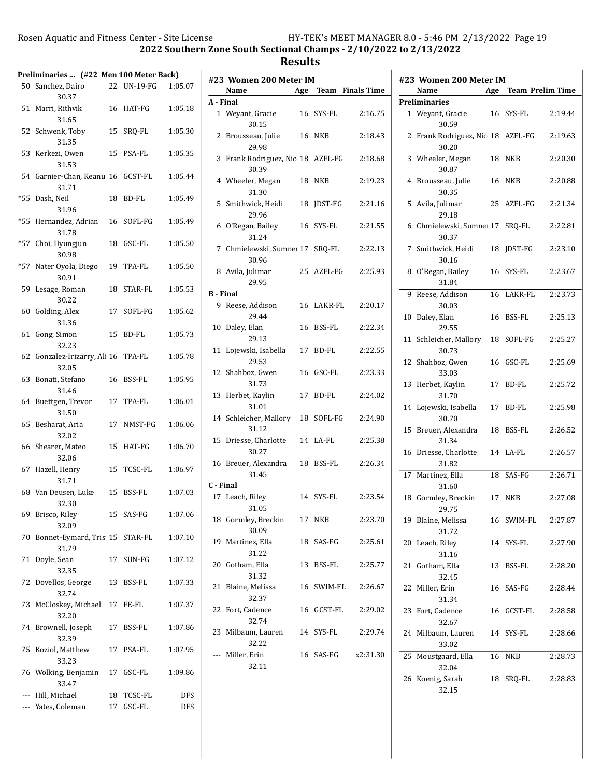|       | Preliminaries  (#22 Men 100 Meter Back)    |    |                         |                   |
|-------|--------------------------------------------|----|-------------------------|-------------------|
|       | 50 Sanchez, Dairo<br>30.37                 |    | 22 UN-19-FG             | 1:05.07           |
| 51    | Marri, Rithvik<br>31.65                    |    | 16 HAT-FG               | 1:05.18           |
| 52    | Schwenk, Toby<br>31.35                     | 15 | SRQ-FL                  | 1:05.30           |
| 53    | Kerkezi, Owen<br>31.53                     | 15 | PSA-FL                  | 1:05.35           |
|       | 54 Garnier-Chan, Keanu 16 GCST-FL<br>31.71 |    |                         | 1:05.44           |
| $*55$ | Dash, Neil<br>31.96                        | 18 | <b>BD-FL</b>            | 1:05.49           |
| $*55$ | Hernandez, Adrian<br>31.78                 | 16 | SOFL-FG                 | 1:05.49           |
| $*57$ | Choi, Hyungjun<br>30.98                    | 18 | GSC-FL                  | 1:05.50           |
| $*57$ | Nater Oyola, Diego<br>30.91                | 19 | TPA-FL                  | 1:05.50           |
| 59    | Lesage, Roman<br>30.22                     | 18 | STAR-FL                 | 1:05.53           |
| 60    | Golding, Alex<br>31.36                     | 17 | SOFL-FG                 | 1:05.62           |
| 61    | Gong, Simon<br>32.23                       | 15 | <b>BD-FL</b>            | 1:05.73           |
| 62    | Gonzalez-Irizarry, Ali 16 TPA-FL<br>32.05  |    |                         | 1:05.78           |
| 63    | Bonati, Stefano<br>31.46                   |    | 16 BSS-FL               | 1:05.95           |
| 64    | Buettgen, Trevor<br>31.50                  |    | 17 TPA-FL               | 1:06.01           |
| 65    | Besharat, Aria<br>32.02                    |    | 17 NMST-FG              | 1:06.06           |
| 66    | Shearer, Mateo<br>32.06                    | 15 | HAT-FG                  | 1:06.70           |
| 67    | Hazell, Henry<br>31.71                     | 15 | TCSC-FL                 | 1:06.97           |
|       | 68 Van Deusen, Luke<br>32.30               | 15 | BSS-FL                  | 1:07.03           |
| 69    | Brisco, Riley<br>32.09                     |    | 15 SAS-FG               | 1:07.06           |
| 70    | Bonnet-Eymard, Tris 15 STAR-FL<br>31.79    |    |                         | 1:07.10           |
| 71    | Doyle, Sean<br>32.35                       |    | 17 SUN-FG               | 1:07.12           |
| 72    | Dovellos, George<br>32.74                  | 13 | BSS-FL                  | 1:07.33           |
| 73    | McCloskey, Michael<br>32.20                | 17 | FE-FL                   | 1:07.37           |
| 74    | Brownell, Joseph<br>32.39                  | 17 | BSS-FL                  | 1:07.86           |
| 75    | Koziol, Matthew<br>33.23                   |    | 17 PSA-FL               | 1:07.95           |
|       | 76 Wolking, Benjamin<br>33.47              |    | 17 GSC-FL               | 1:09.86           |
| ---   | --- Hill, Michael<br>Yates, Coleman        |    | 18 TCSC-FL<br>17 GSC-FL | DFS<br><b>DFS</b> |

|                  | #23 Women 200 Meter IM                     |     |                  |          |
|------------------|--------------------------------------------|-----|------------------|----------|
|                  | Name                                       | Age | Team Finals Time |          |
| A - Final        |                                            |     |                  |          |
|                  | 1 Weyant, Gracie<br>30.15                  |     | 16 SYS-FL        | 2:16.75  |
|                  | 2 Brousseau, Julie<br>29.98                |     | 16 NKB           | 2:18.43  |
|                  | 3 Frank Rodriguez, Nic 18 AZFL-FG<br>30.39 |     |                  | 2:18.68  |
|                  | 4 Wheeler, Megan<br>31.30                  |     | 18 NKB           | 2:19.23  |
|                  | 5 Smithwick, Heidi<br>29.96                |     | 18 JDST-FG       | 2:21.16  |
|                  | 6 O'Regan, Bailey<br>31.24                 |     | 16 SYS-FL        | 2:21.55  |
|                  | 7 Chmielewski, Sumne: 17 SRQ-FL<br>30.96   |     |                  | 2:22.13  |
|                  | 8 Avila, Julimar<br>29.95                  |     | 25 AZFL-FG       | 2:25.93  |
| <b>B</b> - Final |                                            |     |                  |          |
|                  | 9 Reese, Addison<br>29.44                  |     | 16 LAKR-FL       | 2:20.17  |
|                  | 10 Daley, Elan<br>29.13                    |     | 16 BSS-FL        | 2:22.34  |
|                  | 11 Lojewski, Isabella 17 BD-FL<br>29.53    |     |                  | 2:22.55  |
|                  | 12 Shahboz, Gwen<br>31.73                  |     | 16 GSC-FL        | 2:23.33  |
|                  | 13 Herbet, Kaylin<br>31.01                 |     | 17 BD-FL         | 2:24.02  |
|                  | 14 Schleicher, Mallory 18 SOFL-FG<br>31.12 |     |                  | 2:24.90  |
|                  | 15 Driesse, Charlotte 14 LA-FL<br>30.27    |     |                  | 2:25.38  |
|                  | 16 Breuer, Alexandra 18 BSS-FL<br>31.45    |     |                  | 2:26.34  |
| C - Final        |                                            |     |                  |          |
|                  | 17 Leach, Riley<br>31.05                   |     | 14 SYS-FL        | 2:23.54  |
|                  | 18 Gormley, Breckin<br>30.09               |     | 17 NKB           | 2:23.70  |
|                  | 19 Martinez, Ella<br>31.22                 |     | 18 SAS-FG        | 2:25.61  |
|                  | 20 Gotham, Ella<br>31.32                   |     | 13 BSS-FL        | 2:25.77  |
|                  | 21 Blaine, Melissa<br>32.37                |     | 16 SWIM-FL       | 2:26.67  |
|                  | 22 Fort, Cadence<br>32.74                  |     | 16 GCST-FL       | 2:29.02  |
|                  | 23 Milbaum, Lauren 14 SYS-FL<br>32.22      |     |                  | 2:29.74  |
|                  | Miller, Erin<br>32.11                      |     | 16 SAS-FG        | x2:31.30 |
|                  |                                            |     |                  |          |

|    | #23 Women 200 Meter IM                   |     |                         |         |
|----|------------------------------------------|-----|-------------------------|---------|
|    | Name                                     | Age | <b>Team Prelim Time</b> |         |
|    | Preliminaries                            |     |                         |         |
|    | 1 Weyant, Gracie<br>30.59                |     | 16 SYS-FL               | 2:19.44 |
| 2  | Frank Rodriguez, Nic 18 AZFL-FG<br>30.20 |     |                         | 2:19.63 |
|    | 3 Wheeler, Megan<br>30.87                | 18  | <b>NKB</b>              | 2:20.30 |
| 4  | Brousseau, Julie<br>30.35                | 16  | NKB                     | 2:20.88 |
| 5  | Avila, Julimar<br>29.18                  | 25  | AZFL-FG                 | 2:21.34 |
| 6  | Chmielewski, Sumne: 17 SRQ-FL<br>30.37   |     |                         | 2:22.81 |
| 7  | Smithwick, Heidi<br>30.16                | 18  | JDST-FG                 | 2:23.10 |
| 8  | O'Regan, Bailey<br>31.84                 |     | 16 SYS-FL               | 2:23.67 |
| 9  | Reese, Addison<br>30.03                  | 16  | LAKR-FL                 | 2:23.73 |
| 10 | Daley, Elan<br>29.55                     | 16  | <b>BSS-FL</b>           | 2:25.13 |
| 11 | Schleicher, Mallory<br>30.73             | 18  | SOFL-FG                 | 2:25.27 |
| 12 | Shahboz, Gwen<br>33.03                   |     | 16 GSC-FL               | 2:25.69 |
| 13 | Herbet, Kaylin<br>31.70                  | 17  | BD-FL                   | 2:25.72 |
| 14 | Lojewski, Isabella<br>30.70              | 17  | BD-FL                   | 2:25.98 |
| 15 | Breuer, Alexandra<br>31.34               | 18  | BSS-FL                  | 2:26.52 |
| 16 | Driesse, Charlotte<br>31.82              |     | 14 LA-FL                | 2:26.57 |
| 17 | Martinez, Ella<br>31.60                  | 18  | SAS-FG                  | 2:26.71 |
| 18 | Gormley, Breckin<br>29.75                | 17  | NKB                     | 2:27.08 |
| 19 | Blaine, Melissa<br>31.72                 | 16  | SWIM-FL                 | 2:27.87 |
| 20 | Leach, Riley<br>31.16                    |     | 14 SYS-FL               | 2:27.90 |
|    | 21 Gotham, Ella<br>32.45                 | 13  | BSS-FL                  | 2:28.20 |
|    | 22 Miller, Erin<br>31.34                 |     | 16 SAS-FG               | 2:28.44 |
| 23 | Fort, Cadence<br>32.67                   |     | 16 GCST-FL              | 2:28.58 |
|    | 24 Milbaum, Lauren<br>33.02              |     | 14 SYS-FL               | 2:28.66 |
| 25 | Moustgaard, Ella<br>32.04                | 16  | <b>NKB</b>              | 2:28.73 |
| 26 | Koenig, Sarah<br>32.15                   | 18  | SRQ-FL                  | 2:28.83 |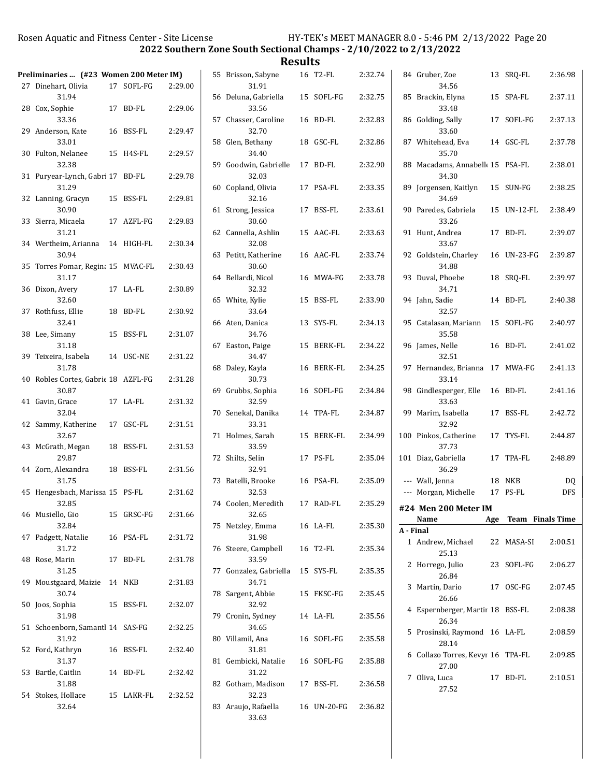2022 Southern Zone South Sectional Champs - 2/10/2022 to 2/13/2022

| Preliminaries  (#23 Women 200 Meter IM)      |            |         | 55 Brisson, Sabyne              | 16 T2-FL    | 2:32.74 |           | 84 Gruber, Zoe                             | 13 SRQ-FL                 | 2:36.98   |
|----------------------------------------------|------------|---------|---------------------------------|-------------|---------|-----------|--------------------------------------------|---------------------------|-----------|
| 27 Dinehart, Olivia                          | 17 SOFL-FG | 2:29.00 | 31.91                           |             |         |           | 34.56                                      |                           |           |
| 31.94<br>28 Cox, Sophie                      | 17 BD-FL   | 2:29.06 | 56 Deluna, Gabriella<br>33.56   | 15 SOFL-FG  | 2:32.75 |           | 85 Brackin, Elyna<br>33.48                 | 15 SPA-FL                 | 2:37.11   |
| 33.36<br>29 Anderson, Kate                   | 16 BSS-FL  | 2:29.47 | 57 Chasser, Caroline<br>32.70   | 16 BD-FL    | 2:32.83 |           | 86 Golding, Sally<br>33.60                 | 17 SOFL-FG                | 2:37.13   |
| 33.01<br>30 Fulton, Nelanee                  | 15 H4S-FL  | 2:29.57 | 58 Glen, Bethany<br>34.40       | 18 GSC-FL   | 2:32.86 |           | 87 Whitehead, Eva<br>35.70                 | 14 GSC-FL                 | 2:37.78   |
| 32.38<br>31 Puryear-Lynch, Gabri 17 BD-FL    |            | 2:29.78 | 59 Goodwin, Gabrielle<br>32.03  | 17 BD-FL    | 2:32.90 |           | 88 Macadams, Annabell 15 PSA-FL<br>34.30   |                           | 2:38.01   |
| 31.29                                        |            |         | 60 Copland, Olivia              | 17 PSA-FL   | 2:33.35 |           | 89 Jorgensen, Kaitlyn                      | 15 SUN-FG                 | 2:38.25   |
| 32 Lanning, Gracyn<br>30.90                  | 15 BSS-FL  | 2:29.81 | 32.16<br>61 Strong, Jessica     | 17 BSS-FL   | 2:33.61 |           | 34.69<br>90 Paredes, Gabriela              | 15 UN-12-FL               | 2:38.49   |
| 33 Sierra, Micaela<br>31.21                  | 17 AZFL-FG | 2:29.83 | 30.60<br>62 Cannella, Ashlin    | 15 AAC-FL   | 2:33.63 |           | 33.26<br>91 Hunt, Andrea                   | 17 BD-FL                  | 2:39.07   |
| 34 Wertheim, Arianna<br>30.94                | 14 HIGH-FL | 2:30.34 | 32.08<br>63 Petitt, Katherine   | 16 AAC-FL   | 2:33.74 |           | 33.67<br>92 Goldstein, Charley             | 16 UN-23-FG               | 2:39.87   |
| 35 Torres Pomar, Regina 15 MVAC-FL<br>31.17  |            | 2:30.43 | 30.60<br>64 Bellardi, Nicol     | 16 MWA-FG   | 2:33.78 |           | 34.88<br>93 Duval, Phoebe                  | 18 SRQ-FL                 | 2:39.97   |
| 36 Dixon, Avery<br>32.60                     | 17 LA-FL   | 2:30.89 | 32.32<br>65 White, Kylie        | 15 BSS-FL   | 2:33.90 |           | 34.71<br>94 Jahn, Sadie                    | 14 BD-FL                  | 2:40.38   |
| 37 Rothfuss, Ellie<br>32.41                  | 18 BD-FL   | 2:30.92 | 33.64<br>66 Aten, Danica        | 13 SYS-FL   | 2:34.13 |           | 32.57<br>95 Catalasan, Mariann             | 15 SOFL-FG                | 2:40.97   |
| 38 Lee, Simany<br>31.18                      | 15 BSS-FL  | 2:31.07 | 34.76<br>67 Easton, Paige       | 15 BERK-FL  | 2:34.22 |           | 35.58<br>96 James, Nelle                   | 16 BD-FL                  | 2:41.02   |
| 39 Teixeira, Isabela                         | 14 USC-NE  | 2:31.22 | 34.47                           |             |         |           | 32.51                                      |                           |           |
| 31.78<br>40 Robles Cortes, Gabric 18 AZFL-FG |            | 2:31.28 | 68 Daley, Kayla<br>30.73        | 16 BERK-FL  | 2:34.25 |           | 97 Hernandez, Brianna 17 MWA-FG<br>33.14   |                           | 2:41.13   |
| 30.87<br>41 Gavin, Grace                     | 17 LA-FL   | 2:31.32 | 69 Grubbs, Sophia<br>32.59      | 16 SOFL-FG  | 2:34.84 |           | 98 Gindlesperger, Elle<br>33.63            | 16 BD-FL                  | 2:41.16   |
| 32.04<br>42 Sammy, Katherine                 | 17 GSC-FL  | 2:31.51 | 70 Senekal, Danika<br>33.31     | 14 TPA-FL   | 2:34.87 |           | 99 Marim, Isabella<br>32.92                | 17 BSS-FL                 | 2:42.72   |
| 32.67<br>43 McGrath, Megan                   | 18 BSS-FL  | 2:31.53 | 71 Holmes, Sarah<br>33.59       | 15 BERK-FL  | 2:34.99 |           | 100 Pinkos, Catherine<br>37.73             | 17 TYS-FL                 | 2:44.87   |
| 29.87<br>44 Zorn, Alexandra                  | 18 BSS-FL  | 2:31.56 | 72 Shilts, Selin<br>32.91       | 17 PS-FL    | 2:35.04 |           | 101 Diaz, Gabriella<br>36.29               | 17 TPA-FL                 | 2:48.89   |
| 31.75<br>45 Hengesbach, Marissa 15 PS-FL     |            | 2:31.62 | 73 Batelli, Brooke<br>32.53     | 16 PSA-FL   | 2:35.09 |           | --- Wall, Jenna<br>--- Morgan, Michelle    | <b>18 NKB</b><br>17 PS-FL | DQ<br>DFS |
| 32.85<br>46 Musiello, Gio                    | 15 GRSC-FG | 2:31.66 | 74 Coolen, Meredith<br>32.65    | 17 RAD-FL   | 2:35.29 |           | #24 Men 200 Meter IM                       |                           |           |
| 32.84                                        |            |         | 75 Netzley, Emma                | 16 LA-FL    | 2:35.30 |           | Name                                       | Age Team Finals Time      |           |
| 47 Padgett, Natalie<br>31.72                 | 16 PSA-FL  | 2:31.72 | 31.98<br>76 Steere, Campbell    | 16 T2-FL    | 2:35.34 | A - Final | 1 Andrew, Michael                          | 22 MASA-SI                | 2:00.51   |
| 48 Rose, Marin<br>31.25                      | 17 BD-FL   | 2:31.78 | 33.59<br>77 Gonzalez, Gabriella | 15 SYS-FL   | 2:35.35 |           | 25.13<br>2 Horrego, Julio                  | 23 SOFL-FG                | 2:06.27   |
| 49 Moustgaard, Maizie<br>30.74               | 14 NKB     | 2:31.83 | 34.71<br>78 Sargent, Abbie      | 15 FKSC-FG  | 2:35.45 |           | 26.84<br>3 Martin, Dario                   | 17 OSC-FG                 | 2:07.45   |
| 50 Joos, Sophia<br>31.98                     | 15 BSS-FL  | 2:32.07 | 32.92<br>79 Cronin, Sydney      | 14 LA-FL    | 2:35.56 |           | 26.66<br>4 Espernberger, Martir 18 BSS-FL  |                           | 2:08.38   |
| 51 Schoenborn, Samantl 14 SAS-FG             |            | 2:32.25 | 34.65                           |             |         |           | 26.34<br>5 Prosinski, Raymond 16 LA-FL     |                           | 2:08.59   |
| 31.92<br>52 Ford, Kathryn                    | 16 BSS-FL  | 2:32.40 | 80 Villamil, Ana<br>31.81       | 16 SOFL-FG  | 2:35.58 |           | 28.14<br>6 Collazo Torres, Kevyr 16 TPA-FL |                           | 2:09.85   |
| 31.37<br>53 Bartle, Caitlin                  | 14 BD-FL   | 2:32.42 | 81 Gembicki, Natalie<br>31.22   | 16 SOFL-FG  | 2:35.88 |           | 27.00<br>7 Oliva, Luca                     | 17 BD-FL                  | 2:10.51   |
| 31.88<br>54 Stokes, Hollace                  | 15 LAKR-FL | 2:32.52 | 82 Gotham, Madison<br>32.23     | 17 BSS-FL   | 2:36.58 |           | 27.52                                      |                           |           |
| 32.64                                        |            |         | 83 Araujo, Rafaella<br>33.63    | 16 UN-20-FG | 2:36.82 |           |                                            |                           |           |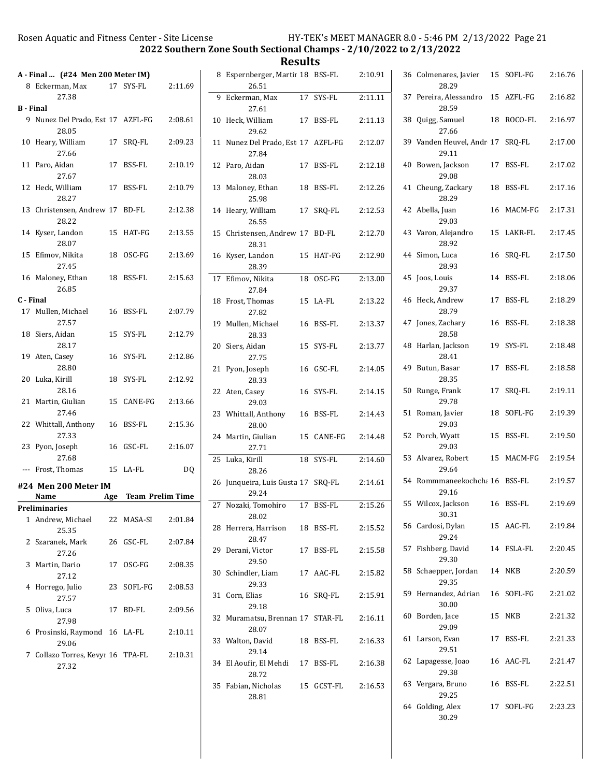2022 Southern Zone South Sectional Champs - 2/10/2022 to 2/13/2022

Results

| 8 Eckerman, Max<br>17 SYS-FL<br>2:11.69<br>27.38<br>9 Nunez Del Prado, Est 17 AZFL-FG<br>2:08.61<br>28.05<br>10<br>Heary, William<br>17 SRQ-FL<br>2:09.23<br>27.66<br>2:10.19<br>11<br>Paro, Aidan<br>17 BSS-FL<br>27.67<br>12<br>Heck, William<br>17 BSS-FL<br>2:10.79<br>28.27<br>Christensen, Andrew 17 BD-FL<br>13<br>2:12.38<br>28.22<br>2:13.55<br>14 Kyser, Landon<br>15 HAT-FG<br>28.07<br>15 Efimov, Nikita<br>18 OSC-FG<br>2:13.69<br>27.45<br>16 Maloney, Ethan<br>BSS-FL<br>2:15.63<br>18<br>26.85<br>17 Mullen, Michael<br>2:07.79<br>16 BSS-FL<br>27.57<br>Siers, Aidan<br>18<br>15 SYS-FL<br>2:12.79<br>28.17<br>Aten, Casey<br>19<br>16 SYS-FL<br>2:12.86<br>28.80<br>Luka, Kirill<br>18 SYS-FL<br>2:12.92<br>20<br>28.16<br>Martin, Giulian<br>21<br>15 CANE-FG<br>2:13.66<br>27.46<br>22 Whittall, Anthony<br>16 BSS-FL<br>2:15.36<br>27.33<br>23 Pyon, Joseph<br>16 GSC-FL<br>2:16.07<br>27.68<br>--- Frost, Thomas<br>15 LA-FL<br>DQ<br>Age Team Prelim Time<br>Name<br>1 Andrew, Michael<br>22 MASA-SI<br>2:01.84<br>25.35<br>26 GSC-FL<br>2 Szaranek, Mark<br>2:07.84<br>27.26<br>Martin, Dario<br>17 OSC-FG<br>3<br>2:08.35<br>27.12<br>Horrego, Julio<br>23 SOFL-FG<br>2:08.53<br>4<br>27.57<br>5<br>Oliva, Luca<br>17<br>BD-FL<br>2:09.56<br>27.98<br>6 Prosinski, Raymond<br>16 LA-FL<br>2:10.11<br>29.06<br>7 Collazo Torres, Kevyr 16 TPA-FL<br>2:10.31<br>27.32 | A - Final  (#24 Men 200 Meter IM) |  |  |
|----------------------------------------------------------------------------------------------------------------------------------------------------------------------------------------------------------------------------------------------------------------------------------------------------------------------------------------------------------------------------------------------------------------------------------------------------------------------------------------------------------------------------------------------------------------------------------------------------------------------------------------------------------------------------------------------------------------------------------------------------------------------------------------------------------------------------------------------------------------------------------------------------------------------------------------------------------------------------------------------------------------------------------------------------------------------------------------------------------------------------------------------------------------------------------------------------------------------------------------------------------------------------------------------------------------------------------------------------------------------------------------------|-----------------------------------|--|--|
| B - Final<br>C - Final<br>#24 Men 200 Meter IM<br>Preliminaries                                                                                                                                                                                                                                                                                                                                                                                                                                                                                                                                                                                                                                                                                                                                                                                                                                                                                                                                                                                                                                                                                                                                                                                                                                                                                                                              |                                   |  |  |
|                                                                                                                                                                                                                                                                                                                                                                                                                                                                                                                                                                                                                                                                                                                                                                                                                                                                                                                                                                                                                                                                                                                                                                                                                                                                                                                                                                                              |                                   |  |  |
|                                                                                                                                                                                                                                                                                                                                                                                                                                                                                                                                                                                                                                                                                                                                                                                                                                                                                                                                                                                                                                                                                                                                                                                                                                                                                                                                                                                              |                                   |  |  |
|                                                                                                                                                                                                                                                                                                                                                                                                                                                                                                                                                                                                                                                                                                                                                                                                                                                                                                                                                                                                                                                                                                                                                                                                                                                                                                                                                                                              |                                   |  |  |
|                                                                                                                                                                                                                                                                                                                                                                                                                                                                                                                                                                                                                                                                                                                                                                                                                                                                                                                                                                                                                                                                                                                                                                                                                                                                                                                                                                                              |                                   |  |  |
|                                                                                                                                                                                                                                                                                                                                                                                                                                                                                                                                                                                                                                                                                                                                                                                                                                                                                                                                                                                                                                                                                                                                                                                                                                                                                                                                                                                              |                                   |  |  |
|                                                                                                                                                                                                                                                                                                                                                                                                                                                                                                                                                                                                                                                                                                                                                                                                                                                                                                                                                                                                                                                                                                                                                                                                                                                                                                                                                                                              |                                   |  |  |
|                                                                                                                                                                                                                                                                                                                                                                                                                                                                                                                                                                                                                                                                                                                                                                                                                                                                                                                                                                                                                                                                                                                                                                                                                                                                                                                                                                                              |                                   |  |  |
|                                                                                                                                                                                                                                                                                                                                                                                                                                                                                                                                                                                                                                                                                                                                                                                                                                                                                                                                                                                                                                                                                                                                                                                                                                                                                                                                                                                              |                                   |  |  |
|                                                                                                                                                                                                                                                                                                                                                                                                                                                                                                                                                                                                                                                                                                                                                                                                                                                                                                                                                                                                                                                                                                                                                                                                                                                                                                                                                                                              |                                   |  |  |
|                                                                                                                                                                                                                                                                                                                                                                                                                                                                                                                                                                                                                                                                                                                                                                                                                                                                                                                                                                                                                                                                                                                                                                                                                                                                                                                                                                                              |                                   |  |  |
|                                                                                                                                                                                                                                                                                                                                                                                                                                                                                                                                                                                                                                                                                                                                                                                                                                                                                                                                                                                                                                                                                                                                                                                                                                                                                                                                                                                              |                                   |  |  |
|                                                                                                                                                                                                                                                                                                                                                                                                                                                                                                                                                                                                                                                                                                                                                                                                                                                                                                                                                                                                                                                                                                                                                                                                                                                                                                                                                                                              |                                   |  |  |
|                                                                                                                                                                                                                                                                                                                                                                                                                                                                                                                                                                                                                                                                                                                                                                                                                                                                                                                                                                                                                                                                                                                                                                                                                                                                                                                                                                                              |                                   |  |  |
|                                                                                                                                                                                                                                                                                                                                                                                                                                                                                                                                                                                                                                                                                                                                                                                                                                                                                                                                                                                                                                                                                                                                                                                                                                                                                                                                                                                              |                                   |  |  |
|                                                                                                                                                                                                                                                                                                                                                                                                                                                                                                                                                                                                                                                                                                                                                                                                                                                                                                                                                                                                                                                                                                                                                                                                                                                                                                                                                                                              |                                   |  |  |
|                                                                                                                                                                                                                                                                                                                                                                                                                                                                                                                                                                                                                                                                                                                                                                                                                                                                                                                                                                                                                                                                                                                                                                                                                                                                                                                                                                                              |                                   |  |  |
|                                                                                                                                                                                                                                                                                                                                                                                                                                                                                                                                                                                                                                                                                                                                                                                                                                                                                                                                                                                                                                                                                                                                                                                                                                                                                                                                                                                              |                                   |  |  |
|                                                                                                                                                                                                                                                                                                                                                                                                                                                                                                                                                                                                                                                                                                                                                                                                                                                                                                                                                                                                                                                                                                                                                                                                                                                                                                                                                                                              |                                   |  |  |
|                                                                                                                                                                                                                                                                                                                                                                                                                                                                                                                                                                                                                                                                                                                                                                                                                                                                                                                                                                                                                                                                                                                                                                                                                                                                                                                                                                                              |                                   |  |  |
|                                                                                                                                                                                                                                                                                                                                                                                                                                                                                                                                                                                                                                                                                                                                                                                                                                                                                                                                                                                                                                                                                                                                                                                                                                                                                                                                                                                              |                                   |  |  |
|                                                                                                                                                                                                                                                                                                                                                                                                                                                                                                                                                                                                                                                                                                                                                                                                                                                                                                                                                                                                                                                                                                                                                                                                                                                                                                                                                                                              |                                   |  |  |
|                                                                                                                                                                                                                                                                                                                                                                                                                                                                                                                                                                                                                                                                                                                                                                                                                                                                                                                                                                                                                                                                                                                                                                                                                                                                                                                                                                                              |                                   |  |  |
|                                                                                                                                                                                                                                                                                                                                                                                                                                                                                                                                                                                                                                                                                                                                                                                                                                                                                                                                                                                                                                                                                                                                                                                                                                                                                                                                                                                              |                                   |  |  |
|                                                                                                                                                                                                                                                                                                                                                                                                                                                                                                                                                                                                                                                                                                                                                                                                                                                                                                                                                                                                                                                                                                                                                                                                                                                                                                                                                                                              |                                   |  |  |
|                                                                                                                                                                                                                                                                                                                                                                                                                                                                                                                                                                                                                                                                                                                                                                                                                                                                                                                                                                                                                                                                                                                                                                                                                                                                                                                                                                                              |                                   |  |  |
|                                                                                                                                                                                                                                                                                                                                                                                                                                                                                                                                                                                                                                                                                                                                                                                                                                                                                                                                                                                                                                                                                                                                                                                                                                                                                                                                                                                              |                                   |  |  |
|                                                                                                                                                                                                                                                                                                                                                                                                                                                                                                                                                                                                                                                                                                                                                                                                                                                                                                                                                                                                                                                                                                                                                                                                                                                                                                                                                                                              |                                   |  |  |

| 8  | Espernberger, Martir 18 BSS-FL<br>26.51   |    |                    | 2:10.91 |
|----|-------------------------------------------|----|--------------------|---------|
| 9  | Eckerman, Max<br>27.61                    | 17 | SYS-FL             | 2:11.11 |
| 10 | Heck, William<br>29.62                    |    | 17 BSS-FL          | 2:11.13 |
| 11 | Nunez Del Prado, Est 17 AZFL-FG<br>27.84  |    |                    | 2:12.07 |
|    | 12 Paro, Aidan<br>28.03                   | 17 | BSS-FL             | 2:12.18 |
|    | 13 Maloney, Ethan<br>25.98                | 18 | BSS-FL             | 2:12.26 |
| 14 | Heary, William<br>26.55                   | 17 | SRO-FL             | 2:12.53 |
|    | 15 Christensen, Andrew 17 BD-FL<br>28.31  |    |                    | 2:12.70 |
|    | 16 Kyser, Landon<br>28.39                 | 15 | HAT-FG             | 2:12.90 |
| 17 | Efimov, Nikita<br>27.84                   | 18 | OSC-FG             | 2:13.00 |
| 18 | Frost, Thomas<br>27.82                    | 15 | LA-FL              | 2:13.22 |
|    | 19 Mullen, Michael<br>28.33               |    | 16 BSS-FL          | 2:13.37 |
|    | 20 Siers, Aidan<br>27.75                  |    | 15 SYS-FL          | 2:13.77 |
|    | 21 Pyon, Joseph<br>28.33                  |    | 16 GSC-FL          | 2:14.05 |
|    | 22 Aten, Casey<br>29.03                   |    | 16 SYS-FL          | 2:14.15 |
|    | 23 Whittall, Anthony<br>28.00             | 16 | BSS-FL             | 2:14.43 |
|    | 24 Martin, Giulian<br>27.71               | 15 | CANE-FG            | 2:14.48 |
| 25 | Luka, Kirill<br>28.26                     | 18 | SYS-FL             | 2:14.60 |
| 26 | Junqueira, Luis Gusta 17 SRQ-FL<br>29.24  |    |                    | 2:14.61 |
| 27 | Nozaki, Tomohiro<br>28.02                 | 17 | <b>BSS-FL</b>      | 2:15.26 |
|    | 28 Herrera, Harrison<br>28.47             |    | 18 BSS-FL          | 2:15.52 |
|    | 29 Derani, Victor<br>29.50                |    | 17 BSS-FL          | 2:15.58 |
|    | 30 Schindler, Liam<br>29.33               |    | 17 AAC-FL          | 2:15.82 |
|    | 31 Corn, Elias<br>29.18                   |    | 16 SRO-FL          | 2:15.91 |
|    | 32 Muramatsu, Brennan 17 STAR-FL<br>28.07 |    |                    | 2:16.11 |
|    | 33 Walton, David<br>29.14                 |    | 18 BSS-FL          | 2:16.33 |
|    | 34 El Aoufir, El Mehdi 17 BSS-FL<br>28.72 |    |                    | 2:16.38 |
|    | 35 Fabian, Nicholas<br>28.81              |    | 15 GCST-FL 2:16.53 |         |

|    | 36 Colmenares, Javier<br>28.29             |    | 15 SOFL-FG         | 2:16.76 |
|----|--------------------------------------------|----|--------------------|---------|
|    | 37 Pereira, Alessandro 15 AZFL-FG<br>28.59 |    |                    | 2:16.82 |
|    | 38 Quigg, Samuel<br>27.66                  | 18 | ROCO-FL            | 2:16.97 |
|    | 39 Vanden Heuvel, Andr 17 SRQ-FL<br>29.11  |    |                    | 2:17.00 |
|    | 40 Bowen, Jackson<br>29.08                 | 17 | BSS-FL             | 2:17.02 |
| 41 | Cheung, Zackary<br>28.29                   | 18 | BSS-FL             | 2:17.16 |
|    | 42 Abella, Juan<br>29.03                   |    | 16 MACM-FG         | 2:17.31 |
|    | 43 Varon, Alejandro<br>28.92               | 15 | LAKR-FL            | 2:17.45 |
|    | 44 Simon, Luca<br>28.93                    | 16 | SRQ-FL             | 2:17.50 |
|    | 45 Joos, Louis<br>29.37                    | 14 | BSS-FL             | 2:18.06 |
|    | 46 Heck, Andrew<br>28.79                   | 17 | BSS-FL             | 2:18.29 |
|    | 47 Jones, Zachary<br>28.58                 |    | 16 BSS-FL          | 2:18.38 |
|    | 48 Harlan, Jackson<br>28.41                | 19 | SYS-FL             | 2:18.48 |
|    | 49 Butun, Basar<br>28.35                   | 17 | BSS-FL             | 2:18.58 |
|    | 50 Runge, Frank<br>29.78                   | 17 | SRQ-FL             | 2:19.11 |
|    | 51 Roman, Javier<br>29.03                  | 18 | SOFL-FG            | 2:19.39 |
|    | 52 Porch, Wyatt<br>29.03                   | 15 | BSS-FL             | 2:19.50 |
|    | 53 Alvarez, Robert<br>29.64                |    | 15 MACM-FG         | 2:19.54 |
|    | 54 Rommmaneekochcha 16 BSS-FL<br>29.16     |    |                    | 2:19.57 |
|    | 55 Wilcox, Jackson<br>30.31                |    | 16 BSS-FL          | 2:19.69 |
|    | 56 Cardosi, Dylan<br>29.24                 |    | 15 AAC-FL          | 2:19.84 |
|    | 57 Fishberg, David<br>29.30                |    | 14 FSLA-FL 2:20.45 |         |
|    | 58 Schaepper, Jordan<br>29.35              |    | 14 NKB             | 2:20.59 |
|    | 59 Hernandez, Adrian<br>30.00              |    | 16 SOFL-FG         | 2:21.02 |
|    | 60 Borden, Jace<br>29.09                   | 15 | <b>NKB</b>         | 2:21.32 |
|    | 61 Larson, Evan<br>29.51                   |    | 17 BSS-FL          | 2:21.33 |
|    | 62 Lapagesse, Joao<br>29.38                |    | 16 AAC-FL          | 2:21.47 |
|    | 63 Vergara, Bruno<br>29.25                 |    | 16 BSS-FL          | 2:22.51 |
|    | 64 Golding, Alex<br>30.29                  |    | 17 SOFL-FG 2:23.23 |         |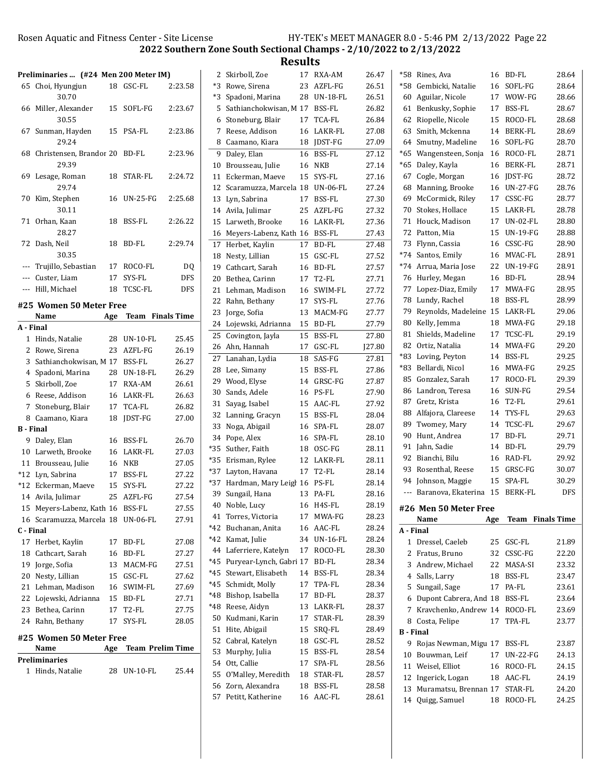14 24.25 Quigg, Samuel 18 ROCO-FL

2022 Southern Zone South Sectional Champs - 2/10/2022 to 2/13/2022

Results

|                  | Preliminaries  (#24 Men 200 Meter IM) |     |                         |            | 2 Skirboll, Zoe                    |    | 17 RXA-AM     | 26.47         |                  | *58 Rines, Ava                     |     | 16 BD-FL     | 28.64            |
|------------------|---------------------------------------|-----|-------------------------|------------|------------------------------------|----|---------------|---------------|------------------|------------------------------------|-----|--------------|------------------|
|                  | 65 Choi, Hyungjun                     |     | 18 GSC-FL               | 2:23.58    | *3 Rowe, Sirena                    |    | 23 AZFL-FG    | 26.51         |                  | *58 Gembicki, Natalie              |     | 16 SOFL-FG   | 28.64            |
|                  | 30.70                                 |     |                         |            | *3 Spadoni, Marina                 |    | 28 UN-18-FL   | 26.51         |                  | 60 Aguilar, Nicole                 |     | 17 WOW-FG    | 28.66            |
|                  | 66 Miller, Alexander                  |     | 15 SOFL-FG              | 2:23.67    | 5 Sathianchokwisan, M 17 BSS-FL    |    |               | 26.82         |                  | 61 Benkusky, Sophie                |     | 17 BSS-FL    | 28.67            |
|                  | 30.55                                 |     |                         |            | 6 Stoneburg, Blair                 |    | 17 TCA-FL     | 26.84         |                  | 62 Riopelle, Nicole                |     | 15 ROCO-FL   | 28.68            |
|                  | 67 Sunman, Hayden                     |     | 15 PSA-FL               | 2:23.86    | 7 Reese, Addison                   |    | 16 LAKR-FL    | 27.08         |                  | 63 Smith, Mckenna                  |     | 14 BERK-FL   | 28.69            |
|                  | 29.24                                 |     |                         |            | 8 Caamano, Kiara                   |    | 18 JDST-FG    | 27.09         |                  | 64 Smutny, Madeline                |     | 16 SOFL-FG   | 28.70            |
|                  | 68 Christensen, Brandor 20 BD-FL      |     |                         | 2:23.96    | 9 Daley, Elan                      |    | 16 BSS-FL     | 27.12         |                  | *65 Wangensteen, Sonja             |     | 16 ROCO-FL   | 28.71            |
|                  | 29.39                                 |     |                         |            | 10 Brousseau, Julie                |    | <b>16 NKB</b> | 27.14         |                  | *65 Daley, Kayla                   |     | 16 BERK-FL   | 28.71            |
|                  | 69 Lesage, Roman                      |     | 18 STAR-FL              | 2:24.72    | 11 Eckerman, Maeve                 |    | 15 SYS-FL     | 27.16         |                  | 67 Cogle, Morgan                   |     | 16 JDST-FG   | 28.72            |
|                  | 29.74                                 |     |                         |            | 12 Scaramuzza, Marcela 18 UN-06-FL |    |               | 27.24         |                  | 68 Manning, Brooke                 |     | 16 UN-27-FG  | 28.76            |
|                  | 70 Kim, Stephen                       |     | 16 UN-25-FG             | 2:25.68    | 13 Lyn, Sabrina                    |    | 17 BSS-FL     | 27.30         |                  | 69 McCormick, Riley                |     | 17 CSSC-FG   | 28.77            |
|                  | 30.11                                 |     |                         |            | 14 Avila, Julimar                  |    | 25 AZFL-FG    | 27.32         |                  | 70 Stokes, Hollace                 |     | 15 LAKR-FL   | 28.78            |
|                  | 71 Orhan, Kaan                        |     | 18 BSS-FL               | 2:26.22    | 15 Larweth, Brooke                 |    | 16 LAKR-FL    | 27.36         |                  | 71 Houck, Madison                  |     | 17 UN-02-FL  | 28.80            |
|                  | 28.27                                 |     |                         |            | 16 Meyers-Labenz, Kath 16 BSS-FL   |    |               | 27.43         |                  | 72 Patton, Mia                     | 15  | UN-19-FG     | 28.88            |
|                  | 72 Dash, Neil                         |     | 18 BD-FL                | 2:29.74    | 17 Herbet, Kaylin                  |    | 17 BD-FL      | 27.48         |                  | 73 Flynn, Cassia                   |     | 16 CSSC-FG   | 28.90            |
|                  | 30.35                                 |     |                         |            | 18 Nesty, Lillian                  |    | 15 GSC-FL     | 27.52         |                  | *74 Santos, Emily                  |     | 16 MVAC-FL   | 28.91            |
| ---              | Trujillo, Sebastian                   |     | 17 ROCO-FL              | DQ         | 19 Cathcart, Sarah                 |    | 16 BD-FL      | 27.57         |                  | *74 Arrua, Maria Jose              |     | 22 UN-19-FG  | 28.91            |
| ---              | Custer, Liam                          |     | 17 SYS-FL               | <b>DFS</b> | 20 Bethea, Carinn                  |    | 17 T2-FL      | 27.71         |                  | 76 Hurley, Megan                   |     | 16 BD-FL     | 28.94            |
|                  | --- Hill, Michael                     |     | 18 TCSC-FL              | <b>DFS</b> | 21 Lehman, Madison                 |    | 16 SWIM-FL    | 27.72         |                  | 77 Lopez-Diaz, Emily               |     | 17 MWA-FG    | 28.95            |
|                  | #25 Women 50 Meter Free               |     |                         |            | 22 Rahn, Bethany                   |    | 17 SYS-FL     | 27.76         |                  | 78 Lundy, Rachel                   |     | 18 BSS-FL    | 28.99            |
|                  | Name                                  |     | Age Team Finals Time    |            | 23 Jorge, Sofia                    |    | 13 MACM-FG    | 27.77         |                  | 79 Reynolds, Madeleine 15 LAKR-FL  |     |              | 29.06            |
| A - Final        |                                       |     |                         |            | 24 Lojewski, Adrianna              |    | 15 BD-FL      | 27.79         |                  | 80 Kelly, Jemma                    |     | 18 MWA-FG    | 29.18            |
|                  | 1 Hinds, Natalie                      |     | 28 UN-10-FL             | 25.45      | 25 Covington, Jayla                |    | 15 BSS-FL     | 27.80         |                  | 81 Shields, Madeline               |     | 17 TCSC-FL   | 29.19            |
|                  | 2 Rowe, Sirena                        |     | 23 AZFL-FG              | 26.19      | 26 Ahn, Hannah                     |    | 17 GSC-FL     | <b>J27.80</b> |                  | 82 Ortiz, Natalia                  |     | 14 MWA-FG    | 29.20            |
|                  | 3 Sathianchokwisan, M 17 BSS-FL       |     |                         | 26.27      | 27 Lanahan, Lydia                  |    | 18 SAS-FG     | 27.81         |                  | *83 Loving, Peyton                 |     | 14 BSS-FL    | 29.25            |
|                  | 4 Spadoni, Marina                     |     | 28 UN-18-FL             | 26.29      | 28 Lee, Simany                     |    | 15 BSS-FL     | 27.86         |                  | *83 Bellardi, Nicol                |     | 16 MWA-FG    | 29.25            |
|                  | 5 Skirboll, Zoe                       |     | 17 RXA-AM               | 26.61      | 29 Wood, Elyse                     |    | 14 GRSC-FG    | 27.87         |                  | 85 Gonzalez, Sarah                 |     | 17 ROCO-FL   | 29.39            |
|                  | 6 Reese, Addison                      |     | 16 LAKR-FL              | 26.63      | 30 Sands, Adele                    |    | 16 PS-FL      | 27.90         |                  | 86 Landron, Teresa                 |     | 16 SUN-FG    | 29.54            |
|                  | 7 Stoneburg, Blair                    |     | 17 TCA-FL               | 26.82      | 31 Sayag, Isabel                   |    | 15 AAC-FL     | 27.92         |                  | 87 Gretz, Krista                   |     | 16 T2-FL     | 29.61            |
|                  | 8 Caamano, Kiara                      |     | 18 JDST-FG              | 27.00      | 32 Lanning, Gracyn                 | 15 | BSS-FL        | 28.04         |                  | 88 Alfajora, Clareese              |     | 14 TYS-FL    | 29.63            |
| <b>B</b> - Final |                                       |     |                         |            | 33 Noga, Abigail                   |    | 16 SPA-FL     | 28.07         |                  | 89 Twomey, Mary                    |     | 14 TCSC-FL   | 29.67            |
|                  | 9 Daley, Elan                         |     | 16 BSS-FL               | 26.70      | 34 Pope, Alex                      |    | 16 SPA-FL     | 28.10         |                  | 90 Hunt, Andrea                    |     | 17 BD-FL     | 29.71            |
|                  | 10 Larweth, Brooke                    |     | 16 LAKR-FL              | 27.03      | *35 Suther, Faith                  |    | 18 OSC-FG     | 28.11         |                  | 91 Jahn, Sadie                     |     | 14 BD-FL     | 29.79            |
| 11               | Brousseau, Julie                      |     | <b>16 NKB</b>           | 27.05      | *35 Erisman, Rylee                 |    | 12 LAKR-FL    | 28.11         |                  | 92 Bianchi, Bilu                   |     | 16 RAD-FL    | 29.92            |
| *12              | Lyn, Sabrina                          |     | 17 BSS-FL               | 27.22      | *37 Layton, Havana                 |    | 17 T2-FL      | 28.14         |                  | 93 Rosenthal, Reese                |     | 15 GRSC-FG   | 30.07            |
| $*12$            | Eckerman, Maeve                       | 15  | SYS-FL                  | 27.22      | *37 Hardman, Mary Leigl 16 PS-FL   |    |               | 28.14         |                  | 94 Johnson, Maggie                 |     | 15 SPA-FL    | 30.29            |
|                  | 14 Avila, Julimar                     |     | 25 AZFL-FG              | 27.54      | 39 Sungail, Hana                   |    | 13 PA-FL      | 28.16         |                  | --- Baranova, Ekaterina 15 BERK-FL |     |              | <b>DFS</b>       |
|                  | 15 Meyers-Labenz, Kath 16 BSS-FL      |     |                         | 27.55      | 40 Noble, Lucy                     |    | 16 H4S-FL     | 28.19         |                  | #26 Men 50 Meter Free              |     |              |                  |
|                  | 16 Scaramuzza, Marcela 18 UN-06-FL    |     |                         | 27.91      | 41 Torres, Victoria                |    | 17 MWA-FG     | 28.23         |                  | Name                               | Age |              | Team Finals Time |
| C - Final        |                                       |     |                         |            | *42 Buchanan, Anita                |    | 16 AAC-FL     | 28.24         | A - Final        |                                    |     |              |                  |
|                  | 17 Herbet, Kaylin                     |     | 17 BD-FL                | 27.08      | *42 Kamat, Julie                   |    | 34 UN-16-FL   | 28.24         |                  | 1 Dressel, Caeleb                  |     | 25 GSC-FL    | 21.89            |
| 18               | Cathcart, Sarah                       |     | 16 BD-FL                | 27.27      | 44 Laferriere, Katelyn             |    | 17 ROCO-FL    | 28.30         |                  | 2 Fratus, Bruno                    |     | 32 CSSC-FG   | 22.20            |
| 19               | Jorge, Sofia                          |     | 13 MACM-FG              | 27.51      | *45 Puryear-Lynch, Gabri 17 BD-FL  |    |               | 28.34         |                  | 3 Andrew, Michael                  |     | 22 MASA-SI   | 23.32            |
|                  | 20 Nesty, Lillian                     |     | 15 GSC-FL               | 27.62      | *45 Stewart, Elisabeth             |    | 14 BSS-FL     | 28.34         |                  | 4 Salls, Larry                     |     | 18 BSS-FL    | 23.47            |
|                  | 21 Lehman, Madison                    |     | 16 SWIM-FL              | 27.69      | *45 Schmidt, Molly                 |    | 17 TPA-FL     | 28.34         |                  | 5 Sungail, Sage                    |     | 17 PA-FL     | 23.61            |
| 22               | Lojewski, Adrianna                    |     | 15 BD-FL                | 27.71      | *48 Bishop, Isabella               |    | 17 BD-FL      | 28.37         |                  | 6 Dupont Cabrera, And 18 BSS-FL    |     |              | 23.64            |
| 23               | Bethea, Carinn                        |     | 17 T2-FL                | 27.75      | *48 Reese, Aidyn                   |    | 13 LAKR-FL    | 28.37         |                  | 7 Kravchenko, Andrew 14 ROCO-FL    |     |              | 23.69            |
|                  | 24 Rahn, Bethany                      |     | 17 SYS-FL               | 28.05      | 50 Kudmani, Karin                  |    | 17 STAR-FL    | 28.39         |                  | 8 Costa, Felipe                    |     | 17 TPA-FL    | 23.77            |
|                  |                                       |     |                         |            | 51 Hite, Abigail                   |    | 15 SRQ-FL     | 28.49         | <b>B</b> - Final |                                    |     |              |                  |
|                  | #25 Women 50 Meter Free               |     |                         |            | 52 Cabral, Katelyn                 |    | 18 GSC-FL     | 28.52         |                  | 9 Rojas Newman, Migu 17 BSS-FL     |     |              | 23.87            |
|                  | Name                                  | Age | <b>Team Prelim Time</b> |            | 53 Murphy, Julia                   |    | 15 BSS-FL     | 28.54         |                  | 10 Bouwman, Leif                   |     | 17 UN-22-FG  | 24.13            |
|                  | Preliminaries                         |     |                         |            | 54 Ott, Callie                     |    | 17 SPA-FL     | 28.56         |                  | 11 Weisel, Elliot                  |     | 16 ROCO-FL   | 24.15            |
|                  | 1 Hinds, Natalie                      |     | 28 UN-10-FL             | 25.44      | 55 O'Malley, Meredith              |    | 18 STAR-FL    | 28.57         |                  | 12 Ingerick, Logan                 |     | 18 AAC-FL    | 24.19            |
|                  |                                       |     |                         |            | 56 Zorn, Alexandra                 |    | 18 BSS-FL     | 28.58         |                  | 13 Muramatsu, Brennan 17 STAR-FL   |     |              | 24.20            |
|                  |                                       |     |                         |            | 57 Petitt, Katherine               |    | 16 AAC-FL     | 28.61         |                  | 14. Quiga Samuel                   |     | $18$ ROCO-EL | 24.25            |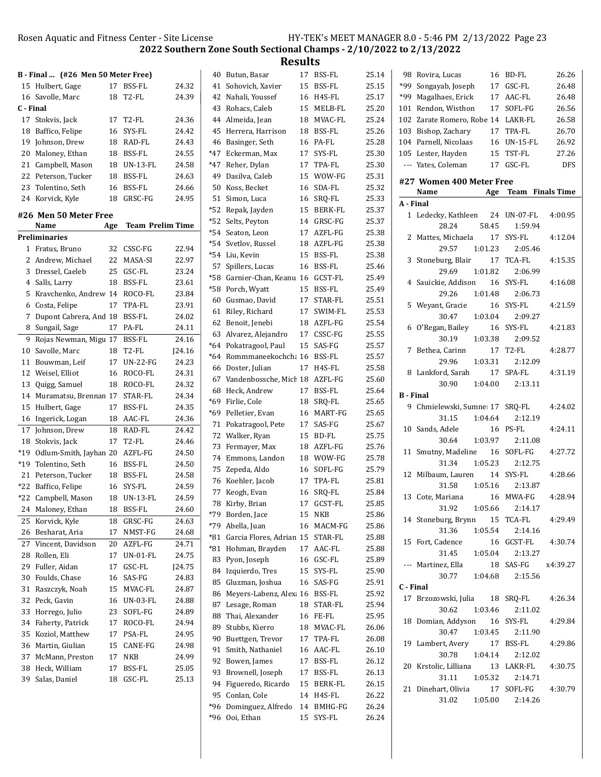|           |                                    |     |                         |        |    | <b>Results</b>                       |    |               |       |                  |                                    |         |                         |            |
|-----------|------------------------------------|-----|-------------------------|--------|----|--------------------------------------|----|---------------|-------|------------------|------------------------------------|---------|-------------------------|------------|
|           | B - Final  (#26 Men 50 Meter Free) |     |                         |        |    | 40 Butun, Basar                      |    | 17 BSS-FL     | 25.14 |                  | 98 Rovira, Lucas                   |         | 16 BD-FL                | 26.26      |
|           | 15 Hulbert, Gage                   |     | 17 BSS-FL               | 24.32  |    | 41 Sohovich, Xavier                  |    | 15 BSS-FL     | 25.15 |                  | *99 Songayab, Joseph               |         | 17 GSC-FL               | 26.48      |
|           | 16 Savolle, Marc                   |     | 18 T2-FL                | 24.39  |    | 42 Nahali, Youssef                   |    | 16 H4S-FL     | 25.17 |                  | *99 Magalhaes, Erick               |         | 17 AAC-FL               | 26.48      |
| C - Final |                                    |     |                         |        |    | 43 Rohacs, Caleb                     | 15 | MELB-FL       | 25.20 |                  | 101 Rendon, Wisthon                |         | 17 SOFL-FG              | 26.56      |
|           | 17 Stokvis, Jack                   | 17  | T2-FL                   | 24.36  |    | 44 Almeida, Jean                     |    | 18 MVAC-FL    | 25.24 |                  | 102 Zarate Romero, Robe 14 LAKR-FL |         |                         | 26.58      |
|           | 18 Baffico, Felipe                 |     | 16 SYS-FL               | 24.42  |    | 45 Herrera, Harrison                 | 18 | <b>BSS-FL</b> | 25.26 |                  | 103 Bishop, Zachary                |         | 17 TPA-FL               | 26.70      |
|           | 19 Johnson, Drew                   |     | 18 RAD-FL               | 24.43  |    | 46 Basinger, Seth                    |    | 16 PA-FL      | 25.28 |                  | 104 Parnell, Nicolaas              |         | 16 UN-15-FL             | 26.92      |
|           | 20 Maloney, Ethan                  |     | 18 BSS-FL               | 24.55  |    | *47 Eckerman, Max                    |    | 17 SYS-FL     | 25.30 |                  | 105 Lester, Hayden                 |         | 15 TST-FL               | 27.26      |
|           | 21 Campbell, Mason                 |     | 18 UN-13-FL             | 24.58  |    | *47 Reher, Dylan                     |    | 17 TPA-FL     | 25.30 |                  | --- Yates, Coleman                 |         | 17 GSC-FL               | <b>DFS</b> |
|           | 22 Peterson, Tucker                |     | 18 BSS-FL               | 24.63  |    | 49 Dasilva, Caleb                    | 15 | WOW-FG        | 25.31 |                  |                                    |         |                         |            |
|           | 23 Tolentino, Seth                 |     | 16 BSS-FL               | 24.66  |    | 50 Koss, Becket                      |    | 16 SDA-FL     | 25.32 |                  | #27 Women 400 Meter Free           |         |                         |            |
|           | 24 Korvick, Kyle                   | 18  | GRSC-FG                 | 24.95  |    | 51 Simon, Luca                       |    | 16 SRQ-FL     | 25.33 |                  | Name                               | Age     | <b>Team</b> Finals Time |            |
|           |                                    |     |                         |        |    | *52 Repak, Jayden                    | 15 | BERK-FL       | 25.37 | A - Final        |                                    |         |                         |            |
|           | #26 Men 50 Meter Free              |     |                         |        |    | *52 Selts, Peyton                    |    | 14 GRSC-FG    | 25.37 |                  | 1 Ledecky, Kathleen                |         | 24 UN-07-FL             | 4:00.95    |
|           | Name                               | Age | <b>Team Prelim Time</b> |        |    | *54 Seaton, Leon                     |    | 17 AZFL-FG    | 25.38 |                  | 28.24                              | 58.45   | 1:59.94                 |            |
|           | <b>Preliminaries</b>               |     |                         |        |    | *54 Svetlov, Russel                  |    | 18 AZFL-FG    | 25.38 |                  | 2 Mattes, Michaela                 |         | 17 SYS-FL               | 4:12.04    |
|           | 1 Fratus, Bruno                    |     | 32 CSSC-FG              | 22.94  |    | *54 Liu, Kevin                       | 15 | <b>BSS-FL</b> | 25.38 |                  | 29.57                              | 1:01.23 | 2:05.46                 |            |
|           | 2 Andrew, Michael                  |     | 22 MASA-SI              | 22.97  |    | 57 Spillers, Lucas                   |    | 16 BSS-FL     | 25.46 |                  | 3 Stoneburg, Blair                 |         | 17 TCA-FL               | 4:15.35    |
|           | 3 Dressel, Caeleb                  |     | 25 GSC-FL               | 23.24  |    | *58 Garnier-Chan, Keanu 16           |    | GCST-FL       | 25.49 |                  | 29.69                              | 1:01.82 | 2:06.99                 |            |
|           | 4 Salls, Larry                     |     | 18 BSS-FL               | 23.61  |    | *58 Porch, Wyatt                     |    | 15 BSS-FL     | 25.49 |                  | 4 Sauickie, Addison                |         | 16 SYS-FL               | 4:16.08    |
|           | 5 Kravchenko, Andrew 14 ROCO-FL    |     |                         | 23.84  |    | 60 Gusmao, David                     |    | 17 STAR-FL    | 25.51 |                  | 29.26                              | 1:01.48 | 2:06.73                 |            |
|           | 6 Costa, Felipe                    |     | 17 TPA-FL               | 23.91  |    | 61 Riley, Richard                    |    | 17 SWIM-FL    | 25.53 |                  | 5 Weyant, Gracie                   |         | 16 SYS-FL               | 4:21.59    |
|           | 7 Dupont Cabrera, And 18 BSS-FL    |     |                         | 24.02  |    | 62 Benoit, Jenebi                    |    | 18 AZFL-FG    | 25.54 |                  | 30.47                              | 1:03.04 | 2:09.27                 |            |
|           | 8 Sungail, Sage                    |     | 17 PA-FL                | 24.11  |    | 63 Alvarez, Alejandro                |    | 17 CSSC-FG    | 25.55 |                  | 6 O'Regan, Bailey                  |         | 16 SYS-FL               | 4:21.83    |
|           | 9 Rojas Newman, Migu 17 BSS-FL     |     |                         | 24.16  |    | *64 Pokatragool, Paul                |    | 15 SAS-FG     | 25.57 |                  | 30.19                              | 1:03.38 | 2:09.52                 |            |
|           | 10 Savolle, Marc                   |     | 18 T2-FL                | J24.16 |    | *64 Rommmaneekochcha 16              |    | BSS-FL        | 25.57 |                  | 7 Bethea, Carinn                   |         | 17 T2-FL                | 4:28.77    |
|           | 11 Bouwman, Leif                   |     | 17 UN-22-FG             | 24.23  |    | 66 Doster, Julian                    |    | 17 H4S-FL     | 25.58 |                  | 29.96                              | 1:03.31 | 2:12.09                 |            |
|           | 12 Weisel, Elliot                  |     | 16 ROCO-FL              | 24.31  |    | 67 Vandenbossche, Mich 18 AZFL-FG    |    |               | 25.60 |                  | 8 Lankford, Sarah                  |         | 17 SPA-FL               | 4:31.19    |
|           | 13 Quigg, Samuel                   |     | 18 ROCO-FL              | 24.32  |    | 68 Heck, Andrew                      | 17 | BSS-FL        | 25.64 |                  | 30.90                              | 1:04.00 | 2:13.11                 |            |
|           | 14 Muramatsu, Brennan 17           |     | STAR-FL                 | 24.34  |    | *69 Firlie, Cole                     |    | 18 SRQ-FL     | 25.65 | <b>B</b> - Final |                                    |         |                         |            |
|           | 15 Hulbert, Gage                   |     | 17 BSS-FL               | 24.35  |    | *69 Pelletier, Evan                  |    | 16 MART-FG    | 25.65 |                  | 9 Chmielewski, Sumne: 17 SRQ-FL    |         |                         | 4:24.02    |
|           | 16 Ingerick, Logan                 |     | 18 AAC-FL               | 24.36  |    | 71 Pokatragool, Pete                 |    | 17 SAS-FG     | 25.67 |                  | 31.15                              | 1:04.64 | 2:12.19                 |            |
|           | 17 Johnson, Drew                   |     | 18 RAD-FL               | 24.42  |    | 72 Walker, Ryan                      |    | 15 BD-FL      | 25.75 |                  | 10 Sands, Adele                    |         | 16 PS-FL                | 4:24.11    |
|           | 18 Stokvis, Jack                   |     | 17 T2-FL                | 24.46  |    | 73 Fermayer, Max                     |    | 18 AZFL-FG    | 25.76 |                  | 30.64                              | 1:03.97 | 2:11.08                 |            |
|           | *19 Odlum-Smith, Jayhan 20 AZFL-FG |     |                         | 24.50  |    | 74 Emmons, Landon                    |    | 18 WOW-FG     | 25.78 |                  | 11 Smutny, Madeline                |         | 16 SOFL-FG              | 4:27.72    |
|           | *19 Tolentino, Seth                |     | 16 BSS-FL               | 24.50  |    | 75 Zepeda, Aldo                      |    | 16 SOFL-FG    | 25.79 |                  | 31.34                              | 1:05.23 | 2:12.75                 |            |
|           | 21 Peterson, Tucker                |     | 18 BSS-FL               | 24.58  |    | 76 Koehler, Jacob                    | 17 | TPA-FL        | 25.81 |                  | 12 Milbaum, Lauren                 |         | 14 SYS-FL               | 4:28.66    |
|           | *22 Baffico, Felipe                |     | 16 SYS-FL               | 24.59  |    | 77 Keogh, Evan                       |    | 16 SRQ-FL     | 25.84 |                  | 31.58                              | 1:05.16 | 2:13.87                 |            |
|           | *22 Campbell, Mason                |     | 18 UN-13-FL             | 24.59  |    | 78 Kirby, Brian                      | 17 | GCST-FL       | 25.85 |                  | 13 Cote, Mariana                   |         | 16 MWA-FG               | 4:28.94    |
|           | 24 Maloney, Ethan                  |     | 18 BSS-FL               | 24.60  |    | *79 Borden, Jace                     | 15 | NKB           | 25.86 |                  | 31.92                              | 1:05.66 | 2:14.17                 |            |
|           | 25 Korvick, Kyle                   |     | 18 GRSC-FG              | 24.63  |    | *79 Abella, Juan                     |    | 16 MACM-FG    | 25.86 |                  | 14 Stoneburg, Brynn                |         | 15 TCA-FL               | 4:29.49    |
|           | 26 Besharat, Aria                  |     | 17 NMST-FG              | 24.68  |    | *81 Garcia Flores, Adrian 15 STAR-FL |    |               | 25.88 |                  | 31.36                              | 1:05.54 | 2:14.16                 |            |
|           | 27 Vincent, Davidson               |     | 20 AZFL-FG              | 24.71  |    | *81 Hohman, Brayden                  |    | 17 AAC-FL     | 25.88 |                  | 15 Fort, Cadence                   |         | 16 GCST-FL              | 4:30.74    |
|           | 28 Rollen, Eli                     |     | 17 UN-01-FL             | 24.75  |    | 83 Pyon, Joseph                      |    | 16 GSC-FL     | 25.89 |                  | 31.45                              | 1:05.04 | 2:13.27                 |            |
|           | 29 Fuller, Aidan                   |     | 17 GSC-FL               | J24.75 |    | 84 Izquierdo, Tres                   |    | 15 SYS-FL     | 25.90 |                  | --- Martinez, Ella                 |         | 18 SAS-FG               | x4:39.27   |
|           | 30 Foulds, Chase                   |     | 16 SAS-FG               | 24.83  |    | 85 Gluzman, Joshua                   |    | 16 SAS-FG     | 25.91 |                  | 30.77                              | 1:04.68 | 2:15.56                 |            |
|           | 31 Raszczyk, Noah                  |     | 15 MVAC-FL              | 24.87  |    | 86 Meyers-Labenz, Alexa 16 BSS-FL    |    |               | 25.92 | C - Final        |                                    |         |                         |            |
|           | 32 Peck, Gavin                     |     | 16 UN-03-FL             | 24.88  |    | 87 Lesage, Roman                     |    | 18 STAR-FL    | 25.94 |                  | 17 Brzozowski, Julia               |         | 18 SRQ-FL               | 4:26.34    |
|           | 33 Horrego, Julio                  |     | 23 SOFL-FG              | 24.89  |    | 88 Thai, Alexander                   |    | 16 FE-FL      | 25.95 |                  | 30.62                              | 1:03.46 | 2:11.02                 |            |
|           | 34 Faherty, Patrick                |     | 17 ROCO-FL              | 24.94  |    | 89 Stubbs, Kierro                    |    | 18 MVAC-FL    | 26.06 |                  | 18 Domian, Addyson                 |         | 16 SYS-FL               | 4:29.84    |
|           | 35 Koziol, Matthew                 |     | 17 PSA-FL               | 24.95  |    | 90 Buettgen, Trevor                  |    | 17 TPA-FL     | 26.08 |                  | 30.47                              | 1:03.45 | 2:11.90                 |            |
|           | 36 Martin, Giulian                 |     | 15 CANE-FG              | 24.98  | 91 | Smith, Nathaniel                     |    | 16 AAC-FL     | 26.10 |                  | 19 Lambert, Avery                  |         | 17 BSS-FL               | 4:29.86    |
|           | 37 McMann, Preston                 |     | 17 NKB                  | 24.99  | 92 | Bowen, James                         |    | 17 BSS-FL     | 26.12 |                  | 30.78                              | 1:04.14 | 2:12.02                 |            |
|           | 38 Heck, William                   | 17  | BSS-FL                  | 25.05  | 93 | Brownell, Joseph                     |    | 17 BSS-FL     | 26.13 |                  | 20 Krstolic, Lilliana              |         | 13 LAKR-FL              | 4:30.75    |
|           | 39 Salas, Daniel                   |     | 18 GSC-FL               | 25.13  | 94 | Figueredo, Ricardo                   |    | 15 BERK-FL    | 26.15 |                  | 31.11                              | 1:05.32 | 2:14.71                 |            |
|           |                                    |     |                         |        |    | 95 Conlan, Cole                      |    | 14 H4S-FL     | 26.22 |                  | 21 Dinehart, Olivia                |         | 17 SOFL-FG              | 4:30.79    |
|           |                                    |     |                         |        |    |                                      |    |               |       |                  | 31.02                              | 1:05.00 | 2:14.26                 |            |

\*96 26.24 Dominguez, Alfredo 14 BMHG-FG \*96 26.24 Ooi, Ethan 15 SYS-FL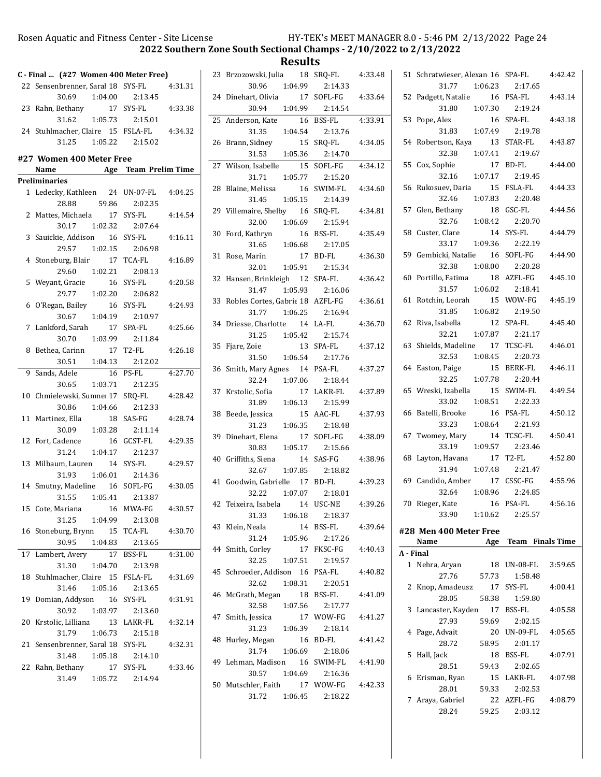2022 Southern Zone South Sectional Champs - 2/10/2022 to 2/13/2022

|    | C - Final  (#27 Women 400 Meter Free)     |                      |
|----|-------------------------------------------|----------------------|
|    | 22 Sensenbrenner, Saral 18 SYS-FL         | 4:31.31              |
|    | 30.69<br>1:04.00                          | 2:13.45              |
|    | 23 Rahn, Bethany 17 SYS-FL                | 4:33.38              |
|    | 31.62                                     | 1:05.73  2:15.01     |
|    | 24 Stuhlmacher, Claire 15 FSLA-FL 4:34.32 |                      |
|    | 31.25   1:05.22   2:15.02                 |                      |
|    | #27 Women 400 Meter Free                  |                      |
|    | Name Age Team Prelim Time                 |                      |
|    | <b>Preliminaries</b>                      |                      |
|    | 1 Ledecky, Kathleen 24 UN-07-FL           | 4:04.25              |
|    | 59.86<br>28.88                            | 2:02.35              |
|    | 2 Mattes, Michaela 17 SYS-FL              | 4:14.54              |
|    | 30.17 1:02.32 2:07.64                     |                      |
| 3  | Sauickie, Addison 16 SYS-FL               | 4:16.11              |
|    | 29.57 1:02.15 2:06.98                     |                      |
| 4  | Stoneburg, Blair 17                       | TCA-FL<br>4:16.89    |
|    | 29.60 1:02.21                             | 2:08.13              |
| 5  | Weyant, Gracie<br>16                      | SYS-FL<br>4:20.58    |
|    | 29.77 1:02.20                             | 2:06.82              |
|    | 16<br>6 O'Regan, Bailey                   | SYS-FL<br>4:24.93    |
|    | 30.67 1:04.19                             | 2:10.97              |
|    | 7 Lankford, Sarah 17                      | SPA-FL<br>4:25.66    |
|    | 30.70 1:03.99 2:11.84                     |                      |
| 8  | Bethea, Carinn 17 T2-FL                   | 4:26.18              |
|    | 30.51<br>1:04.13  2:12.02                 |                      |
| 9  | Sands, Adele                              | 4:27.70<br>16 PS-FL  |
|    | 30.65 1:03.71 2:12.35                     |                      |
| 10 | Chmielewski, Sumne: 17 SRQ-FL             | 4:28.42              |
|    | 30.86                                     | 1:04.66 2:12.33      |
| 11 | Martinez, Ella<br>- 18                    | SAS-FG<br>4:28.74    |
|    | 30.09  1:03.28  2:11.14                   |                      |
|    | 16<br>12 Fort, Cadence                    | GCST-FL<br>4:29.35   |
|    | 31.24   1:04.17   2:12.37                 |                      |
| 13 | Milbaum, Lauren 14 SYS-FL                 | 4:29.57              |
|    | 31.93 1:06.01 2:14.36                     |                      |
|    | 14 Smutny, Madeline 16 SOFL-FG            | 4:30.05              |
|    | 31.55   1:05.41   2:13.87                 |                      |
|    | 15 Cote, Mariana<br>16                    | MWA-FG<br>4:30.57    |
|    | 31.25<br>1:04.99                          | 2:13.08              |
|    | 16 Stoneburg, Brynn 15 TCA-FL             | 4:30.70              |
|    | 30.95<br>1:04.83                          | 2:13.65              |
| 17 | Lambert, Avery<br>17                      | BSS-FL<br>4:31.00    |
|    | 1:04.70<br>31.30                          | 2:13.98              |
|    | 18 Stuhlmacher, Claire 15 FSLA-FL         | 4:31.69              |
|    | 31.46<br>1:05.16                          | 2:13.65              |
| 19 | Domian, Addyson 16                        | SYS-FL<br>4:31.91    |
|    | 30.92<br>1:03.97                          | 2:13.60              |
| 20 | Krstolic, Lilliana 13 LAKR-FL             | 4:32.14              |
|    | 31.79<br>1:06.73                          | 2:15.18              |
| 21 | Sensenbrenner, Saral 18 SYS-FL            | 4:32.31              |
|    | 31.48<br>1:05.18                          | 2:14.10              |
| 22 | Rahn, Bethany                             | 17 SYS-FL<br>4:33.46 |
|    | 1:05.72<br>31.49                          | 2:14.94              |
|    |                                           |                      |

|    | 23 Brzozowski, Julia 18             | SRQ-FL 4:33.48  |         |
|----|-------------------------------------|-----------------|---------|
|    | 30.96<br>1:04.99                    | 2:14.33         |         |
|    | 24 Dinehart, Olivia                 | 17 SOFL-FG      | 4:33.64 |
|    | 1:04.99<br>30.94                    | 2:14.54         |         |
|    | 25 Anderson, Kate<br>16             | BSS-FL          | 4:33.91 |
|    | 31.35<br>1:04.54                    | 2:13.76         |         |
|    | 26 Brann, Sidney<br>15              | SRQ-FL          | 4:34.05 |
|    | 1:05.36<br>31.53                    | 2:14.70         |         |
| 27 | Wilson, Isabelle<br>15              | SOFL-FG         | 4:34.12 |
|    | 1:05.77<br>31.71                    | 2:15.20         |         |
| 28 | Blaine, Melissa                     | 16 SWIM-FL      | 4:34.60 |
|    | 1:05.15<br>31.45                    | 2:14.39         |         |
| 29 | Villemaire, Shelby 16 SRQ-FL        |                 | 4:34.81 |
|    | 32.00                               | 1:06.69 2:15.94 |         |
|    | 30 Ford, Kathryn                    | 16 BSS-FL       | 4:35.49 |
|    | 31.65                               | 1:06.68 2:17.05 |         |
| 31 | Rose, Marin                         | 17 BD-FL        | 4:36.30 |
|    | 32.01  1:05.91  2:15.34             |                 |         |
|    | 32 Hansen, Brinkleigh 12 SPA-FL     |                 | 4:36.42 |
|    | 31.47 1:05.93                       | 2:16.06         |         |
|    | 33 Robles Cortes, Gabric 18 AZFL-FG |                 | 4:36.61 |
|    | 31.77                               | 1:06.25 2:16.94 |         |
|    | 34 Driesse, Charlotte 14 LA-FL      |                 | 4:36.70 |
|    | 31.25   1:05.42   2:15.74           |                 |         |
| 35 | Fjare, Zoie                         | 13 SPA-FL       | 4:37.12 |
|    | 31.50<br>1:06.54                    | 2:17.76         |         |
| 36 | Smith, Mary Agnes 14 PSA-FL         |                 | 4:37.27 |
|    | 32.24<br>1:07.06                    | 2:18.44         |         |
| 37 | Krstolic, Sofia                     | 17 LAKR-FL      | 4:37.89 |
|    | 31.89<br>1:06.13                    | 2:15.99         |         |
| 38 | Beede, Jessica                      | 15 AAC-FL       | 4:37.93 |
|    | 31.23<br>1:06.35                    | 2:18.48         |         |
| 39 | Dinehart, Elena                     | 17 SOFL-FG      | 4:38.09 |
|    | 1:05.17<br>30.83                    | 2:15.66         |         |
|    | 40 Griffiths, Siena                 | 14 SAS-FG       | 4:38.96 |
|    | 1:07.85<br>32.67                    | 2:18.82         |         |
|    | 41 Goodwin, Gabrielle 17 BD-FL      |                 | 4:39.23 |
|    | 32.22<br>1:07.07                    | 2:18.01         |         |
| 42 | Teixeira, Isabela<br>14             | USC-NE          | 4:39.26 |
|    | 31.33                               | 1:06.18 2:18.37 |         |
| 43 | Klein, Neala                        | 14 BSS-FL       | 4:39.64 |
|    | 31.24<br>1:05.96                    | 2:17.26         |         |
|    | 44 Smith, Corley                    | 17 FKSC-FG      | 4:40.43 |
|    | 1:07.51<br>32.25                    | 2:19.57         |         |
| 45 | Schroeder, Addison 16 PSA-FL        |                 | 4:40.82 |
|    | 1:08.31<br>32.62                    | 2:20.51         |         |
|    | 46 McGrath, Megan 18 BSS-FL         |                 | 4:41.09 |
|    | 32.58<br>1:07.56                    | 2:17.77         |         |
|    | 47 Smith, Jessica                   | 17 WOW-FG       | 4:41.27 |
|    | 31.23<br>1:06.39                    | 2:18.14         |         |
| 48 | Hurley, Megan                       | 16 BD-FL        | 4:41.42 |
|    | $31.74$ $1:06.69$ $2:18.06$         |                 |         |
|    | 49 Lehman, Madison 16 SWIM-FL       |                 | 4:41.90 |
|    | 30.57 1:04.69                       | 2:16.36         |         |
|    | 50 Mutschler, Faith 17 WOW-FG       |                 | 4:42.33 |
|    | 31.72  1:06.45                      | 2:18.22         |         |

|              | 51 Schratwieser, Alexan 16 SPA-FL | 4:42.42                   |
|--------------|-----------------------------------|---------------------------|
|              | 31.77 1:06.23                     | 2:17.65                   |
| 52           | Padgett, Natalie                  | 16 PSA-FL<br>4:43.14      |
|              | 1:07.30<br>31.80                  | 2:19.24                   |
| 53           | Pope, Alex<br>16                  | SPA-FL<br>4:43.18         |
|              | 31.83                             | 1:07.49 2:19.78           |
| 54           | Robertson, Kaya 13                | STAR-FL<br>4:43.87        |
|              |                                   |                           |
|              | 32.38                             | 1:07.41 2:19.67           |
| 55           | Cox, Sophie<br>17                 | BD-FL<br>4:44.00          |
|              | 32.16<br>1:07.17                  | 2:19.45                   |
| 56           | Rukosuev, Daria<br>15             | FSLA-FL<br>4:44.33        |
|              | 1:07.83<br>32.46                  | 2:20.48                   |
| 57           | Glen, Bethany<br>18               | GSC-FL<br>4:44.56         |
|              | 1:08.42<br>32.76                  | 2:20.70                   |
| 58           | Custer, Clare                     | 14 SYS-FL<br>4:44.79      |
|              | 1:09.36<br>33.17                  | 2:22.19                   |
| 59           | Gembicki, Natalie                 | 16 SOFL-FG<br>4:44.90     |
|              | 32.38<br>1:08.00                  | 2:20.28                   |
| 60           | Portillo, Fatima                  | 18 AZFL-FG<br>4:45.10     |
|              | 31.57<br>1:06.02                  | 2:18.41                   |
| 61           | Rotchin, Leorah                   | 15 WOW-FG<br>4:45.19      |
|              | 31.85<br>1:06.82                  | 2:19.50                   |
|              | 62 Riva, Isabella<br>12           | SPA-FL<br>4:45.40         |
|              | 1:07.87<br>32.21                  | 2:21.17                   |
|              | 63 Shields, Madeline 17           | <b>TCSC-FL</b><br>4:46.01 |
|              | 32.53<br>1:08.45                  | 2:20.73                   |
|              | 64 Easton, Paige                  | 15 BERK-FL<br>4:46.11     |
|              | 1:07.78<br>32.25                  | 2:20.44                   |
|              |                                   | 4:49.54                   |
|              | 65 Wreski, Izabella<br>15         | SWIM-FL                   |
|              | 33.02<br>1:08.51                  | 2:22.33                   |
| 66           | Batelli, Brooke<br>16             | 4:50.12<br>PSA-FL         |
|              | 33.23                             | 1:08.64 2:21.93           |
| 67           | Twomey, Mary<br>14                | TCSC-FL<br>4:50.41        |
|              | 33.19                             | 1:09.57 2:23.46           |
| 68           | Layton, Havana<br>17              | T2-FL<br>4:52.80          |
|              | 31.94<br>1:07.48                  | 2:21.47                   |
| 69           | Candido, Amber 17 CSSC-FG         | 4:55.96                   |
|              | 32.64                             | 1:08.96 2:24.85           |
| 70           | Rieger, Kate                      | 16 PSA-FL<br>4:56.16      |
|              | 1:10.62<br>33.90                  | 2:25.57                   |
|              | #28 Men 400 Meter Free            |                           |
|              | Name                              | Age Team Finals Time      |
| A - Final    |                                   |                           |
| $\mathbf{1}$ | Nehra, Aryan                      | 18 UN-08-FL<br>3:59.65    |
|              | 27.76<br>57.73                    | 1:58.48                   |
| 2            | Knop, Amadeusz<br>17              | SYS-FL<br>4:00.41         |
|              | 58.38<br>28.05                    | 1:59.80                   |
| 3            | Lancaster, Kayden 17 BSS-FL       | 4:05.58                   |
|              | 27.93<br>59.69                    | 2:02.15                   |
|              | Page, Advait                      |                           |
| 4            |                                   | 20 UN-09-FL<br>4:05.65    |
|              | 28.72<br>58.95                    | 2:01.17                   |
| 5            | Hall, Jack                        | 18 BSS-FL<br>4:07.91      |
|              | 28.51<br>59.43                    | 2:02.65                   |
|              | 6 Erisman, Ryan                   | 15 LAKR-FL<br>4:07.98     |
|              | 28.01<br>59.33                    | 2:02.53                   |
|              | 7 Araya, Gabriel                  | 22 AZFL-FG<br>4:08.79     |
|              | 59.25<br>28.24                    | 2:03.12                   |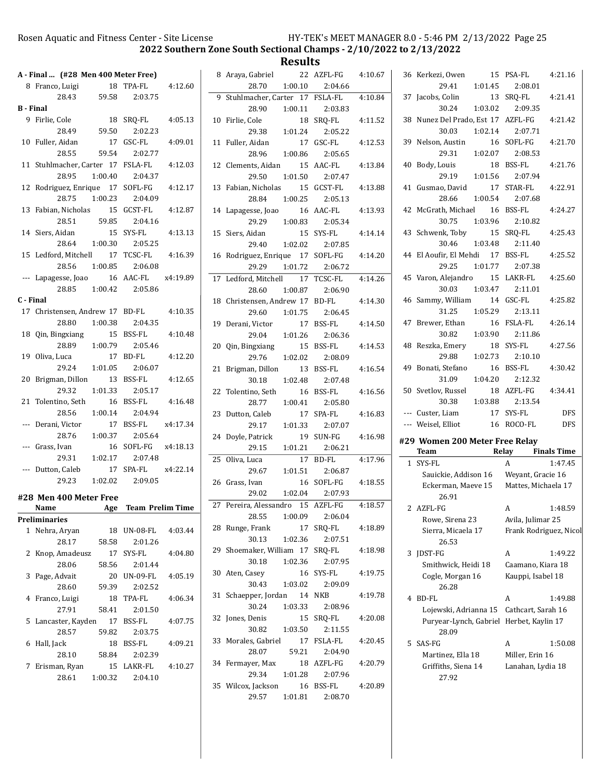2022 Southern Zone South Sectional Champs - 2/10/2022 to 2/13/2022

|                  |                                     |         |                         |          |                                   | -------- |                      |         |                                          |         |                        |                    |
|------------------|-------------------------------------|---------|-------------------------|----------|-----------------------------------|----------|----------------------|---------|------------------------------------------|---------|------------------------|--------------------|
|                  | A - Final  (#28 Men 400 Meter Free) |         |                         |          | 8 Araya, Gabriel                  |          | 22 AZFL-FG           | 4:10.67 | 36 Kerkezi, Owen                         |         | 15 PSA-FL              | 4:21.16            |
|                  | 8 Franco, Luigi                     |         | 18 TPA-FL               | 4:12.60  | 28.70                             | 1:00.10  | 2:04.66              |         | 29.41                                    | 1:01.45 | 2:08.01                |                    |
|                  | 28.43                               | 59.58   | 2:03.75                 |          | 9 Stuhlmacher, Carter 17 FSLA-FL  |          |                      | 4:10.84 | 37 Jacobs, Colin                         |         | 13 SRQ-FL              | 4:21.41            |
| <b>B</b> - Final |                                     |         |                         |          | 28.90                             | 1:00.11  | 2:03.83              |         | 30.24                                    | 1:03.02 | 2:09.35                |                    |
|                  | 9 Firlie, Cole                      |         | 18 SRQ-FL               | 4:05.13  | 10 Firlie, Cole                   |          | 18 SRQ-FL            | 4:11.52 | 38 Nunez Del Prado, Est 17 AZFL-FG       |         |                        | 4:21.42            |
|                  | 28.49                               | 59.50   | 2:02.23                 |          | 29.38                             | 1:01.24  | 2:05.22              |         | 30.03                                    | 1:02.14 | 2:07.71                |                    |
|                  | 10 Fuller, Aidan                    |         | 17 GSC-FL               | 4:09.01  | 11 Fuller, Aidan                  |          | 17 GSC-FL            | 4:12.53 | 39 Nelson, Austin                        |         | 16 SOFL-FG             | 4:21.70            |
|                  | 28.55                               | 59.54   | 2:02.77                 |          | 28.96                             | 1:00.86  | 2:05.65              |         | 29.31                                    | 1:02.07 | 2:08.53                |                    |
|                  | 11 Stuhlmacher, Carter 17 FSLA-FL   |         |                         | 4:12.03  | 12 Clements, Aidan                |          | 15 AAC-FL            | 4:13.84 | 40 Body, Louis                           |         | 18 BSS-FL              | 4:21.76            |
|                  | 28.95                               | 1:00.40 | 2:04.37                 |          | 29.50                             | 1:01.50  | 2:07.47              |         | 29.19                                    | 1:01.56 | 2:07.94                |                    |
|                  | 12 Rodriguez, Enrique 17 SOFL-FG    |         |                         | 4:12.17  | 13 Fabian, Nicholas               |          | 15 GCST-FL           | 4:13.88 | 41 Gusmao, David                         |         | 17 STAR-FL             | 4:22.91            |
|                  | 28.75                               | 1:00.23 |                         |          |                                   |          |                      |         |                                          | 1:00.54 | 2:07.68                |                    |
|                  |                                     |         | 2:04.09                 |          | 28.84                             | 1:00.25  | 2:05.13              |         | 28.66                                    |         |                        |                    |
|                  | 13 Fabian, Nicholas                 |         | 15 GCST-FL              | 4:12.87  | 14 Lapagesse, Joao                |          | 16 AAC-FL            | 4:13.93 | 42 McGrath, Michael                      |         | 16 BSS-FL              | 4:24.27            |
|                  | 28.51                               | 59.85   | 2:04.16                 |          | 29.29                             | 1:00.83  | 2:05.34              |         | 30.75                                    | 1:03.96 | 2:10.82                |                    |
|                  | 14 Siers, Aidan                     |         | 15 SYS-FL               | 4:13.13  | 15 Siers, Aidan                   |          | 15 SYS-FL            | 4:14.14 | 43 Schwenk, Toby                         |         | 15 SRQ-FL              | 4:25.43            |
|                  | 28.64                               | 1:00.30 | 2:05.25                 |          | 29.40                             | 1:02.02  | 2:07.85              |         | 30.46                                    | 1:03.48 | 2:11.40                |                    |
|                  | 15 Ledford, Mitchell                |         | 17 TCSC-FL              | 4:16.39  | 16 Rodriguez, Enrique 17 SOFL-FG  |          |                      | 4:14.20 | 44 El Aoufir, El Mehdi 17 BSS-FL         |         |                        | 4:25.52            |
|                  | 28.56                               | 1:00.85 | 2:06.08                 |          | 29.29                             | 1:01.72  | 2:06.72              |         | 29.25                                    | 1:01.77 | 2:07.38                |                    |
|                  | --- Lapagesse, Joao                 |         | 16 AAC-FL               | x4:19.89 | 17 Ledford, Mitchell              |          | 17 TCSC-FL           | 4:14.26 | 45 Varon, Alejandro                      |         | 15 LAKR-FL             | 4:25.60            |
|                  | 28.85                               | 1:00.42 | 2:05.86                 |          | 28.60                             | 1:00.87  | 2:06.90              |         | 30.03                                    | 1:03.47 | 2:11.01                |                    |
| C - Final        |                                     |         |                         |          | 18 Christensen, Andrew 17 BD-FL   |          |                      | 4:14.30 | 46 Sammy, William                        |         | 14 GSC-FL              | 4:25.82            |
|                  | 17 Christensen, Andrew 17 BD-FL     |         |                         | 4:10.35  | 29.60                             | 1:01.75  | 2:06.45              |         | 31.25                                    | 1:05.29 | 2:13.11                |                    |
|                  | 28.80                               | 1:00.38 | 2:04.35                 |          | 19 Derani, Victor                 |          | 17 BSS-FL            | 4:14.50 | 47 Brewer, Ethan                         |         | 16 FSLA-FL             | 4:26.14            |
|                  | 18 Qin, Bingxiang                   |         | 15 BSS-FL               | 4:10.48  | 29.04                             | 1:01.26  | 2:06.36              |         | 30.82                                    | 1:03.90 | 2:11.86                |                    |
|                  | 28.89                               | 1:00.79 | 2:05.46                 |          | 20 Qin, Bingxiang                 |          | 15 BSS-FL            | 4:14.53 | 48 Reszka, Emery                         |         | 18 SYS-FL              | 4:27.56            |
|                  | 19 Oliva, Luca                      |         | 17 BD-FL                | 4:12.20  | 29.76                             | 1:02.02  | 2:08.09              |         | 29.88                                    | 1:02.73 | 2:10.10                |                    |
|                  | 29.24                               | 1:01.05 | 2:06.07                 |          | 21 Brigman, Dillon                |          | 13 BSS-FL            | 4:16.54 | 49 Bonati, Stefano                       |         | 16 BSS-FL              | 4:30.42            |
|                  | 20 Brigman, Dillon                  |         | 13 BSS-FL               | 4:12.65  | 30.18                             | 1:02.48  | 2:07.48              |         | 31.09                                    | 1:04.20 | 2:12.32                |                    |
|                  | 29.32                               | 1:01.33 | 2:05.17                 |          |                                   |          |                      |         | 50 Svetlov, Russel                       |         | 18 AZFL-FG             | 4:34.41            |
|                  |                                     |         | 16 BSS-FL               |          | 22 Tolentino, Seth                |          | 16 BSS-FL            | 4:16.56 | 30.38                                    | 1:03.88 | 2:13.54                |                    |
|                  | 21 Tolentino, Seth                  |         |                         | 4:16.48  | 28.77                             | 1:00.41  | 2:05.80              |         |                                          |         |                        | <b>DFS</b>         |
|                  | 28.56                               | 1:00.14 | 2:04.94                 |          | 23 Dutton, Caleb                  |          | 17 SPA-FL            | 4:16.83 | --- Custer, Liam                         |         | 17 SYS-FL              |                    |
|                  | --- Derani, Victor                  |         | 17 BSS-FL               | x4:17.34 | 29.17                             | 1:01.33  | 2:07.07              |         | --- Weisel, Elliot                       |         | 16 ROCO-FL             | <b>DFS</b>         |
|                  | 28.76                               | 1:00.37 | 2:05.64                 |          | 24 Doyle, Patrick                 |          | 19 SUN-FG            | 4:16.98 | #29 Women 200 Meter Free Relay           |         |                        |                    |
|                  | --- Grass, Ivan                     |         | 16 SOFL-FG              | x4:18.13 | 29.15                             | 1:01.21  | 2:06.21              |         | Team                                     |         | Relay                  | <b>Finals Time</b> |
|                  | 29.31                               | 1:02.17 | 2:07.48                 |          | 25 Oliva, Luca                    |          | 17 BD-FL             | 4:17.96 | 1 SYS-FL                                 |         | A                      | 1:47.45            |
|                  | --- Dutton, Caleb                   |         | 17 SPA-FL               | x4:22.14 | 29.67                             | 1:01.51  | 2:06.87              |         | Sauickie, Addison 16                     |         | Weyant, Gracie 16      |                    |
|                  | 29.23                               | 1:02.02 | 2:09.05                 |          | 26 Grass, Ivan                    |          | 16 SOFL-FG           | 4:18.55 | Eckerman, Maeve 15                       |         | Mattes, Michaela 17    |                    |
|                  | #28 Men 400 Meter Free              |         |                         |          | 29.02                             | 1:02.04  | 2:07.93              |         | 26.91                                    |         |                        |                    |
|                  | Name                                | Age     | <b>Team Prelim Time</b> |          | 27 Pereira, Alessandro 15 AZFL-FG |          |                      | 4:18.57 | 2 AZFL-FG                                |         | A                      | 1:48.59            |
|                  | <b>Preliminaries</b>                |         |                         |          | 28.55                             | 1:00.09  | 2:06.04              |         | Rowe, Sirena 23                          |         | Avila, Julimar 25      |                    |
|                  | 1 Nehra, Aryan                      |         | 18 UN-08-FL             | 4:03.44  | 28 Runge, Frank                   |          | 17 SRQ-FL            | 4:18.89 | Sierra, Micaela 17                       |         | Frank Rodriguez, Nicol |                    |
|                  | 28.17                               | 58.58   | 2:01.26                 |          | 30.13                             | 1:02.36  | 2:07.51              |         | 26.53                                    |         |                        |                    |
|                  | 2 Knop, Amadeusz                    |         | 17 SYS-FL               | 4:04.80  | 29 Shoemaker, William 17 SRQ-FL   |          |                      | 4:18.98 | 3 JDST-FG                                |         | A                      | 1:49.22            |
|                  | 28.06                               | 58.56   | 2:01.44                 |          | 30.18                             | 1:02.36  | 2:07.95              |         | Smithwick, Heidi 18                      |         | Caamano, Kiara 18      |                    |
|                  |                                     |         |                         |          | 30 Aten, Casey                    |          | 16 SYS-FL            | 4:19.75 |                                          |         |                        |                    |
|                  | 3 Page, Advait                      |         | 20 UN-09-FL             | 4:05.19  | 30.43                             | 1:03.02  | 2:09.09              |         | Cogle, Morgan 16                         |         | Kauppi, Isabel 18      |                    |
|                  | 28.60                               | 59.39   | 2:02.52                 |          | 31 Schaepper, Jordan              |          | 14 NKB               | 4:19.78 | 26.28                                    |         |                        |                    |
|                  | 4 Franco, Luigi                     |         | 18 TPA-FL               | 4:06.34  | 30.24                             | 1:03.33  | 2:08.96              |         | 4 BD-FL                                  |         | A                      | 1:49.88            |
|                  | 27.91                               | 58.41   | 2:01.50                 |          |                                   |          |                      |         | Lojewski, Adrianna 15 Cathcart, Sarah 16 |         |                        |                    |
|                  | 5 Lancaster, Kayden                 |         | 17 BSS-FL               | 4:07.75  | 32 Jones, Denis                   |          | 15 SRQ-FL            | 4:20.08 | Puryear-Lynch, Gabriel Herbet, Kaylin 17 |         |                        |                    |
|                  | 28.57                               | 59.82   | 2:03.75                 |          | 30.82                             | 1:03.50  | 2:11.55              |         | 28.09                                    |         |                        |                    |
|                  | 6 Hall, Jack                        |         | 18 BSS-FL               | 4:09.21  | 33 Morales, Gabriel               |          | 17 FSLA-FL           | 4:20.45 | 5 SAS-FG                                 |         | A                      | 1:50.08            |
|                  |                                     | 58.84   | 2:02.39                 |          | 28.07                             | 59.21    | 2:04.90              |         | Martinez, Ella 18                        |         | Miller, Erin 16        |                    |
|                  | 28.10                               |         |                         |          |                                   |          |                      |         |                                          |         |                        |                    |
|                  | 7 Erisman, Ryan                     |         | 15 LAKR-FL              | 4:10.27  | 34 Fermayer, Max                  |          | 18 AZFL-FG           | 4:20.79 | Griffiths, Siena 14                      |         | Lanahan, Lydia 18      |                    |
|                  | 28.61                               | 1:00.32 | 2:04.10                 |          | 29.34                             | 1:01.28  | 2:07.96              |         | 27.92                                    |         |                        |                    |
|                  |                                     |         |                         |          | 35 Wilcox, Jackson<br>29.57       | 1:01.81  | 16 BSS-FL<br>2:08.70 | 4:20.89 |                                          |         |                        |                    |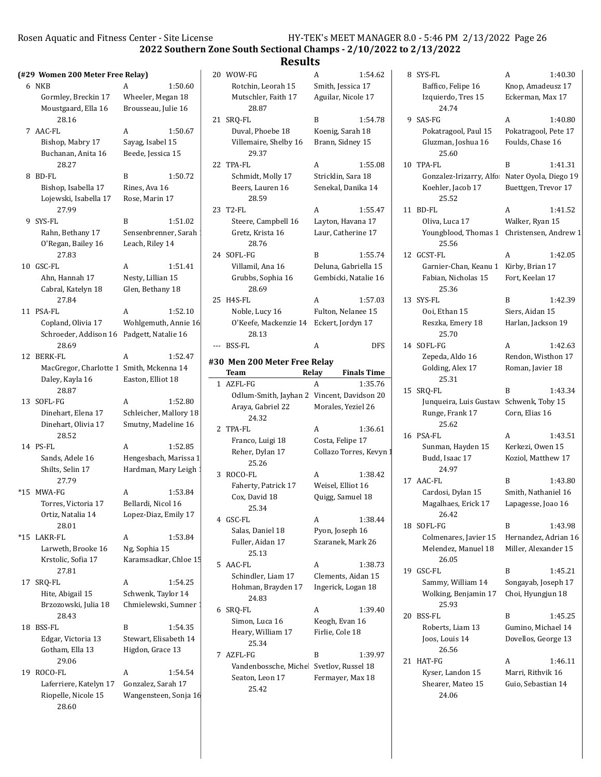2022 Southern Zone South Sectional Champs - 2/10/2022 to 2/13/2022

|                                           |                                   | nesults                                    |                         |                                              |                                              |                                    |         |
|-------------------------------------------|-----------------------------------|--------------------------------------------|-------------------------|----------------------------------------------|----------------------------------------------|------------------------------------|---------|
| (#29 Women 200 Meter Free Relay)          |                                   | 20 WOW-FG                                  | A                       | 1:54.62                                      | 8 SYS-FL                                     | A                                  | 1:40.30 |
| 6 NKB                                     | A<br>1:50.60                      | Rotchin, Leorah 15                         | Smith, Jessica 17       |                                              | Baffico, Felipe 16                           | Knop, Amadeusz 17                  |         |
| Gormley, Breckin 17                       | Wheeler, Megan 18                 | Mutschler, Faith 17                        | Aguilar, Nicole 17      |                                              | Izquierdo, Tres 15                           | Eckerman, Max 17                   |         |
| Moustgaard, Ella 16                       | Brousseau, Julie 16               | 28.87                                      |                         |                                              | 24.74                                        |                                    |         |
| 28.16                                     |                                   | 21 SRQ-FL                                  | B                       | 1:54.78                                      | 9 SAS-FG                                     | A                                  | 1:40.80 |
| 7 AAC-FL                                  | 1:50.67<br>A                      | Duval, Phoebe 18                           | Koenig, Sarah 18        |                                              | Pokatragool, Paul 15                         | Pokatragool, Pete 17               |         |
| Bishop, Mabry 17                          | Sayag, Isabel 15                  | Villemaire, Shelby 16                      | Brann, Sidney 15        |                                              | Gluzman, Joshua 16                           | Foulds, Chase 16                   |         |
| Buchanan, Anita 16                        | Beede, Jessica 15                 | 29.37                                      |                         |                                              | 25.60                                        |                                    |         |
| 28.27                                     |                                   | 22 TPA-FL                                  | A                       | 1:55.08                                      | 10 TPA-FL                                    | B                                  | 1:41.31 |
| 8 BD-FL                                   | 1:50.72<br>B                      | Schmidt, Molly 17                          | Stricklin, Sara 18      |                                              | Gonzalez-Irizarry, Alfo                      | Nater Oyola, Diego 19              |         |
| Bishop, Isabella 17                       | Rines, Ava 16                     | Beers, Lauren 16                           | Senekal, Danika 14      |                                              | Koehler, Jacob 17                            | Buettgen, Trevor 17                |         |
| Lojewski, Isabella 17                     | Rose, Marin 17                    | 28.59                                      |                         |                                              | 25.52                                        |                                    |         |
| 27.99                                     |                                   | 23 T2-FL                                   | A                       | 1:55.47                                      | 11 BD-FL                                     | A                                  | 1:41.52 |
| 9 SYS-FL                                  | B<br>1:51.02                      | Steere, Campbell 16                        | Layton, Havana 17       |                                              | Oliva, Luca 17                               | Walker, Ryan 15                    |         |
| Rahn, Bethany 17                          | Sensenbrenner, Sarah              | Gretz, Krista 16                           | Laur, Catherine 17      |                                              | Youngblood, Thomas 1 Christensen, Andrew 1   |                                    |         |
| O'Regan, Bailey 16                        | Leach, Riley 14                   | 28.76                                      |                         |                                              | 25.56                                        |                                    |         |
| 27.83                                     |                                   | 24 SOFL-FG                                 | B                       | 1:55.74                                      | 12 GCST-FL                                   | A                                  | 1:42.05 |
| 10 GSC-FL                                 | 1:51.41<br>A<br>Nesty, Lillian 15 | Villamil, Ana 16<br>Grubbs, Sophia 16      |                         | Deluna, Gabriella 15<br>Gembicki, Natalie 16 | Garnier-Chan, Keanu 1<br>Fabian, Nicholas 15 | Kirby, Brian 17<br>Fort, Keelan 17 |         |
| Ahn, Hannah 17<br>Cabral, Katelyn 18      | Glen, Bethany 18                  | 28.69                                      |                         |                                              | 25.36                                        |                                    |         |
| 27.84                                     |                                   | 25 H4S-FL                                  |                         | 1:57.03                                      | 13 SYS-FL                                    | B                                  | 1:42.39 |
| 11 PSA-FL                                 | 1:52.10<br>A                      | Noble, Lucy 16                             | A<br>Fulton, Nelanee 15 |                                              | Ooi, Ethan 15                                | Siers, Aidan 15                    |         |
| Copland, Olivia 17                        | Wohlgemuth, Annie 16              | O'Keefe, Mackenzie 14 Eckert, Jordyn 17    |                         |                                              | Reszka, Emery 18                             | Harlan, Jackson 19                 |         |
| Schroeder, Addison 16 Padgett, Natalie 16 |                                   | 28.13                                      |                         |                                              | 25.70                                        |                                    |         |
| 28.69                                     |                                   | --- BSS-FL                                 | A                       | <b>DFS</b>                                   | 14 SOFL-FG                                   | A                                  | 1:42.63 |
| 12 BERK-FL                                | A<br>1:52.47                      |                                            |                         |                                              | Zepeda, Aldo 16                              | Rendon, Wisthon 17                 |         |
| MacGregor, Charlotte 1 Smith, Mckenna 14  |                                   | #30 Men 200 Meter Free Relay               |                         |                                              | Golding, Alex 17                             | Roman, Javier 18                   |         |
| Daley, Kayla 16                           | Easton, Elliot 18                 | Team                                       | Relay                   | <b>Finals Time</b>                           | 25.31                                        |                                    |         |
| 28.87                                     |                                   | 1 AZFL-FG                                  | A                       | 1:35.76                                      | 15 SRQ-FL                                    | B                                  | 1:43.34 |
| 13 SOFL-FG                                | 1:52.80<br>A                      | Odlum-Smith, Jayhan 2 Vincent, Davidson 20 |                         |                                              | Junqueira, Luis Gustavo Schwenk, Toby 15     |                                    |         |
| Dinehart, Elena 17                        | Schleicher, Mallory 18            | Araya, Gabriel 22                          | Morales, Yeziel 26      |                                              | Runge, Frank 17                              | Corn, Elias 16                     |         |
| Dinehart, Olivia 17                       | Smutny, Madeline 16               | 24.32                                      |                         |                                              | 25.62                                        |                                    |         |
| 28.52                                     |                                   | 2 TPA-FL                                   | A                       | 1:36.61                                      | 16 PSA-FL                                    | A                                  | 1:43.51 |
| 14 PS-FL                                  | 1:52.85<br>A                      | Franco, Luigi 18                           | Costa, Felipe 17        |                                              | Sunman, Hayden 15                            | Kerkezi, Owen 15                   |         |
| Sands, Adele 16                           | Hengesbach, Marissa 1             | Reher, Dylan 17                            |                         | Collazo Torres, Kevyn                        | Budd, Isaac 17                               | Koziol, Matthew 17                 |         |
| Shilts, Selin 17                          | Hardman, Mary Leigh               | 25.26                                      |                         |                                              | 24.97                                        |                                    |         |
| 27.79                                     |                                   | 3 ROCO-FL                                  | A                       | 1:38.42                                      | 17 AAC-FL                                    | B                                  | 1:43.80 |
| *15 MWA-FG                                | 1:53.84<br>A                      | Faherty, Patrick 17                        | Weisel, Elliot 16       |                                              | Cardosi, Dylan 15                            | Smith, Nathaniel 16                |         |
| Torres, Victoria 17                       | Bellardi, Nicol 16                | Cox, David 18                              | Quigg, Samuel 18        |                                              | Magalhaes, Erick 17                          | Lapagesse, Joao 16                 |         |
| Ortiz, Natalia 14                         | Lopez-Diaz, Emily 17              | 25.34<br>4 GSC-FL                          |                         |                                              | 26.42                                        |                                    |         |
| 28.01                                     |                                   | Salas, Daniel 18                           | A<br>Pyon, Joseph 16    | 1:38.44                                      | 18 SOFL-FG                                   | B                                  | 1:43.98 |
| *15 LAKR-FL                               | 1:53.84<br>A                      | Fuller, Aidan 17                           | Szaranek, Mark 26       |                                              | Colmenares, Javier 15                        | Hernandez, Adrian 16               |         |
| Larweth, Brooke 16                        | Ng, Sophia 15                     | 25.13                                      |                         |                                              | Melendez, Manuel 18                          | Miller, Alexander 15               |         |
| Krstolic, Sofia 17                        | Karamsadkar, Chloe 15             | 5 AAC-FL                                   | A                       | 1:38.73                                      | 26.05                                        |                                    |         |
| 27.81                                     |                                   | Schindler, Liam 17                         | Clements, Aidan 15      |                                              | 19 GSC-FL                                    | B                                  | 1:45.21 |
| 17 SRQ-FL                                 | 1:54.25<br>A                      | Hohman, Brayden 17                         | Ingerick, Logan 18      |                                              | Sammy, William 14                            | Songayab, Joseph 17                |         |
| Hite, Abigail 15                          | Schwenk, Taylor 14                | 24.83                                      |                         |                                              | Wolking, Benjamin 17                         | Choi, Hyungjun 18                  |         |
| Brzozowski, Julia 18                      | Chmielewski, Sumner               | 6 SRQ-FL                                   | A                       | 1:39.40                                      | 25.93                                        |                                    |         |
| 28.43                                     |                                   | Simon, Luca 16                             | Keogh, Evan 16          |                                              | 20 BSS-FL                                    | B                                  | 1:45.25 |
| 18 BSS-FL                                 | B<br>1:54.35                      | Heary, William 17                          | Firlie, Cole 18         |                                              | Roberts, Liam 13                             | Gumino, Michael 14                 |         |
| Edgar, Victoria 13                        | Stewart, Elisabeth 14             | 25.34                                      |                         |                                              | Joos, Louis 14                               | Dovellos, George 13                |         |
| Gotham, Ella 13                           | Higdon, Grace 13                  | 7 AZFL-FG                                  | B                       | 1:39.97                                      | 26.56                                        |                                    |         |
| 29.06                                     |                                   | Vandenbossche, Michel                      | Svetlov, Russel 18      |                                              | 21 HAT-FG                                    | A                                  | 1:46.11 |
| 19 ROCO-FL                                | 1:54.54<br>A                      | Seaton, Leon 17                            | Fermayer, Max 18        |                                              | Kyser, Landon 15                             | Marri, Rithvik 16                  |         |
| Laferriere, Katelyn 17                    | Gonzalez, Sarah 17                | 25.42                                      |                         |                                              | Shearer, Mateo 15                            | Guio, Sebastian 14                 |         |
| Riopelle, Nicole 15                       | Wangensteen, Sonja 16             |                                            |                         |                                              | 24.06                                        |                                    |         |
| 28.60                                     |                                   |                                            |                         |                                              |                                              |                                    |         |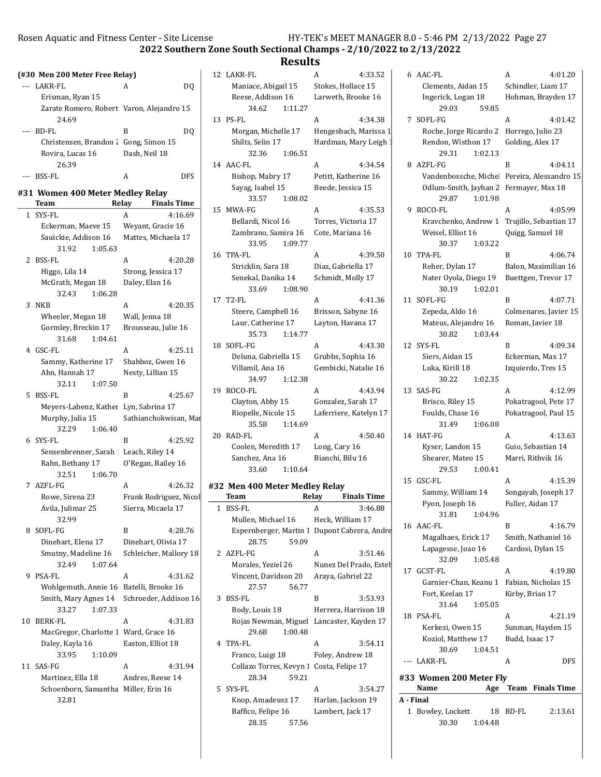30.30 1:04.48

2022 Southern Zone South Sectional Champs - 2/10/2022 to 2/13/2022

## Results

|     | (#30 Men 200 Meter Free Relay)             |                             | 12 LAKR-FL                                | A<br>4:33.52                                 | 6 AAC-FL                                    | 4:01.20<br>A          |
|-----|--------------------------------------------|-----------------------------|-------------------------------------------|----------------------------------------------|---------------------------------------------|-----------------------|
|     | --- LAKR-FL                                | DQ.<br>A                    | Maniace, Abigail 15                       | Stokes, Hollace 15                           | Clements, Aidan 15                          | Schindler, Liam 17    |
|     | Erisman, Ryan 15                           |                             | Reese, Addison 16                         | Larweth, Brooke 16                           | Ingerick, Logan 18                          | Hohman, Brayden 17    |
|     | Zarate Romero, Robert Varon, Alejandro 15  |                             | 34.62<br>1:11.27                          |                                              | 29.03<br>59.85                              |                       |
|     | 24.69                                      |                             | 13 PS-FL                                  | A<br>4:34.38                                 | 7 SOFL-FG                                   | A<br>4:01.42          |
|     | --- BD-FL                                  | DQ<br>B                     | Morgan, Michelle 17                       | Hengesbach, Marissa 1                        | Roche, Jorge Ricardo 2 Horrego, Julio 23    |                       |
|     | Christensen, Brandon 2 Gong, Simon 15      |                             | Shilts, Selin 17                          | Hardman, Mary Leigh                          | Rendon, Wisthon 17                          | Golding, Alex 17      |
|     | Rovira, Lucas 16                           | Dash, Neil 18               | 32.36<br>1:06.51                          |                                              | 29.31<br>1:02.13                            |                       |
|     | 26.39                                      |                             | 14 AAC-FL                                 | 4:34.54<br>A                                 | 8 AZFL-FG                                   | B<br>4:04.11          |
| --- | BSS-FL                                     | <b>DFS</b><br>A             | Bishop, Mabry 17                          | Petitt, Katherine 16                         | Vandenbossche, Miche Pereira, Alessandro 15 |                       |
|     |                                            |                             | Sayag, Isabel 15                          | Beede, Jessica 15                            | Odlum-Smith, Jayhan 2 Fermayer, Max 18      |                       |
|     | #31 Women 400 Meter Medley Relay           |                             | 1:08.02<br>33.57                          |                                              | 29.87<br>1:01.98                            |                       |
|     | Team                                       | Relay<br><b>Finals Time</b> | 15 MWA-FG                                 | A<br>4:35.53                                 | 9 ROCO-FL                                   | A<br>4:05.99          |
|     | 1 SYS-FL                                   | A<br>4:16.69                | Bellardi, Nicol 16                        | Torres, Victoria 17                          | Kravchenko, Andrew 1 Trujillo, Sebastian 17 |                       |
|     | Eckerman, Maeve 15                         | Weyant, Gracie 16           | Zambrano, Samira 16                       | Cote, Mariana 16                             | Weisel, Elliot 16                           | Quigg, Samuel 18      |
|     | Sauickie, Addison 16                       | Mattes, Michaela 17         | 1:09.77<br>33.95                          |                                              | 30.37<br>1:03.22                            |                       |
|     | 31.92<br>1:05.63                           |                             | 16 TPA-FL                                 | 4:39.50<br>A                                 | 10 TPA-FL                                   | B<br>4:06.74          |
|     | 2 BSS-FL                                   | 4:20.28<br>A                | Stricklin, Sara 18                        | Diaz, Gabriella 17                           | Reher, Dylan 17                             | Balon, Maximilian 16  |
|     | Higgo, Lila 14                             | Strong, Jessica 17          | Senekal, Danika 14                        | Schmidt, Molly 17                            | Nater Oyola, Diego 19                       | Buettgen, Trevor 17   |
|     | McGrath, Megan 18                          | Daley, Elan 16              | 33.69<br>1:08.90                          |                                              | 30.19<br>1:02.01                            |                       |
|     | 32.43<br>1:06.28                           |                             | 17 T2-FL                                  | A<br>4:41.36                                 | 11 SOFL-FG                                  | B<br>4:07.71          |
|     | 3 NKB                                      | A<br>4:20.35                | Steere, Campbell 16                       | Brisson, Sabyne 16                           | Zepeda, Aldo 16                             | Colmenares, Javier 15 |
|     | Wheeler, Megan 18                          | Wall, Jenna 18              | Laur, Catherine 17                        | Layton, Havana 17                            | Mateus, Alejandro 16                        | Roman, Javier 18      |
|     | Gormley, Breckin 17                        | Brousseau, Julie 16         | 35.73<br>1:14.77                          |                                              | 30.82<br>1:03.44                            |                       |
|     | 31.68<br>1:04.61                           |                             | 18 SOFL-FG                                | A<br>4:43.30                                 | 12 SYS-FL                                   | B<br>4:09.34          |
|     | 4 GSC-FL                                   | 4:25.11<br>A                | Deluna, Gabriella 15                      | Grubbs, Sophia 16                            | Siers, Aidan 15                             | Eckerman, Max 17      |
|     | Sammy, Katherine 17                        | Shahboz, Gwen 16            | Villamil, Ana 16                          | Gembicki, Natalie 16                         | Luka, Kirill 18                             | Izquierdo, Tres 15    |
|     | Ahn, Hannah 17                             | Nesty, Lillian 15           | 34.97<br>1:12.38                          |                                              | 30.22<br>1:02.35                            |                       |
|     | 32.11<br>1:07.50                           |                             | 19 ROCO-FL                                | 4:43.94<br>A                                 | 13 SAS-FG                                   | 4:12.99<br>A          |
|     | 5 BSS-FL                                   | B<br>4:25.67                | Clayton, Abby 15                          | Gonzalez, Sarah 17                           | Brisco, Riley 15                            | Pokatragool, Pete 17  |
|     | Meyers-Labenz, Kather Lyn, Sabrina 17      |                             | Riopelle, Nicole 15                       | Laferriere, Katelyn 17                       | Foulds, Chase 16                            | Pokatragool, Paul 15  |
|     | Murphy, Julia 15                           | Sathianchokwisan, Mai       | 35.58<br>1:14.69                          |                                              | 31.49<br>1:06.08                            |                       |
|     | 32.29<br>1:06.40                           |                             | 20 RAD-FL                                 | 4:50.40<br>A                                 | 14 HAT-FG                                   | A<br>4:13.63          |
|     | 6 SYS-FL                                   | B<br>4:25.92                | Coolen, Meredith 17                       | Long, Cary 16                                | Kyser, Landon 15                            | Guio, Sebastian 14    |
|     | Sensenbrenner, Sarah Leach, Riley 14       |                             | Sanchez, Ana 16                           | Bianchi, Bilu 16                             | Shearer, Mateo 15                           | Marri, Rithvik 16     |
|     | Rahn, Bethany 17                           | O'Regan, Bailey 16          | 33.60<br>1:10.64                          |                                              | 29.53<br>1:00.41                            |                       |
|     | 32.51<br>1:06.70                           |                             |                                           |                                              | 15 GSC-FL                                   | 4:15.39<br>A          |
|     | 7 AZFL-FG                                  | A<br>4:26.32                | #32 Men 400 Meter Medley Relay            |                                              | Sammy, William 14                           | Songayab, Joseph 17   |
|     | Rowe, Sirena 23                            | Frank Rodriguez, Nicol      | <b>Team</b>                               | <b>Finals Time</b><br>Relay                  | Pyon, Joseph 16                             | Fuller, Aidan 17      |
|     | Avila, Julimar 25                          | Sierra, Micaela 17          | 1 BSS-FL                                  | A<br>3:46.88                                 | 31.81<br>1:04.96                            |                       |
|     | 32.99                                      |                             | Mullen, Michael 16                        | Heck, William 17                             | 16 AAC-FL                                   | B<br>4:16.79          |
|     | 8 SOFL-FG                                  | 4:28.76<br>B                |                                           | Espernberger, Martin 1 Dupont Cabrera, Andre | Magalhaes, Erick 17                         | Smith, Nathaniel 16   |
|     | Dinehart, Elena 17                         | Dinehart, Olivia 17         | 28.75<br>59.09                            |                                              | Lapagesse, Joao 16                          | Cardosi, Dylan 15     |
|     | Smutny, Madeline 16                        | Schleicher, Mallory 18      | 2 AZFL-FG                                 | 3:51.46<br>A                                 | 1:05.48<br>32.09                            |                       |
|     | 32.49<br>1:07.64                           |                             | Morales, Yeziel 26                        | Nunez Del Prado, Estel                       | 17 GCST-FL                                  | A<br>4:19.80          |
|     | 9 PSA-FL                                   | A<br>4:31.62                | Vincent, Davidson 20                      | Araya, Gabriel 22                            | Garnier-Chan, Keanu 1 Fabian, Nicholas 15   |                       |
|     | Wohlgemuth, Annie 16 Batelli, Brooke 16    |                             | 56.77<br>27.57                            |                                              |                                             | Kirby, Brian 17       |
|     | Smith, Mary Agnes 14 Schroeder, Addison 16 |                             | 3 BSS-FL                                  | B<br>3:53.93                                 | Fort, Keelan 17<br>1:05.05                  |                       |
|     | 33.27<br>1:07.33                           |                             | Body, Louis 18                            | Herrera, Harrison 18                         | 31.64<br>18 PSA-FL                          | 4:21.19<br>A          |
|     | 10 BERK-FL                                 | A<br>4:31.83                | Rojas Newman, Miguel Lancaster, Kayden 17 |                                              | Kerkezi, Owen 15                            | Sunman, Hayden 15     |
|     | MacGregor, Charlotte 1 Ward, Grace 16      |                             | 1:00.48<br>29.68                          |                                              |                                             |                       |
|     | Daley, Kayla 16                            | Easton, Elliot 18           | 4 TPA-FL                                  | 3:54.11<br>A                                 | Koziol, Matthew 17                          | Budd, Isaac 17        |
|     | 33.95<br>1:10.09                           |                             | Franco, Luigi 18                          | Foley, Andrew 18                             | 1:04.51<br>30.69                            |                       |
|     | 11 SAS-FG                                  | 4:31.94<br>A                | Collazo Torres, Kevyn 1 Costa, Felipe 17  |                                              | --- LAKR-FL                                 | <b>DFS</b><br>A       |
|     | Martinez, Ella 18                          | Andres, Reese 14            | 28.34<br>59.21                            |                                              | #33 Women 200 Meter Fly                     |                       |
|     | Schoenborn, Samantha Miller, Erin 16       |                             | 5 SYS-FL                                  | 3:54.27<br>A                                 | Name                                        | Age Team Finals Time  |
|     | 32.81                                      |                             | Knop, Amadeusz 17                         | Harlan, Jackson 19                           | A - Final                                   |                       |
|     |                                            |                             | Baffico, Felipe 16                        | Lambert, Jack 17                             | 1 Bowley, Lockett                           | 18 BD-FL<br>2:13.61   |

28.35 57.56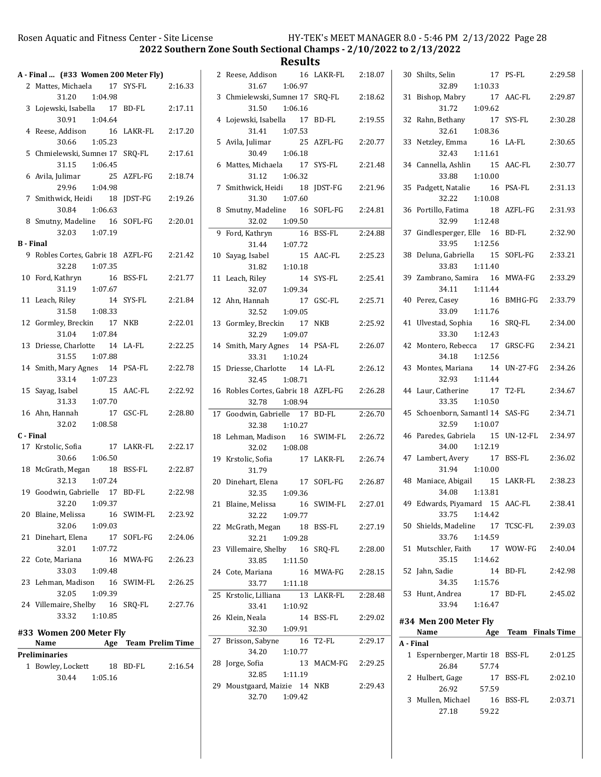Results

|                  | A - Final  (#33 Women 200 Meter Fly)                |                         |         |
|------------------|-----------------------------------------------------|-------------------------|---------|
|                  | 2 Mattes, Michaela 17 SYS-FL                        |                         | 2:16.33 |
|                  | 1:04.98<br>31.20                                    |                         |         |
|                  | 3 Lojewski, Isabella 17 BD-FL                       |                         | 2:17.11 |
|                  | 30.91<br>1:04.64                                    |                         |         |
|                  | 4 Reese, Addison                                    | 16 LAKR-FL 2:17.20      |         |
|                  | 30.66<br>1:05.23<br>5 Chmielewski, Sumne: 17 SRQ-FL |                         | 2:17.61 |
|                  | 31.15  1:06.45                                      |                         |         |
|                  | 6 Avila, Julimar                                    | 25 AZFL-FG              | 2:18.74 |
|                  | 1:04.98<br>29.96                                    |                         |         |
|                  | 7 Smithwick, Heidi 18 JDST-FG                       |                         | 2:19.26 |
|                  | 30.84 1:06.63                                       |                         |         |
|                  | 8 Smutny, Madeline 16 SOFL-FG                       |                         | 2:20.01 |
|                  | 32.03 1:07.19                                       |                         |         |
| <b>B</b> - Final |                                                     |                         |         |
|                  | 9 Robles Cortes, Gabric 18 AZFL-FG                  |                         | 2:21.42 |
|                  | 32.28 1:07.35                                       |                         |         |
|                  | 10 Ford, Kathryn 16<br>31.19 1:07.67                | 16 BSS-FL               | 2:21.77 |
|                  | 11 Leach, Riley                                     | 14 SYS-FL               | 2:21.84 |
|                  | $31.58$ 1:08.33                                     |                         |         |
|                  | 12 Gormley, Breckin 17 NKB                          |                         | 2:22.01 |
|                  | 31.04 1:07.84                                       |                         |         |
|                  | 13 Driesse, Charlotte 14 LA-FL                      |                         | 2:22.25 |
|                  | 31.55 1:07.88                                       |                         |         |
|                  | 14 Smith, Mary Agnes 14 PSA-FL                      |                         | 2:22.78 |
|                  | 33.14 1:07.23                                       |                         |         |
|                  | 15 Sayag, Isabel<br>15                              | AAC-FL                  | 2:22.92 |
|                  | 31.33 1:07.70<br>16 Ahn, Hannah                     |                         | 2:28.80 |
|                  | 17<br>32.02 1:08.58                                 | GSC-FL                  |         |
| C - Final        |                                                     |                         |         |
|                  | 17 Krstolic, Sofia                                  | 17 LAKR-FL              | 2:22.17 |
|                  | 30.66 1:06.50                                       |                         |         |
|                  | 18 McGrath, Megan 18 BSS-FL                         |                         | 2:22.87 |
|                  | 32.13<br>1:07.24                                    |                         |         |
|                  | 19 Goodwin, Gabrielle 17                            | BD-FL                   | 2:22.98 |
|                  | 32.20 1:09.37                                       |                         |         |
| 20               | Blaine, Melissa<br>16                               | SWIM-FL                 | 2:23.92 |
|                  | 32.06<br>1:09.03                                    |                         |         |
| 21               | Dinehart, Elena<br>17<br>32.01<br>1:07.72           | SOFL-FG                 | 2:24.06 |
| 22               | Cote, Mariana                                       | 16 MWA-FG               | 2:26.23 |
|                  | 33.03<br>1:09.48                                    |                         |         |
| 23               | Lehman, Madison 16 SWIM-FL                          |                         | 2:26.25 |
|                  | 32.05<br>1:09.39                                    |                         |         |
|                  | 24 Villemaire, Shelby 16 SRQ-FL                     |                         | 2:27.76 |
|                  | 33.32<br>1:10.85                                    |                         |         |
|                  | #33 Women 200 Meter Fly                             |                         |         |
|                  | Name<br>Age                                         | <b>Team Prelim Time</b> |         |
|                  | Preliminaries                                       |                         |         |

| 1 Bowley, Lockett |         | 18 BD-FL | 2:16.54 |
|-------------------|---------|----------|---------|
| 30.44             | 1:05.16 |          |         |

|    | 2 Reese, Addison                            | 16 LAKR-FL 2:18.07     |         |
|----|---------------------------------------------|------------------------|---------|
|    | 31.67 1:06.97                               |                        |         |
|    | 3 Chmielewski, Sumne: 17 SRQ-FL             |                        | 2:18.62 |
|    | 31.50 1:06.16                               |                        |         |
|    | 4 Lojewski, Isabella 17                     | BD-FL                  | 2:19.55 |
|    | 31.41 1:07.53                               |                        |         |
|    | 5 Avila, Julimar 25 AZFL-FG                 |                        | 2:20.77 |
|    | 30.49 1:06.18                               |                        |         |
|    | 6 Mattes, Michaela 17                       | SYS-FL                 | 2:21.48 |
|    | 31.12 1:06.32                               |                        |         |
|    | 7 Smithwick, Heidi 18                       | <b>IDST-FG</b>         |         |
|    |                                             |                        | 2:21.96 |
|    | 31.30 1:07.60                               |                        |         |
| 8  | Smutny, Madeline 16 SOFL-FG 2:24.81         |                        |         |
|    | 1:09.50<br>32.02                            |                        |         |
|    | 9 Ford, Kathryn 16<br>31.44 1:07.72         | $\overline{16}$ BSS-FL | 2:24.88 |
|    |                                             |                        |         |
|    | 10 Sayag, Isabel                            | 15 AAC-FL              | 2:25.23 |
|    | $31.82 \t1:10.18$                           |                        |         |
|    | 11 Leach, Riley<br>14                       | SYS-FL                 | 2:25.41 |
|    | 32.07 1:09.34                               |                        |         |
|    | 12 Ahn, Hannah                              | 17 GSC-FL 2:25.71      |         |
|    | 1:09.05<br>32.52                            |                        |         |
|    | 13 Gormley, Breckin<br>17                   | <b>NKB</b>             | 2:25.92 |
|    | 32.29 1:09.07                               |                        |         |
|    | 14 Smith, Mary Agnes 14 PSA-FL              |                        | 2:26.07 |
|    | 33.31 1:10.24                               |                        |         |
|    | 15 Driesse, Charlotte 14 LA-FL              |                        | 2:26.12 |
|    |                                             |                        |         |
|    |                                             |                        |         |
|    | 32.45 1:08.71                               |                        |         |
|    | 16 Robles Cortes, Gabrie 18 AZFL-FG 2:26.28 |                        |         |
|    | 32.78 1:08.94                               |                        |         |
|    | 17 Goodwin, Gabrielle 17 BD-FL              |                        | 2:26.70 |
|    | 32.38 1:10.27                               |                        |         |
|    | 18 Lehman, Madison 16 SWIM-FL 2:26.72       |                        |         |
|    | 32.02 1:08.08                               |                        |         |
|    | 19 Krstolic, Sofia                          | 17 LAKR-FL 2:26.74     |         |
|    | 31.79                                       |                        |         |
|    | 20 Dinehart, Elena 17 SOFL-FG               |                        | 2:26.87 |
|    | 32.35 1:09.36                               |                        |         |
|    | 21 Blaine, Melissa 16 SWIM-FL               |                        | 2:27.01 |
|    | 32.22<br>1:09.77                            |                        |         |
|    | 22 McGrath, Megan<br>18                     | BSS-FL                 | 2:27.19 |
|    | 32.21<br>1:09.28                            |                        |         |
|    | 23 Villemaire, Shelby 16                    | SRQ-FL                 | 2:28.00 |
|    | 1:11.50<br>33.85                            |                        |         |
|    | 24 Cote, Mariana                            | 16 MWA-FG              | 2:28.15 |
|    | 33.77<br>1:11.18                            |                        |         |
|    | 25 Krstolic, Lilliana<br>13                 | LAKR-FL                | 2:28.48 |
|    | 33.41<br>1:10.92                            |                        |         |
|    | 26 Klein, Neala<br>14                       | BSS-FL                 | 2:29.02 |
|    | 1:09.91<br>32.30                            |                        |         |
| 27 | Brisson, Sabyne<br>16                       | T2-FL                  | 2:29.17 |
|    | 34.20<br>1:10.77                            |                        |         |
|    | 28 Jorge, Sofia                             | 13 MACM-FG 2:29.25     |         |
|    | 32.85<br>1:11.19                            |                        |         |
|    | 29 Moustgaard, Maizie 14 NKB                |                        | 2:29.43 |

|           | 30 Shilts, Selin<br>32.89 1:10.33                           | 17 PS-FL          | 2:29.58 |
|-----------|-------------------------------------------------------------|-------------------|---------|
|           | 31 Bishop, Mabry<br>17<br>1:09.62                           | AAC-FL            | 2:29.87 |
|           | 31.72<br>32 Rahn, Bethany<br>17                             | SYS-FL            | 2:30.28 |
|           | 1:08.36<br>32.61<br>33 Netzley, Emma<br>16                  | LA-FL             | 2:30.65 |
|           | 32.43<br>1:11.61<br>34 Cannella, Ashlin<br>15               | AAC-FL            | 2:30.77 |
|           | 33.88<br>1:10.00<br>35 Padgett, Natalie<br>16               | PSA-FL            | 2:31.13 |
|           | 32.22<br>1:10.08<br>36 Portillo, Fatima<br>18               | AZFL-FG           | 2:31.93 |
|           | 32.99 1:12.48<br>37 Gindlesperger, Elle 16                  | BD-FL             | 2:32.90 |
|           | 33.95 1:12.56<br>38 Deluna, Gabriella 15                    | SOFL-FG           | 2:33.21 |
|           | 33.83 1:11.40<br>39 Zambrano, Samira 16                     | MWA-FG            | 2:33.29 |
|           | 34.11  1:11.44<br>40 Perez, Casey 16<br>33.09 1:11.76       | BMHG-FG           | 2:33.79 |
| 41        | Ulvestad, Sophia 16<br>33.30 1:12.43                        | SRO-FL            | 2:34.00 |
|           | 42 Montero, Rebecca 17<br>34.18 1:12.56                     | GRSC-FG           | 2:34.21 |
|           | 43 Montes, Mariana 14<br>32.93 1:11.44                      | $UN-27-FG$        | 2:34.26 |
|           | 44 Laur, Catherine 17<br>1:10.50<br>33.35                   | T2-FL             | 2:34.67 |
|           | 45 Schoenborn, Samantl 14<br>32.59<br>1:10.07               | SAS-FG            | 2:34.71 |
|           | 46 Paredes, Gabriela<br>15<br>34.00<br>1:12.19              | UN-12-FL 2:34.97  |         |
|           | 47 Lambert, Avery<br>17<br>31.94 1:10.00                    | BSS-FL            | 2:36.02 |
|           | 48 Maniace, Abigail<br>34.08  1:13.81                       | 15 LAKR-FL        | 2:38.23 |
|           | 49 Edwards, Piyamard 15 AAC-FL 2:38.41<br>33.75 1:14.42     |                   |         |
|           | 50 Shields, Madeline 17 TCSC-FL 2:39.03<br>33.76<br>1:14.59 |                   |         |
|           | 51 Mutschler, Faith<br>35.15 1:14.62                        | 17 WOW-FG 2:40.04 |         |
|           | 52 Jahn, Sadie<br>34.35   1:15.76                           | 14 BD-FL 2:42.98  |         |
|           | 53 Hunt, Andrea<br>33.94 1:16.47                            | 17 BD-FL          | 2:45.02 |
|           | #34 Men 200 Meter Fly<br>Name Age Team Finals Time          |                   |         |
| A - Final |                                                             |                   |         |
|           |                                                             |                   |         |
|           | 1 Espernberger, Martir 18 BSS-FL 2:01.25<br>26.84<br>57.74  |                   |         |
|           | 2 Hulbert, Gage 17 BSS-FL 2:02.10                           |                   |         |

26.92 57.59

27.18 59.22

3 Mullen, Michael 16 BSS-FL 2:03.71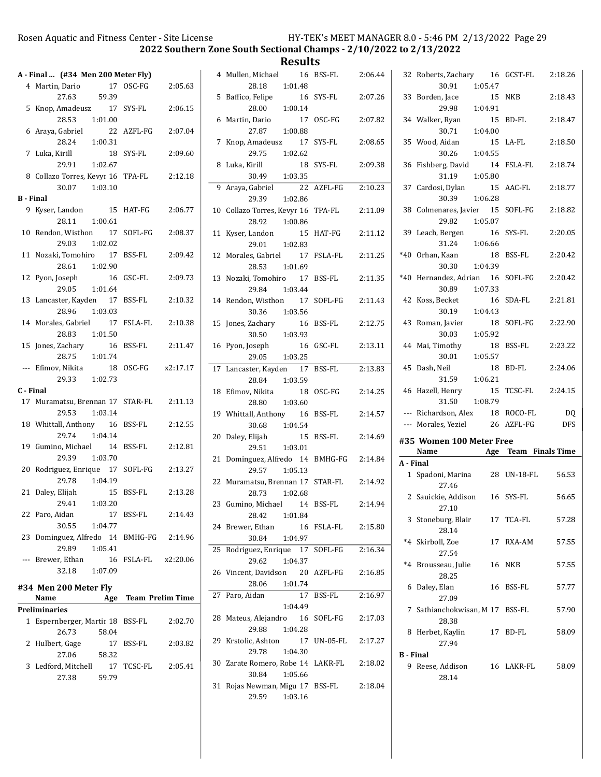**Results**<br>16 BSS-FL

|              | A - Final  (#34 Men 200 Meter Fly)                     |                      |         |  |
|--------------|--------------------------------------------------------|----------------------|---------|--|
|              | 4 Martin, Dario                                        | 17 OSC-FG 2:05.63    |         |  |
|              | 59.39<br>27.63                                         |                      |         |  |
|              | 5 Knop, Amadeusz 17 SYS-FL                             |                      | 2:06.15 |  |
|              | 28.53 1:01.00                                          |                      |         |  |
|              | 6 Araya, Gabriel                                       | 22 AZFL-FG           | 2:07.04 |  |
|              | 1:00.31<br>28.24                                       |                      |         |  |
|              | 7 Luka, Kirill                                         | 18 SYS-FL            | 2:09.60 |  |
|              | 29.91 1:02.67                                          |                      |         |  |
|              | 8 Collazo Torres, Kevyr 16 TPA-FL 2:12.18              |                      |         |  |
|              | $30.07$ $1:03.10$                                      |                      |         |  |
|              | <b>B</b> - Final                                       |                      |         |  |
|              |                                                        | 15 HAT-FG 2:06.77    |         |  |
|              | 9 Kyser, Landon                                        |                      |         |  |
|              | 28.11<br>1:00.61                                       |                      |         |  |
|              | 10 Rendon, Wisthon 17 SOFL-FG 2:08.37                  |                      |         |  |
|              | 29.03 1:02.02                                          |                      |         |  |
|              | 11 Nozaki, Tomohiro 17 BSS-FL                          |                      | 2:09.42 |  |
|              | 28.61 1:02.90                                          |                      |         |  |
|              | 12 Pyon, Joseph                                        | 16 GSC-FL            | 2:09.73 |  |
|              | 29.05 1:01.64                                          |                      |         |  |
|              | 13 Lancaster, Kayden 17 BSS-FL                         |                      | 2:10.32 |  |
|              | 28.96 1:03.03                                          |                      |         |  |
|              | 14 Morales, Gabriel 17 FSLA-FL 2:10.38                 |                      |         |  |
|              | 28.83   1:01.50                                        |                      |         |  |
|              | 15 Jones, Zachary 16 BSS-FL 2:11.47                    |                      |         |  |
|              | 28.75   1:01.74                                        |                      |         |  |
|              |                                                        |                      |         |  |
|              | --- Efimov, Nikita 18 OSC-FG x2:17.17<br>29.33 1:02.73 |                      |         |  |
|              | C - Final                                              |                      |         |  |
|              |                                                        |                      |         |  |
|              | 17 Muramatsu, Brennan 17 STAR-FL 2:11.13               |                      |         |  |
|              | 1:03.14<br>29.53                                       |                      |         |  |
|              | 18 Whittall, Anthony 16 BSS-FL                         |                      | 2:12.55 |  |
|              | 29.74 1:04.14                                          |                      |         |  |
|              | 19 Gumino, Michael 14 BSS-FL                           |                      | 2:12.81 |  |
|              | 29.39<br>1:03.70                                       |                      |         |  |
|              | 20 Rodriguez, Enrique 17 SOFL-FG                       |                      | 2:13.27 |  |
|              | 29.78<br>1:04.19                                       |                      |         |  |
|              | 21 Daley, Elijah                                       | 15 BSS-FL 2:13.28    |         |  |
|              | 29.41 1:03.20                                          |                      |         |  |
|              | 22 Paro, Aidan                                         | 17 BSS-FL            | 2:14.43 |  |
|              | 30.55<br>1:04.77                                       |                      |         |  |
|              | 23 Dominguez, Alfredo 14 BMHG-FG 2:14.96               |                      |         |  |
|              | 29.89<br>1:05.41                                       |                      |         |  |
|              | --- Brewer, Ethan                                      | 16 FSLA-FL x2:20.06  |         |  |
|              | 1:07.09                                                |                      |         |  |
|              | 32.18                                                  |                      |         |  |
|              | #34 Men 200 Meter Fly                                  |                      |         |  |
|              | Name                                                   | Age Team Prelim Time |         |  |
|              | Preliminaries                                          |                      |         |  |
| $\mathbf{1}$ | Espernberger, Martir 18 BSS-FL                         |                      | 2:02.70 |  |
|              | 26.73<br>58.04                                         |                      |         |  |
| 2            | Hulbert, Gage                                          | 17 BSS-FL            | 2:03.82 |  |
|              | 27.06                                                  |                      |         |  |
|              |                                                        |                      |         |  |
|              | 58.32                                                  |                      |         |  |
|              | 3 Ledford, Mitchell                                    | 17 TCSC-FL           | 2:05.41 |  |
|              | 27.38<br>59.79                                         |                      |         |  |

|    | 4 Mullen, Michael<br>28.18<br>1:01.48                               | 16 BSS-FL     | 2:06.44 |
|----|---------------------------------------------------------------------|---------------|---------|
| 5  | Baffico, Felipe                                                     | 16 SYS-FL     | 2:07.26 |
| 6  | 28.00<br>1:00.14<br>Martin, Dario                                   | 17 OSC-FG     | 2:07.82 |
| 7  | 1:00.88<br>27.87<br>Knop, Amadeusz 17                               | SYS-FL        | 2:08.65 |
| 8  | 29.75<br>1:02.62<br>Luka, Kirill                                    | 18 SYS-FL     | 2:09.38 |
|    | 30.49<br>1:03.35                                                    |               |         |
| 9  | Araya, Gabriel 22<br>29.39<br>1:02.86                               | AZFL-FG       | 2:10.23 |
|    | 10 Collazo Torres, Kevyr 16 TPA-FL<br>1:00.86<br>28.92              |               | 2:11.09 |
| 11 | Kyser, Landon                                                       | 15 HAT-FG     | 2:11.12 |
|    | 29.01 1:02.83<br>12 Morales, Gabriel 17 FSLA-FL<br>1:01.69<br>28.53 |               | 2:11.25 |
|    | 13 Nozaki, Tomohiro 17<br>29.84 1:03.44                             | BSS-FL        | 2:11.35 |
|    | 14 Rendon, Wisthon<br>17                                            | SOFL-FG       | 2:11.43 |
| 15 | 30.36<br>1:03.56<br>Jones, Zachary<br>16<br>30.50 1:03.93           | BSS-FL        | 2:12.75 |
| 16 | Pyon, Joseph<br>29.05<br>1:03.25                                    | 16 GSC-FL     | 2:13.11 |
|    | 17 Lancaster, Kayden 17                                             | <b>BSS-FL</b> | 2:13.83 |
| 18 | 28.84<br>1:03.59<br>Efimov, Nikita<br>18                            | OSC-FG        | 2:14.25 |
|    | 1:03.60<br>28.80<br>19 Whittall, Anthony 16<br>1:04.54              | BSS-FL        | 2:14.57 |
| 20 | 30.68<br>Daley, Elijah<br>15<br>1:03.01                             | BSS-FL        | 2:14.69 |
| 21 | 29.51<br>Dominguez, Alfredo 14 BMHG-FG<br>1:05.13<br>29.57          |               | 2:14.84 |
|    | 22 Muramatsu, Brennan 17 STAR-FL<br>28.73<br>1:02.68                |               | 2:14.92 |
| 23 | Gumino, Michael 14<br>28.42<br>1:01.84                              | <b>BSS-FL</b> | 2:14.94 |
| 24 | Brewer, Ethan<br>30.84<br>1:04.97                                   | 16 FSLA-FL    | 2:15.80 |
| 25 | Rodriguez, Enrique 17 SOFL-FG<br>29.62<br>1:04.37                   |               | 2:16.34 |
| 26 | Vincent, Davidson 20 AZFL-FG<br>1:01.74<br>28.06                    |               | 2:16.85 |
| 27 | 17 <sup>7</sup><br>Paro, Aidan                                      | BSS-FL        | 2:16.97 |
| 28 | 1:04.49<br>Mateus, Alejandro 16 SOFL-FG<br>1:04.28<br>29.88         |               | 2:17.03 |
|    | 29 Krstolic, Ashton 17 UN-05-FL<br>29.78<br>1:04.30                 |               | 2:17.27 |
|    | 30 Zarate Romero, Robe 14 LAKR-FL<br>30.84<br>1:05.66               |               | 2:18.02 |
|    | 31 Rojas Newman, Migu 17 BSS-FL<br>29.59<br>1:03.16                 |               | 2:18.04 |

| 32               | Roberts, Zachary 16                |         |    | GCST-FL                               | 2:18.26    |
|------------------|------------------------------------|---------|----|---------------------------------------|------------|
|                  | 30.91                              | 1:05.47 |    |                                       |            |
|                  | 33 Borden, Jace                    |         | 15 | NKB                                   | 2:18.43    |
|                  | 29.98                              | 1:04.91 |    |                                       |            |
|                  | 34 Walker, Ryan                    |         | 15 | BD-FL                                 | 2:18.47    |
|                  | 30.71                              | 1:04.00 |    |                                       |            |
| 35               | Wood, Aidan                        |         | 15 | LA-FL                                 | 2:18.50    |
|                  | 30.26                              | 1:04.55 |    |                                       |            |
| 36               | Fishberg, David                    |         | 14 | FSLA-FL                               | 2:18.74    |
|                  | 31.19                              | 1:05.80 |    |                                       |            |
| 37               | Cardosi, Dylan                     |         | 15 | AAC-FL                                | 2:18.77    |
|                  | 30.39 1:06.28                      |         |    |                                       |            |
|                  | 38 Colmenares, Javier 15           |         |    | SOFL-FG                               | 2:18.82    |
|                  | 29.82 1:05.07                      |         |    |                                       |            |
| 39               | Leach, Bergen                      | 16      |    | SYS-FL                                | 2:20.05    |
|                  | $31.24$ 1:06.66                    |         |    |                                       |            |
| $*40$            | Orhan, Kaan                        |         | 18 | <b>BSS-FL</b>                         | 2:20.42    |
|                  | 30.30 1:04.39                      |         |    |                                       |            |
| $*40$            | Hernandez, Adrian 16 SOFL-FG       |         |    |                                       | 2:20.42    |
|                  | 30.89                              | 1:07.33 |    |                                       |            |
| 42               | Koss, Becket                       |         | 16 | SDA-FL                                | 2:21.81    |
|                  | 30.19                              | 1:04.43 |    |                                       |            |
|                  |                                    |         |    | SOFL-FG                               |            |
| 43               | Roman, Javier                      |         | 18 |                                       | 2:22.90    |
|                  | 30.03                              | 1:05.92 |    |                                       |            |
|                  | 44 Mai, Timothy                    |         | 18 | <b>BSS-FL</b>                         | 2:23.22    |
|                  | 30.01                              | 1:05.57 |    |                                       |            |
| 45               | Dash, Neil                         |         | 18 | BD-FL                                 | 2:24.06    |
|                  | 31.59                              |         |    |                                       |            |
|                  |                                    | 1:06.21 |    |                                       |            |
|                  | 46 Hazell, Henry                   |         | 15 | TCSC-FL                               | 2:24.15    |
|                  | 31.50                              | 1:08.79 |    |                                       |            |
|                  | --- Richardson, Alex 18 ROCO-FL    |         |    |                                       | DQ         |
|                  | --- Morales, Yeziel                |         |    | 26 AZFL-FG                            | <b>DFS</b> |
|                  |                                    |         |    |                                       |            |
|                  | #35 Women 100 Meter Free<br>Name   |         |    |                                       |            |
| A - Final        |                                    |         |    | <b>Example 2 Age Team Finals Time</b> |            |
|                  |                                    |         |    | 28 UN-18-FL                           | 56.53      |
|                  | 1 Spadoni, Marina<br>27.46         |         |    |                                       |            |
|                  |                                    |         |    |                                       |            |
|                  | 2 Sauickie, Addison 16 SYS-FL      |         |    |                                       | 56.65      |
|                  | 27.10                              |         |    |                                       |            |
|                  | 3 Stoneburg, Blair                 |         |    | 17 TCA-FL                             | 57.28      |
|                  | 28.14                              |         |    |                                       |            |
|                  | *4 Skirboll, Zoe                   |         |    | 17 RXA-AM                             | 57.55      |
|                  | 27.54                              |         |    |                                       |            |
| $*4$             | Brousseau, Julie                   |         |    | 16 NKB                                | 57.55      |
|                  | 28.25                              |         |    |                                       |            |
| 6                | Daley, Elan                        |         |    | 16 BSS-FL                             | 57.77      |
|                  | 27.09                              |         |    |                                       |            |
| 7                | Sathianchokwisan, M 17 BSS-FL      |         |    |                                       | 57.90      |
|                  | 28.38                              |         |    |                                       |            |
| 8                | Herbet, Kaylin                     |         |    | 17 BD-FL                              | 58.09      |
|                  | 27.94                              |         |    |                                       |            |
| <b>B</b> - Final |                                    |         |    |                                       |            |
| 9                | Reese, Addison 16 LAKR-FL<br>28.14 |         |    |                                       | 58.09      |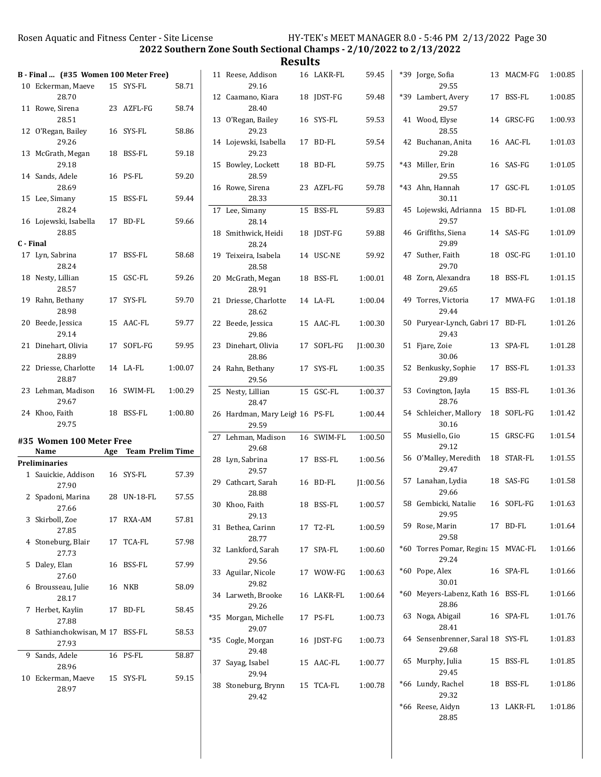2022 Southern Zone South Sectional Champs - 2/10/2022 to 2/13/2022

| 59.45<br>59.48<br>59.53<br>59.54<br>59.75<br>59.78<br>59.83<br>59.88<br>59.92<br>1:00.01<br>1:00.04<br>1:00.30<br>J1:00.30<br>1:00.35 | *39 Jor                                                                                                           |
|---------------------------------------------------------------------------------------------------------------------------------------|-------------------------------------------------------------------------------------------------------------------|
|                                                                                                                                       | *39 Lai<br>41 Wo<br>42 Bu<br>*43 Mi<br>*43 Ah<br>45 Lo<br>46 Gri<br>47 Sut<br>48 Zor<br>49 Tor<br>50 Pu<br>51 Fja |
|                                                                                                                                       |                                                                                                                   |
|                                                                                                                                       |                                                                                                                   |
|                                                                                                                                       |                                                                                                                   |
|                                                                                                                                       |                                                                                                                   |
|                                                                                                                                       |                                                                                                                   |
|                                                                                                                                       |                                                                                                                   |
|                                                                                                                                       |                                                                                                                   |
|                                                                                                                                       |                                                                                                                   |
|                                                                                                                                       |                                                                                                                   |
|                                                                                                                                       |                                                                                                                   |
|                                                                                                                                       |                                                                                                                   |
|                                                                                                                                       |                                                                                                                   |
|                                                                                                                                       |                                                                                                                   |
|                                                                                                                                       | 52 Be                                                                                                             |
| 1:00.37                                                                                                                               | 53 Co                                                                                                             |
| 1:00.44                                                                                                                               | 54 Sch                                                                                                            |
| 1:00.50                                                                                                                               | 55 Mu                                                                                                             |
|                                                                                                                                       |                                                                                                                   |
| 1:00.56                                                                                                                               | 56 0'                                                                                                             |
| 1:00.56                                                                                                                               | 57 Lai                                                                                                            |
| 1:00.57                                                                                                                               | 58 Ge:                                                                                                            |
| 1:00.59                                                                                                                               | 59 Ro                                                                                                             |
| 1:00.60                                                                                                                               | $*60$ To                                                                                                          |
| 1:00.63                                                                                                                               | *60 Po                                                                                                            |
| 1:00.64                                                                                                                               | *60 Me                                                                                                            |
| 1:00.73                                                                                                                               | 63 No                                                                                                             |
| 1:00.73                                                                                                                               | 64 Sei                                                                                                            |
|                                                                                                                                       | 65 Mu                                                                                                             |
| 1:00.77                                                                                                                               | *66 Lu:                                                                                                           |
|                                                                                                                                       | 1:00.78                                                                                                           |

| *39   | Jorge, Sofia<br>29.55                        | 13 | MACM-FG    | 1:00.85 |
|-------|----------------------------------------------|----|------------|---------|
|       | *39 Lambert, Avery<br>29.57                  |    | 17 BSS-FL  | 1:00.85 |
|       | 41 Wood, Elyse<br>28.55                      |    | 14 GRSC-FG | 1:00.93 |
| 42    | Buchanan, Anita<br>29.28                     |    | 16 AAC-FL  | 1:01.03 |
| *43   | Miller, Erin<br>29.55                        | 16 | SAS-FG     | 1:01.05 |
| *43   | Ahn, Hannah<br>30.11                         | 17 | GSC-FL     | 1:01.05 |
| 45    | Lojewski, Adrianna<br>29.57                  | 15 | BD-FL      | 1:01.08 |
| 46    | Griffiths, Siena<br>29.89                    |    | 14 SAS-FG  | 1:01.09 |
| 47    | Suther, Faith<br>29.70                       | 18 | OSC-FG     | 1:01.10 |
|       | 48 Zorn, Alexandra<br>29.65                  | 18 | BSS-FL     | 1:01.15 |
| 49    | Torres, Victoria<br>29.44                    |    | 17 MWA-FG  | 1:01.18 |
| 50    | Puryear-Lynch, Gabri 17 BD-FL<br>29.43       |    |            | 1:01.26 |
| 51    | Fjare, Zoie<br>30.06                         | 13 | SPA-FL     | 1:01.28 |
| 52    | Benkusky, Sophie<br>29.89                    |    | 17 BSS-FL  | 1:01.33 |
| 53    | Covington, Jayla<br>28.76                    | 15 | BSS-FL     | 1:01.36 |
|       | 54 Schleicher, Mallory<br>30.16              | 18 | SOFL-FG    | 1:01.42 |
| 55    | Musiello, Gio<br>29.12                       | 15 | GRSC-FG    | 1:01.54 |
|       | 56 O'Malley, Meredith<br>29.47               |    | 18 STAR-FL | 1:01.55 |
| 57    | Lanahan, Lydia<br>29.66                      | 18 | SAS-FG     | 1:01.58 |
|       | 58 Gembicki, Natalie<br>29.95                |    | 16 SOFL-FG | 1:01.63 |
|       | 59 Rose, Marin<br>29.58                      |    | 17 BD-FL   | 1:01.64 |
|       | *60 Torres Pomar, Regina 15 MVAC-FL<br>29.24 |    |            | 1:01.66 |
| *60   | Pope, Alex<br>30.01                          |    | 16 SPA-FL  | 1:01.66 |
| $*60$ | Meyers-Labenz, Kath 16 BSS-FL<br>28.86       |    |            | 1:01.66 |
| 63    | Noga, Abigail<br>28.41                       |    | 16 SPA-FL  | 1:01.76 |
|       | 64 Sensenbrenner, Saral 18 SYS-FL<br>29.68   |    |            | 1:01.83 |
| 65    | Murphy, Julia<br>29.45                       |    | 15 BSS-FL  | 1:01.85 |
| *66   | Lundy, Rachel<br>29.32                       |    | 18 BSS-FL  | 1:01.86 |
|       | *66 Reese, Aidyn<br>28.85                    |    | 13 LAKR-FL | 1:01.86 |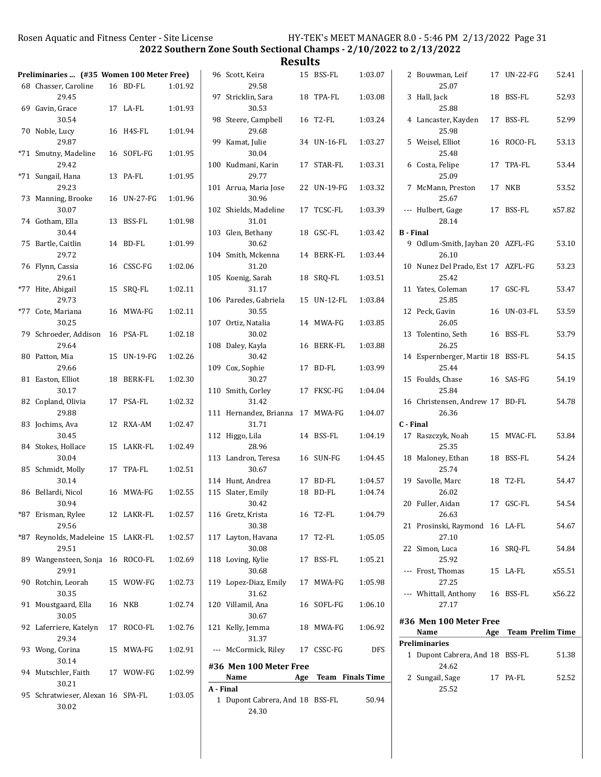2022 Southern Zone South Sectional Champs - 2/10/2022 to 2/13/2022

|                                                                   |             |         |           |                                          | nesults |             |                  |                                                      |             |                      |
|-------------------------------------------------------------------|-------------|---------|-----------|------------------------------------------|---------|-------------|------------------|------------------------------------------------------|-------------|----------------------|
| Preliminaries  (#35 Women 100 Meter Free)<br>68 Chasser, Caroline | 16 BD-FL    | 1:01.92 |           | 96 Scott, Keira<br>29.58                 |         | 15 BSS-FL   | 1:03.07          | 2 Bouwman, Leif<br>25.07                             | 17 UN-22-FG | 52.41                |
| 29.45                                                             |             |         |           | 97 Stricklin, Sara                       |         | 18 TPA-FL   | 1:03.08          | 3 Hall, Jack                                         | 18 BSS-FL   | 52.93                |
| 69 Gavin, Grace<br>30.54                                          | 17 LA-FL    | 1:01.93 |           | 30.53<br>98 Steere, Campbell             |         | 16 T2-FL    | 1:03.24          | 25.88<br>4 Lancaster, Kayden                         | 17 BSS-FL   | 52.99                |
| 70 Noble, Lucy<br>29.87                                           | 16 H4S-FL   | 1:01.94 |           | 29.68<br>99 Kamat, Julie                 |         | 34 UN-16-FL | 1:03.27          | 25.98<br>5 Weisel, Elliot                            | 16 ROCO-FL  | 53.13                |
| *71 Smutny, Madeline<br>29.42                                     | 16 SOFL-FG  | 1:01.95 |           | 30.04<br>100 Kudmani, Karin              |         | 17 STAR-FL  | 1:03.31          | 25.48<br>6 Costa, Felipe                             | 17 TPA-FL   | 53.44                |
| *71 Sungail, Hana<br>29.23                                        | 13 PA-FL    | 1:01.95 |           | 29.77<br>101 Arrua, Maria Jose           |         | 22 UN-19-FG | 1:03.32          | 25.09<br>7 McMann, Preston                           | 17 NKB      | 53.52                |
| 73 Manning, Brooke<br>30.07                                       | 16 UN-27-FG | 1:01.96 |           | 30.96<br>102 Shields, Madeline           |         | 17 TCSC-FL  | 1:03.39          | 25.67<br>--- Hulbert, Gage                           | 17 BSS-FL   | x57.82               |
| 74 Gotham, Ella                                                   | 13 BSS-FL   | 1:01.98 |           | 31.01                                    |         |             |                  | 28.14                                                |             |                      |
| 30.44<br>75 Bartle, Caitlin                                       | 14 BD-FL    | 1:01.99 |           | 103 Glen, Bethany<br>30.62               |         | 18 GSC-FL   | 1:03.42          | <b>B</b> - Final<br>9 Odlum-Smith, Jayhan 20 AZFL-FG |             | 53.10                |
| 29.72                                                             |             |         |           | 104 Smith, Mckenna                       |         | 14 BERK-FL  | 1:03.44          | 26.10                                                |             |                      |
| 76 Flynn, Cassia<br>29.61                                         | 16 CSSC-FG  | 1:02.06 |           | 31.20<br>105 Koenig, Sarah               |         | 18 SRQ-FL   | 1:03.51          | 10 Nunez Del Prado, Est 17 AZFL-FG<br>25.42          |             | 53.23                |
| *77 Hite, Abigail                                                 | 15 SRQ-FL   | 1:02.11 |           | 31.17                                    |         |             |                  | 11 Yates, Coleman                                    | 17 GSC-FL   | 53.47                |
| 29.73<br>*77 Cote, Mariana                                        | 16 MWA-FG   | 1:02.11 |           | 106 Paredes, Gabriela<br>30.55           |         | 15 UN-12-FL | 1:03.84          | 25.85<br>12 Peck, Gavin                              | 16 UN-03-FL | 53.59                |
| 30.25<br>79 Schroeder, Addison                                    | 16 PSA-FL   | 1:02.18 |           | 107 Ortiz, Natalia<br>30.02              |         | 14 MWA-FG   | 1:03.85          | 26.05<br>13 Tolentino, Seth                          | 16 BSS-FL   | 53.79                |
| 29.64                                                             |             |         |           | 108 Daley, Kayla                         |         | 16 BERK-FL  | 1:03.88          | 26.25                                                |             |                      |
| 80 Patton, Mia                                                    | 15 UN-19-FG | 1:02.26 |           | 30.42                                    |         |             |                  | 14 Espernberger, Martir 18 BSS-FL                    |             | 54.15                |
| 29.66<br>81 Easton, Elliot                                        | 18 BERK-FL  | 1:02.30 |           | 109 Cox, Sophie<br>30.27                 |         | 17 BD-FL    | 1:03.99          | 25.44<br>15 Foulds, Chase                            | 16 SAS-FG   | 54.19                |
| 30.17<br>82 Copland, Olivia                                       | 17 PSA-FL   | 1:02.32 |           | 110 Smith, Corley<br>31.42               |         | 17 FKSC-FG  | 1:04.04          | 25.84<br>16 Christensen, Andrew 17 BD-FL             |             | 54.78                |
| 29.88                                                             |             |         |           | 111 Hernandez, Brianna 17 MWA-FG         |         |             | 1:04.07          | 26.36                                                |             |                      |
| 83 Jochims, Ava<br>30.45                                          | 12 RXA-AM   | 1:02.47 |           | 31.71<br>112 Higgo, Lila                 |         | 14 BSS-FL   | 1:04.19          | C - Final<br>17 Raszczyk, Noah                       | 15 MVAC-FL  | 53.84                |
| 84 Stokes, Hollace                                                | 15 LAKR-FL  | 1:02.49 |           | 28.96                                    |         |             |                  | 25.35                                                |             |                      |
| 30.04<br>85 Schmidt, Molly                                        | 17 TPA-FL   | 1:02.51 |           | 113 Landron, Teresa<br>30.67             |         | 16 SUN-FG   | 1:04.45          | 18 Maloney, Ethan<br>25.74                           | 18 BSS-FL   | 54.24                |
| 30.14                                                             |             |         |           | 114 Hunt, Andrea                         |         | 17 BD-FL    | 1:04.57          | 19 Savolle, Marc                                     | 18 T2-FL    | 54.47                |
| 86 Bellardi, Nicol<br>30.94                                       | 16 MWA-FG   | 1:02.55 |           | 115 Slater, Emily<br>30.42               |         | 18 BD-FL    | 1:04.74          | 26.02<br>20 Fuller, Aidan                            | 17 GSC-FL   | 54.54                |
| *87 Erisman, Rylee<br>29.56                                       | 12 LAKR-FL  | 1:02.57 |           | 116 Gretz, Krista<br>30.38               |         | 16 T2-FL    | 1:04.79          | 26.63<br>21 Prosinski, Raymond 16 LA-FL              |             | 54.67                |
| *87 Reynolds, Madeleine 15 LAKR-FL<br>29.51                       |             | 1:02.57 |           | 117 Layton, Havana<br>30.08              |         | 17 T2-FL    | 1:05.05          | 27.10<br>22 Simon, Luca                              | 16 SRQ-FL   | 54.84                |
| 89 Wangensteen, Sonja 16 ROCO-FL<br>29.91                         |             | 1:02.69 |           | 118 Loving, Kylie<br>30.68               |         | 17 BSS-FL   | 1:05.21          | 25.92<br>--- Frost, Thomas                           | 15 LA-FL    | x55.51               |
| 90 Rotchin, Leorah<br>30.35                                       | 15 WOW-FG   | 1:02.73 |           | 119 Lopez-Diaz, Emily<br>31.62           |         | 17 MWA-FG   | 1:05.98          | 27.25<br>--- Whittall, Anthony                       | 16 BSS-FL   | x56.22               |
| 91 Moustgaard, Ella                                               | 16 NKB      | 1:02.74 |           | 120 Villamil, Ana<br>30.67               |         | 16 SOFL-FG  | 1:06.10          | 27.17                                                |             |                      |
| 30.05<br>92 Laferriere, Katelyn                                   | 17 ROCO-FL  | 1:02.76 |           | 121 Kelly, Jemma                         |         | 18 MWA-FG   | 1:06.92          | #36 Men 100 Meter Free<br>Name                       |             | Age Team Prelim Time |
| 29.34<br>93 Wong, Corina                                          | 15 MWA-FG   | 1:02.91 |           | 31.37<br>--- McCormick, Riley            |         | 17 CSSC-FG  | <b>DFS</b>       | Preliminaries<br>1 Dupont Cabrera, And 18 BSS-FL     |             | 51.38                |
| 30.14<br>94 Mutschler, Faith                                      | 17 WOW-FG   | 1:02.99 |           | #36 Men 100 Meter Free                   |         |             |                  | 24.62                                                |             |                      |
| 30.21                                                             |             |         |           | Name                                     | Age     |             | Team Finals Time | 2 Sungail, Sage                                      | 17 PA-FL    | 52.52                |
| 95 Schratwieser, Alexan 16 SPA-FL<br>30.02                        |             | 1:03.05 | A - Final | 1 Dupont Cabrera, And 18 BSS-FL<br>24.30 |         |             | 50.94            | 25.52                                                |             |                      |
|                                                                   |             |         |           |                                          |         |             |                  |                                                      |             |                      |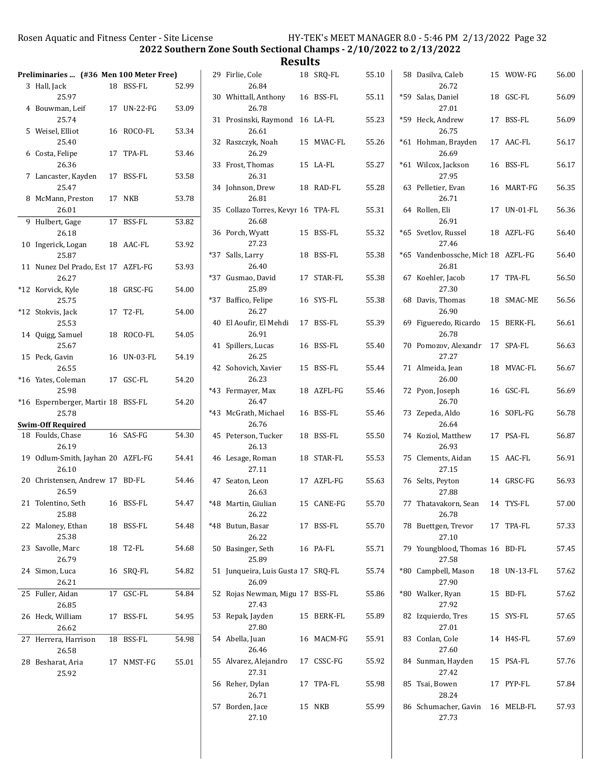2022 Southern Zone South Sectional Champs - 2/10/2022 to 2/13/2022

| Preliminaries  (#36 Men 100 Meter Free)     |             |       | 29 Firlie, Cole                             | 18 SRQ-FL  | 55.10 | 58 Dasilva, Caleb                           | 15 WOW-FG   | 56.00 |
|---------------------------------------------|-------------|-------|---------------------------------------------|------------|-------|---------------------------------------------|-------------|-------|
| 3 Hall, Jack                                | 18 BSS-FL   | 52.99 | 26.84                                       |            |       | 26.72                                       |             |       |
| 25.97<br>4 Bouwman, Leif                    | 17 UN-22-FG | 53.09 | 30 Whittall, Anthony<br>26.78               | 16 BSS-FL  | 55.11 | *59 Salas, Daniel<br>27.01                  | 18 GSC-FL   | 56.09 |
| 25.74                                       |             |       | 31 Prosinski, Raymond 16 LA-FL              |            | 55.23 | *59 Heck, Andrew                            | 17 BSS-FL   | 56.09 |
| 5 Weisel, Elliot<br>25.40                   | 16 ROCO-FL  | 53.34 | 26.61<br>32 Raszczyk, Noah                  | 15 MVAC-FL | 55.26 | 26.75<br>*61 Hohman, Brayden                | 17 AAC-FL   | 56.17 |
| 6 Costa, Felipe<br>26.36                    | 17 TPA-FL   | 53.46 | 26.29<br>33 Frost, Thomas                   | 15 LA-FL   | 55.27 | 26.69<br>*61 Wilcox, Jackson                | 16 BSS-FL   | 56.17 |
| 7 Lancaster, Kayden                         | 17 BSS-FL   | 53.58 | 26.31                                       |            |       | 27.95                                       |             |       |
| 25.47<br>8 McMann, Preston                  | 17 NKB      | 53.78 | 34 Johnson, Drew<br>26.81                   | 18 RAD-FL  | 55.28 | 63 Pelletier, Evan<br>26.71                 | 16 MART-FG  | 56.35 |
| 26.01<br>9 Hulbert, Gage                    | 17 BSS-FL   | 53.82 | 35 Collazo Torres, Kevyr 16 TPA-FL<br>26.68 |            | 55.31 | 64 Rollen, Eli<br>26.91                     | 17 UN-01-FL | 56.36 |
| 26.18                                       |             |       | 36 Porch, Wyatt                             | 15 BSS-FL  | 55.32 | *65 Svetlov, Russel                         | 18 AZFL-FG  | 56.40 |
| 10 Ingerick, Logan<br>25.87                 | 18 AAC-FL   | 53.92 | 27.23<br>*37 Salls, Larry                   | 18 BSS-FL  | 55.38 | 27.46<br>*65 Vandenbossche, Mich 18 AZFL-FG |             | 56.40 |
| 11 Nunez Del Prado, Est 17 AZFL-FG<br>26.27 |             | 53.93 | 26.40<br>*37 Gusmao, David                  | 17 STAR-FL | 55.38 | 26.81<br>67 Koehler, Jacob                  | 17 TPA-FL   | 56.50 |
| *12 Korvick, Kyle                           | 18 GRSC-FG  | 54.00 | 25.89                                       |            |       | 27.30                                       |             |       |
| 25.75<br>*12 Stokvis, Jack                  | 17 T2-FL    | 54.00 | *37 Baffico, Felipe<br>26.27                | 16 SYS-FL  | 55.38 | 68 Davis, Thomas<br>26.90                   | 18 SMAC-ME  | 56.56 |
| 25.53<br>14 Quigg, Samuel                   | 18 ROCO-FL  | 54.05 | 40 El Aoufir, El Mehdi<br>26.91             | 17 BSS-FL  | 55.39 | 69 Figueredo, Ricardo<br>26.78              | 15 BERK-FL  | 56.61 |
| 25.67                                       |             |       | 41 Spillers, Lucas                          | 16 BSS-FL  | 55.40 | 70 Pomozov, Alexandr 17 SPA-FL              |             | 56.63 |
| 15 Peck, Gavin<br>26.55                     | 16 UN-03-FL | 54.19 | 26.25<br>42 Sohovich, Xavier                | 15 BSS-FL  | 55.44 | 27.27<br>71 Almeida, Jean                   | 18 MVAC-FL  | 56.67 |
| *16 Yates, Coleman<br>25.98                 | 17 GSC-FL   | 54.20 | 26.23<br>*43 Fermayer, Max                  | 18 AZFL-FG | 55.46 | 26.00<br>72 Pyon, Joseph                    | 16 GSC-FL   | 56.69 |
| *16 Espernberger, Martir 18 BSS-FL          |             | 54.20 | 26.47                                       |            |       | 26.70                                       |             |       |
| 25.78                                       |             |       | *43 McGrath, Michael                        | 16 BSS-FL  | 55.46 | 73 Zepeda, Aldo                             | 16 SOFL-FG  | 56.78 |
| <b>Swim-Off Required</b>                    |             |       | 26.76                                       |            |       | 26.64                                       |             |       |
| 18 Foulds, Chase<br>26.19                   | 16 SAS-FG   | 54.30 | 45 Peterson, Tucker<br>26.13                | 18 BSS-FL  | 55.50 | 74 Koziol, Matthew<br>26.93                 | 17 PSA-FL   | 56.87 |
| 19 Odlum-Smith, Jayhan 20 AZFL-FG<br>26.10  |             | 54.41 | 46 Lesage, Roman<br>27.11                   | 18 STAR-FL | 55.53 | 75 Clements, Aidan<br>27.15                 | 15 AAC-FL   | 56.91 |
| 20 Christensen, Andrew 17 BD-FL<br>26.59    |             | 54.46 | 47 Seaton, Leon<br>26.63                    | 17 AZFL-FG | 55.63 | 76 Selts, Peyton<br>27.88                   | 14 GRSC-FG  | 56.93 |
| 21 Tolentino, Seth                          | 16 BSS-FL   | 54.47 | *48 Martin, Giulian                         | 15 CANE-FG | 55.70 | 77 Thatavakorn, Sean                        | 14 TYS-FL   | 57.00 |
| 25.88<br>22 Maloney, Ethan                  | 18 BSS-FL   | 54.48 | 26.22<br>*48 Butun, Basar                   | 17 BSS-FL  | 55.70 | 26.78<br>78 Buettgen, Trevor                | 17 TPA-FL   | 57.33 |
| 25.38<br>23 Savolle, Marc                   | 18 T2-FL    | 54.68 | 26.22<br>50 Basinger, Seth                  | 16 PA-FL   | 55.71 | 27.10<br>79 Youngblood, Thomas 16 BD-FL     |             | 57.45 |
| 26.79                                       |             |       | 25.89                                       |            |       | 27.58                                       |             |       |
| 24 Simon, Luca<br>26.21                     | 16 SRQ-FL   | 54.82 | 51 Junqueira, Luis Gusta 17 SRQ-FL<br>26.09 |            | 55.74 | *80 Campbell, Mason<br>27.90                | 18 UN-13-FL | 57.62 |
| 25 Fuller, Aidan<br>26.85                   | 17 GSC-FL   | 54.84 | 52 Rojas Newman, Migu 17 BSS-FL<br>27.43    |            | 55.86 | *80 Walker, Ryan<br>27.92                   | 15 BD-FL    | 57.62 |
| 26 Heck, William                            | 17 BSS-FL   | 54.95 | 53 Repak, Jayden                            | 15 BERK-FL | 55.89 | 82 Izquierdo, Tres                          | 15 SYS-FL   | 57.65 |
| 26.62                                       |             |       | 27.80                                       |            |       | 27.01                                       |             |       |
| 27 Herrera, Harrison<br>26.58               | 18 BSS-FL   | 54.98 | 54 Abella, Juan<br>26.46                    | 16 MACM-FG | 55.91 | 83 Conlan, Cole<br>27.60                    | 14 H4S-FL   | 57.69 |
| 28 Besharat, Aria<br>25.92                  | 17 NMST-FG  | 55.01 | 55 Alvarez, Alejandro<br>27.31              | 17 CSSC-FG | 55.92 | 84 Sunman, Hayden<br>27.42                  | 15 PSA-FL   | 57.76 |
|                                             |             |       | 56 Reher, Dylan<br>26.71                    | 17 TPA-FL  | 55.98 | 85 Tsai, Bowen<br>28.24                     | 17 PYP-FL   | 57.84 |
|                                             |             |       | 57 Borden, Jace                             | 15 NKB     | 55.99 | 86 Schumacher, Gavin                        | 16 MELB-FL  | 57.93 |
|                                             |             |       | 27.10                                       |            |       | 27.73                                       |             |       |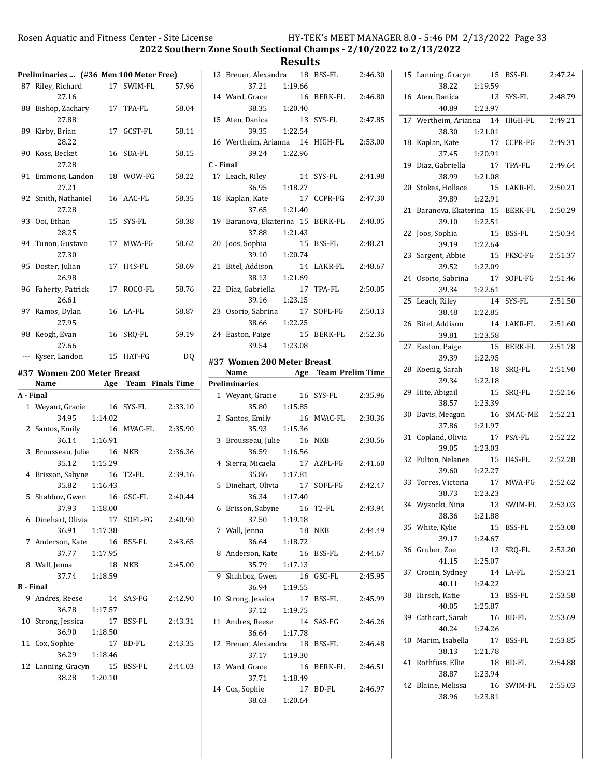2022 Southern Zone South Sectional Champs - 2/10/2022 to 2/13/2022

|                    | Preliminaries  (#36 Men 100 Meter Free)     |               |            |                                       |
|--------------------|---------------------------------------------|---------------|------------|---------------------------------------|
|                    | 87 Riley, Richard<br>27.16                  |               | 17 SWIM-FL | 57.96                                 |
|                    | 88 Bishop, Zachary<br>27.88                 |               | 17 TPA-FL  | 58.04                                 |
|                    | 89 Kirby, Brian<br>28.22                    |               | 17 GCST-FL | 58.11                                 |
|                    | 90 Koss, Becket<br>27.28                    |               | 16 SDA-FL  | 58.15                                 |
|                    | 91 Emmons, Landon<br>27.21                  |               | 18 WOW-FG  | 58.22                                 |
|                    | 92 Smith, Nathaniel<br>27.28                |               | 16 AAC-FL  | 58.35                                 |
|                    | 93 Ooi, Ethan<br>28.25                      |               | 15 SYS-FL  | 58.38                                 |
|                    | 94 Tunon, Gustavo<br>27.30                  |               | 17 MWA-FG  | 58.62                                 |
|                    | 95 Doster, Julian<br>26.98                  |               | 17 H4S-FL  | 58.69                                 |
|                    | 96 Faherty, Patrick<br>26.61                |               | 17 ROCO-FL | 58.76                                 |
|                    | 97 Ramos, Dylan<br>27.95                    |               | 16 LA-FL   | 58.87                                 |
|                    | 98 Keogh, Evan<br>27.66                     | 16            | SRQ-FL     | 59.19                                 |
|                    | --- Kyser, Landon                           |               | 15 HAT-FG  | DQ                                    |
|                    | #37 Women 200 Meter Breast<br>Name          |               |            | <b>Example 2 Age Team Finals Time</b> |
| A - Final          |                                             |               |            |                                       |
|                    | 1 Weyant, Gracie<br>34.95                   | 1:14.02       | 16 SYS-FL  | 2:33.10                               |
|                    | 2 Santos, Emily<br>36.14                    | 1:16.91       |            | 16 MVAC-FL 2:35.90                    |
| 3                  | Brousseau, Julie 16 NKB<br>35.12 1:15.29    |               |            | 2:36.36                               |
|                    | 4 Brisson, Sabyne 16 T2-FL<br>35.82 1:16.43 |               |            | 2:39.16                               |
|                    | 5 Shahboz, Gwen<br>37.93                    | 1:18.00       | 16 GSC-FL  | 2:40.44                               |
|                    | 6 Dinehart, Olivia<br>36.91                 | 1:17.38       |            | 17 SOFL-FG 2:40.90                    |
|                    | 7 Anderson, Kate<br>37.77                   | 1:17.95       | 16 BSS-FL  | 2:43.65                               |
|                    | 8 Wall, Jenna<br>37.74                      | 1:18.59       | 18 NKB     | 2:45.00                               |
|                    | <b>B</b> - Final                            |               |            |                                       |
|                    | 9 Andres, Reese<br>36.78                    | 14<br>1:17.57 | SAS-FG     | 2:42.90                               |
|                    | 10 Strong, Jessica<br>36.90                 | 1:18.50       | 17 BSS-FL  | 2:43.31                               |
|                    | 11 Cox, Sophie<br>36.29                     |               | 17 BD-FL   | 2:43.35                               |
| 12 Lanning, Gracyn |                                             | 1:18.46       |            |                                       |

|           | 13 Breuer, Alexandra 18 BSS-FL 2:46.30<br>37.21          | 1:19.66 |                    |         |
|-----------|----------------------------------------------------------|---------|--------------------|---------|
|           | 14 Ward, Grace<br>38.35   1:20.40                        |         | 16 BERK-FL 2:46.80 |         |
|           | 15 Aten, Danica<br>39.35 1:22.54                         |         | 13 SYS-FL          | 2:47.85 |
|           | 16 Wertheim, Arianna 14 HIGH-FL 2:53.00<br>39.24 1:22.96 |         |                    |         |
| C - Final |                                                          |         |                    |         |
|           | 17 Leach, Riley 14 SYS-FL                                |         |                    | 2:41.98 |
|           | 36.95                                                    | 1:18.27 |                    |         |
|           | 18 Kaplan, Kate                                          |         | 17 CCPR-FG         | 2:47.30 |
|           | 37.65 1:21.40                                            |         |                    |         |
|           |                                                          |         |                    |         |
|           | 19 Baranova, Ekaterina 15 BERK-FL 2:48.05                |         |                    |         |
|           | 37.88                                                    | 1:21.43 |                    |         |
|           | 20 Joos, Sophia                                          |         | 15 BSS-FL          | 2:48.21 |
|           | 39.10 1:20.74                                            |         |                    |         |
|           | 21 Bitel, Addison                                        |         | 14 LAKR-FL 2:48.67 |         |
|           | 38.13  1:21.69                                           |         |                    |         |
|           | 22 Diaz, Gabriella                                       |         | 17 TPA-FL          | 2:50.05 |
|           | 39.16 1:23.15                                            |         |                    |         |
|           | 23 Osorio, Sabrina                                       |         | 17 SOFL-FG         | 2:50.13 |
|           | 38.66 1:22.25                                            |         |                    |         |
|           | 24 Easton, Paige                                         |         | 15 BERK-FL 2:52.36 |         |
|           | 39.54 1:23.08                                            |         |                    |         |
|           |                                                          |         |                    |         |
|           | #37 Women 200 Meter Breast                               |         |                    |         |
|           | Name Age Team Prelim Time                                |         |                    |         |
|           |                                                          |         |                    |         |
|           | <b>Preliminaries</b>                                     |         |                    |         |
|           | 1 Weyant, Gracie 16 SYS-FL                               |         |                    | 2:35.96 |
|           | 35.80                                                    | 1:15.85 |                    |         |
|           |                                                          |         | 16 MVAC-FL 2:38.36 |         |
|           | 2 Santos, Emily 16<br>35.93 1:15.36                      |         |                    |         |
| 3         | Brousseau, Julie 16 NKB                                  |         |                    | 2:38.56 |
|           | 36.59 1:16.56                                            |         |                    |         |
|           | 4 Sierra, Micaela                                        |         | 17 AZFL-FG 2:41.60 |         |
|           | 35.86 1:17.81                                            |         |                    |         |
|           | 5 Dinehart, Olivia 17                                    |         | SOFL-FG 2:42.47    |         |
|           | 36.34 1:17.40                                            |         |                    |         |
| 6         | Brisson, Sabyne                                          | 16      | T2-FL              | 2:43.94 |
|           | 37.50 1:19.18                                            |         |                    |         |
|           | 7 Wall, Jenna                                            | 18      | NKB                | 2:44.49 |
|           | 36.64 1:18.72                                            |         |                    |         |
| 8         |                                                          | 16      | BSS-FL             | 2:44.67 |
|           | Anderson, Kate<br>35.79                                  | 1:17.13 |                    |         |
| 9         |                                                          | 16      | GSC-FL             | 2:45.95 |
|           | Shahboz, Gwen<br>36.94                                   |         |                    |         |
|           |                                                          | 1:19.55 |                    |         |
|           | 10 Strong, Jessica                                       |         | 17 BSS-FL          | 2:45.99 |
|           | 37.12                                                    | 1:19.75 |                    |         |
|           | 11 Andres, Reese                                         |         | 14 SAS-FG          | 2:46.26 |
|           | 36.64                                                    | 1:17.78 |                    |         |
|           | 12 Breuer, Alexandra                                     |         | 18 BSS-FL          | 2:46.48 |
|           | 37.17                                                    | 1:19.30 |                    |         |
|           | 13 Ward, Grace                                           |         | 16 BERK-FL 2:46.51 |         |
|           | 37.71                                                    | 1:18.49 |                    |         |
|           | 14 Cox, Sophie<br>38.63 1:20.64                          |         | 17 BD-FL           | 2:46.97 |

| 15 | Lanning, Gracyn             | 15      | <b>BSS-FL</b>  | 2:47.24 |
|----|-----------------------------|---------|----------------|---------|
|    | 38.22                       | 1:19.59 |                |         |
|    | 16 Aten, Danica             | 13      | SYS-FL         | 2:48.79 |
|    | 40.89                       | 1:23.97 |                |         |
| 17 | Wertheim, Arianna           | 14      | HIGH-FL        | 2:49.21 |
|    | 38.30                       | 1:21.01 |                |         |
| 18 | Kaplan, Kate                | 17      | CCPR-FG        | 2:49.31 |
|    | 37.45                       | 1:20.91 |                |         |
| 19 |                             | 17      | TPA-FL         | 2:49.64 |
|    | Diaz, Gabriella             |         |                |         |
|    | 38.99                       | 1:21.08 |                |         |
| 20 | Stokes, Hollace             | 15      | LAKR-FL        | 2:50.21 |
|    | 39.89                       | 1:22.91 |                |         |
| 21 | Baranova, Ekaterina 15      |         | <b>BERK-FL</b> | 2:50.29 |
|    | 39.10                       | 1:22.51 |                |         |
| 22 | Joos, Sophia                | 15      | <b>BSS-FL</b>  | 2:50.34 |
|    | 39.19                       | 1:22.64 |                |         |
| 23 | Sargent, Abbie              | 15      | FKSC-FG        | 2:51.37 |
|    | 39.52                       | 1:22.09 |                |         |
| 24 | Osorio, Sabrina             | 17      | SOFL-FG        | 2:51.46 |
|    | 39.34                       | 1:22.61 |                |         |
| 25 | Leach, Riley                | 14      | SYS-FL         | 2:51.50 |
|    | 38.48                       |         |                |         |
|    |                             | 1:22.85 |                |         |
| 26 | Bitel, Addison              | 14      | LAKR-FL        | 2:51.60 |
|    | 39.81                       | 1:23.58 |                |         |
| 27 | Easton, Paige               | 15      | <b>BERK-FL</b> | 2:51.78 |
|    | 39.39                       | 1:22.95 |                |         |
| 28 | Koenig, Sarah               | 18      | SRQ-FL         | 2:51.90 |
|    | 39.34                       | 1:22.18 |                |         |
| 29 | Hite, Abigail               | 15      | SRQ-FL         | 2:52.16 |
|    | 38.57                       | 1:23.39 |                |         |
| 30 | Davis, Meagan               | 16      | SMAC-ME        | 2:52.21 |
|    | 37.86                       | 1:21.97 |                |         |
| 31 | Copland, Olivia             | 17      | PSA-FL         | 2:52.22 |
|    | 39.05                       | 1:23.03 |                |         |
| 32 | Fulton, Nelanee             | 15      | H4S-FL         | 2:52.28 |
|    | 39.60                       | 1:22.27 |                |         |
| 33 | Torres, Victoria            | 17      | MWA-FG         | 2:52.62 |
|    |                             |         |                |         |
|    | 38.73                       | 1:23.23 |                |         |
|    | 34 Wysocki, Nina            | 13      | SWIM-FL        | 2:53.03 |
|    | 38.36                       | 1:21.88 |                |         |
|    | 35 White, Kylie             |         | 15 BSS-FL      | 2:53.08 |
|    | 39.17                       | 1:24.67 |                |         |
|    | 36 Gruber, Zoe              | 13      | SRQ-FL         | 2:53.20 |
|    | 41.15                       | 1:25.07 |                |         |
|    | 37 Cronin, Sydney           | 14      | LA-FL          | 2:53.21 |
|    | 40.11                       | 1:24.22 |                |         |
| 38 |                             | 13      | BSS-FL         | 2:53.58 |
|    |                             |         |                |         |
|    | Hirsch, Katie               |         |                |         |
|    | 40.05                       | 1:25.87 |                |         |
|    | 39 Cathcart, Sarah          | 16      | BD-FL          | 2:53.69 |
|    | 40.24                       | 1:24.26 |                |         |
|    | 40 Marim, Isabella          |         | 17 BSS-FL      | 2:53.85 |
|    | 38.13                       | 1:21.78 |                |         |
|    | 41 Rothfuss, Ellie          |         | 18 BD-FL       | 2:54.88 |
|    | 38.87                       | 1:23.94 |                |         |
|    | 42 Blaine, Melissa<br>38.96 | 1:23.81 | 16 SWIM-FL     | 2:55.03 |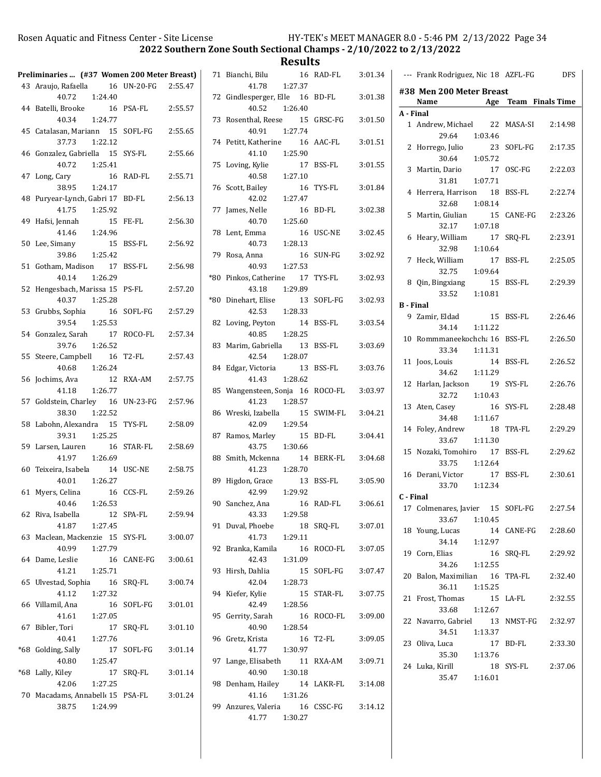2022 Southern Zone South Sectional Champs - 2/10/2022 to 2/13/2022

**Results**<br>16 RAD-FL

|     | Preliminaries  (#37 Women 200 Meter Breast)         |    |                    |         |
|-----|-----------------------------------------------------|----|--------------------|---------|
|     | 43 Araujo, Rafaella                                 |    | 16 UN-20-FG        | 2:55.47 |
|     | 1:24.40<br>40.72                                    |    |                    |         |
|     | 44 Batelli, Brooke<br>1:24.77<br>40.34              | 16 | PSA-FL             | 2:55.57 |
|     | 45 Catalasan, Mariann 15<br>37.73<br>1:22.12        |    | SOFL-FG            | 2:55.65 |
| 46  | Gonzalez, Gabriella 15<br>40.72   1:25.41           |    | SYS-FL             | 2:55.66 |
| 47  | Long, Cary<br>38.95<br>1:24.17                      | 16 | RAD-FL             | 2:55.71 |
| 48  | Puryear-Lynch, Gabri 17<br>41.75<br>1:25.92         |    | BD-FL              | 2:56.13 |
| 49  | Hafsi, Jennah<br>1:24.96<br>41.46                   | 15 | FE-FL              | 2:56.30 |
| 50  | Lee, Simany<br>15<br>39.86 1:25.42                  |    | <b>BSS-FL</b>      | 2:56.92 |
| 51  | Gotham, Madison 17<br>40.14<br>1:26.29              |    | <b>BSS-FL</b>      | 2:56.98 |
| 52  | Hengesbach, Marissa 15 PS-FL<br>40.37   1:25.28     |    |                    | 2:57.20 |
|     | 53 Grubbs, Sophia<br>16<br>39.54 1:25.53            |    | SOFL-FG            | 2:57.29 |
|     | 54 Gonzalez, Sarah 17<br>39.76 1:26.52              |    | ROCO-FL            | 2:57.34 |
| 55  | Steere, Campbell 16<br>40.68 1:26.24                |    | T <sub>2</sub> -FL | 2:57.43 |
| 56  | Jochims, Ava<br>1:26.77<br>41.18                    | 12 | RXA-AM             | 2:57.75 |
|     | 57 Goldstein, Charley 16<br>38.30<br>1:22.52        |    | UN-23-FG           | 2:57.96 |
| 58  | Labohn, Alexandra 15<br>39.31<br>1:25.25            |    | TYS-FL             | 2:58.09 |
|     | 59 Larsen, Lauren<br>41.97<br>1:26.69               | 16 | STAR-FL            | 2:58.69 |
| 60  | Teixeira, Isabela<br>40.01<br>1:26.27               | 14 | USC-NE             | 2:58.75 |
|     | 61 Myers, Celina<br>40.46 1:26.53                   | 16 | CCS-FL             | 2:59.26 |
|     | 62 Riva, Isabella<br>1:27.45<br>41.87               | 12 | SPA-FL             | 2:59.94 |
|     | 63 Maclean, Mackenzie 15<br>40.99<br>1:27.79        |    | SYS-FL             | 3:00.07 |
| 64  | Dame, Leslie<br>41.21<br>1:25.71                    | 16 | CANE-FG            | 3:00.61 |
| 65  | Ulvestad, Sophia<br>41.12<br>1:27.32                | 16 | SRQ-FL             | 3:00.74 |
| 66  | Villamil, Ana<br>41.61<br>1:27.05                   | 16 | SOFL-FG            | 3:01.01 |
| 67  | Bibler, Tori<br>40.41<br>1:27.76                    | 17 | SRQ-FL             | 3:01.10 |
| *68 | Golding, Sally<br>40.80<br>1:25.47                  | 17 | SOFL-FG            | 3:01.14 |
|     | *68 Lally, Kiley<br>42.06<br>1:27.25                | 17 | SRQ-FL             | 3:01.14 |
|     | 70 Macadams, Annabell 15 PSA-FL<br>38.75<br>1:24.99 |    |                    | 3:01.24 |

| 71    | Bianchi, Bilu<br>16                                         | RAD-FL        | 3:01.34 |
|-------|-------------------------------------------------------------|---------------|---------|
| 72    | 41.78<br>1:27.37<br>Gindlesperger, Elle 16                  | BD-FL         | 3:01.38 |
| 73    | 40.52 1:26.40<br>Rosenthal, Reese 15 GRSC-FG                |               | 3:01.50 |
|       | 1:27.74<br>40.91<br>74 Petitt, Katherine 16                 | AAC-FL        | 3:01.51 |
| 75    | 1:25.90<br>41.10<br>Loving, Kylie<br>17<br>40.58<br>1:27.10 | BSS-FL        | 3:01.55 |
|       | 76 Scott, Bailey<br>16<br>1:27.47<br>42.02                  | TYS-FL        | 3:01.84 |
| 77    | James, Nelle<br>16<br>1:25.60<br>40.70                      | BD-FL         | 3:02.38 |
|       | 78 Lent, Emma<br>1:28.13<br>40.73                           | 16 USC-NE     | 3:02.45 |
| 79    | Rosa, Anna<br>40.93 1:27.53                                 | 16 SUN-FG     | 3:02.92 |
| *80   | 17<br>Pinkos, Catherine<br>43.18<br>1:29.89                 | TYS-FL        | 3:02.93 |
| $*80$ | Dinehart, Elise<br>13<br>42.53<br>1:28.33                   | SOFL-FG       | 3:02.93 |
| 82    | Loving, Peyton<br>14<br>40.85<br>1:28.25                    | <b>BSS-FL</b> | 3:03.54 |
| 83    | Marim, Gabriella<br>13<br>42.54<br>1:28.07                  | BSS-FL        | 3:03.69 |
| 84    | 13<br>Edgar, Victoria<br>1:28.62<br>41.43                   | BSS-FL        | 3:03.76 |
| 85    | Wangensteen, Sonja 16 ROCO-FL<br>1:28.57<br>41.23           |               | 3:03.97 |
|       | 86 Wreski, Izabella 15<br>42.09<br>1:29.54                  | SWIM-FL       | 3:04.21 |
| 87    | Ramos, Marley<br>15<br>43.75 1:30.66                        | BD-FL         | 3:04.41 |
|       | 88 Smith, Mckenna<br>14<br>41.23<br>1:28.70                 | BERK-FL       | 3:04.68 |
| 89    | Higdon, Grace<br>1:29.92<br>42.99                           | 13 BSS-FL     | 3:05.90 |
| 90    | Sanchez, Ana<br>1:29.58<br>43.33                            | 16 RAD-FL     | 3:06.61 |
| 91    | Duval, Phoebe<br>18<br>41.73<br>1:29.11                     | SRO-FL        | 3:07.01 |
| 92    | Branka, Kamila<br>16<br>42.43<br>1:31.09                    | ROCO-FL       | 3:07.05 |
| 93    | Hirsh, Dahlia<br>15<br>42.04<br>1:28.73                     | SOFL-FG       | 3:07.47 |
| 94    | Kiefer, Kylie<br>42.49<br>1:28.56                           | 15 STAR-FL    | 3:07.75 |
| 95    | Gerrity, Sarah<br>16<br>1:28.54<br>40.90                    | ROCO-FL       | 3:09.00 |
| 96    | Gretz, Krista<br>16<br>41.77<br>1:30.97                     | T2-FL         | 3:09.05 |
| 97    | Lange, Elisabeth<br>11<br>40.90<br>1:30.18                  | RXA-AM        | 3:09.71 |
|       | 98 Denham, Hailey<br>1:31.26<br>41.16                       | 14 LAKR-FL    | 3:14.08 |
|       | 99 Anzures, Valeria<br>41.77<br>1:30.27                     | 16 CSSC-FG    | 3:14.12 |

|                  | --- Frank Rodriguez, Nic 18 AZFL-FG                      | <b>DFS</b>              |
|------------------|----------------------------------------------------------|-------------------------|
|                  | #38 Men 200 Meter Breast                                 |                         |
|                  | Name<br>Age                                              | <b>Team</b> Finals Time |
| A - Final        |                                                          |                         |
|                  | 1 Andrew, Michael 22<br>29.64<br>1:03.46                 | MASA-SI<br>2:14.98      |
| 2                | 23<br>Horrego, Julio                                     | SOFL-FG<br>2:17.35      |
| 3                | 1:05.72<br>30.64<br>17<br>Martin, Dario                  | OSC-FG<br>2:22.03       |
|                  | 1:07.71<br>31.81                                         |                         |
| $4^{\circ}$      | Herrera, Harrison 18<br>32.68<br>1:08.14                 | BSS-FL<br>2:22.74       |
| 5                | Martin, Giulian<br>15<br>32.17<br>1:07.18                | CANE-FG<br>2:23.26      |
| 6                | Heary, William<br>17                                     | SRQ-FL<br>2:23.91       |
| 7                | 32.98<br>1:10.64<br>17<br>Heck, William                  | 2:25.05<br>BSS-FL       |
|                  | 32.75<br>1:09.64                                         |                         |
|                  | 8 Qin, Bingxiang<br>15<br>33.52<br>1:10.81               | BSS-FL<br>2:29.39       |
| <b>B</b> - Final |                                                          |                         |
|                  | 15<br>9 Zamir, Eldad<br>34.14<br>1:11.22                 | BSS-FL<br>2:26.46       |
| 10               | Rommmaneekochcha 16                                      | BSS-FL<br>2:26.50       |
| 11               | 33.34 1:11.31<br>Joos, Louis<br>14                       | BSS-FL<br>2:26.52       |
|                  | 34.62<br>1:11.29                                         |                         |
| 12               | Harlan, Jackson<br>19<br>1:10.43<br>32.72                | SYS-FL<br>2:26.76       |
|                  | 13 Aten, Casey<br>16<br>1:11.67<br>34.48                 | SYS-FL<br>2:28.48       |
| 14               | Foley, Andrew<br>18                                      | TPA-FL<br>2:29.29       |
| $15 -$           | 33.67<br>1:11.30                                         |                         |
|                  | Nozaki, Tomohiro 17<br>33.75<br>1:12.64                  | BSS-FL<br>2:29.62       |
| 16               | Derani, Victor                                           | 17 BSS-FL<br>2:30.61    |
|                  | 33.70 1:12.34                                            |                         |
| C - Final        |                                                          |                         |
|                  | 17 Colmenares, Javier 15 SOFL-FG<br>33.67<br>1:10.45     | 2:27.54                 |
|                  | 18 Young, Lucas 14<br>34.14 1:12.97                      | 14 CANE-FG 2:28.60      |
|                  | 19 Corn, Elias                                           | 16 SRO-FL<br>2:29.92    |
|                  | 34.26 1:12.55<br>20 Balon, Maximilian 16 TPA-FL          | 2:32.40                 |
|                  | 36.11  1:15.25                                           |                         |
|                  | 21 Frost, Thomas<br>1:12.67<br>33.68                     | 15 LA-FL 2:32.55        |
|                  | 22 Navarro, Gabriel 13 NMST-FG 2:32.97<br>34.51  1:13.37 |                         |
|                  | 23 Oliva, Luca                                           | 17 BD-FL 2:33.30        |
|                  | 35.30   1:13.76<br>24 Luka, Kirill<br>35.47 1:16.01      | 18 SYS-FL 2:37.06       |
|                  |                                                          |                         |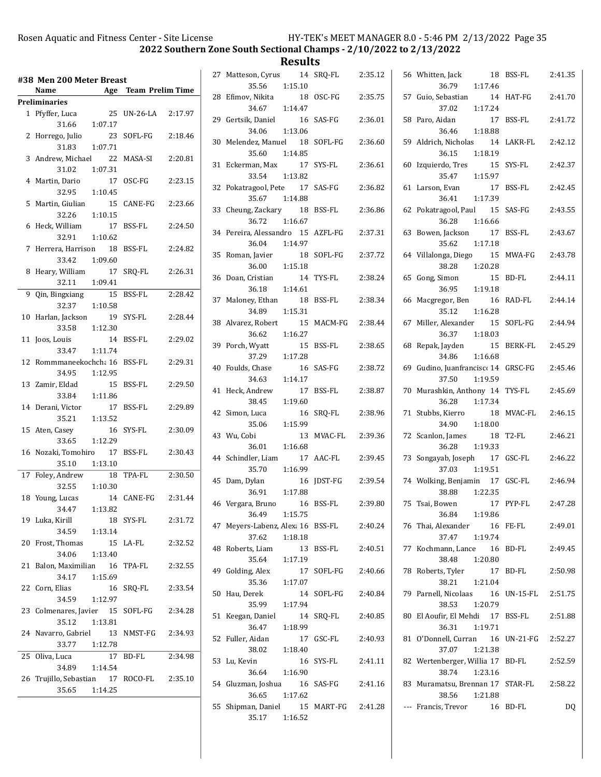2022 Southern Zone South Sectional Champs - 2/10/2022 to 2/13/2022

| Age Team Prelim Time<br>Name<br>Preliminaries<br>25<br>1 Pfyffer, Luca<br>UN-26-LA<br>2:17.97<br>31.66<br>1:07.17<br>2<br>23<br>SOFL-FG<br>2:18.46<br>Horrego, Julio<br>31.83<br>1:07.71<br>3<br>Andrew, Michael 22<br>MASA-SI<br>2:20.81<br>31.02<br>1:07.31<br>Martin, Dario<br>17<br>OSC-FG<br>2:23.15<br>4<br>32.95<br>1:10.45<br>15<br>5<br>Martin, Giulian<br>CANE-FG<br>2:23.66<br>32.26<br>1:10.15<br>Heck, William<br>17<br>2:24.50<br>6<br>BSS-FL<br>32.91<br>1:10.62<br>Herrera, Harrison 18<br>BSS-FL<br>2:24.82<br>7<br>1:09.60<br>33.42<br>8<br>Heary, William<br>SRQ-FL<br>2:26.31<br>17<br>32.11<br>1:09.41<br>9<br>Qin, Bingxiang<br>15<br>BSS-FL<br>2:28.42<br>32.37 1:10.58<br>Harlan, Jackson<br>19<br>SYS-FL<br>2:28.44<br>10<br>33.58 1:12.30<br>14<br>11<br>Joos, Louis<br>BSS-FL<br>2:29.02<br>33.47<br>1:11.74<br>12 Rommmaneekochcha 16<br>2:29.31<br>BSS-FL<br>34.95 1:12.95<br>13 Zamir, Eldad<br>15<br><b>BSS-FL</b><br>2:29.50<br>33.84<br>1:11.86<br>17<br>14 Derani, Victor<br>BSS-FL<br>2:29.89<br>35.21<br>1:13.52<br>16<br>SYS-FL<br>2:30.09<br>15<br>Aten, Casey<br>33.65<br>1:12.29<br>Nozaki, Tomohiro<br>17<br>2:30.43<br>16<br>BSS-FL<br>35.10<br>1:13.10<br>17 Foley, Andrew<br>TPA-FL<br>2:30.50<br>18<br>32.55<br>1:10.30<br>18 Young, Lucas<br>14<br>CANE-FG 2:31.44<br>1:13.82<br>34.47<br>19 Luka, Kirill<br>18 SYS-FL<br>2:31.72<br>34.59 1:13.14<br>15 LA-FL<br>20<br>Frost, Thomas<br>2:32.52<br>34.06<br>1:13.40<br>Balon, Maximilian 16 TPA-FL<br>2:32.55<br>21<br>34.17<br>1:15.69<br>22 Corn, Elias<br>16<br>SRO-FL<br>2:33.54<br>34.59 1:12.97<br>23 Colmenares, Javier 15 SOFL-FG<br>2:34.28<br>35.12  1:13.81<br>24 Navarro, Gabriel 13 NMST-FG<br>2:34.93<br>33.77<br>1:12.78<br>$\overline{17}$ BD-FL<br>25<br>2:34.98<br>Oliva, Luca<br>34.89  1:14.54<br>26 Trujillo, Sebastian 17 ROCO-FL<br>2:35.10<br>35.65<br>1:14.25 | #38 Men 200 Meter Breast |  |  |
|---------------------------------------------------------------------------------------------------------------------------------------------------------------------------------------------------------------------------------------------------------------------------------------------------------------------------------------------------------------------------------------------------------------------------------------------------------------------------------------------------------------------------------------------------------------------------------------------------------------------------------------------------------------------------------------------------------------------------------------------------------------------------------------------------------------------------------------------------------------------------------------------------------------------------------------------------------------------------------------------------------------------------------------------------------------------------------------------------------------------------------------------------------------------------------------------------------------------------------------------------------------------------------------------------------------------------------------------------------------------------------------------------------------------------------------------------------------------------------------------------------------------------------------------------------------------------------------------------------------------------------------------------------------------------------------------------------------------------------------------------------------------------------------------------------------------------------------------------------------------------------------|--------------------------|--|--|
|                                                                                                                                                                                                                                                                                                                                                                                                                                                                                                                                                                                                                                                                                                                                                                                                                                                                                                                                                                                                                                                                                                                                                                                                                                                                                                                                                                                                                                                                                                                                                                                                                                                                                                                                                                                                                                                                                       |                          |  |  |
|                                                                                                                                                                                                                                                                                                                                                                                                                                                                                                                                                                                                                                                                                                                                                                                                                                                                                                                                                                                                                                                                                                                                                                                                                                                                                                                                                                                                                                                                                                                                                                                                                                                                                                                                                                                                                                                                                       |                          |  |  |
|                                                                                                                                                                                                                                                                                                                                                                                                                                                                                                                                                                                                                                                                                                                                                                                                                                                                                                                                                                                                                                                                                                                                                                                                                                                                                                                                                                                                                                                                                                                                                                                                                                                                                                                                                                                                                                                                                       |                          |  |  |
|                                                                                                                                                                                                                                                                                                                                                                                                                                                                                                                                                                                                                                                                                                                                                                                                                                                                                                                                                                                                                                                                                                                                                                                                                                                                                                                                                                                                                                                                                                                                                                                                                                                                                                                                                                                                                                                                                       |                          |  |  |
|                                                                                                                                                                                                                                                                                                                                                                                                                                                                                                                                                                                                                                                                                                                                                                                                                                                                                                                                                                                                                                                                                                                                                                                                                                                                                                                                                                                                                                                                                                                                                                                                                                                                                                                                                                                                                                                                                       |                          |  |  |
|                                                                                                                                                                                                                                                                                                                                                                                                                                                                                                                                                                                                                                                                                                                                                                                                                                                                                                                                                                                                                                                                                                                                                                                                                                                                                                                                                                                                                                                                                                                                                                                                                                                                                                                                                                                                                                                                                       |                          |  |  |
|                                                                                                                                                                                                                                                                                                                                                                                                                                                                                                                                                                                                                                                                                                                                                                                                                                                                                                                                                                                                                                                                                                                                                                                                                                                                                                                                                                                                                                                                                                                                                                                                                                                                                                                                                                                                                                                                                       |                          |  |  |
|                                                                                                                                                                                                                                                                                                                                                                                                                                                                                                                                                                                                                                                                                                                                                                                                                                                                                                                                                                                                                                                                                                                                                                                                                                                                                                                                                                                                                                                                                                                                                                                                                                                                                                                                                                                                                                                                                       |                          |  |  |
|                                                                                                                                                                                                                                                                                                                                                                                                                                                                                                                                                                                                                                                                                                                                                                                                                                                                                                                                                                                                                                                                                                                                                                                                                                                                                                                                                                                                                                                                                                                                                                                                                                                                                                                                                                                                                                                                                       |                          |  |  |
|                                                                                                                                                                                                                                                                                                                                                                                                                                                                                                                                                                                                                                                                                                                                                                                                                                                                                                                                                                                                                                                                                                                                                                                                                                                                                                                                                                                                                                                                                                                                                                                                                                                                                                                                                                                                                                                                                       |                          |  |  |
|                                                                                                                                                                                                                                                                                                                                                                                                                                                                                                                                                                                                                                                                                                                                                                                                                                                                                                                                                                                                                                                                                                                                                                                                                                                                                                                                                                                                                                                                                                                                                                                                                                                                                                                                                                                                                                                                                       |                          |  |  |
|                                                                                                                                                                                                                                                                                                                                                                                                                                                                                                                                                                                                                                                                                                                                                                                                                                                                                                                                                                                                                                                                                                                                                                                                                                                                                                                                                                                                                                                                                                                                                                                                                                                                                                                                                                                                                                                                                       |                          |  |  |
|                                                                                                                                                                                                                                                                                                                                                                                                                                                                                                                                                                                                                                                                                                                                                                                                                                                                                                                                                                                                                                                                                                                                                                                                                                                                                                                                                                                                                                                                                                                                                                                                                                                                                                                                                                                                                                                                                       |                          |  |  |
|                                                                                                                                                                                                                                                                                                                                                                                                                                                                                                                                                                                                                                                                                                                                                                                                                                                                                                                                                                                                                                                                                                                                                                                                                                                                                                                                                                                                                                                                                                                                                                                                                                                                                                                                                                                                                                                                                       |                          |  |  |
|                                                                                                                                                                                                                                                                                                                                                                                                                                                                                                                                                                                                                                                                                                                                                                                                                                                                                                                                                                                                                                                                                                                                                                                                                                                                                                                                                                                                                                                                                                                                                                                                                                                                                                                                                                                                                                                                                       |                          |  |  |
|                                                                                                                                                                                                                                                                                                                                                                                                                                                                                                                                                                                                                                                                                                                                                                                                                                                                                                                                                                                                                                                                                                                                                                                                                                                                                                                                                                                                                                                                                                                                                                                                                                                                                                                                                                                                                                                                                       |                          |  |  |
|                                                                                                                                                                                                                                                                                                                                                                                                                                                                                                                                                                                                                                                                                                                                                                                                                                                                                                                                                                                                                                                                                                                                                                                                                                                                                                                                                                                                                                                                                                                                                                                                                                                                                                                                                                                                                                                                                       |                          |  |  |
|                                                                                                                                                                                                                                                                                                                                                                                                                                                                                                                                                                                                                                                                                                                                                                                                                                                                                                                                                                                                                                                                                                                                                                                                                                                                                                                                                                                                                                                                                                                                                                                                                                                                                                                                                                                                                                                                                       |                          |  |  |
|                                                                                                                                                                                                                                                                                                                                                                                                                                                                                                                                                                                                                                                                                                                                                                                                                                                                                                                                                                                                                                                                                                                                                                                                                                                                                                                                                                                                                                                                                                                                                                                                                                                                                                                                                                                                                                                                                       |                          |  |  |
|                                                                                                                                                                                                                                                                                                                                                                                                                                                                                                                                                                                                                                                                                                                                                                                                                                                                                                                                                                                                                                                                                                                                                                                                                                                                                                                                                                                                                                                                                                                                                                                                                                                                                                                                                                                                                                                                                       |                          |  |  |
|                                                                                                                                                                                                                                                                                                                                                                                                                                                                                                                                                                                                                                                                                                                                                                                                                                                                                                                                                                                                                                                                                                                                                                                                                                                                                                                                                                                                                                                                                                                                                                                                                                                                                                                                                                                                                                                                                       |                          |  |  |
|                                                                                                                                                                                                                                                                                                                                                                                                                                                                                                                                                                                                                                                                                                                                                                                                                                                                                                                                                                                                                                                                                                                                                                                                                                                                                                                                                                                                                                                                                                                                                                                                                                                                                                                                                                                                                                                                                       |                          |  |  |
|                                                                                                                                                                                                                                                                                                                                                                                                                                                                                                                                                                                                                                                                                                                                                                                                                                                                                                                                                                                                                                                                                                                                                                                                                                                                                                                                                                                                                                                                                                                                                                                                                                                                                                                                                                                                                                                                                       |                          |  |  |
|                                                                                                                                                                                                                                                                                                                                                                                                                                                                                                                                                                                                                                                                                                                                                                                                                                                                                                                                                                                                                                                                                                                                                                                                                                                                                                                                                                                                                                                                                                                                                                                                                                                                                                                                                                                                                                                                                       |                          |  |  |
|                                                                                                                                                                                                                                                                                                                                                                                                                                                                                                                                                                                                                                                                                                                                                                                                                                                                                                                                                                                                                                                                                                                                                                                                                                                                                                                                                                                                                                                                                                                                                                                                                                                                                                                                                                                                                                                                                       |                          |  |  |
|                                                                                                                                                                                                                                                                                                                                                                                                                                                                                                                                                                                                                                                                                                                                                                                                                                                                                                                                                                                                                                                                                                                                                                                                                                                                                                                                                                                                                                                                                                                                                                                                                                                                                                                                                                                                                                                                                       |                          |  |  |
|                                                                                                                                                                                                                                                                                                                                                                                                                                                                                                                                                                                                                                                                                                                                                                                                                                                                                                                                                                                                                                                                                                                                                                                                                                                                                                                                                                                                                                                                                                                                                                                                                                                                                                                                                                                                                                                                                       |                          |  |  |
|                                                                                                                                                                                                                                                                                                                                                                                                                                                                                                                                                                                                                                                                                                                                                                                                                                                                                                                                                                                                                                                                                                                                                                                                                                                                                                                                                                                                                                                                                                                                                                                                                                                                                                                                                                                                                                                                                       |                          |  |  |
|                                                                                                                                                                                                                                                                                                                                                                                                                                                                                                                                                                                                                                                                                                                                                                                                                                                                                                                                                                                                                                                                                                                                                                                                                                                                                                                                                                                                                                                                                                                                                                                                                                                                                                                                                                                                                                                                                       |                          |  |  |
|                                                                                                                                                                                                                                                                                                                                                                                                                                                                                                                                                                                                                                                                                                                                                                                                                                                                                                                                                                                                                                                                                                                                                                                                                                                                                                                                                                                                                                                                                                                                                                                                                                                                                                                                                                                                                                                                                       |                          |  |  |
|                                                                                                                                                                                                                                                                                                                                                                                                                                                                                                                                                                                                                                                                                                                                                                                                                                                                                                                                                                                                                                                                                                                                                                                                                                                                                                                                                                                                                                                                                                                                                                                                                                                                                                                                                                                                                                                                                       |                          |  |  |
|                                                                                                                                                                                                                                                                                                                                                                                                                                                                                                                                                                                                                                                                                                                                                                                                                                                                                                                                                                                                                                                                                                                                                                                                                                                                                                                                                                                                                                                                                                                                                                                                                                                                                                                                                                                                                                                                                       |                          |  |  |
|                                                                                                                                                                                                                                                                                                                                                                                                                                                                                                                                                                                                                                                                                                                                                                                                                                                                                                                                                                                                                                                                                                                                                                                                                                                                                                                                                                                                                                                                                                                                                                                                                                                                                                                                                                                                                                                                                       |                          |  |  |
|                                                                                                                                                                                                                                                                                                                                                                                                                                                                                                                                                                                                                                                                                                                                                                                                                                                                                                                                                                                                                                                                                                                                                                                                                                                                                                                                                                                                                                                                                                                                                                                                                                                                                                                                                                                                                                                                                       |                          |  |  |
|                                                                                                                                                                                                                                                                                                                                                                                                                                                                                                                                                                                                                                                                                                                                                                                                                                                                                                                                                                                                                                                                                                                                                                                                                                                                                                                                                                                                                                                                                                                                                                                                                                                                                                                                                                                                                                                                                       |                          |  |  |
|                                                                                                                                                                                                                                                                                                                                                                                                                                                                                                                                                                                                                                                                                                                                                                                                                                                                                                                                                                                                                                                                                                                                                                                                                                                                                                                                                                                                                                                                                                                                                                                                                                                                                                                                                                                                                                                                                       |                          |  |  |
|                                                                                                                                                                                                                                                                                                                                                                                                                                                                                                                                                                                                                                                                                                                                                                                                                                                                                                                                                                                                                                                                                                                                                                                                                                                                                                                                                                                                                                                                                                                                                                                                                                                                                                                                                                                                                                                                                       |                          |  |  |
|                                                                                                                                                                                                                                                                                                                                                                                                                                                                                                                                                                                                                                                                                                                                                                                                                                                                                                                                                                                                                                                                                                                                                                                                                                                                                                                                                                                                                                                                                                                                                                                                                                                                                                                                                                                                                                                                                       |                          |  |  |
|                                                                                                                                                                                                                                                                                                                                                                                                                                                                                                                                                                                                                                                                                                                                                                                                                                                                                                                                                                                                                                                                                                                                                                                                                                                                                                                                                                                                                                                                                                                                                                                                                                                                                                                                                                                                                                                                                       |                          |  |  |

| 27 Matteson, Cyrus 14<br>1:15.10<br>35.56             |    | SRQ-FL          | 2:35.12 |
|-------------------------------------------------------|----|-----------------|---------|
| 28 Efimov, Nikita<br>1:14.47<br>34.67                 | 18 | OSC-FG          | 2:35.75 |
| 29 Gertsik, Daniel<br>1:13.06<br>34.06                | 16 | SAS-FG          | 2:36.01 |
| 30 Melendez, Manuel 18<br>35.60 1:14.85               |    | SOFL-FG         | 2:36.60 |
| 31 Eckerman, Max<br>17<br>33.54 1:13.82               |    | SYS-FL          | 2:36.61 |
| 32 Pokatragool, Pete 17 SAS-FG<br>35.67 1:14.88       |    |                 | 2:36.82 |
| 33 Cheung, Zackary 18<br>36.72  1:16.67               |    | BSS-FL          | 2:36.86 |
| 34 Pereira, Alessandro 15 AZFL-FG<br>1:14.97<br>36.04 |    |                 | 2:37.31 |
| 35 Roman, Javier<br>1:15.18<br>36.00                  | 18 | SOFL-FG         | 2:37.72 |
| 36 Doan, Cristian<br>1:14.61<br>36.18                 | 14 | TYS-FL          | 2:38.24 |
| 37 Maloney, Ethan<br>1:15.31<br>34.89                 | 18 | BSS-FL          | 2:38.34 |
| 38 Alvarez, Robert<br>36.62<br>1:16.27                | 15 | MACM-FG 2:38.44 |         |
| 39 Porch, Wyatt<br>37.29<br>1:17.28                   | 15 | BSS-FL          | 2:38.65 |
| 40 Foulds, Chase<br>34.63<br>1:14.17                  | 16 | SAS-FG          | 2:38.72 |
| 41 Heck, Andrew<br>1:19.60<br>38.45                   | 17 | BSS-FL          | 2:38.87 |
| 42 Simon, Luca<br>1:15.99<br>35.06                    | 16 | SRQ-FL          | 2:38.96 |
| 43 Wu, Cobi<br>36.01 1:16.68                          | 13 | MVAC-FL         | 2:39.36 |
| 44 Schindler, Liam 17 AAC-FL<br>35.70  1:16.99        |    |                 | 2:39.45 |
| 45 Dam, Dylan<br>36.91<br>1:17.88                     | 16 | JDST-FG         | 2:39.54 |
| 46 Vergara, Bruno<br>36.49<br>1:15.75                 | 16 | <b>BSS-FL</b>   | 2:39.80 |
| 47 Meyers-Labenz, Alexa 16<br>37.62<br>1:18.18        |    | BSS-FL          | 2:40.24 |
| 48 Roberts, Liam<br>35.64<br>1:17.19                  | 13 | BSS-FL          | 2:40.51 |
| 49 Golding, Alex<br>35.36<br>1:17.07                  | 17 | SOFL-FG         | 2:40.66 |
| 50 Hau, Derek<br>35.99<br>1:17.94                     | 14 | SOFL-FG         | 2:40.84 |
| 51 Keegan, Daniel<br>36.47<br>1:18.99                 | 14 | SRQ-FL          | 2:40.85 |
| 52 Fuller, Aidan<br>38.02<br>1:18.40                  | 17 | GSC-FL          | 2:40.93 |
| 53 Lu, Kevin<br>36.64 1:16.90                         | 16 | SYS-FL          | 2:41.11 |
| 54 Gluzman, Joshua 16<br>36.65<br>1:17.62             |    | SAS-FG          | 2:41.16 |
| 55 Shipman, Daniel 15 MART-FG<br>35.17<br>1:16.52     |    |                 | 2:41.28 |

|    | 56 Whitten, Jack<br>18<br>36.79<br>1:17.46                   | BSS-FL         | 2:41.35 |
|----|--------------------------------------------------------------|----------------|---------|
|    | 57 Guio, Sebastian<br>14<br>37.02<br>1:17.24                 | HAT-FG         | 2:41.70 |
|    | 58 Paro, Aidan<br>17<br>36.46<br>1:18.88                     | <b>BSS-FL</b>  | 2:41.72 |
|    | 59 Aldrich, Nicholas<br>14<br>36.15<br>1:18.19               | LAKR-FL        | 2:42.12 |
| 60 | Izquierdo, Tres<br>15<br>1:15.97<br>35.47                    | SYS-FL         | 2:42.37 |
| 61 | Larson, Evan<br>17<br>36.41 1:17.39                          | BSS-FL         | 2:42.45 |
| 62 | Pokatragool, Paul 15<br>36.28 1:16.66                        | SAS-FG         | 2:43.55 |
|    | 63 Bowen, Jackson<br>17<br>35.62<br>1:17.18                  | BSS-FL         | 2:43.67 |
|    | 64 Villalonga, Diego 15<br>38.28 1:20.28                     | MWA-FG         | 2:43.78 |
| 65 | Gong, Simon<br>15<br>36.95 1:19.18                           | BD-FL          | 2:44.11 |
| 66 | Macgregor, Ben<br>16<br>1:16.28<br>35.12                     | RAD-FL         | 2:44.14 |
| 67 | Miller, Alexander 15<br>36.37<br>1:18.03                     | SOFL-FG        | 2:44.94 |
| 68 | Repak, Jayden<br>15<br>34.86<br>1:16.68                      | <b>BERK-FL</b> | 2:45.29 |
| 69 | Gudino, Juanfrancisco 14<br>37.50<br>1:19.59                 | GRSC-FG        | 2:45.46 |
| 70 | Murashkin, Anthony 14<br>1:17.34<br>36.28                    | TYS-FL         | 2:45.69 |
| 71 | Stubbs, Kierro<br>18<br>1:18.00<br>34.90                     | MVAC-FL        | 2:46.15 |
|    | 72 Scanlon, James<br>18<br>1:19.33<br>36.28                  | T2-FL          | 2:46.21 |
|    | 73 Songayab, Joseph 17<br>1:19.51<br>37.03                   | GSC-FL         | 2:46.22 |
|    | 74 Wolking, Benjamin 17<br>1:22.35<br>38.88                  | GSC-FL         | 2:46.94 |
| 75 | Tsai, Bowen<br>17<br>36.84 1:19.86                           | PYP-FL         | 2:47.28 |
|    | 76 Thai, Alexander<br>37.47<br>1:19.74                       | 16 FE-FL       | 2:49.01 |
|    | 77 Kochmann, Lance 16 BD-FL<br>38.48 1:20.80                 |                | 2:49.45 |
| 78 | Roberts, Tyler<br>1:21.04<br>38.21                           | 17 BD-FL       | 2:50.98 |
|    | 79 Parnell, Nicolaas 16 UN-15-FL 2:51.75<br>1:20.79<br>38.53 |                |         |
|    | 80 El Aoufir, El Mehdi 17 BSS-FL<br>36.31 1:19.71            |                | 2:51.88 |
|    | 81 O'Donnell, Curran 16 UN-21-FG<br>37.07<br>1:21.38         |                | 2:52.27 |
|    | 82 Wertenberger, Willia 17 BD-FL<br>38.74<br>1:23.16         |                | 2:52.59 |
|    | 83 Muramatsu, Brennan 17 STAR-FL<br>38.56 1:21.88            |                | 2:58.22 |
|    | --- Francis, Trevor                                          | 16 BD-FL       | DQ      |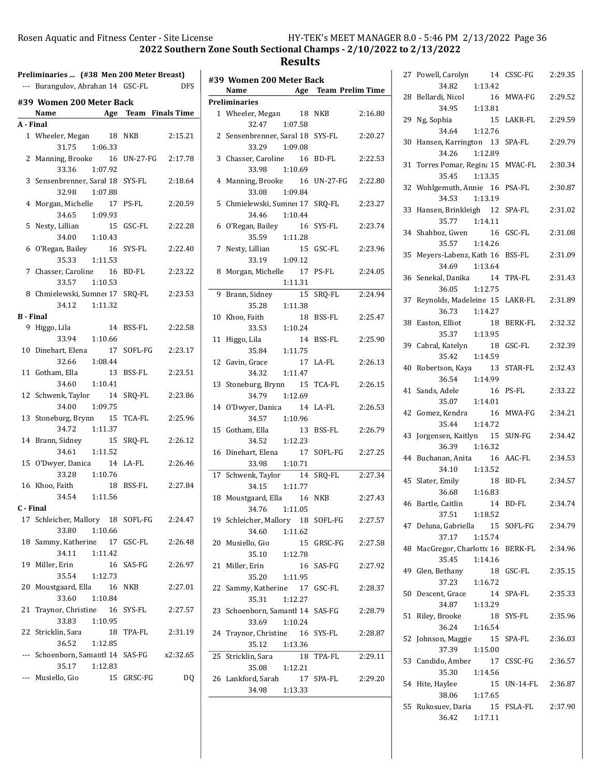|                  | Preliminaries  (#38 Men 200 Meter Breast)   |                      |
|------------------|---------------------------------------------|----------------------|
|                  | --- Burangulov, Abrahan 14 GSC-FL           | <b>DFS</b>           |
|                  | #39 Women 200 Meter Back                    |                      |
|                  | Name                                        | Age Team Finals Time |
| A - Final        |                                             |                      |
|                  | 1 Wheeler, Megan 18 NKB                     | 2:15.21              |
|                  | 31.75 1:06.33                               |                      |
| $\mathbf{2}$     | Manning, Brooke 16 UN-27-FG                 | 2:17.78              |
|                  | 33.36 1:07.92                               |                      |
| 3                | Sensenbrenner, Saral 18 SYS-FL              | 2:18.64              |
|                  | 32.98 1:07.88                               |                      |
|                  | 4 Morgan, Michelle 17                       | 2:20.59<br>PS-FL     |
|                  | 34.65 1:09.93                               | 15 GSC-FL<br>2:22.28 |
|                  | 5 Nesty, Lillian<br>34.00  1:10.43          |                      |
|                  | 6 O'Regan, Bailey                           | 2:22.40<br>16 SYS-FL |
|                  | 1:11.53<br>35.33                            |                      |
|                  | 7 Chasser, Caroline 16 BD-FL                | 2:23.22              |
|                  | 33.57 1:10.53                               |                      |
|                  | 8 Chmielewski, Sumne: 17 SRQ-FL             | 2:23.53              |
|                  | 34.12 1:11.32                               |                      |
| <b>B</b> - Final |                                             |                      |
|                  | <b>14</b><br>9 Higgo, Lila                  | BSS-FL<br>2:22.58    |
|                  | 33.94 1:10.66                               |                      |
|                  | 10 Dinehart, Elena 17                       | SOFL-FG<br>2:23.17   |
|                  | 32.66 1:08.44                               |                      |
|                  | 11 Gotham, Ella 13                          | BSS-FL<br>2:23.51    |
|                  | 34.60 1:10.41<br>12 Schwenk, Taylor 14      | SRQ-FL<br>2:23.86    |
|                  | 34.00 1:09.75                               |                      |
| 13               | Stoneburg, Brynn 15 TCA-FL                  | 2:25.96              |
|                  | 34.72   1:11.37                             |                      |
|                  | 14 Brann, Sidney<br>15                      | SRQ-FL<br>2:26.12    |
|                  | 34.61 1:11.52                               |                      |
| 15               | O'Dwyer, Danica 14 LA-FL                    | 2:26.46              |
|                  | 33.28 1:10.76                               |                      |
|                  | 16 Khoo, Faith                              | 18 BSS-FL 2:27.84    |
|                  | 34.54 1:11.56                               |                      |
| C - Final        |                                             |                      |
|                  | 17 Schleicher, Mallory 18 SOFL-FG           | 2:24.47              |
|                  | 1:10.66<br>33.80                            |                      |
| 18               | Sammy, Katherine 17 GSC-FL<br>34.11 1:11.42 | 2:26.48              |
| 19               | Miller, Erin<br>16                          | SAS-FG<br>2:26.97    |
|                  | 35.54 1:12.73                               |                      |
| 20               | Moustgaard, Ella 16                         | 2:27.01<br>NKB       |
|                  | 33.60<br>1:10.84                            |                      |
| 21               | Traynor, Christine 16                       | SYS-FL<br>2:27.57    |
|                  | 33.83<br>1:10.95                            |                      |
| 22               | Stricklin, Sara<br>18                       | TPA-FL<br>2:31.19    |
|                  | 36.52<br>1:12.85                            |                      |
| $---$            | Schoenborn, Samantl 14 SAS-FG               | x2:32.65             |
|                  | 35.17<br>1:12.83                            |                      |
|                  | Musiello, Gio                               | 15 GRSC-FG<br>DQ     |

|   | #39 Women 200 Meter Back                              |                       |
|---|-------------------------------------------------------|-----------------------|
|   | Name                                                  | Age Team Prelim Time  |
|   | <b>Preliminaries</b>                                  |                       |
|   | 1 Wheeler, Megan 18 NKB<br>32.47 1:07.58              | 2:16.80               |
|   | 2 Sensenbrenner, Saral 18 SYS-FL<br>33.29 1:09.08     | 2:20.27               |
|   | 3 Chasser, Caroline 16 BD-FL                          | 2:22.53               |
|   | 33.98<br>1:10.69<br>4 Manning, Brooke 16 UN-27-FG     | 2:22.80               |
|   | 33.08<br>1:09.84<br>5 Chmielewski, Sumne: 17 SRQ-FL   | 2:23.27               |
|   | 34.46 1:10.44<br>6 O'Regan, Bailey                    | 16 SYS-FL<br>2:23.74  |
|   | 35.59<br>1:11.28<br>7 Nesty, Lillian                  | 15 GSC-FL<br>2:23.96  |
| 8 | 33.19 1:09.12<br>Morgan, Michelle 17 PS-FL            | 2:24.05               |
|   | 1:11.31                                               |                       |
|   | 9 Brann, Sidney<br>35.28<br>1:11.38                   | 15 SRQ-FL<br>2:24.94  |
|   | 10 Khoo, Faith<br>33.53<br>1:10.24                    | 18 BSS-FL<br>2:25.47  |
|   | 11 Higgo, Lila<br>35.84<br>1:11.75                    | 14 BSS-FL<br>2:25.90  |
|   | 12 Gavin, Grace<br>17 LA-FL<br>34.32 1:11.47          | 2:26.13               |
|   | 13 Stoneburg, Brynn 15 TCA-FL<br>34.79 1:12.69        | 2:26.15               |
|   | 14 O'Dwyer, Danica 14 LA-FL                           | 2:26.53               |
|   | 34.57 1:10.96<br>15 Gotham, Ella                      | 13 BSS-FL<br>2:26.79  |
|   | 34.52 1:12.23<br>16 Dinehart, Elena 17 SOFL-FG        | 2:27.25               |
|   | 33.98 1:10.71                                         |                       |
|   | 17 Schwenk, Taylor 14 SRQ-FL<br>34.15 1:11.77         | 2:27.34               |
|   | 18 Moustgaard, Ella 16 NKB<br>34.76<br>1:11.05        | 2:27.43               |
|   | 19 Schleicher, Mallory 18 SOFL-FG<br>34.60<br>1:11.62 | 2:27.57               |
|   | 20 Musiello, Gio<br>35.10 1:12.78                     | 15 GRSC-FG<br>2:27.58 |
|   | 21 Miller, Erin<br>35.20 1:11.95                      | 2:27.92<br>16 SAS-FG  |
|   | 22 Sammy, Katherine 17 GSC-FL                         | 2:28.37               |
|   | 35.31<br>1:12.27<br>23 Schoenborn, Samantl 14 SAS-FG  | 2:28.79               |
|   | 33.69<br>1:10.24<br>24 Traynor, Christine 16 SYS-FL   | 2:28.87               |
|   | 35.12<br>1:13.36                                      |                       |
|   | 25 Stricklin, Sara<br>35.08<br>1:12.21                | 2:29.11<br>18 TPA-FL  |
|   | 26 Lankford, Sarah<br>34.98<br>1:13.33                | 17 SPA-FL<br>2:29.20  |
|   |                                                       |                       |

|    | 27 Powell, Carolyn<br>14                            | CSSC-FG          | 2:29.35 |
|----|-----------------------------------------------------|------------------|---------|
| 28 | 34.82<br>1:13.42<br>Bellardi, Nicol<br>16           | MWA-FG           | 2:29.52 |
|    | 34.95<br>1:13.81                                    |                  |         |
| 29 | Ng, Sophia<br>15<br>34.64<br>1:12.76                | LAKR-FL          | 2:29.59 |
| 30 | Hansen, Karrington 13<br>34.26<br>1:12.89           | SPA-FL           | 2:29.79 |
| 31 | Torres Pomar, Regina 15 MVAC-FL<br>35.45<br>1:13.35 |                  | 2:30.34 |
| 32 | Wohlgemuth, Annie 16<br>34.53<br>1:13.19            | PSA-FL           | 2:30.87 |
| 33 | Hansen, Brinkleigh 12<br>35.77 1:14.11              | SPA-FL           | 2:31.02 |
| 34 | Shahboz, Gwen<br>16<br>35.57<br>1:14.26             | GSC-FL           | 2:31.08 |
| 35 | Meyers-Labenz, Kath 16<br>34.69<br>1:13.64          | <b>BSS-FL</b>    | 2:31.09 |
| 36 | Senekal, Danika<br>14<br>36.05<br>1:12.75           | TPA-FL           | 2:31.43 |
| 37 | Reynolds, Madeleine 15<br>36.73<br>1:14.27          | LAKR-FL          | 2:31.89 |
| 38 | Easton, Elliot<br>18<br>35.37<br>1:13.95            | BERK-FL          | 2:32.32 |
| 39 | Cabral, Katelyn<br>18<br>35.42<br>1:14.59           | GSC-FL           | 2:32.39 |
| 40 | Robertson, Kaya<br>13<br>36.54<br>1:14.99           | STAR-FL          | 2:32.43 |
| 41 | Sands, Adele<br>16<br>35.07<br>1:14.01              | PS-FL            | 2:33.22 |
| 42 | Gomez, Kendra<br>16<br>1:14.72<br>35.44             | MWA-FG           | 2:34.21 |
| 43 | Jorgensen, Kaitlyn 15<br>36.39<br>1:16.32           | SUN-FG           | 2:34.42 |
| 44 | Buchanan, Anita 16<br>34.10<br>1:13.52              | AAC-FL           | 2:34.53 |
| 45 | Slater, Emily<br>18<br>36.68<br>1:16.83             | BD-FL            | 2:34.57 |
| 46 | Bartle, Caitlin<br>14 BD-FL<br>37.51<br>1:18.52     |                  | 2:34.74 |
| 47 | Deluna, Gabriella 15 SOFL-FG<br>37.17<br>1:15.74    |                  | 2:34.79 |
| 48 | MacGregor, Charlotte 16 BERK-FL<br>35.45<br>1:14.16 |                  | 2:34.96 |
| 49 | Glen, Bethany<br>37.23<br>1:16.72                   | 18 GSC-FL        | 2:35.15 |
| 50 | Descent, Grace<br>14<br>34.87<br>1:13.29            | SPA-FL           | 2:35.33 |
| 51 | Riley, Brooke<br>18<br>36.24<br>1:16.54             | SYS-FL           | 2:35.96 |
| 52 | Johnson, Maggie<br>15<br>37.39<br>1:15.00           | SPA-FL           | 2:36.03 |
| 53 | Candido, Amber<br>17<br>35.30 1:14.56               | CSSC-FG          | 2:36.57 |
| 54 | Hite, Haylee<br>15<br>38.06 1:17.65                 | UN-14-FL 2:36.87 |         |
| 55 | Rukosuev, Daria<br>15<br>36.42<br>1:17.11           | FSLA-FL          | 2:37.90 |
|    |                                                     |                  |         |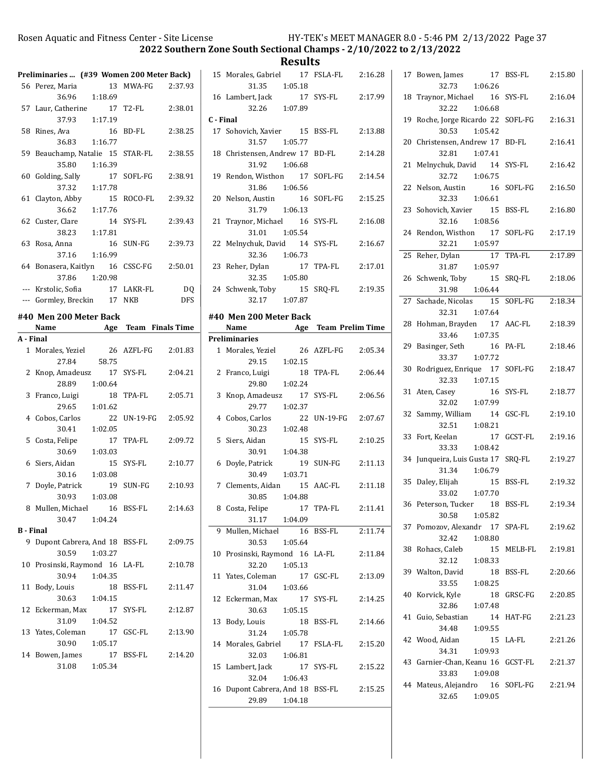**Results**<br>15 Morales, Gabriel 17 FS

|                  | Preliminaries  (#39 Women 200 Meter Back) |               |               |            |
|------------------|-------------------------------------------|---------------|---------------|------------|
|                  | 56 Perez, Maria                           |               | 13 MWA-FG     | 2:37.93    |
|                  | 36.96 1:18.69                             |               |               |            |
|                  | 57 Laur, Catherine                        | 17            | T2-FL         | 2:38.01    |
|                  | 37.93                                     | 1:17.19       |               |            |
| 58               | Rines, Ava                                | 16            | BD-FL         | 2:38.25    |
|                  | 36.83                                     | 1:16.77       |               |            |
|                  | 59 Beauchamp, Natalie 15                  |               | STAR-FL       | 2:38.55    |
|                  | 35.80                                     | 1:16.39       |               |            |
| 60               | Golding, Sally                            | 17            | SOFL-FG       | 2:38.91    |
|                  | 37.32                                     | 1:17.78       |               |            |
| 61               | Clayton, Abby                             | 15            | ROCO-FL       | 2:39.32    |
|                  | 36.62                                     | 1:17.76       |               |            |
| 62               | Custer, Clare                             | 14            | SYS-FL        | 2:39.43    |
|                  | 38.23                                     | 1:17.81       |               |            |
| 63               | Rosa, Anna                                | 16            | SUN-FG        | 2:39.73    |
|                  | 37.16                                     | 1:16.99       |               |            |
|                  | 64 Bonasera, Kaitlyn 16                   |               | CSSC-FG       | 2:50.01    |
|                  | 37.86 1:20.98                             |               |               |            |
|                  | --- Krstolic, Sofia                       |               | 17 LAKR-FL    | DQ         |
|                  | --- Gormley, Breckin                      | 17            | NKB           | <b>DFS</b> |
|                  | #40 Men 200 Meter Back                    |               |               |            |
|                  | Name Age Team Finals Time                 |               |               |            |
| A - Final        |                                           |               |               |            |
|                  | 1 Morales, Yeziel                         | 26            | AZFL-FG       | 2:01.83    |
|                  | 27.84                                     | 58.75         |               |            |
| 2                | Knop, Amadeusz 17                         |               | SYS-FL        | 2:04.21    |
|                  | 28.89                                     | 1:00.64       |               |            |
| 3                | Franco, Luigi<br>29.65                    | 18<br>1:01.62 | TPA-FL        | 2:05.71    |
| 4                | Cobos, Carlos                             | 22            | UN-19-FG      | 2:05.92    |
|                  | 30.41                                     | 1:02.05       |               |            |
| 5                | Costa, Felipe                             | 17            | TPA-FL        | 2:09.72    |
|                  | 30.69                                     | 1:03.03       |               |            |
| 6                | Siers, Aidan                              | 15            | SYS-FL        | 2:10.77    |
|                  | 30.16                                     | 1:03.08       |               |            |
| 7                | Doyle, Patrick                            | 19            | SUN-FG        | 2:10.93    |
|                  | 30.93                                     | 1:03.08       |               |            |
| 8                | Mullen, Michael                           | 16            | <b>BSS-FL</b> | 2:14.63    |
|                  | 30.47                                     | 1:04.24       |               |            |
| <b>B</b> - Final |                                           |               |               |            |
| 9                | Dupont Cabrera, And 18 BSS-FL             |               |               | 2:09.75    |
|                  | 30.59                                     | 1:03.27       |               |            |
|                  | 10 Prosinski, Raymond 16                  |               | LA-FL         | 2:10.78    |
|                  | 30.94                                     | 1:04.35       |               |            |
| 11               |                                           | 18            | BSS-FL        | 2:11.47    |
|                  | Body, Louis                               |               |               |            |
|                  | 30.63                                     | 1:04.15       |               |            |
|                  | 12 Eckerman, Max                          | 17            | SYS-FL        | 2:12.87    |
|                  | 31.09                                     | 1:04.52       |               |            |
|                  | 13 Yates, Coleman                         | 17            | GSC-FL        | 2:13.90    |
|                  | 30.90                                     | 1:05.17       |               |            |
|                  | 14 Bowen, James                           | 17            | BSS-FL        | 2:14.20    |
|                  | 31.08                                     | 1:05.34       |               |            |

|           | 15 Morales, Gabriel 17 FSLA-FL 2:16.28 |                 |                     |         |
|-----------|----------------------------------------|-----------------|---------------------|---------|
|           |                                        | 31.35 1:05.18   |                     |         |
|           |                                        |                 | 17 SYS-FL           | 2:17.99 |
|           | 16 Lambert, Jack 17<br>32.26 1:07.89   |                 |                     |         |
| C - Final |                                        |                 |                     |         |
|           | 17 Sohovich, Xavier 15 BSS-FL          | 31.57 1:05.77   |                     | 2:13.88 |
|           | 18 Christensen, Andrew 17 BD-FL        |                 |                     | 2:14.28 |
|           |                                        | 31.92 1:06.68   |                     |         |
|           | 19 Rendon, Wisthon 17 SOFL-FG 2:14.54  |                 |                     |         |
|           |                                        | 31.86 1:06.56   |                     |         |
|           | 20 Nelson, Austin 16 SOFL-FG           |                 |                     | 2:15.25 |
|           |                                        | 31.79 1:06.13   |                     |         |
|           | 21 Traynor, Michael 16 SYS-FL          |                 |                     | 2:16.08 |
|           |                                        | 31.01  1:05.54  |                     |         |
|           | 22 Melnychuk, David 14 SYS-FL          |                 |                     | 2:16.67 |
|           |                                        | 32.36 1:06.73   |                     |         |
|           | 23 Reher, Dylan                        |                 | 17 TPA-FL           | 2:17.01 |
|           |                                        | $32.35$ 1:05.80 |                     |         |
|           | 24 Schwenk, Toby                       |                 | 15 SRQ-FL 2:19.35   |         |
|           |                                        | 32.17 1:07.87   |                     |         |
|           | #40 Men 200 Meter Back                 |                 |                     |         |
|           | Name Age Team Prelim Time              |                 |                     |         |
|           | <b>Preliminaries</b>                   |                 |                     |         |
|           | 1 Morales, Yeziel                      |                 | 26 AZFL-FG 2:05.34  |         |
|           |                                        | $29.15$ 1:02.15 |                     |         |
|           | 2 Franco, Luigi                        |                 | 18 TPA-FL           | 2:06.44 |
|           |                                        | $29.80$ 1:02.24 |                     |         |
|           | 3 Knop, Amadeusz 17 SYS-FL             |                 |                     | 2:06.56 |
|           |                                        | 29.77 1:02.37   |                     |         |
|           | 4 Cobos, Carlos                        |                 | 22 UN-19-FG 2:07.67 |         |
|           |                                        | 30.23 1:02.48   |                     |         |
|           | 5 Siers, Aidan                         |                 | 15 SYS-FL           | 2:10.25 |
|           |                                        | 30.91  1:04.38  |                     |         |
|           | 6 Doyle, Patrick                       |                 | 19 SUN-FG           | 2:11.13 |
|           |                                        | 30.49 1:03.71   |                     |         |
|           | 7 Clements, Aidan 15 AAC-FL            |                 |                     | 2:11.18 |
|           |                                        | 30.85 1:04.88   |                     |         |
|           | 8 Costa, Felipe 17 TPA-FL 2:11.41      |                 |                     |         |
|           | 31.17                                  | 1:04.09         |                     |         |
| 9         | Mullen, Michael                        | 16              | BSS-FL              | 2:11.74 |
|           | 30.53                                  | 1:05.64         |                     |         |
| 10        | Prosinski, Raymond 16 LA-FL            |                 |                     | 2:11.84 |
|           | 32.20                                  | 1:05.13         |                     |         |
| 11        | Yates, Coleman                         |                 | 17 GSC-FL           | 2:13.09 |
|           |                                        |                 |                     |         |
| 12        | 31.04                                  | 1:03.66         |                     |         |
|           | Eckerman, Max                          | 17              | SYS-FL              | 2:14.25 |
|           | 30.63                                  | 1:05.15         |                     |         |
| 13        | Body, Louis                            | 18              | BSS-FL              | 2:14.66 |
|           | 31.24                                  | 1:05.78         |                     |         |
|           | 14 Morales, Gabriel                    | 17              | FSLA-FL             | 2:15.20 |
|           | 32.03                                  | 1:06.81         |                     |         |
| 15        | Lambert, Jack                          | 17              | SYS-FL              | 2:15.22 |
|           | 32.04                                  | 1:06.43         |                     |         |
| 16        | Dupont Cabrera, And 18 BSS-FL          |                 |                     | 2:15.25 |
|           | 29.89                                  | 1:04.18         |                     |         |

|    | 17<br>17 Bowen, James<br>32.73<br>1:06.26                  | BSS-FL        | 2:15.80 |
|----|------------------------------------------------------------|---------------|---------|
| 18 | Traynor, Michael 16<br>32.22<br>1:06.68                    | SYS-FL        | 2:16.04 |
| 19 | Roche, Jorge Ricardo 22<br>1:05.42<br>30.53                | SOFL-FG       | 2:16.31 |
| 20 | Christensen, Andrew 17<br>1:07.41<br>32.81                 | <b>BD-FL</b>  | 2:16.41 |
| 21 | Melnychuk, David 14<br>32.72 1:06.75                       | SYS-FL        | 2:16.42 |
| 22 | Nelson, Austin 16<br>32.33 1:06.61                         | SOFL-FG       | 2:16.50 |
|    | 23 Sohovich, Xavier 15<br>32.16 1:08.56                    | <b>BSS-FL</b> | 2:16.80 |
| 24 | Rendon, Wisthon 17<br>1:05.97<br>32.21                     | SOFL-FG       | 2:17.19 |
| 25 | $\overline{17}$<br>Reher, Dylan 17<br>31.87 1:05.97        | TPA-FL        | 2:17.89 |
| 26 | 15<br>Schwenk, Toby<br>1:06.44<br>31.98                    | SRQ-FL        | 2:18.06 |
| 27 | Sachade, Nicolas 15<br>32.31<br>1:07.64                    | SOFL-FG       | 2:18.34 |
| 28 | Hohman, Brayden 17<br>33.46 1:07.35                        | AAC-FL        | 2:18.39 |
| 29 | Basinger, Seth<br>16<br>33.37<br>1:07.72                   | PA-FL         | 2:18.46 |
| 30 | Rodriguez, Enrique 17<br>32.33 1:07.15                     | SOFL-FG       | 2:18.47 |
| 31 | Aten, Casey<br>16<br>1:07.99<br>32.02                      | SYS-FL        | 2:18.77 |
| 32 | Sammy, William<br>14<br>32.51<br>1:08.21                   | GSC-FL        | 2:19.10 |
| 33 | Fort, Keelan<br>17<br>1:08.42<br>33.33                     | GCST-FL       | 2:19.16 |
| 34 | Junqueira, Luis Gusta 17<br>1:06.79<br>31.34               | SRQ-FL        | 2:19.27 |
| 35 | Daley, Elijah<br>15<br>33.02 1:07.70                       | <b>BSS-FL</b> | 2:19.32 |
| 36 | Peterson, Tucker 18<br>30.58<br>1:05.82                    | BSS-FL        | 2:19.34 |
|    | 37 Pomozov, Alexandr 17 SPA-FL 2:19.62<br>32.42<br>1:08.80 |               |         |
|    | 38 Rohacs, Caleb<br>32.12<br>1:08.33                       | 15 MELB-FL    | 2:19.81 |
|    | 39 Walton, David<br>1:08.25<br>33.55                       | 18 BSS-FL     | 2:20.66 |
|    | 40 Korvick, Kyle<br>32.86 1:07.48                          | 18 GRSC-FG    | 2:20.85 |
|    | 41 Guio, Sebastian<br>14<br>34.48<br>1:09.55               | HAT-FG        | 2:21.23 |
|    | 42 Wood, Aidan<br>34.31<br>1:09.93                         | 15 LA-FL      | 2:21.26 |
|    | 43 Garnier-Chan, Keanu 16 GCST-FL<br>1:09.08<br>33.83      |               | 2:21.37 |
|    | 44 Mateus, Alejandro 16 SOFL-FG<br>32.65<br>1:09.05        |               | 2:21.94 |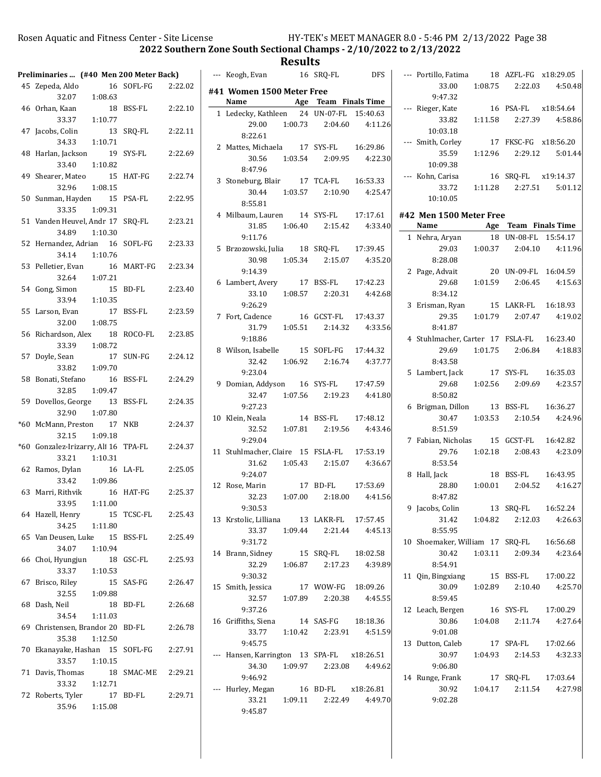$\overline{a}$ 

2022 Southern Zone South Sectional Champs - 2/10/2022 to 2/13/2022

## Results<br>16 SRQ-FL --- Keogh, Evan 16 SRQ-FL DFS

|       | Preliminaries  (#40 Men 200 Meter Back)   |               |               |         |
|-------|-------------------------------------------|---------------|---------------|---------|
|       | 45 Zepeda, Aldo<br>32.07                  | 1:08.63       | 16 SOFL-FG    | 2:22.02 |
| 46    | Orhan, Kaan<br>33.37                      | 18<br>1:10.77 | <b>BSS-FL</b> | 2:22.10 |
| 47    | Jacobs, Colin<br>34.33                    | 13<br>1:10.71 | SRQ-FL        | 2:22.11 |
| 48    | Harlan, Jackson<br>33.40                  | 19<br>1:10.82 | SYS-FL        | 2:22.69 |
| 49    | Shearer, Mateo<br>32.96                   | 15<br>1:08.15 | HAT-FG        | 2:22.74 |
| 50    | Sunman, Hayden<br>33.35                   | 15<br>1:09.31 | PSA-FL        | 2:22.95 |
| 51    | Vanden Heuvel, Andr 17<br>34.89           | 1:10.30       | SRQ-FL        | 2:23.21 |
|       | 52 Hernandez, Adrian 16<br>34.14          | 1:10.76       | SOFL-FG       | 2:23.33 |
|       | 53 Pelletier, Evan<br>32.64               | 16<br>1:07.21 | MART-FG       | 2:23.34 |
|       | 54 Gong, Simon<br>33.94                   | 15<br>1:10.35 | <b>BD-FL</b>  | 2:23.40 |
|       | 55 Larson, Evan<br>32.00                  | 17<br>1:08.75 | <b>BSS-FL</b> | 2:23.59 |
| 56    | Richardson, Alex<br>33.39 1:08.72         | 18            | ROCO-FL       | 2:23.85 |
| 57    | Doyle, Sean<br>33.82                      | 17<br>1:09.70 | SUN-FG        | 2:24.12 |
| 58    | Bonati, Stefano<br>32.85                  | 16<br>1:09.47 | <b>BSS-FL</b> | 2:24.29 |
| 59    | Dovellos, George<br>32.90                 | 13<br>1:07.80 | <b>BSS-FL</b> | 2:24.35 |
| $*60$ | McMann, Preston 17<br>32.15               | 1:09.18       | <b>NKB</b>    | 2:24.37 |
| $*60$ | Gonzalez-Irizarry, Ali 16<br>33.21        | 1:10.31       | TPA-FL        | 2:24.37 |
| 62    | Ramos, Dylan<br>33.42                     | 16<br>1:09.86 | LA-FL         | 2:25.05 |
|       | 63 Marri, Rithvik<br>33.95                | 16<br>1:11.00 | HAT-FG        | 2:25.37 |
|       | 64 Hazell, Henry<br>34.25                 | 15<br>1:11.80 | TCSC-FL       | 2:25.43 |
|       | 65 Van Deusen, Luke 15 BSS-FL<br>34.07    | 1:10.94       |               | 2:25.49 |
| 66    | Choi, Hyungjun<br>33.37                   | 1:10.53       | 18 GSC-FL     | 2:25.93 |
| 67    | Brisco, Riley<br>32.55 1:09.88            |               | 15 SAS-FG     | 2:26.47 |
| 68    | Dash, Neil<br>34.54                       | 18<br>1:11.03 | <b>BD-FL</b>  | 2:26.68 |
|       | 69 Christensen, Brandor 20 BD-FL<br>35.38 | 1:12.50       |               | 2:26.78 |
|       | 70 Ekanayake, Hashan 15 SOFL-FG<br>33.57  | 1:10.15       |               | 2:27.91 |
|       | 71 Davis, Thomas<br>33.32                 | 1:12.71       | 18 SMAC-ME    | 2:29.21 |
|       | 72 Roberts, Tyler<br>35.96                | 1:15.08       | 17 BD-FL      | 2:29.71 |

| #41 Women 1500 Meter Free                  |                                                                          |  |
|--------------------------------------------|--------------------------------------------------------------------------|--|
| Name Age Team Finals Time                  |                                                                          |  |
| 1 Ledecky, Kathleen 24 UN-07-FL 15:40.63   |                                                                          |  |
|                                            | 29.00  1:00.73  2:04.60  4:11.26                                         |  |
| 8:22.61                                    |                                                                          |  |
| 2 Mattes, Michaela 17 SYS-FL 16:29.86      |                                                                          |  |
|                                            | 30.56    1:03.54    2:09.95    4:22.30                                   |  |
| 8:47.96                                    |                                                                          |  |
| 3 Stoneburg, Blair 17 TCA-FL 16:53.33      |                                                                          |  |
|                                            | $30.44$ $1:03.57$ $2:10.90$ $4:25.47$                                    |  |
| 8:55.81                                    |                                                                          |  |
| 4 Milbaum, Lauren 14 SYS-FL 17:17.61       |                                                                          |  |
|                                            | $31.85$ $1:06.40$ $2:15.42$ $4:33.40$                                    |  |
| 9:11.76                                    |                                                                          |  |
| 5 Brzozowski, Julia 18 SRQ-FL 17:39.45     |                                                                          |  |
|                                            | 30.98  1:05.34  2:15.07  4:35.20                                         |  |
| 9:14.39                                    |                                                                          |  |
| 6 Lambert, Avery 17 BSS-FL 17:42.23        |                                                                          |  |
|                                            | 33.10 $1:08.57$ $2:20.31$ $4:42.68$                                      |  |
| 9:26.29                                    |                                                                          |  |
| 7 Fort, Cadence                            | 16 GCST-FL 17:43.37                                                      |  |
|                                            | $31.79$ $1:05.51$ $2:14.32$ $4:33.56$                                    |  |
| 9:18.86                                    |                                                                          |  |
| 8 Wilson, Isabelle 15 SOFL-FG 17:44.32     |                                                                          |  |
|                                            | 32.42   1:06.92   2:16.74   4:37.77                                      |  |
| 9:23.04                                    |                                                                          |  |
| 9 Domian, Addyson 16 SYS-FL 17:47.59       |                                                                          |  |
|                                            | 32.47   1:07.56   2:19.23   4:41.80                                      |  |
|                                            |                                                                          |  |
| 10 Klein, Neala                            | 9:27.23<br>14 BSS-FL 17:48.12<br>14 BSS-FL 17:48.12<br>14 BSS-FL 4:43.46 |  |
|                                            | 32.52   1:07.81   2:19.56   4:43.46                                      |  |
| 9:29.04                                    |                                                                          |  |
| 11 Stuhlmacher, Claire 15 FSLA-FL 17:53.19 |                                                                          |  |
|                                            | 31.62 $1:05.43$ $2:15.07$ $4:36.67$                                      |  |
| 9:24.07                                    |                                                                          |  |
| 12 Rose, Marin 17 BD-FL 17:53.69           |                                                                          |  |
|                                            | 32.23 1:07.00 2:18.00 4:41.56                                            |  |
| 9:30.53                                    |                                                                          |  |
| 13 Krstolic, Lilliana 13 LAKR-FL 17:57.45  |                                                                          |  |
|                                            | 33.37 1:09.44 2:21.44 4:45.13                                            |  |
| 9:31.72                                    |                                                                          |  |
| 14 Brann, Sidney                           | 15 SRQ-FL  18:02.58                                                      |  |
|                                            | 32.29   1:06.87   2:17.23   4:39.89                                      |  |
| 9:30.32                                    |                                                                          |  |
| 15 Smith, Jessica                          | 17 WOW-FG 18:09.26                                                       |  |
|                                            | 32.57 1:07.89 2:20.38 4:45.55                                            |  |
| 9:37.26                                    |                                                                          |  |
| 16 Griffiths, Siena 14 SAS-FG 18:18.36     |                                                                          |  |
|                                            | 33.77   1:10.42   2:23.91   4:51.59                                      |  |
| 9:45.75                                    |                                                                          |  |
| --- Hansen, Karrington 13 SPA-FL x18:26.51 |                                                                          |  |
|                                            | 34.30   1:09.97   2:23.08   4:49.62                                      |  |
| 9:46.92                                    |                                                                          |  |
| --- Hurley, Megan 16 BD-FL x18:26.81       |                                                                          |  |
|                                            | 33.21  1:09.11  2:22.49  4:49.70                                         |  |
| 9:45.87                                    |                                                                          |  |
|                                            |                                                                          |  |

| --- Portillo, Fatima 18 AZFL-FG x18:29.05                                        |                      |                                     |
|----------------------------------------------------------------------------------|----------------------|-------------------------------------|
|                                                                                  |                      | 33.00  1:08.75  2:22.03  4:50.48    |
|                                                                                  |                      |                                     |
|                                                                                  |                      |                                     |
| 9:47.32<br>--- Rieger, Kate 16 PSA-FL x18:54.64<br>33.82 1:11.58 2:27.39 4:58.86 |                      |                                     |
| 10:03.18                                                                         |                      |                                     |
| --- Smith, Corley 17 FKSC-FG x18:56.20                                           |                      |                                     |
|                                                                                  |                      | 35.59   1:12.96   2:29.12   5:01.44 |
| 10:09.38                                                                         |                      |                                     |
| --- Kohn, Carisa                                                                 | 16 SRQ-FL x19:14.37  |                                     |
|                                                                                  |                      | 33.72   1:11.28   2:27.51   5:01.12 |
| 10:10.05                                                                         |                      |                                     |
| #42 Men 1500 Meter Free                                                          |                      |                                     |
| Name Age Team Finals Time                                                        |                      |                                     |
| 1 Nehra, Aryan                                                                   | 18 UN-08-FL 15:54.17 |                                     |
|                                                                                  |                      | 29.03 1:00.37 2:04.10 4:11.96       |
| 8:28.08                                                                          |                      |                                     |
| 2 Page, Advait 20 UN-09-FL 16:04.59                                              |                      |                                     |
|                                                                                  |                      | 29.68 1:01.59 2:06.45 4:15.63       |
| 8:34.12                                                                          |                      |                                     |
| 3 Erisman, Ryan 15 LAKR-FL 16:18.93                                              |                      |                                     |
|                                                                                  |                      | 29.35   1:01.79   2:07.47   4:19.02 |
| 8:41.87                                                                          |                      |                                     |
| 4 Stuhlmacher, Carter 17 FSLA-FL 16:23.40                                        |                      |                                     |
|                                                                                  |                      | 29.69 1:01.75 2:06.84 4:18.83       |
| 8:43.58                                                                          |                      |                                     |
| 5 Lambert, Jack                                                                  | 17 SYS-FL  16:35.03  |                                     |
|                                                                                  |                      | 29.68 1:02.56 2:09.69 4:23.57       |
| 8:50.82                                                                          |                      |                                     |
| 6 Brigman, Dillon 13 BSS-FL 16:36.27                                             |                      |                                     |
|                                                                                  |                      | 30.47   1:03.53   2:10.54   4:24.96 |
| 8:51.59<br>7 Fabian, Nicholas 15 GCST-FL 16:42.82                                |                      |                                     |
|                                                                                  |                      | 29.76  1:02.18  2:08.43  4:23.09    |
|                                                                                  |                      |                                     |
| 8:53.54<br>Iack 18 BSS-FL 16:43.95<br>2.24.52 4:16.23<br>8 Hall, Jack            |                      |                                     |
|                                                                                  |                      | 28.80   1:00.01   2:04.52   4:16.27 |
| 8:47.82                                                                          |                      |                                     |
| 9 Jacobs, Colin 13 SRQ-FL 16:52.24                                               |                      |                                     |
|                                                                                  |                      | $31.42$ 1:04.82  2:12.03  4:26.63   |
| 8:55.95                                                                          |                      |                                     |
| 10 Shoemaker, William 17 SRQ-FL 16:56.68                                         |                      |                                     |
| 30.42                                                                            |                      | 1:03.11  2:09.34  4:23.64           |
| 8:54.91                                                                          |                      |                                     |
| 11 Qin, Bingxiang 15 BSS-FL 17:00.22                                             |                      |                                     |
|                                                                                  |                      | 30.09 1:02.89 2:10.40 4:25.70       |
| 8:59.45                                                                          |                      |                                     |
| 12 Leach, Bergen 16 SYS-FL 17:00.29                                              |                      |                                     |
|                                                                                  |                      | 30.86 1:04.08 2:11.74 4:27.64       |
| 9:01.08                                                                          |                      |                                     |
| 13 Dutton, Caleb                                                                 | 17 SPA-FL  17:02.66  |                                     |
| 30.97                                                                            |                      | $1:04.93$ $2:14.53$ $4:32.33$       |
| 9:06.80                                                                          |                      |                                     |
| 14 Runge, Frank 17 SRQ-FL 17:03.64                                               |                      | 30.92   1:04.17   2:11.54   4:27.98 |
| 9:02.28                                                                          |                      |                                     |
|                                                                                  |                      |                                     |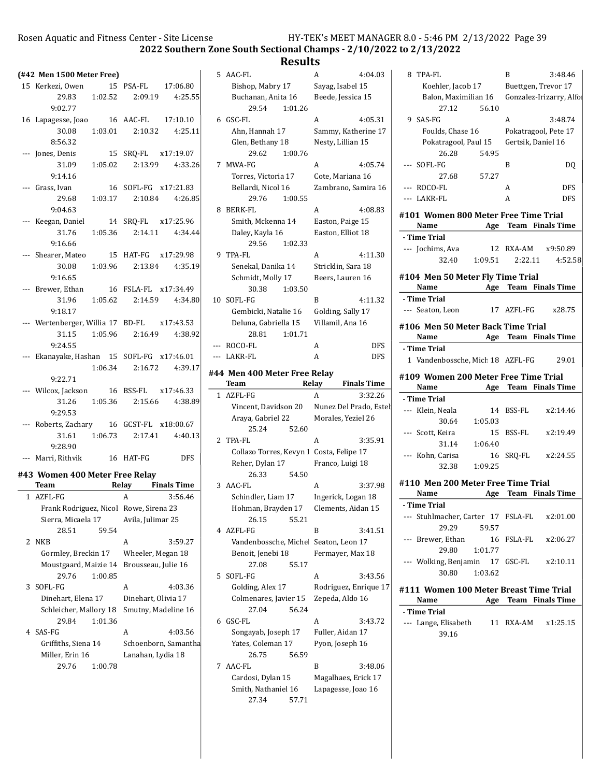2022 Southern Zone South Sectional Champs - 2/10/2022 to 2/13/2022

### Results 5 4:04.03 AAC-FL A

Bishop, Mabry 17 Sayag, Isabel 15 Buchanan, Anita 16 Beede, Jessica 15

6 4:05.31 GSC-FL A Ahn, Hannah 17 Sammy, Katherine 17 Glen, Bethany 18 Nesty, Lillian 15

7 MWA-FG A 4:05.74 Torres, Victoria 17 Cote, Mariana 16 Bellardi, Nicol 16 Zambrano, Samira 16

29.54 1:01.26

29.62 1:00.76

29.76 1:00.55

|   | (#42 Men 1500 Meter Free)                                                        |              |                                                      |
|---|----------------------------------------------------------------------------------|--------------|------------------------------------------------------|
|   | 15 Kerkezi, Owen 15 PSA-FL 17:06.80                                              |              |                                                      |
|   |                                                                                  |              | $29.83 \qquad 1:02.52 \qquad 2:09.19 \qquad 4:25.55$ |
|   | 9:02.77                                                                          |              |                                                      |
|   | 16 Lapagesse, Joao 16 AAC-FL 17:10.10                                            |              |                                                      |
|   |                                                                                  |              | 30.08  1:03.01  2:10.32  4:25.11                     |
|   |                                                                                  |              |                                                      |
|   | 8:56.32<br>--- Jones, Denis 15 SRQ-FL x17:19.07<br>31.09 1:05.02 2:13.99 4:33.26 |              |                                                      |
|   |                                                                                  |              |                                                      |
|   | 9:14.16                                                                          |              |                                                      |
|   | --- Grass, Ivan 16 SOFL-FG x17:21.83<br>29.68 1:03.17 2:10.84 4:26.85            |              |                                                      |
|   |                                                                                  |              |                                                      |
|   | 9:04.63                                                                          |              |                                                      |
|   | --- Keegan, Daniel 14 SRQ-FL x17:25.96                                           |              |                                                      |
|   |                                                                                  |              | $31.76$ $1:05.36$ $2:14.11$ $4:34.44$                |
|   | 9:16.66                                                                          |              |                                                      |
|   | --- Shearer, Mateo 15 HAT-FG x17:29.98                                           |              |                                                      |
|   |                                                                                  |              | 30.08 1:03.96 2:13.84 4:35.19                        |
|   | 9:16.65                                                                          |              |                                                      |
|   | --- Brewer, Ethan 16 FSLA-FL x17:34.49                                           |              |                                                      |
|   |                                                                                  |              | $31.96 \qquad 1:05.62 \qquad 2:14.59 \qquad 4:34.80$ |
|   | 9:18.17                                                                          |              |                                                      |
|   | --- Wertenberger, Willia 17 BD-FL x17:43.53                                      |              |                                                      |
|   |                                                                                  |              | 31.15 1:05.96 2:16.49 4:38.92                        |
|   | 9:24.55                                                                          |              |                                                      |
|   | --- Ekanayake, Hashan 15 SOFL-FG x17:46.01                                       |              |                                                      |
|   |                                                                                  |              | $1:06.34$ $2:16.72$ $4:39.17$                        |
|   | 9:22.71                                                                          |              |                                                      |
|   | --- Wilcox, Jackson 16 BSS-FL x17:46.33                                          |              |                                                      |
|   |                                                                                  |              | 31.26    1:05.36    2:15.66    4:38.89               |
|   | 9:29.53                                                                          |              |                                                      |
|   | --- Roberts, Zachary 16 GCST-FL x18:00.67                                        |              |                                                      |
|   |                                                                                  |              | 31.61  1:06.73  2:17.41  4:40.13                     |
|   | 9:28.90                                                                          |              |                                                      |
|   | --- Marri, Rithvik 16 HAT-FG DFS                                                 |              |                                                      |
|   | #43 Women 400 Meter Free Relay                                                   |              |                                                      |
|   | Team Relay Finals Time                                                           |              |                                                      |
|   | 1 AZFL-FG                                                                        | $\mathsf{A}$ | 3:56.46                                              |
|   | Frank Rodriguez, Nicol Rowe, Sirena 23                                           |              |                                                      |
|   | Sierra, Micaela 17 Avila, Julimar 25                                             |              |                                                      |
|   | 28.51 59.54                                                                      |              |                                                      |
| 2 | <b>NKB</b>                                                                       | A            | 3:59.27                                              |

Gormley, Breckin 17 Wheeler, Megan 18 Moustgaard, Maizie 14 Brousseau, Julie 16

3 SOFL-FG A 4:03.36 Dinehart, Elena 17 Dinehart, Olivia 17 Schleicher, Mallory 18 Smutny, Madeline 16

4 SAS-FG A 4:03.56 Griffiths, Siena 14 Schoenborn, Samantha Miller, Erin 16 Lanahan, Lydia 18

29.76 1:00.85

29.84 1:01.36

29.76 1:00.78

| 8 | <b>BERK-FL</b>                           | A<br>4:08.83                                                      |       |
|---|------------------------------------------|-------------------------------------------------------------------|-------|
|   | Smith, Mckenna 14                        | Easton, Paige 15                                                  | #10   |
|   | Daley, Kayla 16                          | Easton, Elliot 18                                                 | - Ti  |
|   | 29.56<br>1:02.33                         |                                                                   | ---   |
| 9 | TPA-FL                                   | 4:11.30<br>A                                                      |       |
|   | Senekal, Danika 14                       | Stricklin, Sara 18                                                |       |
|   | Schmidt, Molly 17                        | Beers, Lauren 16                                                  | #1(   |
|   | 30.38<br>1:03.50                         |                                                                   |       |
|   | 10 SOFL-FG                               | B<br>4:11.32                                                      | $-$ T |
|   | Gembicki, Natalie 16                     | Golding, Sally 17                                                 | $---$ |
|   | Deluna, Gabriella 15                     | Villamil, Ana 16                                                  | #10   |
|   | 28.81<br>1:01.71                         |                                                                   |       |
|   | --- ROCO-FL                              | A<br><b>DFS</b>                                                   | - Ti  |
|   | --- LAKR-FL                              | A<br><b>DFS</b>                                                   | 1     |
|   |                                          |                                                                   |       |
|   | #44 Men 400 Meter Free Relay<br>Team     | <b>Finals Time</b><br>Relay                                       | #1(   |
| 1 | AZFL-FG                                  | 3:32.26<br>А                                                      |       |
|   |                                          |                                                                   | - Ti  |
|   |                                          | Vincent, Davidson 20 Nunez Del Prado, Estet<br>Morales, Yeziel 26 | ---   |
|   | Araya, Gabriel 22<br>25.24<br>52.60      |                                                                   |       |
|   | 2 TPA-FL                                 | A<br>3:35.91                                                      |       |
|   | Collazo Torres, Kevyn 1 Costa, Felipe 17 |                                                                   |       |
|   | Reher, Dylan 17                          | Franco, Luigi 18                                                  |       |
|   | 26.33<br>54.50                           |                                                                   |       |
|   | 3 AAC-FL                                 | 3:37.98<br>А                                                      | #11   |
|   | Schindler, Liam 17                       | Ingerick, Logan 18                                                |       |
|   | Hohman, Brayden 17                       | Clements, Aidan 15                                                | - Ti  |
|   | 26.15<br>55.21                           |                                                                   | ---   |
|   | 4 AZFL-FG                                | B<br>3:41.51                                                      |       |
|   | Vandenbossche, Michel                    | Seaton, Leon 17                                                   |       |
|   | Benoit, Jenebi 18                        | Fermayer, Max 18                                                  |       |
|   | 27.08<br>55.17                           |                                                                   |       |
| 5 | SOFL-FG                                  | 3:43.56<br>A                                                      |       |
|   | Golding, Alex 17                         | Rodriguez, Enrique 17                                             |       |
|   | Colmenares, Javier 15 Zepeda, Aldo 16    |                                                                   | #11   |
|   | 56.24<br>27.04                           |                                                                   |       |
| 6 | GSC-FL                                   | A<br>3:43.72                                                      | - Ti  |
|   | Songayab, Joseph 17                      | Fuller, Aidan 17                                                  |       |
|   | Yates, Coleman 17                        | Pyon, Joseph 16                                                   |       |
|   | 26.75<br>56.59                           |                                                                   |       |
|   | 7 AAC-FL                                 | B<br>3:48.06                                                      |       |
|   | Cardosi, Dylan 15                        | Magalhaes, Erick 17                                               |       |
|   | Smith, Nathaniel 16                      | Lapagesse, Joao 16                                                |       |
|   | 27.34<br>57.71                           |                                                                   |       |
|   |                                          |                                                                   |       |

| 8 TPA-FL                                                                                                                                                                  |               | B         | 3:48.46                                      |
|---------------------------------------------------------------------------------------------------------------------------------------------------------------------------|---------------|-----------|----------------------------------------------|
| Koehler, Jacob 17 Buettgen, Trevor 17                                                                                                                                     |               |           |                                              |
|                                                                                                                                                                           |               |           | Balon, Maximilian 16 Gonzalez-Irizarry, Alfo |
|                                                                                                                                                                           | 27.12 56.10   |           |                                              |
| 9 SAS-FG                                                                                                                                                                  |               | A         | 3:48.74                                      |
| Foulds, Chase 16 Pokatragool, Pete 17                                                                                                                                     |               |           |                                              |
| Pokatragool, Paul 15 Gertsik, Daniel 16                                                                                                                                   |               |           |                                              |
| 26.28                                                                                                                                                                     | 54.95         |           |                                              |
| --- SOFL-FG                                                                                                                                                               |               | B         | DQ                                           |
| 27.68                                                                                                                                                                     | 57.27         |           |                                              |
| --- ROCO-FL                                                                                                                                                               |               | A         | <b>DFS</b>                                   |
| --- LAKR-FL                                                                                                                                                               |               | A         | <b>DFS</b>                                   |
|                                                                                                                                                                           |               |           |                                              |
| #101 Women 800 Meter Free Time Trial                                                                                                                                      |               |           |                                              |
| Name Age Team Finals Time                                                                                                                                                 |               |           |                                              |
| - Time Trial                                                                                                                                                              |               |           |                                              |
| --- Jochims, Ava  12 RXA-AM  x9:50.89                                                                                                                                     |               |           |                                              |
|                                                                                                                                                                           |               |           | 32.40 1:09.51 2:22.11 4:52.58                |
| #104 Men 50 Meter Fly Time Trial                                                                                                                                          |               |           |                                              |
| Name                                                                                                                                                                      |               |           | Age Team Finals Time                         |
| - Time Trial                                                                                                                                                              |               |           |                                              |
| --- Seaton, Leon                                                                                                                                                          |               |           | 17 AZFL-FG x28.75                            |
| #106 Men 50 Meter Back Time Trial                                                                                                                                         |               |           |                                              |
| Name Age Team Finals Time                                                                                                                                                 |               |           |                                              |
| - Time Trial                                                                                                                                                              |               |           |                                              |
| 1 Vandenbossche, Mich 18 AZFL-FG                                                                                                                                          |               |           | 29.01                                        |
|                                                                                                                                                                           |               |           |                                              |
| #109 Women 200 Meter Free Time Trial                                                                                                                                      |               |           |                                              |
| <b>Name</b>                                                                                                                                                               |               |           |                                              |
|                                                                                                                                                                           |               |           | Age Team Finals Time                         |
|                                                                                                                                                                           |               |           |                                              |
|                                                                                                                                                                           |               |           | 14 BSS-FL x2:14.46                           |
| 30.64                                                                                                                                                                     | 1:05.03       |           |                                              |
|                                                                                                                                                                           |               | 15 BSS-FL | x2:19.49                                     |
| --- Klein, Neala<br>--- Scott, Keira<br>31.14                                                                                                                             | 1:06.40       |           |                                              |
| --- Kohn, Carisa                                                                                                                                                          |               |           | 16 SRQ-FL x2:24.55                           |
| 32.38                                                                                                                                                                     | 1:09.25       |           |                                              |
|                                                                                                                                                                           |               |           |                                              |
|                                                                                                                                                                           |               |           |                                              |
| Name                                                                                                                                                                      | Age           |           | <b>Team</b> Finals Time                      |
|                                                                                                                                                                           |               |           |                                              |
| --- Stuhlmacher, Carter 17 FSLA-FL x2:01.00                                                                                                                               |               |           |                                              |
| 29.29                                                                                                                                                                     | 59.57         |           |                                              |
| --- Brewer, Ethan                                                                                                                                                         |               |           | 16 FSLA-FL x2:06.27                          |
| 29.80                                                                                                                                                                     | 1:01.77       |           |                                              |
|                                                                                                                                                                           |               |           |                                              |
|                                                                                                                                                                           | 30.80 1:03.62 |           |                                              |
|                                                                                                                                                                           |               |           |                                              |
| Name                                                                                                                                                                      |               |           | Age Team Finals Time                         |
| --- Wolking, Benjamin 17 GSC-FL x2:10.11                                                                                                                                  |               |           |                                              |
| - Time Trial<br>#110 Men 200 Meter Free Time Trial<br>- Time Trial<br>#111 Women 100 Meter Breast Time Trial<br>- Time Trial<br>$-$ Lange, Elisabeth 11 RXA-AM $x1:25.15$ |               |           |                                              |
| 39.16                                                                                                                                                                     |               |           |                                              |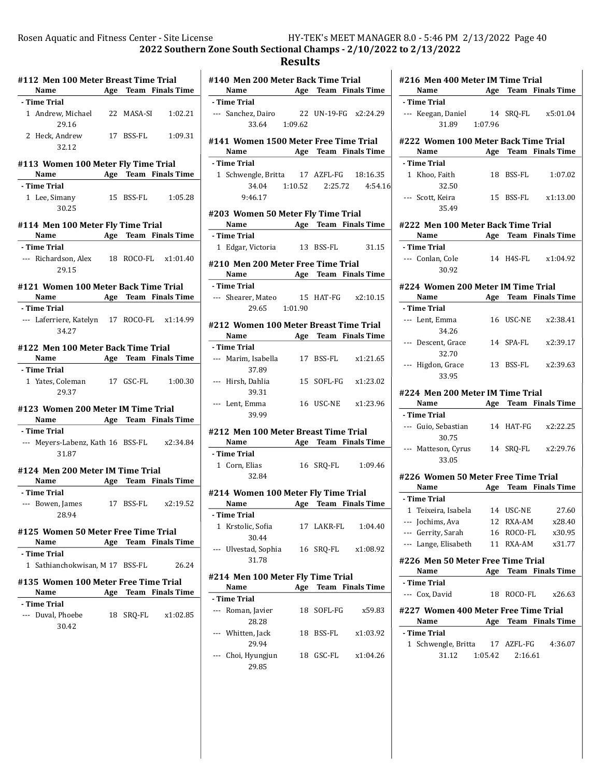### Results

L,

 $\overline{a}$ 

| #112 Men 100 Meter Breast Time Trial          |     |        |                                        |
|-----------------------------------------------|-----|--------|----------------------------------------|
| Name                                          |     |        | <b>Example 21 Age Team</b> Finals Time |
| - Time Trial                                  |     |        |                                        |
| 1 Andrew, Michael 22 MASA-SI                  |     |        | 1:02.21                                |
| 29.16                                         |     |        |                                        |
| 2 Heck, Andrew 17 BSS-FL 1:09.31              |     |        |                                        |
| 32.12                                         |     |        |                                        |
| #113 Women 100 Meter Fly Time Trial           |     |        |                                        |
| Name Age Team Finals Time                     |     |        |                                        |
| - Time Trial                                  |     |        |                                        |
| 1 Lee, Simany 15 BSS-FL 1:05.28               |     |        |                                        |
| 30.25                                         |     |        |                                        |
|                                               |     |        |                                        |
| #114 Men 100 Meter Fly Time Trial             |     |        |                                        |
| Name                                          |     |        | <b>Age Team Finals Time</b>            |
| - Time Trial                                  |     |        |                                        |
| --- Richardson, Alex 18 ROCO-FL x1:01.40      |     |        |                                        |
| 29.15                                         |     |        |                                        |
| #121 Women 100 Meter Back Time Trial          |     |        |                                        |
| Name                                          |     |        | <b>Age Team Finals Time</b>            |
| - Time Trial                                  |     |        |                                        |
| --- Laferriere, Katelyn 17 ROCO-FL x1:14.99   |     |        |                                        |
| 34.27                                         |     |        |                                        |
| #122 Men 100 Meter Back Time Trial            |     |        |                                        |
| Name Age Team Finals Time                     |     |        |                                        |
| - Time Trial                                  |     |        |                                        |
| 1 Yates, Coleman 17 GSC-FL 1:00.30            |     |        |                                        |
| 29.37                                         |     |        |                                        |
|                                               |     |        |                                        |
| #123 Women 200 Meter IM Time Trial            |     |        |                                        |
| Name <b>Age Team Finals Time</b>              |     |        |                                        |
| - Time Trial                                  |     |        |                                        |
| --- Meyers-Labenz, Kath 16 BSS-FL x2:34.84    |     |        |                                        |
| 31.87                                         |     |        |                                        |
| #124 Men 200 Meter IM Time Trial              |     |        |                                        |
| Name Mage Team Finals Time                    |     |        |                                        |
| - Time Trial                                  |     |        |                                        |
| --- Bowen, James 17 BSS-FL x2:19.52           |     |        |                                        |
| 28.94                                         |     |        |                                        |
|                                               |     |        |                                        |
| #125  Women 50 Meter Free Time Trial          |     |        |                                        |
| Name                                          | Age | Team   | <b>Finals Time</b>                     |
| - Time Trial                                  |     |        |                                        |
| Sathianchokwisan, M 17 BSS-FL<br>$\mathbf{1}$ |     |        | 26.24                                  |
| #135 Women 100 Meter Free Time Trial          |     |        |                                        |
| Name                                          |     |        | Age Team Finals Time                   |
| - Time Trial                                  |     |        |                                        |
| --- Duval, Phoebe                             | 18  | SRQ-FL | x1:02.85                               |
| 30.42                                         |     |        |                                        |
|                                               |     |        |                                        |

|       | #140 Men 200 Meter Back Time Trial<br>Name                              | <b>Example 21 Age Team Finals Time</b> |                                  |
|-------|-------------------------------------------------------------------------|----------------------------------------|----------------------------------|
|       | - Time Trial                                                            |                                        |                                  |
|       | --- Sanchez, Dairo 22 UN-19-FG x2:24.29<br>33.64 1:09.62                |                                        |                                  |
|       | #141 Women 1500 Meter Free Time Trial<br>Name Age Team Finals Time      |                                        |                                  |
|       | - Time Trial                                                            |                                        |                                  |
|       | 1 Schwengle, Britta 17 AZFL-FG 18:16.35                                 |                                        |                                  |
|       |                                                                         |                                        | 34.04  1:10.52  2:25.72  4:54.16 |
|       | 9:46.17                                                                 |                                        |                                  |
|       | #203 Women 50 Meter Fly Time Trial<br>Name Age Team Finals Time         |                                        |                                  |
|       | - Time Trial                                                            |                                        |                                  |
|       | 1 Edgar, Victoria 13 BSS-FL 31.15                                       |                                        |                                  |
|       | #210 Men 200 Meter Free Time Trial<br>Name Age Team Finals Time         |                                        |                                  |
|       | - Time Trial                                                            |                                        |                                  |
|       | --- Shearer, Mateo 15 HAT-FG x2:10.15<br>29.65 1:01.90                  |                                        |                                  |
|       | #212 Women 100 Meter Breast Time Trial<br>Name Age Team Finals Time     |                                        |                                  |
|       | - Time Trial                                                            |                                        |                                  |
|       | --- Marim, Isabella 17 BSS-FL x1:21.65                                  |                                        |                                  |
|       | 37.89                                                                   |                                        |                                  |
|       | --- Hirsh, Dahlia 15 SOFL-FG x1:23.02<br>39.31                          |                                        |                                  |
|       | --- Lent, Emma<br>39.99                                                 | 16 USC-NE x1:23.96                     |                                  |
|       | #212 Men 100 Meter Breast Time Trial<br>Name Age Team Finals Time       |                                        |                                  |
|       | - Time Trial                                                            |                                        |                                  |
|       | 1 Corn, Elias 16 SRQ-FL 1:09.46<br>32.84                                |                                        |                                  |
|       | #214 Women 100 Meter Fly Time Trial<br>Name <b>Age Team Finals Time</b> |                                        |                                  |
|       |                                                                         |                                        |                                  |
|       | - Time Trial                                                            |                                        |                                  |
| 1     | Krstolic, Sofia<br>30.44                                                | 17 LAKR-FL                             | 1:04.40                          |
|       | --- Ulvestad, Sophia<br>31.78                                           | 16 SRQ-FL                              | x1:08.92                         |
|       |                                                                         |                                        |                                  |
|       | #214 Men 100 Meter Fly Time Trial                                       |                                        |                                  |
|       | Name                                                                    | Age Team Finals Time                   |                                  |
|       | - Time Trial                                                            |                                        |                                  |
|       | --- Roman, Javier<br>28.28                                              | 18 SOFL-FG                             | x59.83                           |
| $---$ | Whitten, Jack<br>29.94                                                  | 18 BSS-FL                              | x1:03.92                         |
|       | --- Choi, Hyungjun<br>29.85                                             | 18 GSC-FL                              | x1:04.26                         |

|                                           |         | #216 Men 400 Meter IM Time Trial |                                        |
|-------------------------------------------|---------|----------------------------------|----------------------------------------|
| Name                                      |         |                                  | Age Team Finals Time                   |
| - Time Trial                              |         |                                  |                                        |
| --- Keegan, Daniel                        |         |                                  | 14 SRQ-FL x5:01.04                     |
| 31.89 1:07.96                             |         |                                  |                                        |
| #222 Women 100 Meter Back Time Trial      |         |                                  |                                        |
| Name Age Team Finals Time                 |         |                                  |                                        |
| - Time Trial                              |         |                                  |                                        |
| 1 Khoo, Faith                             |         |                                  | 18 BSS-FL 1:07.02                      |
| 32.50                                     |         |                                  |                                        |
| --- Scott, Keira                          |         |                                  | 15 BSS-FL x1:13.00                     |
| 35.49                                     |         |                                  |                                        |
|                                           |         |                                  |                                        |
| #222 Men 100 Meter Back Time Trial        |         |                                  |                                        |
| Name Age Team Finals Time                 |         |                                  |                                        |
| - Time Trial                              |         |                                  |                                        |
| --- Conlan, Cole 14 H4S-FL x1:04.92       |         |                                  |                                        |
| 30.92                                     |         |                                  |                                        |
| #224 Women 200 Meter IM Time Trial        |         |                                  |                                        |
| Name                                      |         |                                  | Age Team Finals Time                   |
| - Time Trial                              |         |                                  |                                        |
| --- Lent. Emma                            |         |                                  | 16 USC-NE x2:38.41                     |
| 34.26                                     |         |                                  |                                        |
| --- Descent, Grace                        |         | 14 SPA-FL                        | x2:39.17                               |
| 32.70                                     |         |                                  |                                        |
| --- Higdon, Grace                         |         |                                  | 13 BSS-FL x2:39.63                     |
| 33.95                                     |         |                                  |                                        |
|                                           |         |                                  |                                        |
| #224  Men 200 Meter IM Time Trial         |         |                                  |                                        |
|                                           |         |                                  |                                        |
| Name                                      |         |                                  | <b>Example 21 Age Team Finals Time</b> |
| - Time Trial                              |         |                                  |                                        |
| --- Guio, Sebastian 14 HAT-FG x2:22.25    |         |                                  |                                        |
| 30.75                                     |         |                                  |                                        |
| --- Matteson, Cyrus 14 SRQ-FL x2:29.76    |         |                                  |                                        |
| 33.05                                     |         |                                  |                                        |
| #226 Women 50 Meter Free Time Trial       |         |                                  |                                        |
| Name                                      |         |                                  | Age Team Finals Time                   |
| - Time Trial                              |         |                                  |                                        |
| 1 Teixeira, Isabela                       |         | 14 USC-NE                        | 27.60                                  |
| --- Jochims, Ava                          |         | 12 RXA-AM                        | x28.40                                 |
| --- Gerrity, Sarah                        |         | 16 ROCO-FL                       | x30.95                                 |
| --- Lange, Elisabeth                      |         | 11 RXA-AM                        | x31.77                                 |
|                                           |         |                                  |                                        |
| #226 Men 50 Meter Free Time Trial<br>Name |         |                                  |                                        |
| - Time Trial                              |         |                                  | Age Team Finals Time                   |
|                                           | 18      | ROCO-FL                          | x26.63                                 |
| --- Cox, David                            |         |                                  |                                        |
| #227  Women 400 Meter Free Time Trial     |         |                                  |                                        |
| Name                                      |         |                                  | Age Team Finals Time                   |
| - Time Trial                              |         |                                  |                                        |
| 1 Schwengle, Britta 17 AZFL-FG            |         |                                  | 4:36.07                                |
| 31.12                                     | 1:05.42 | 2:16.61                          |                                        |
|                                           |         |                                  |                                        |
|                                           |         |                                  |                                        |
|                                           |         |                                  |                                        |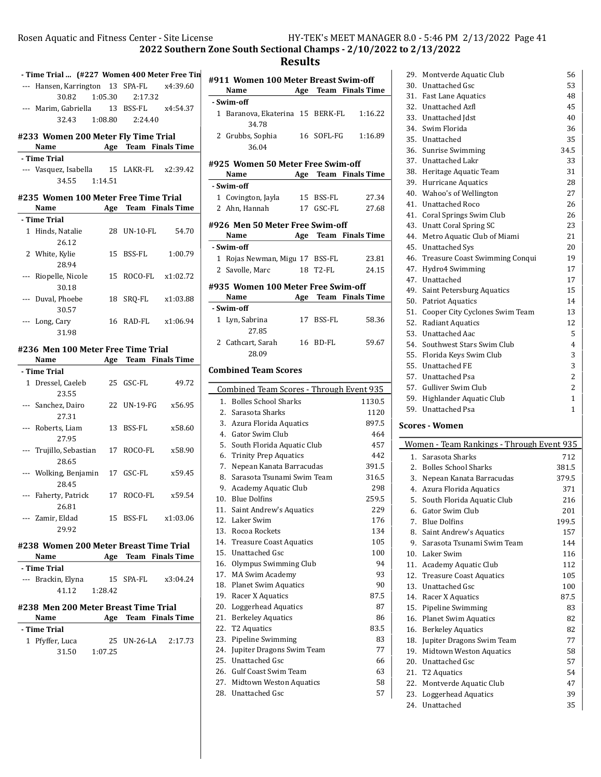2022 Southern Zone South Sectional Champs - 2/10/2022 to 2/13/2022

## Results

| - Time Trial  (#227 Women 400 Meter Free Tin<br>--- Hansen, Karrington 13 SPA-FL x4:39.60 |         |                      |        | #911            |
|-------------------------------------------------------------------------------------------|---------|----------------------|--------|-----------------|
|                                                                                           |         |                      |        | N               |
| 30.82                                                                                     | 1:05.30 | 2:17.32              |        | - Swir          |
| --- Marim, Gabriella 13 BSS-FL x4:54.37                                                   |         |                      |        | 1 B             |
| 32.43                                                                                     |         | 1:08.80 2:24.40      |        |                 |
| #233 Women 200 Meter Fly Time Trial                                                       |         |                      |        | 2 G             |
| Name                                                                                      |         | Age Team Finals Time |        |                 |
| - Time Trial                                                                              |         |                      |        | #925            |
| --- Vasquez, Isabella 15 LAKR-FL x2:39.42                                                 |         |                      |        | N               |
| 34.55 1:14.51                                                                             |         |                      |        | - Swir          |
| #235 Women 100 Meter Free Time Trial                                                      |         |                      |        | $1\,c$          |
| Name                                                                                      |         | Age Team Finals Time |        | 2A              |
| - Time Trial                                                                              |         |                      |        |                 |
| 1 Hinds, Natalie                                                                          |         | 28 UN-10-FL 54.70    |        | #926            |
| 26.12                                                                                     |         |                      |        | N               |
| 2 White, Kylie                                                                            |         | 15 BSS-FL 1:00.79    |        | - Swir          |
| 28.94                                                                                     |         |                      |        | 1 R             |
| --- Riopelle, Nicole                                                                      |         | 15 ROCO-FL x1:02.72  |        | 2S <sub>i</sub> |
| 30.18                                                                                     |         |                      |        | #935            |
| --- Duval, Phoebe                                                                         |         | 18 SRO-FL x1:03.88   |        | N               |
| 30.57                                                                                     |         |                      |        | - Swir          |
| --- Long, Cary                                                                            |         | 16 RAD-FL x1:06.94   |        | 1 L             |
| 31.98                                                                                     |         |                      |        |                 |
| #236 Men 100 Meter Free Time Trial                                                        |         |                      |        | 2 C             |
| Name                                                                                      |         | Age Team Finals Time |        |                 |
| - Time Trial                                                                              |         |                      |        | Comb            |
| 1 Dressel, Caeleb                                                                         |         | 25 GSC-FL            | 49.72  |                 |
| 23.55                                                                                     |         |                      |        | Con             |
| --- Sanchez, Dairo                                                                        |         | 22 UN-19-FG x56.95   |        | 1.              |
| 27.31                                                                                     |         |                      |        | 2.              |
| --- Roberts, Liam                                                                         |         | 13 BSS-FL            | x58.60 | 3.              |
| 27.95                                                                                     |         |                      |        | 4.              |
| --- Trujillo, Sebastian                                                                   |         | 17 ROCO-FL x58.90    |        | 5.              |
| 28.65                                                                                     |         |                      |        | 6.<br>7.        |
| --- Wolking, Benjamin                                                                     |         | 17 GSC-FL            | x59.45 | 8.              |
| 28.45                                                                                     |         |                      |        | 9.              |
| --- Faherty, Patrick 17 ROCO-FL x59.54                                                    |         |                      |        | 10.             |
| 26.81                                                                                     |         |                      |        | 11.             |
| --- Zamir, Eldad                                                                          |         | 15 BSS-FL x1:03.06   |        | 12.             |
| 29.92                                                                                     |         |                      |        | 13.             |
| #238 Women 200 Meter Breast Time Trial                                                    |         |                      |        | 14.             |
| <b>Name</b>                                                                               |         | Age Team Finals Time |        | 15.             |
| - Time Trial                                                                              |         |                      |        | 16.             |
| --- Brackin, Elyna                                                                        | 15      | $SPA-FL$ $x3:04.24$  |        | 17.             |
| 41.12                                                                                     | 1:28.42 |                      |        | 18.             |
|                                                                                           |         |                      |        | 19.             |
| #238 Men 200 Meter Breast Time Trial<br>Name                                              |         | Age Team Finals Time |        | 20.<br>21.      |
| - Time Trial                                                                              |         |                      |        | 22.             |
| 1 Pfyffer, Luca                                                                           |         | 25 UN-26-LA 2:17.73  |        | 23.             |
| 31.50                                                                                     | 1:07.25 |                      |        | 24.             |
|                                                                                           |         |                      |        | 25.             |
|                                                                                           |         |                      |        | 26.             |

|              | #911 Women 100 Meter Breast Swim-off<br>Name |     |            | Age Team Finals Time |
|--------------|----------------------------------------------|-----|------------|----------------------|
|              | - Swim-off                                   |     |            |                      |
|              | 1 Baranova, Ekaterina 15 BERK-FL<br>34.78    |     |            | 1:16.22              |
|              | 2 Grubbs, Sophia<br>36.04                    |     | 16 SOFL-FG | 1:16.89              |
|              | #925 Women 50 Meter Free Swim-off            |     |            |                      |
|              | Name                                         |     |            | Age Team Finals Time |
|              | - Swim-off                                   |     |            |                      |
|              | 1 Covington, Jayla                           |     | 15 BSS-FL  | 27.34                |
|              | 2 Ahn, Hannah                                |     | 17 GSC-FL  | 27.68                |
|              | #926 Men 50 Meter Free Swim-off              |     |            |                      |
|              | Name                                         |     |            | Age Team Finals Time |
|              | - Swim-off                                   |     |            |                      |
|              | 1 Rojas Newman, Migu 17 BSS-FL               |     |            | 23.81                |
| $\mathbf{2}$ | Savolle, Marc                                |     | 18 T2-FL   | 24.15                |
|              | #935 Women 100 Meter Free Swim-off           |     |            |                      |
|              | Name                                         | Age | Team       | <b>Finals Time</b>   |
|              | - Swim-off                                   |     |            |                      |
| $\mathbf{1}$ | Lyn, Sabrina                                 |     | 17 BSS-FL  | 58.36                |
|              | 27.85                                        |     |            |                      |
|              | 2 Cathcart, Sarah                            |     | 16 BD-FL   | 59.67                |
|              | 28.09                                        |     |            |                      |
|              | <b>Combined Team Scores</b>                  |     |            |                      |
|              |                                              |     |            |                      |
|              | Combined Team Scores - Through Event 935     |     |            |                      |
|              | 1.<br><b>Bolles School Sharks</b>            |     |            | 1130.5               |
|              | 2.<br>Sarasota Sharks                        |     |            | 1120                 |
|              | 3.<br>Azura Florida Aquatics                 |     |            | 897.5                |
| 4.           | Gator Swim Club                              |     |            | 464                  |
| 5.           | South Florida Aquatic Club                   |     |            | 457                  |
|              | 6.<br><b>Trinity Prep Aquatics</b>           |     |            | 442                  |
|              | 7.<br>Nepean Kanata Barracudas               |     |            | 391.5                |
| 8.           | Sarasota Tsunami Swim Team                   |     |            | 316.5                |
|              | 9.<br>Academy Aquatic Club                   |     |            | 298                  |
| 10.          | <b>Blue Dolfins</b>                          |     |            | 259.5                |
| 11.          | Saint Andrew's Aquatics                      |     |            | 229                  |
| 12.          | Laker Swim                                   |     |            | 176                  |
| 13.          | Rocoa Rockets                                |     |            | 134                  |
| 14.          | <b>Treasure Coast Aquatics</b>               |     |            | 105                  |
| 15.          | Unattached Gsc                               |     |            | 100                  |
| 16.          | Olympus Swimming Club                        |     |            | 94                   |
|              | 17. MA Swim Academy                          |     |            | 93                   |
| 18.          | <b>Planet Swim Aquatics</b>                  |     |            | 90                   |
| 19.          | Racer X Aquatics                             |     |            | 87.5                 |
| 20.          | <b>Loggerhead Aquatics</b>                   |     |            | 87                   |
| 21.          | <b>Berkeley Aquatics</b>                     |     |            | 86                   |
| 22.          | T2 Aquatics                                  |     |            | 83.5                 |
| 23.          | Pipeline Swimming                            |     |            | 83                   |
| 24.          | Jupiter Dragons Swim Team                    |     |            | 77                   |
| 25.          | <b>Unattached Gsc</b>                        |     |            | 66                   |
| 26.          | <b>Gulf Coast Swim Team</b>                  |     |            | 63                   |
| 27.          | Midtown Weston Aquatics                      |     |            | 58                   |
| 28.          | Unattached Gsc                               |     |            | 57                   |

|     | 29. Montverde Aquatic Club                | 56             |  |  |  |
|-----|-------------------------------------------|----------------|--|--|--|
|     | 30. Unattached Gsc                        | 53             |  |  |  |
|     | 31. Fast Lane Aquatics                    | 48             |  |  |  |
| 32. | <b>Unattached Azfl</b>                    | 45             |  |  |  |
|     | 33. Unattached Idst                       | 40             |  |  |  |
| 34. | Swim Florida                              | 36             |  |  |  |
| 35. | Unattached                                | 35             |  |  |  |
| 36. | <b>Sunrise Swimming</b>                   | 34.5           |  |  |  |
|     | 37. Unattached Lakr                       | 33             |  |  |  |
|     | 38. Heritage Aquatic Team                 | 31             |  |  |  |
|     | 39. Hurricane Aquatics                    | 28             |  |  |  |
| 40. | Wahoo's of Wellington                     | 27             |  |  |  |
| 41. | <b>Unattached Roco</b>                    | 26             |  |  |  |
| 41. | Coral Springs Swim Club                   | 26             |  |  |  |
|     | 43. Unatt Coral Spring SC                 | 23             |  |  |  |
|     | 44. Metro Aquatic Club of Miami           | 21             |  |  |  |
| 45. | <b>Unattached Sys</b>                     | 20             |  |  |  |
| 46. | Treasure Coast Swimming Conqui            | 19             |  |  |  |
|     | 47. Hydro4 Swimming                       | 17             |  |  |  |
| 47. | Unattached                                | 17             |  |  |  |
| 49. | Saint Petersburg Aquatics                 | 15             |  |  |  |
|     | 50. Patriot Aquatics                      | 14             |  |  |  |
|     | 51. Cooper City Cyclones Swim Team        | 13             |  |  |  |
|     | 52. Radiant Aquatics                      | 12             |  |  |  |
| 53. | <b>Unattached Aac</b>                     | 5              |  |  |  |
| 54. | Southwest Stars Swim Club                 | 4              |  |  |  |
|     | 55. Florida Keys Swim Club                | 3              |  |  |  |
|     | 55. Unattached FE                         | 3              |  |  |  |
|     | 57. Unattached Psa                        | $\overline{2}$ |  |  |  |
| 57. | Gulliver Swim Club                        | 2              |  |  |  |
|     | 59. Highlander Aquatic Club               | $\mathbf{1}$   |  |  |  |
|     | 59. Unattached Psa                        | $\mathbf{1}$   |  |  |  |
|     | Scores - Women                            |                |  |  |  |
|     | Women - Team Rankings - Through Event 935 |                |  |  |  |
| 1.  | Sarasota Sharks                           | 712            |  |  |  |
| 2.  | <b>Bolles School Sharks</b>               | 381.5          |  |  |  |
| 3.  | Nepean Kanata Barracudas                  | 379.5          |  |  |  |
|     | 4. Azura Florida Aquatics                 | 371            |  |  |  |
| 5.  | South Florida Aquatic Club                | 216            |  |  |  |
| 6.  | Gator Swim Club                           | 201            |  |  |  |
| 7.  | <b>Blue Dolfins</b>                       | 199.5          |  |  |  |
| 8.  | Saint Andrew's Aquatics                   | 157            |  |  |  |
| 9.  | Sarasota Tsunami Swim Team                | 144            |  |  |  |
|     |                                           |                |  |  |  |

| 10. Laker Swim                | 116  |
|-------------------------------|------|
| 11. Academy Aquatic Club      | 112  |
| 12. Treasure Coast Aquatics   | 105  |
| 13. Unattached Gsc            | 100  |
| 14. Racer X Aquatics          | 87.5 |
| 15. Pipeline Swimming         | 83   |
| 16. Planet Swim Aquatics      | 82   |
| 16. Berkeley Aquatics         | 82   |
| 18. Jupiter Dragons Swim Team | 77   |
| 19. Midtown Weston Aquatics   | 58   |
| 20. Unattached Gsc            | 57   |
| 21. T <sub>2</sub> Aquatics   | 54   |
| 22. Montverde Aquatic Club    | 47   |
| 23. Loggerhead Aquatics       | 39   |

24. Unattached 35